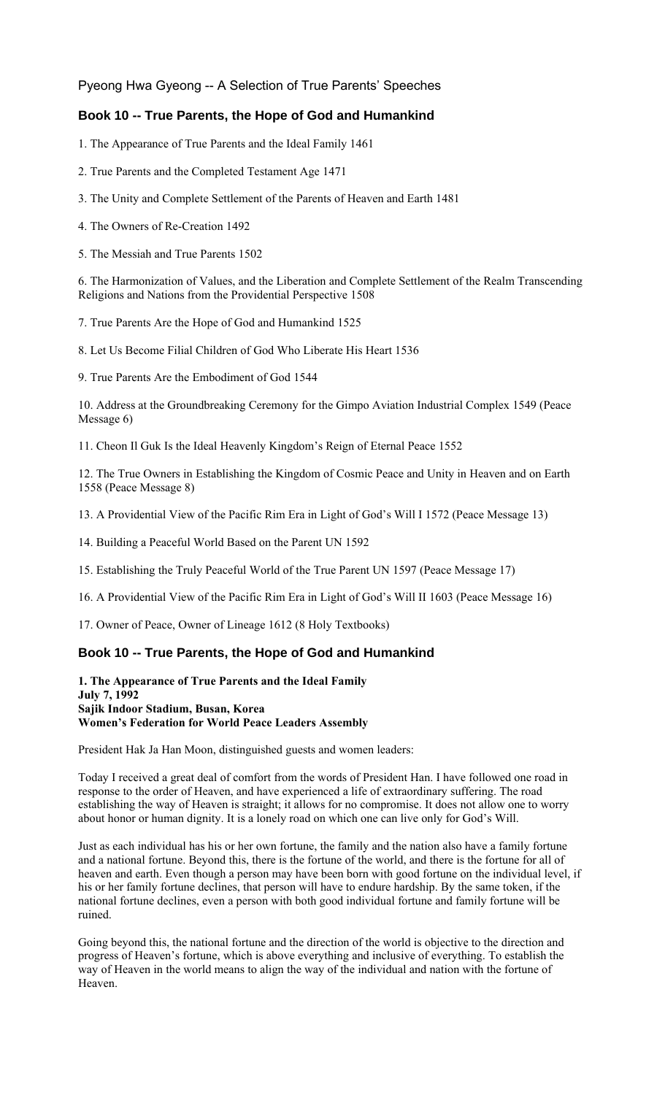Pyeong Hwa Gyeong -- A Selection of True Parents' Speeches

# **Book 10 -- True Parents, the Hope of God and Humankind**

1. The Appearance of True Parents and the Ideal Family 1461

- 2. True Parents and the Completed Testament Age 1471
- 3. The Unity and Complete Settlement of the Parents of Heaven and Earth 1481
- 4. The Owners of Re-Creation 1492

5. The Messiah and True Parents 1502

6. The Harmonization of Values, and the Liberation and Complete Settlement of the Realm Transcending Religions and Nations from the Providential Perspective 1508

7. True Parents Are the Hope of God and Humankind 1525

8. Let Us Become Filial Children of God Who Liberate His Heart 1536

9. True Parents Are the Embodiment of God 1544

10. Address at the Groundbreaking Ceremony for the Gimpo Aviation Industrial Complex 1549 (Peace Message 6)

11. Cheon Il Guk Is the Ideal Heavenly Kingdom's Reign of Eternal Peace 1552

12. The True Owners in Establishing the Kingdom of Cosmic Peace and Unity in Heaven and on Earth 1558 (Peace Message 8)

13. A Providential View of the Pacific Rim Era in Light of God's Will I 1572 (Peace Message 13)

14. Building a Peaceful World Based on the Parent UN 1592

15. Establishing the Truly Peaceful World of the True Parent UN 1597 (Peace Message 17)

16. A Providential View of the Pacific Rim Era in Light of God's Will II 1603 (Peace Message 16)

17. Owner of Peace, Owner of Lineage 1612 (8 Holy Textbooks)

# **Book 10 -- True Parents, the Hope of God and Humankind**

**1. The Appearance of True Parents and the Ideal Family July 7, 1992 Sajik Indoor Stadium, Busan, Korea Women's Federation for World Peace Leaders Assembly**

President Hak Ja Han Moon, distinguished guests and women leaders:

Today I received a great deal of comfort from the words of President Han. I have followed one road in response to the order of Heaven, and have experienced a life of extraordinary suffering. The road establishing the way of Heaven is straight; it allows for no compromise. It does not allow one to worry about honor or human dignity. It is a lonely road on which one can live only for God's Will.

Just as each individual has his or her own fortune, the family and the nation also have a family fortune and a national fortune. Beyond this, there is the fortune of the world, and there is the fortune for all of heaven and earth. Even though a person may have been born with good fortune on the individual level, if his or her family fortune declines, that person will have to endure hardship. By the same token, if the national fortune declines, even a person with both good individual fortune and family fortune will be ruined.

Going beyond this, the national fortune and the direction of the world is objective to the direction and progress of Heaven's fortune, which is above everything and inclusive of everything. To establish the way of Heaven in the world means to align the way of the individual and nation with the fortune of Heaven.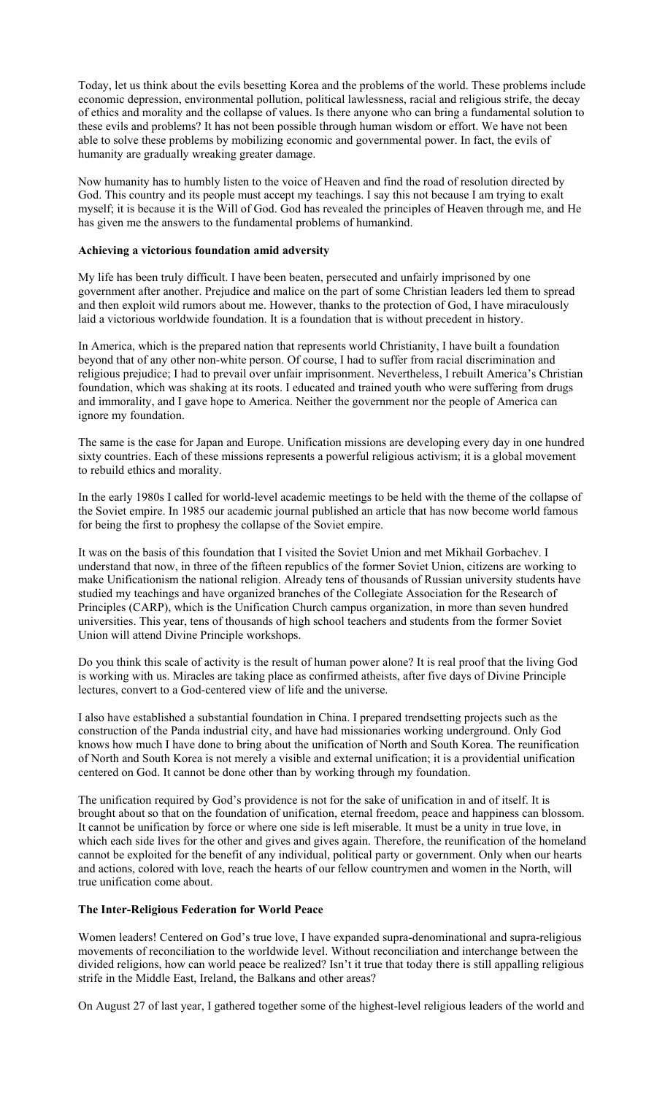Today, let us think about the evils besetting Korea and the problems of the world. These problems include economic depression, environmental pollution, political lawlessness, racial and religious strife, the decay of ethics and morality and the collapse of values. Is there anyone who can bring a fundamental solution to these evils and problems? It has not been possible through human wisdom or effort. We have not been able to solve these problems by mobilizing economic and governmental power. In fact, the evils of humanity are gradually wreaking greater damage.

Now humanity has to humbly listen to the voice of Heaven and find the road of resolution directed by God. This country and its people must accept my teachings. I say this not because I am trying to exalt myself; it is because it is the Will of God. God has revealed the principles of Heaven through me, and He has given me the answers to the fundamental problems of humankind.

### **Achieving a victorious foundation amid adversity**

My life has been truly difficult. I have been beaten, persecuted and unfairly imprisoned by one government after another. Prejudice and malice on the part of some Christian leaders led them to spread and then exploit wild rumors about me. However, thanks to the protection of God, I have miraculously laid a victorious worldwide foundation. It is a foundation that is without precedent in history.

In America, which is the prepared nation that represents world Christianity, I have built a foundation beyond that of any other non-white person. Of course, I had to suffer from racial discrimination and religious prejudice; I had to prevail over unfair imprisonment. Nevertheless, I rebuilt America's Christian foundation, which was shaking at its roots. I educated and trained youth who were suffering from drugs and immorality, and I gave hope to America. Neither the government nor the people of America can ignore my foundation.

The same is the case for Japan and Europe. Unification missions are developing every day in one hundred sixty countries. Each of these missions represents a powerful religious activism; it is a global movement to rebuild ethics and morality.

In the early 1980s I called for world-level academic meetings to be held with the theme of the collapse of the Soviet empire. In 1985 our academic journal published an article that has now become world famous for being the first to prophesy the collapse of the Soviet empire.

It was on the basis of this foundation that I visited the Soviet Union and met Mikhail Gorbachev. I understand that now, in three of the fifteen republics of the former Soviet Union, citizens are working to make Unificationism the national religion. Already tens of thousands of Russian university students have studied my teachings and have organized branches of the Collegiate Association for the Research of Principles (CARP), which is the Unification Church campus organization, in more than seven hundred universities. This year, tens of thousands of high school teachers and students from the former Soviet Union will attend Divine Principle workshops.

Do you think this scale of activity is the result of human power alone? It is real proof that the living God is working with us. Miracles are taking place as confirmed atheists, after five days of Divine Principle lectures, convert to a God-centered view of life and the universe.

I also have established a substantial foundation in China. I prepared trendsetting projects such as the construction of the Panda industrial city, and have had missionaries working underground. Only God knows how much I have done to bring about the unification of North and South Korea. The reunification of North and South Korea is not merely a visible and external unification; it is a providential unification centered on God. It cannot be done other than by working through my foundation.

The unification required by God's providence is not for the sake of unification in and of itself. It is brought about so that on the foundation of unification, eternal freedom, peace and happiness can blossom. It cannot be unification by force or where one side is left miserable. It must be a unity in true love, in which each side lives for the other and gives and gives again. Therefore, the reunification of the homeland cannot be exploited for the benefit of any individual, political party or government. Only when our hearts and actions, colored with love, reach the hearts of our fellow countrymen and women in the North, will true unification come about.

# **The Inter-Religious Federation for World Peace**

Women leaders! Centered on God's true love, I have expanded supra-denominational and supra-religious movements of reconciliation to the worldwide level. Without reconciliation and interchange between the divided religions, how can world peace be realized? Isn't it true that today there is still appalling religious strife in the Middle East, Ireland, the Balkans and other areas?

On August 27 of last year, I gathered together some of the highest-level religious leaders of the world and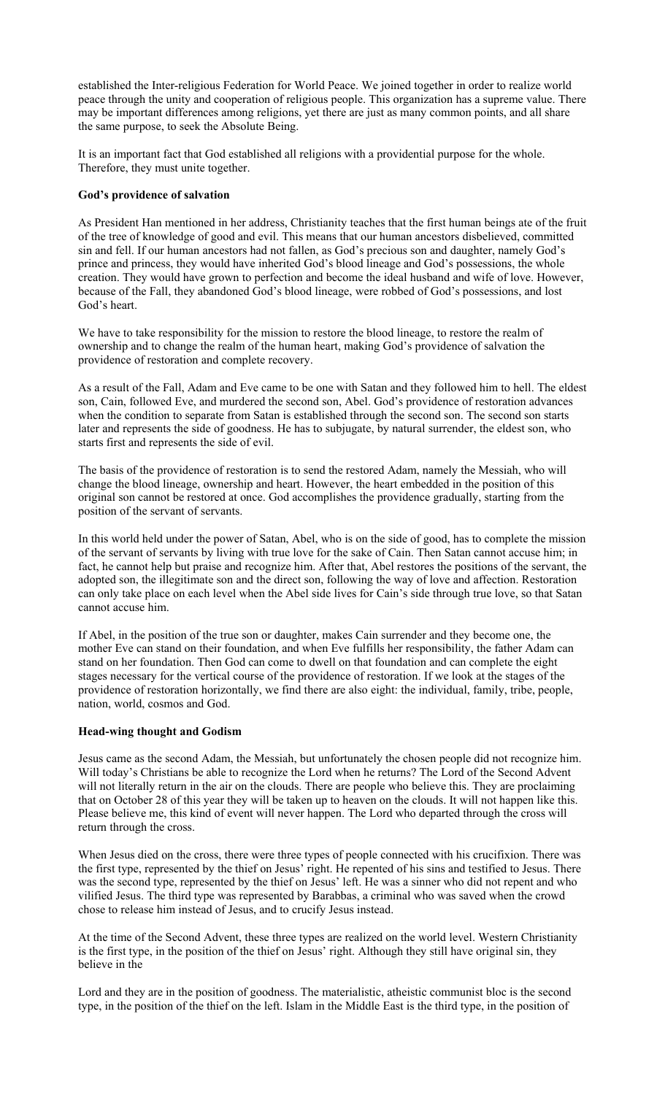established the Inter-religious Federation for World Peace. We joined together in order to realize world peace through the unity and cooperation of religious people. This organization has a supreme value. There may be important differences among religions, yet there are just as many common points, and all share the same purpose, to seek the Absolute Being.

It is an important fact that God established all religions with a providential purpose for the whole. Therefore, they must unite together.

### **God's providence of salvation**

As President Han mentioned in her address, Christianity teaches that the first human beings ate of the fruit of the tree of knowledge of good and evil. This means that our human ancestors disbelieved, committed sin and fell. If our human ancestors had not fallen, as God's precious son and daughter, namely God's prince and princess, they would have inherited God's blood lineage and God's possessions, the whole creation. They would have grown to perfection and become the ideal husband and wife of love. However, because of the Fall, they abandoned God's blood lineage, were robbed of God's possessions, and lost God's heart.

We have to take responsibility for the mission to restore the blood lineage, to restore the realm of ownership and to change the realm of the human heart, making God's providence of salvation the providence of restoration and complete recovery.

As a result of the Fall, Adam and Eve came to be one with Satan and they followed him to hell. The eldest son, Cain, followed Eve, and murdered the second son, Abel. God's providence of restoration advances when the condition to separate from Satan is established through the second son. The second son starts later and represents the side of goodness. He has to subjugate, by natural surrender, the eldest son, who starts first and represents the side of evil.

The basis of the providence of restoration is to send the restored Adam, namely the Messiah, who will change the blood lineage, ownership and heart. However, the heart embedded in the position of this original son cannot be restored at once. God accomplishes the providence gradually, starting from the position of the servant of servants.

In this world held under the power of Satan, Abel, who is on the side of good, has to complete the mission of the servant of servants by living with true love for the sake of Cain. Then Satan cannot accuse him; in fact, he cannot help but praise and recognize him. After that, Abel restores the positions of the servant, the adopted son, the illegitimate son and the direct son, following the way of love and affection. Restoration can only take place on each level when the Abel side lives for Cain's side through true love, so that Satan cannot accuse him.

If Abel, in the position of the true son or daughter, makes Cain surrender and they become one, the mother Eve can stand on their foundation, and when Eve fulfills her responsibility, the father Adam can stand on her foundation. Then God can come to dwell on that foundation and can complete the eight stages necessary for the vertical course of the providence of restoration. If we look at the stages of the providence of restoration horizontally, we find there are also eight: the individual, family, tribe, people, nation, world, cosmos and God.

#### **Head-wing thought and Godism**

Jesus came as the second Adam, the Messiah, but unfortunately the chosen people did not recognize him. Will today's Christians be able to recognize the Lord when he returns? The Lord of the Second Advent will not literally return in the air on the clouds. There are people who believe this. They are proclaiming that on October 28 of this year they will be taken up to heaven on the clouds. It will not happen like this. Please believe me, this kind of event will never happen. The Lord who departed through the cross will return through the cross.

When Jesus died on the cross, there were three types of people connected with his crucifixion. There was the first type, represented by the thief on Jesus' right. He repented of his sins and testified to Jesus. There was the second type, represented by the thief on Jesus' left. He was a sinner who did not repent and who vilified Jesus. The third type was represented by Barabbas, a criminal who was saved when the crowd chose to release him instead of Jesus, and to crucify Jesus instead.

At the time of the Second Advent, these three types are realized on the world level. Western Christianity is the first type, in the position of the thief on Jesus' right. Although they still have original sin, they believe in the

Lord and they are in the position of goodness. The materialistic, atheistic communist bloc is the second type, in the position of the thief on the left. Islam in the Middle East is the third type, in the position of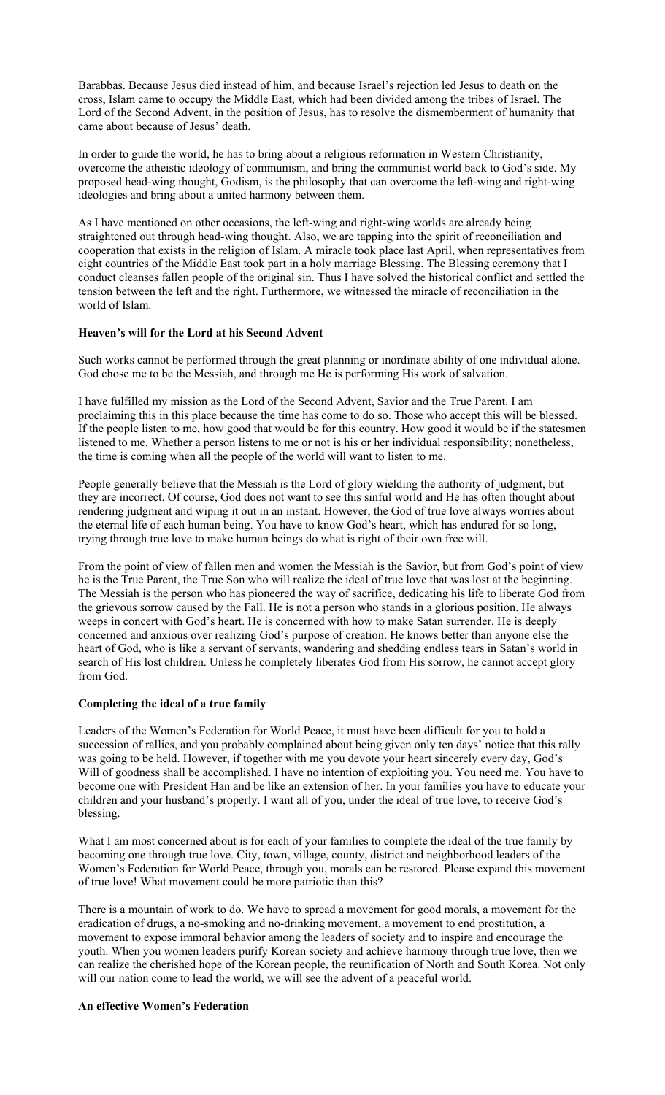Barabbas. Because Jesus died instead of him, and because Israel's rejection led Jesus to death on the cross, Islam came to occupy the Middle East, which had been divided among the tribes of Israel. The Lord of the Second Advent, in the position of Jesus, has to resolve the dismemberment of humanity that came about because of Jesus' death.

In order to guide the world, he has to bring about a religious reformation in Western Christianity, overcome the atheistic ideology of communism, and bring the communist world back to God's side. My proposed head-wing thought, Godism, is the philosophy that can overcome the left-wing and right-wing ideologies and bring about a united harmony between them.

As I have mentioned on other occasions, the left-wing and right-wing worlds are already being straightened out through head-wing thought. Also, we are tapping into the spirit of reconciliation and cooperation that exists in the religion of Islam. A miracle took place last April, when representatives from eight countries of the Middle East took part in a holy marriage Blessing. The Blessing ceremony that I conduct cleanses fallen people of the original sin. Thus I have solved the historical conflict and settled the tension between the left and the right. Furthermore, we witnessed the miracle of reconciliation in the world of Islam.

# **Heaven's will for the Lord at his Second Advent**

Such works cannot be performed through the great planning or inordinate ability of one individual alone. God chose me to be the Messiah, and through me He is performing His work of salvation.

I have fulfilled my mission as the Lord of the Second Advent, Savior and the True Parent. I am proclaiming this in this place because the time has come to do so. Those who accept this will be blessed. If the people listen to me, how good that would be for this country. How good it would be if the statesmen listened to me. Whether a person listens to me or not is his or her individual responsibility; nonetheless, the time is coming when all the people of the world will want to listen to me.

People generally believe that the Messiah is the Lord of glory wielding the authority of judgment, but they are incorrect. Of course, God does not want to see this sinful world and He has often thought about rendering judgment and wiping it out in an instant. However, the God of true love always worries about the eternal life of each human being. You have to know God's heart, which has endured for so long, trying through true love to make human beings do what is right of their own free will.

From the point of view of fallen men and women the Messiah is the Savior, but from God's point of view he is the True Parent, the True Son who will realize the ideal of true love that was lost at the beginning. The Messiah is the person who has pioneered the way of sacrifice, dedicating his life to liberate God from the grievous sorrow caused by the Fall. He is not a person who stands in a glorious position. He always weeps in concert with God's heart. He is concerned with how to make Satan surrender. He is deeply concerned and anxious over realizing God's purpose of creation. He knows better than anyone else the heart of God, who is like a servant of servants, wandering and shedding endless tears in Satan's world in search of His lost children. Unless he completely liberates God from His sorrow, he cannot accept glory from God.

#### **Completing the ideal of a true family**

Leaders of the Women's Federation for World Peace, it must have been difficult for you to hold a succession of rallies, and you probably complained about being given only ten days' notice that this rally was going to be held. However, if together with me you devote your heart sincerely every day, God's Will of goodness shall be accomplished. I have no intention of exploiting you. You need me. You have to become one with President Han and be like an extension of her. In your families you have to educate your children and your husband's properly. I want all of you, under the ideal of true love, to receive God's blessing.

What I am most concerned about is for each of your families to complete the ideal of the true family by becoming one through true love. City, town, village, county, district and neighborhood leaders of the Women's Federation for World Peace, through you, morals can be restored. Please expand this movement of true love! What movement could be more patriotic than this?

There is a mountain of work to do. We have to spread a movement for good morals, a movement for the eradication of drugs, a no-smoking and no-drinking movement, a movement to end prostitution, a movement to expose immoral behavior among the leaders of society and to inspire and encourage the youth. When you women leaders purify Korean society and achieve harmony through true love, then we can realize the cherished hope of the Korean people, the reunification of North and South Korea. Not only will our nation come to lead the world, we will see the advent of a peaceful world.

### **An effective Women's Federation**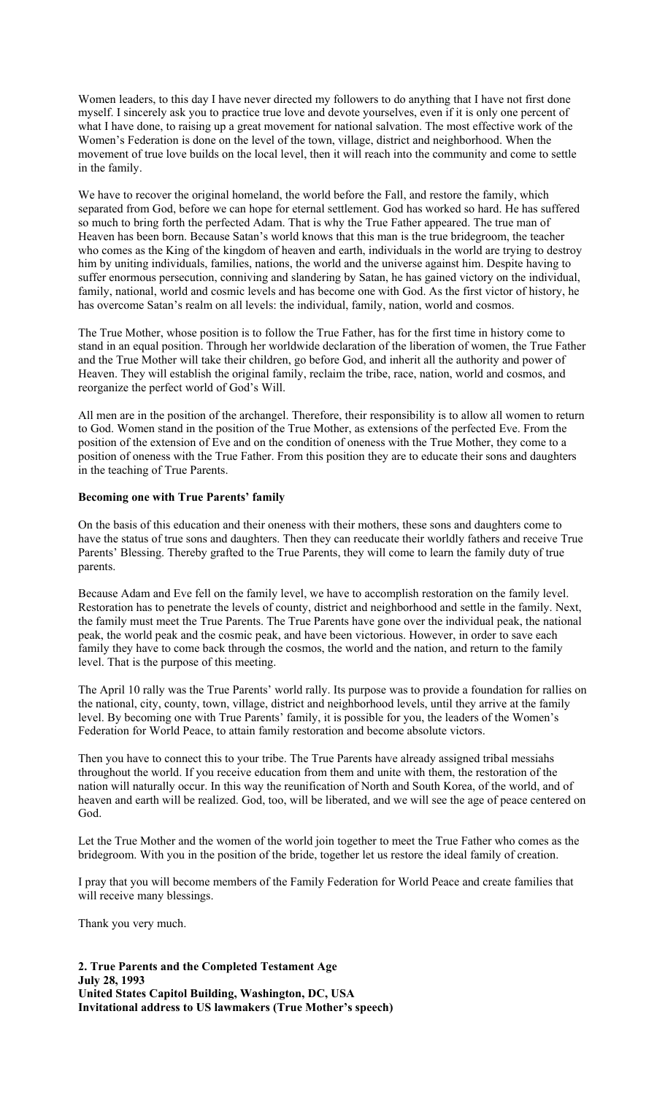Women leaders, to this day I have never directed my followers to do anything that I have not first done myself. I sincerely ask you to practice true love and devote yourselves, even if it is only one percent of what I have done, to raising up a great movement for national salvation. The most effective work of the Women's Federation is done on the level of the town, village, district and neighborhood. When the movement of true love builds on the local level, then it will reach into the community and come to settle in the family.

We have to recover the original homeland, the world before the Fall, and restore the family, which separated from God, before we can hope for eternal settlement. God has worked so hard. He has suffered so much to bring forth the perfected Adam. That is why the True Father appeared. The true man of Heaven has been born. Because Satan's world knows that this man is the true bridegroom, the teacher who comes as the King of the kingdom of heaven and earth, individuals in the world are trying to destroy him by uniting individuals, families, nations, the world and the universe against him. Despite having to suffer enormous persecution, conniving and slandering by Satan, he has gained victory on the individual, family, national, world and cosmic levels and has become one with God. As the first victor of history, he has overcome Satan's realm on all levels: the individual, family, nation, world and cosmos.

The True Mother, whose position is to follow the True Father, has for the first time in history come to stand in an equal position. Through her worldwide declaration of the liberation of women, the True Father and the True Mother will take their children, go before God, and inherit all the authority and power of Heaven. They will establish the original family, reclaim the tribe, race, nation, world and cosmos, and reorganize the perfect world of God's Will.

All men are in the position of the archangel. Therefore, their responsibility is to allow all women to return to God. Women stand in the position of the True Mother, as extensions of the perfected Eve. From the position of the extension of Eve and on the condition of oneness with the True Mother, they come to a position of oneness with the True Father. From this position they are to educate their sons and daughters in the teaching of True Parents.

# **Becoming one with True Parents' family**

On the basis of this education and their oneness with their mothers, these sons and daughters come to have the status of true sons and daughters. Then they can reeducate their worldly fathers and receive True Parents' Blessing. Thereby grafted to the True Parents, they will come to learn the family duty of true parents.

Because Adam and Eve fell on the family level, we have to accomplish restoration on the family level. Restoration has to penetrate the levels of county, district and neighborhood and settle in the family. Next, the family must meet the True Parents. The True Parents have gone over the individual peak, the national peak, the world peak and the cosmic peak, and have been victorious. However, in order to save each family they have to come back through the cosmos, the world and the nation, and return to the family level. That is the purpose of this meeting.

The April 10 rally was the True Parents' world rally. Its purpose was to provide a foundation for rallies on the national, city, county, town, village, district and neighborhood levels, until they arrive at the family level. By becoming one with True Parents' family, it is possible for you, the leaders of the Women's Federation for World Peace, to attain family restoration and become absolute victors.

Then you have to connect this to your tribe. The True Parents have already assigned tribal messiahs throughout the world. If you receive education from them and unite with them, the restoration of the nation will naturally occur. In this way the reunification of North and South Korea, of the world, and of heaven and earth will be realized. God, too, will be liberated, and we will see the age of peace centered on God.

Let the True Mother and the women of the world join together to meet the True Father who comes as the bridegroom. With you in the position of the bride, together let us restore the ideal family of creation.

I pray that you will become members of the Family Federation for World Peace and create families that will receive many blessings.

Thank you very much.

**2. True Parents and the Completed Testament Age July 28, 1993 United States Capitol Building, Washington, DC, USA Invitational address to US lawmakers (True Mother's speech)**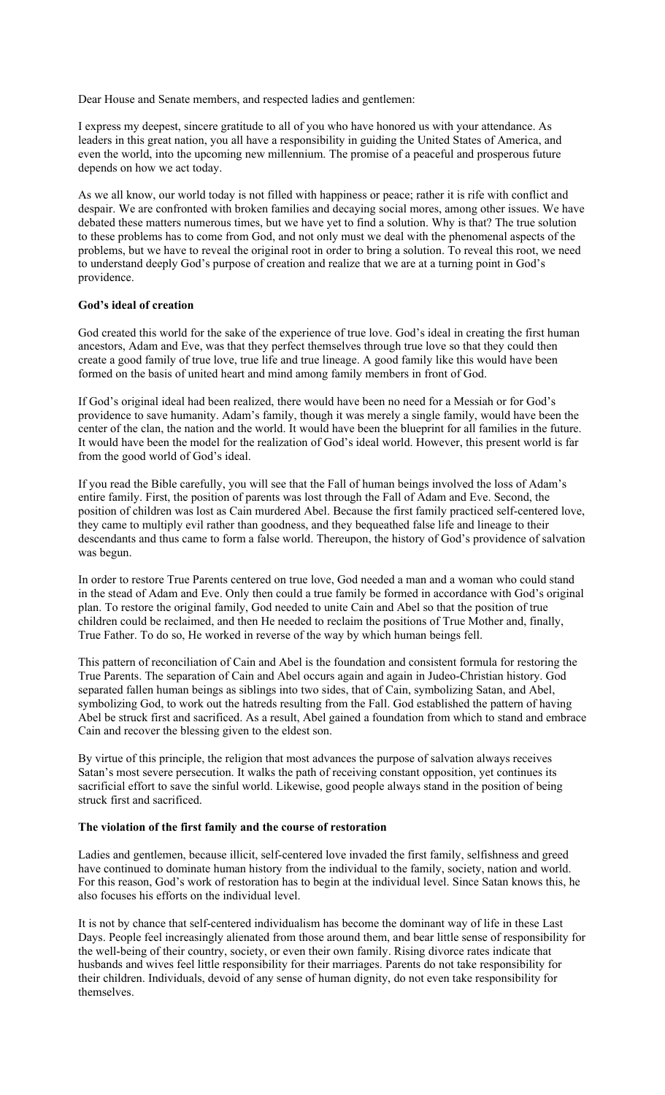Dear House and Senate members, and respected ladies and gentlemen:

I express my deepest, sincere gratitude to all of you who have honored us with your attendance. As leaders in this great nation, you all have a responsibility in guiding the United States of America, and even the world, into the upcoming new millennium. The promise of a peaceful and prosperous future depends on how we act today.

As we all know, our world today is not filled with happiness or peace; rather it is rife with conflict and despair. We are confronted with broken families and decaying social mores, among other issues. We have debated these matters numerous times, but we have yet to find a solution. Why is that? The true solution to these problems has to come from God, and not only must we deal with the phenomenal aspects of the problems, but we have to reveal the original root in order to bring a solution. To reveal this root, we need to understand deeply God's purpose of creation and realize that we are at a turning point in God's providence.

### **God's ideal of creation**

God created this world for the sake of the experience of true love. God's ideal in creating the first human ancestors, Adam and Eve, was that they perfect themselves through true love so that they could then create a good family of true love, true life and true lineage. A good family like this would have been formed on the basis of united heart and mind among family members in front of God.

If God's original ideal had been realized, there would have been no need for a Messiah or for God's providence to save humanity. Adam's family, though it was merely a single family, would have been the center of the clan, the nation and the world. It would have been the blueprint for all families in the future. It would have been the model for the realization of God's ideal world. However, this present world is far from the good world of God's ideal.

If you read the Bible carefully, you will see that the Fall of human beings involved the loss of Adam's entire family. First, the position of parents was lost through the Fall of Adam and Eve. Second, the position of children was lost as Cain murdered Abel. Because the first family practiced self-centered love, they came to multiply evil rather than goodness, and they bequeathed false life and lineage to their descendants and thus came to form a false world. Thereupon, the history of God's providence of salvation was begun.

In order to restore True Parents centered on true love, God needed a man and a woman who could stand in the stead of Adam and Eve. Only then could a true family be formed in accordance with God's original plan. To restore the original family, God needed to unite Cain and Abel so that the position of true children could be reclaimed, and then He needed to reclaim the positions of True Mother and, finally, True Father. To do so, He worked in reverse of the way by which human beings fell.

This pattern of reconciliation of Cain and Abel is the foundation and consistent formula for restoring the True Parents. The separation of Cain and Abel occurs again and again in Judeo-Christian history. God separated fallen human beings as siblings into two sides, that of Cain, symbolizing Satan, and Abel, symbolizing God, to work out the hatreds resulting from the Fall. God established the pattern of having Abel be struck first and sacrificed. As a result, Abel gained a foundation from which to stand and embrace Cain and recover the blessing given to the eldest son.

By virtue of this principle, the religion that most advances the purpose of salvation always receives Satan's most severe persecution. It walks the path of receiving constant opposition, yet continues its sacrificial effort to save the sinful world. Likewise, good people always stand in the position of being struck first and sacrificed.

#### **The violation of the first family and the course of restoration**

Ladies and gentlemen, because illicit, self-centered love invaded the first family, selfishness and greed have continued to dominate human history from the individual to the family, society, nation and world. For this reason, God's work of restoration has to begin at the individual level. Since Satan knows this, he also focuses his efforts on the individual level.

It is not by chance that self-centered individualism has become the dominant way of life in these Last Days. People feel increasingly alienated from those around them, and bear little sense of responsibility for the well-being of their country, society, or even their own family. Rising divorce rates indicate that husbands and wives feel little responsibility for their marriages. Parents do not take responsibility for their children. Individuals, devoid of any sense of human dignity, do not even take responsibility for themselves.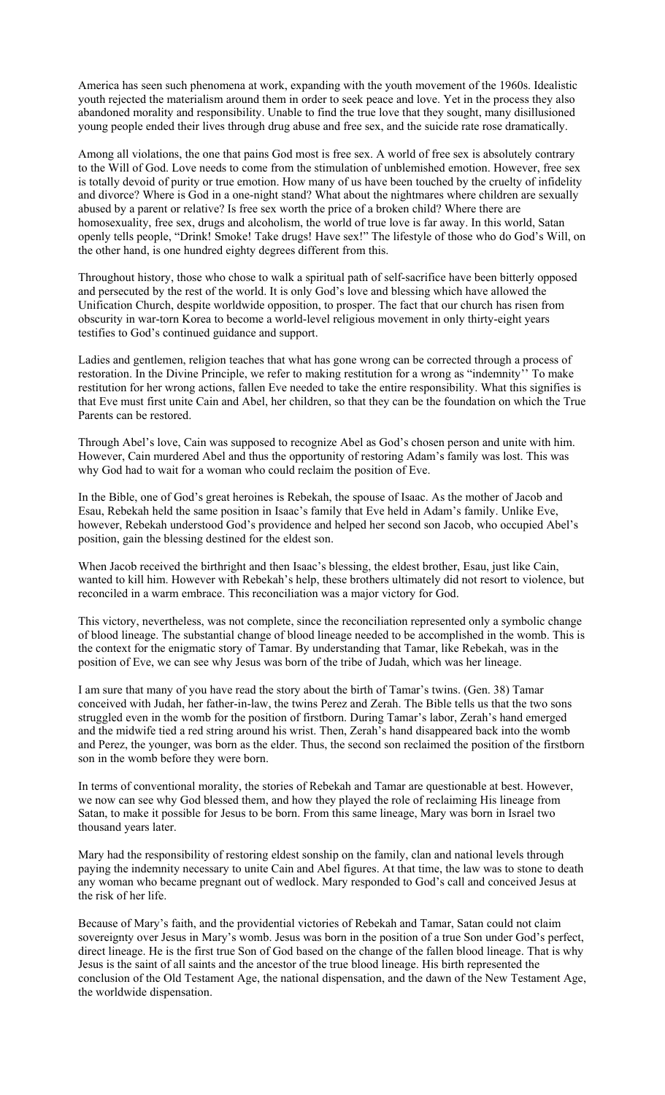America has seen such phenomena at work, expanding with the youth movement of the 1960s. Idealistic youth rejected the materialism around them in order to seek peace and love. Yet in the process they also abandoned morality and responsibility. Unable to find the true love that they sought, many disillusioned young people ended their lives through drug abuse and free sex, and the suicide rate rose dramatically.

Among all violations, the one that pains God most is free sex. A world of free sex is absolutely contrary to the Will of God. Love needs to come from the stimulation of unblemished emotion. However, free sex is totally devoid of purity or true emotion. How many of us have been touched by the cruelty of infidelity and divorce? Where is God in a one-night stand? What about the nightmares where children are sexually abused by a parent or relative? Is free sex worth the price of a broken child? Where there are homosexuality, free sex, drugs and alcoholism, the world of true love is far away. In this world, Satan openly tells people, "Drink! Smoke! Take drugs! Have sex!" The lifestyle of those who do God's Will, on the other hand, is one hundred eighty degrees different from this.

Throughout history, those who chose to walk a spiritual path of self-sacrifice have been bitterly opposed and persecuted by the rest of the world. It is only God's love and blessing which have allowed the Unification Church, despite worldwide opposition, to prosper. The fact that our church has risen from obscurity in war-torn Korea to become a world-level religious movement in only thirty-eight years testifies to God's continued guidance and support.

Ladies and gentlemen, religion teaches that what has gone wrong can be corrected through a process of restoration. In the Divine Principle, we refer to making restitution for a wrong as "indemnity'' To make restitution for her wrong actions, fallen Eve needed to take the entire responsibility. What this signifies is that Eve must first unite Cain and Abel, her children, so that they can be the foundation on which the True Parents can be restored.

Through Abel's love, Cain was supposed to recognize Abel as God's chosen person and unite with him. However, Cain murdered Abel and thus the opportunity of restoring Adam's family was lost. This was why God had to wait for a woman who could reclaim the position of Eve.

In the Bible, one of God's great heroines is Rebekah, the spouse of Isaac. As the mother of Jacob and Esau, Rebekah held the same position in Isaac's family that Eve held in Adam's family. Unlike Eve, however, Rebekah understood God's providence and helped her second son Jacob, who occupied Abel's position, gain the blessing destined for the eldest son.

When Jacob received the birthright and then Isaac's blessing, the eldest brother, Esau, just like Cain, wanted to kill him. However with Rebekah's help, these brothers ultimately did not resort to violence, but reconciled in a warm embrace. This reconciliation was a major victory for God.

This victory, nevertheless, was not complete, since the reconciliation represented only a symbolic change of blood lineage. The substantial change of blood lineage needed to be accomplished in the womb. This is the context for the enigmatic story of Tamar. By understanding that Tamar, like Rebekah, was in the position of Eve, we can see why Jesus was born of the tribe of Judah, which was her lineage.

I am sure that many of you have read the story about the birth of Tamar's twins. (Gen. 38) Tamar conceived with Judah, her father-in-law, the twins Perez and Zerah. The Bible tells us that the two sons struggled even in the womb for the position of firstborn. During Tamar's labor, Zerah's hand emerged and the midwife tied a red string around his wrist. Then, Zerah's hand disappeared back into the womb and Perez, the younger, was born as the elder. Thus, the second son reclaimed the position of the firstborn son in the womb before they were born.

In terms of conventional morality, the stories of Rebekah and Tamar are questionable at best. However, we now can see why God blessed them, and how they played the role of reclaiming His lineage from Satan, to make it possible for Jesus to be born. From this same lineage, Mary was born in Israel two thousand years later.

Mary had the responsibility of restoring eldest sonship on the family, clan and national levels through paying the indemnity necessary to unite Cain and Abel figures. At that time, the law was to stone to death any woman who became pregnant out of wedlock. Mary responded to God's call and conceived Jesus at the risk of her life.

Because of Mary's faith, and the providential victories of Rebekah and Tamar, Satan could not claim sovereignty over Jesus in Mary's womb. Jesus was born in the position of a true Son under God's perfect, direct lineage. He is the first true Son of God based on the change of the fallen blood lineage. That is why Jesus is the saint of all saints and the ancestor of the true blood lineage. His birth represented the conclusion of the Old Testament Age, the national dispensation, and the dawn of the New Testament Age, the worldwide dispensation.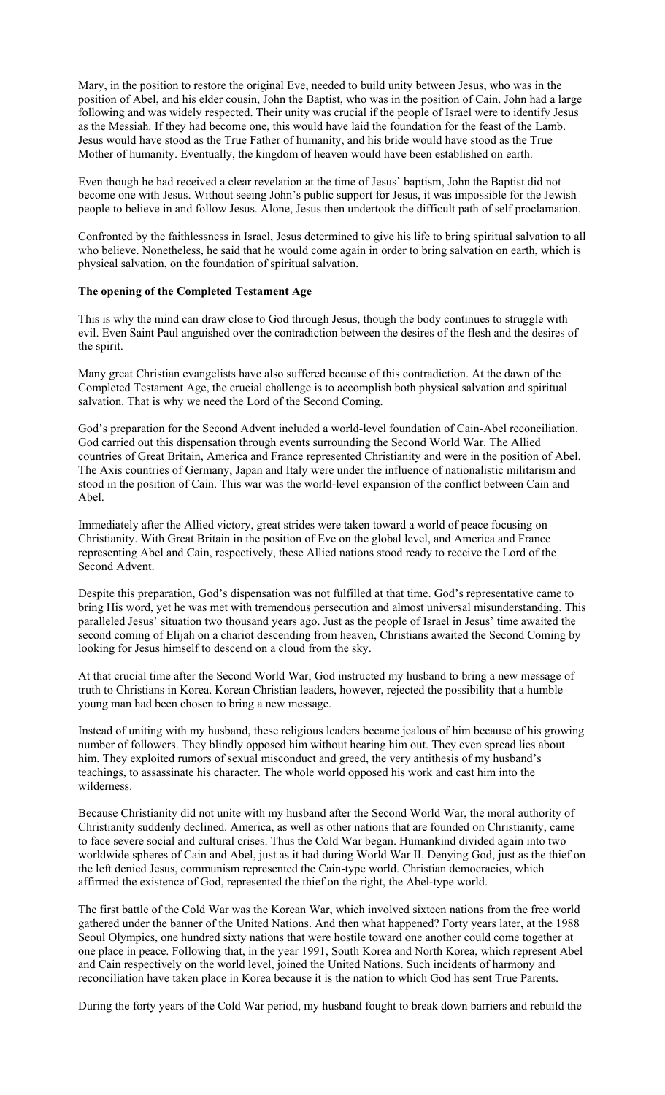Mary, in the position to restore the original Eve, needed to build unity between Jesus, who was in the position of Abel, and his elder cousin, John the Baptist, who was in the position of Cain. John had a large following and was widely respected. Their unity was crucial if the people of Israel were to identify Jesus as the Messiah. If they had become one, this would have laid the foundation for the feast of the Lamb. Jesus would have stood as the True Father of humanity, and his bride would have stood as the True Mother of humanity. Eventually, the kingdom of heaven would have been established on earth.

Even though he had received a clear revelation at the time of Jesus' baptism, John the Baptist did not become one with Jesus. Without seeing John's public support for Jesus, it was impossible for the Jewish people to believe in and follow Jesus. Alone, Jesus then undertook the difficult path of self proclamation.

Confronted by the faithlessness in Israel, Jesus determined to give his life to bring spiritual salvation to all who believe. Nonetheless, he said that he would come again in order to bring salvation on earth, which is physical salvation, on the foundation of spiritual salvation.

### **The opening of the Completed Testament Age**

This is why the mind can draw close to God through Jesus, though the body continues to struggle with evil. Even Saint Paul anguished over the contradiction between the desires of the flesh and the desires of the spirit.

Many great Christian evangelists have also suffered because of this contradiction. At the dawn of the Completed Testament Age, the crucial challenge is to accomplish both physical salvation and spiritual salvation. That is why we need the Lord of the Second Coming.

God's preparation for the Second Advent included a world-level foundation of Cain-Abel reconciliation. God carried out this dispensation through events surrounding the Second World War. The Allied countries of Great Britain, America and France represented Christianity and were in the position of Abel. The Axis countries of Germany, Japan and Italy were under the influence of nationalistic militarism and stood in the position of Cain. This war was the world-level expansion of the conflict between Cain and Abel.

Immediately after the Allied victory, great strides were taken toward a world of peace focusing on Christianity. With Great Britain in the position of Eve on the global level, and America and France representing Abel and Cain, respectively, these Allied nations stood ready to receive the Lord of the Second Advent.

Despite this preparation, God's dispensation was not fulfilled at that time. God's representative came to bring His word, yet he was met with tremendous persecution and almost universal misunderstanding. This paralleled Jesus' situation two thousand years ago. Just as the people of Israel in Jesus' time awaited the second coming of Elijah on a chariot descending from heaven, Christians awaited the Second Coming by looking for Jesus himself to descend on a cloud from the sky.

At that crucial time after the Second World War, God instructed my husband to bring a new message of truth to Christians in Korea. Korean Christian leaders, however, rejected the possibility that a humble young man had been chosen to bring a new message.

Instead of uniting with my husband, these religious leaders became jealous of him because of his growing number of followers. They blindly opposed him without hearing him out. They even spread lies about him. They exploited rumors of sexual misconduct and greed, the very antithesis of my husband's teachings, to assassinate his character. The whole world opposed his work and cast him into the wilderness.

Because Christianity did not unite with my husband after the Second World War, the moral authority of Christianity suddenly declined. America, as well as other nations that are founded on Christianity, came to face severe social and cultural crises. Thus the Cold War began. Humankind divided again into two worldwide spheres of Cain and Abel, just as it had during World War II. Denying God, just as the thief on the left denied Jesus, communism represented the Cain-type world. Christian democracies, which affirmed the existence of God, represented the thief on the right, the Abel-type world.

The first battle of the Cold War was the Korean War, which involved sixteen nations from the free world gathered under the banner of the United Nations. And then what happened? Forty years later, at the 1988 Seoul Olympics, one hundred sixty nations that were hostile toward one another could come together at one place in peace. Following that, in the year 1991, South Korea and North Korea, which represent Abel and Cain respectively on the world level, joined the United Nations. Such incidents of harmony and reconciliation have taken place in Korea because it is the nation to which God has sent True Parents.

During the forty years of the Cold War period, my husband fought to break down barriers and rebuild the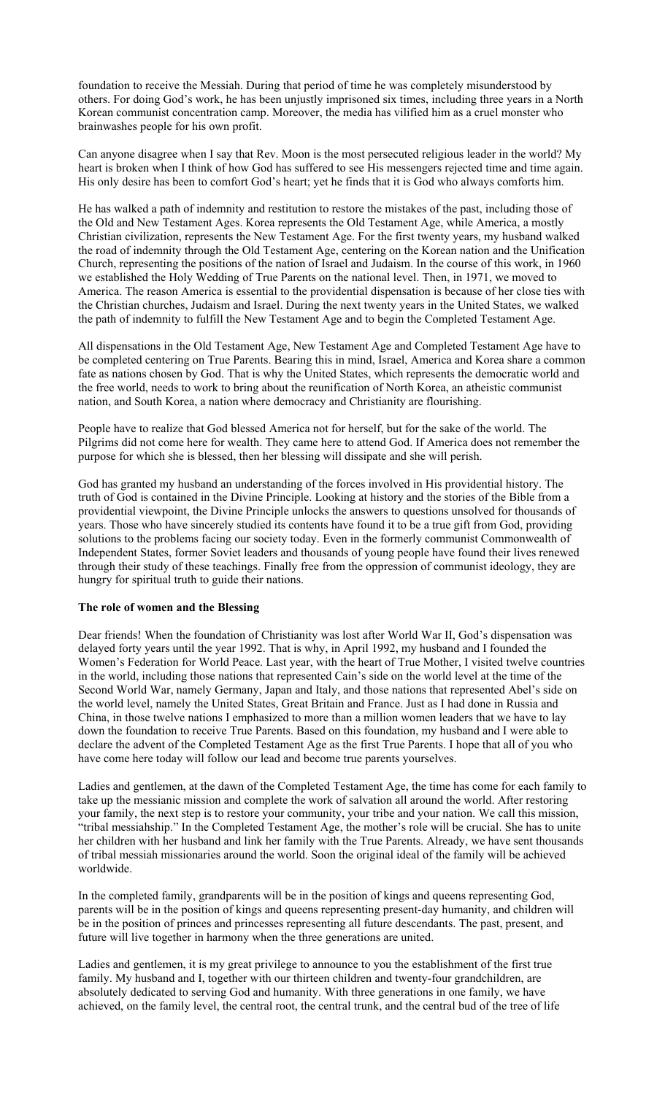foundation to receive the Messiah. During that period of time he was completely misunderstood by others. For doing God's work, he has been unjustly imprisoned six times, including three years in a North Korean communist concentration camp. Moreover, the media has vilified him as a cruel monster who brainwashes people for his own profit.

Can anyone disagree when I say that Rev. Moon is the most persecuted religious leader in the world? My heart is broken when I think of how God has suffered to see His messengers rejected time and time again. His only desire has been to comfort God's heart; yet he finds that it is God who always comforts him.

He has walked a path of indemnity and restitution to restore the mistakes of the past, including those of the Old and New Testament Ages. Korea represents the Old Testament Age, while America, a mostly Christian civilization, represents the New Testament Age. For the first twenty years, my husband walked the road of indemnity through the Old Testament Age, centering on the Korean nation and the Unification Church, representing the positions of the nation of Israel and Judaism. In the course of this work, in 1960 we established the Holy Wedding of True Parents on the national level. Then, in 1971, we moved to America. The reason America is essential to the providential dispensation is because of her close ties with the Christian churches, Judaism and Israel. During the next twenty years in the United States, we walked the path of indemnity to fulfill the New Testament Age and to begin the Completed Testament Age.

All dispensations in the Old Testament Age, New Testament Age and Completed Testament Age have to be completed centering on True Parents. Bearing this in mind, Israel, America and Korea share a common fate as nations chosen by God. That is why the United States, which represents the democratic world and the free world, needs to work to bring about the reunification of North Korea, an atheistic communist nation, and South Korea, a nation where democracy and Christianity are flourishing.

People have to realize that God blessed America not for herself, but for the sake of the world. The Pilgrims did not come here for wealth. They came here to attend God. If America does not remember the purpose for which she is blessed, then her blessing will dissipate and she will perish.

God has granted my husband an understanding of the forces involved in His providential history. The truth of God is contained in the Divine Principle. Looking at history and the stories of the Bible from a providential viewpoint, the Divine Principle unlocks the answers to questions unsolved for thousands of years. Those who have sincerely studied its contents have found it to be a true gift from God, providing solutions to the problems facing our society today. Even in the formerly communist Commonwealth of Independent States, former Soviet leaders and thousands of young people have found their lives renewed through their study of these teachings. Finally free from the oppression of communist ideology, they are hungry for spiritual truth to guide their nations.

#### **The role of women and the Blessing**

Dear friends! When the foundation of Christianity was lost after World War II, God's dispensation was delayed forty years until the year 1992. That is why, in April 1992, my husband and I founded the Women's Federation for World Peace. Last year, with the heart of True Mother, I visited twelve countries in the world, including those nations that represented Cain's side on the world level at the time of the Second World War, namely Germany, Japan and Italy, and those nations that represented Abel's side on the world level, namely the United States, Great Britain and France. Just as I had done in Russia and China, in those twelve nations I emphasized to more than a million women leaders that we have to lay down the foundation to receive True Parents. Based on this foundation, my husband and I were able to declare the advent of the Completed Testament Age as the first True Parents. I hope that all of you who have come here today will follow our lead and become true parents yourselves.

Ladies and gentlemen, at the dawn of the Completed Testament Age, the time has come for each family to take up the messianic mission and complete the work of salvation all around the world. After restoring your family, the next step is to restore your community, your tribe and your nation. We call this mission, "tribal messiahship." In the Completed Testament Age, the mother's role will be crucial. She has to unite her children with her husband and link her family with the True Parents. Already, we have sent thousands of tribal messiah missionaries around the world. Soon the original ideal of the family will be achieved worldwide.

In the completed family, grandparents will be in the position of kings and queens representing God, parents will be in the position of kings and queens representing present-day humanity, and children will be in the position of princes and princesses representing all future descendants. The past, present, and future will live together in harmony when the three generations are united.

Ladies and gentlemen, it is my great privilege to announce to you the establishment of the first true family. My husband and I, together with our thirteen children and twenty-four grandchildren, are absolutely dedicated to serving God and humanity. With three generations in one family, we have achieved, on the family level, the central root, the central trunk, and the central bud of the tree of life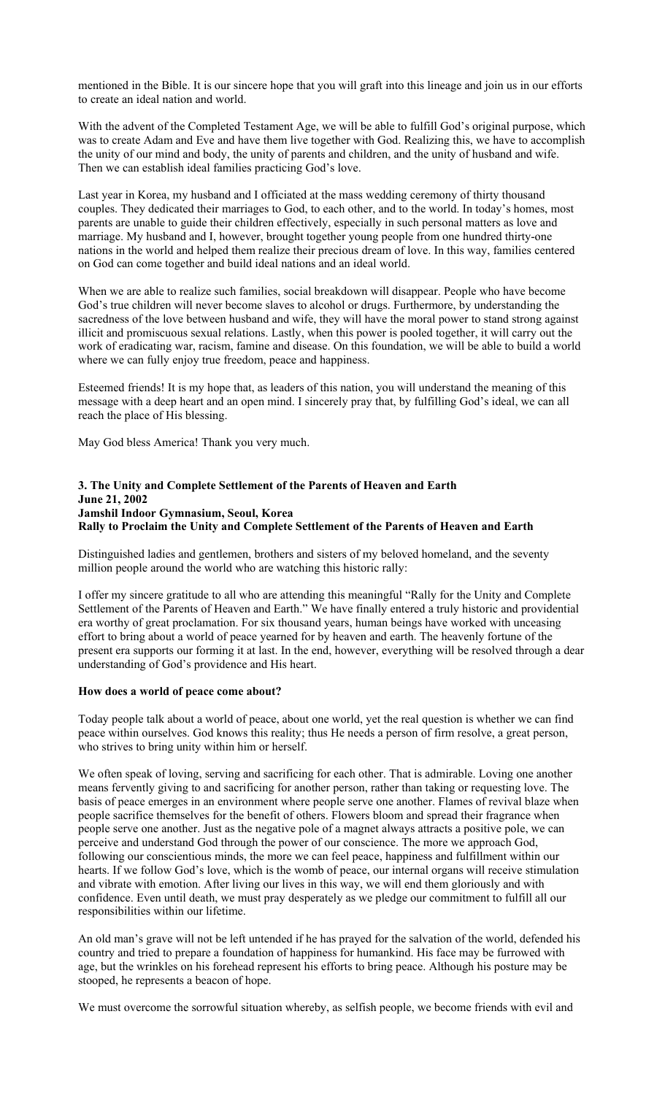mentioned in the Bible. It is our sincere hope that you will graft into this lineage and join us in our efforts to create an ideal nation and world.

With the advent of the Completed Testament Age, we will be able to fulfill God's original purpose, which was to create Adam and Eve and have them live together with God. Realizing this, we have to accomplish the unity of our mind and body, the unity of parents and children, and the unity of husband and wife. Then we can establish ideal families practicing God's love.

Last year in Korea, my husband and I officiated at the mass wedding ceremony of thirty thousand couples. They dedicated their marriages to God, to each other, and to the world. In today's homes, most parents are unable to guide their children effectively, especially in such personal matters as love and marriage. My husband and I, however, brought together young people from one hundred thirty-one nations in the world and helped them realize their precious dream of love. In this way, families centered on God can come together and build ideal nations and an ideal world.

When we are able to realize such families, social breakdown will disappear. People who have become God's true children will never become slaves to alcohol or drugs. Furthermore, by understanding the sacredness of the love between husband and wife, they will have the moral power to stand strong against illicit and promiscuous sexual relations. Lastly, when this power is pooled together, it will carry out the work of eradicating war, racism, famine and disease. On this foundation, we will be able to build a world where we can fully enjoy true freedom, peace and happiness.

Esteemed friends! It is my hope that, as leaders of this nation, you will understand the meaning of this message with a deep heart and an open mind. I sincerely pray that, by fulfilling God's ideal, we can all reach the place of His blessing.

May God bless America! Thank you very much.

### **3. The Unity and Complete Settlement of the Parents of Heaven and Earth June 21, 2002 Jamshil Indoor Gymnasium, Seoul, Korea Rally to Proclaim the Unity and Complete Settlement of the Parents of Heaven and Earth**

Distinguished ladies and gentlemen, brothers and sisters of my beloved homeland, and the seventy million people around the world who are watching this historic rally:

I offer my sincere gratitude to all who are attending this meaningful "Rally for the Unity and Complete Settlement of the Parents of Heaven and Earth." We have finally entered a truly historic and providential era worthy of great proclamation. For six thousand years, human beings have worked with unceasing effort to bring about a world of peace yearned for by heaven and earth. The heavenly fortune of the present era supports our forming it at last. In the end, however, everything will be resolved through a dear understanding of God's providence and His heart.

#### **How does a world of peace come about?**

Today people talk about a world of peace, about one world, yet the real question is whether we can find peace within ourselves. God knows this reality; thus He needs a person of firm resolve, a great person, who strives to bring unity within him or herself.

We often speak of loving, serving and sacrificing for each other. That is admirable. Loving one another means fervently giving to and sacrificing for another person, rather than taking or requesting love. The basis of peace emerges in an environment where people serve one another. Flames of revival blaze when people sacrifice themselves for the benefit of others. Flowers bloom and spread their fragrance when people serve one another. Just as the negative pole of a magnet always attracts a positive pole, we can perceive and understand God through the power of our conscience. The more we approach God, following our conscientious minds, the more we can feel peace, happiness and fulfillment within our hearts. If we follow God's love, which is the womb of peace, our internal organs will receive stimulation and vibrate with emotion. After living our lives in this way, we will end them gloriously and with confidence. Even until death, we must pray desperately as we pledge our commitment to fulfill all our responsibilities within our lifetime.

An old man's grave will not be left untended if he has prayed for the salvation of the world, defended his country and tried to prepare a foundation of happiness for humankind. His face may be furrowed with age, but the wrinkles on his forehead represent his efforts to bring peace. Although his posture may be stooped, he represents a beacon of hope.

We must overcome the sorrowful situation whereby, as selfish people, we become friends with evil and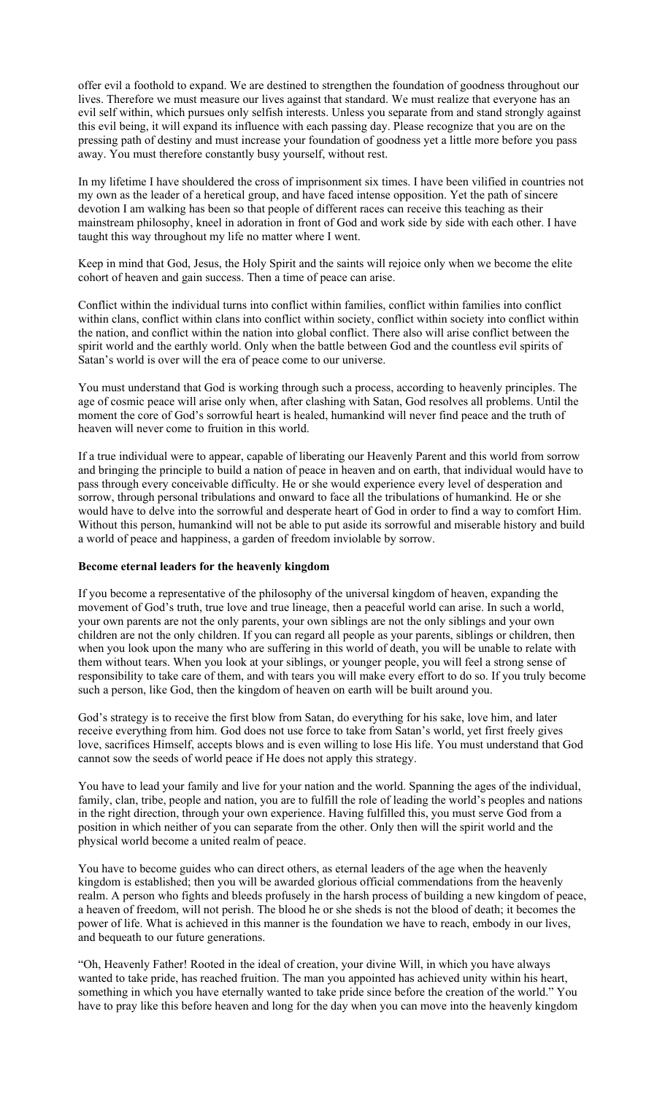offer evil a foothold to expand. We are destined to strengthen the foundation of goodness throughout our lives. Therefore we must measure our lives against that standard. We must realize that everyone has an evil self within, which pursues only selfish interests. Unless you separate from and stand strongly against this evil being, it will expand its influence with each passing day. Please recognize that you are on the pressing path of destiny and must increase your foundation of goodness yet a little more before you pass away. You must therefore constantly busy yourself, without rest.

In my lifetime I have shouldered the cross of imprisonment six times. I have been vilified in countries not my own as the leader of a heretical group, and have faced intense opposition. Yet the path of sincere devotion I am walking has been so that people of different races can receive this teaching as their mainstream philosophy, kneel in adoration in front of God and work side by side with each other. I have taught this way throughout my life no matter where I went.

Keep in mind that God, Jesus, the Holy Spirit and the saints will rejoice only when we become the elite cohort of heaven and gain success. Then a time of peace can arise.

Conflict within the individual turns into conflict within families, conflict within families into conflict within clans, conflict within clans into conflict within society, conflict within society into conflict within the nation, and conflict within the nation into global conflict. There also will arise conflict between the spirit world and the earthly world. Only when the battle between God and the countless evil spirits of Satan's world is over will the era of peace come to our universe.

You must understand that God is working through such a process, according to heavenly principles. The age of cosmic peace will arise only when, after clashing with Satan, God resolves all problems. Until the moment the core of God's sorrowful heart is healed, humankind will never find peace and the truth of heaven will never come to fruition in this world.

If a true individual were to appear, capable of liberating our Heavenly Parent and this world from sorrow and bringing the principle to build a nation of peace in heaven and on earth, that individual would have to pass through every conceivable difficulty. He or she would experience every level of desperation and sorrow, through personal tribulations and onward to face all the tribulations of humankind. He or she would have to delve into the sorrowful and desperate heart of God in order to find a way to comfort Him. Without this person, humankind will not be able to put aside its sorrowful and miserable history and build a world of peace and happiness, a garden of freedom inviolable by sorrow.

#### **Become eternal leaders for the heavenly kingdom**

If you become a representative of the philosophy of the universal kingdom of heaven, expanding the movement of God's truth, true love and true lineage, then a peaceful world can arise. In such a world, your own parents are not the only parents, your own siblings are not the only siblings and your own children are not the only children. If you can regard all people as your parents, siblings or children, then when you look upon the many who are suffering in this world of death, you will be unable to relate with them without tears. When you look at your siblings, or younger people, you will feel a strong sense of responsibility to take care of them, and with tears you will make every effort to do so. If you truly become such a person, like God, then the kingdom of heaven on earth will be built around you.

God's strategy is to receive the first blow from Satan, do everything for his sake, love him, and later receive everything from him. God does not use force to take from Satan's world, yet first freely gives love, sacrifices Himself, accepts blows and is even willing to lose His life. You must understand that God cannot sow the seeds of world peace if He does not apply this strategy.

You have to lead your family and live for your nation and the world. Spanning the ages of the individual, family, clan, tribe, people and nation, you are to fulfill the role of leading the world's peoples and nations in the right direction, through your own experience. Having fulfilled this, you must serve God from a position in which neither of you can separate from the other. Only then will the spirit world and the physical world become a united realm of peace.

You have to become guides who can direct others, as eternal leaders of the age when the heavenly kingdom is established; then you will be awarded glorious official commendations from the heavenly realm. A person who fights and bleeds profusely in the harsh process of building a new kingdom of peace, a heaven of freedom, will not perish. The blood he or she sheds is not the blood of death; it becomes the power of life. What is achieved in this manner is the foundation we have to reach, embody in our lives, and bequeath to our future generations.

"Oh, Heavenly Father! Rooted in the ideal of creation, your divine Will, in which you have always wanted to take pride, has reached fruition. The man you appointed has achieved unity within his heart, something in which you have eternally wanted to take pride since before the creation of the world." You have to pray like this before heaven and long for the day when you can move into the heavenly kingdom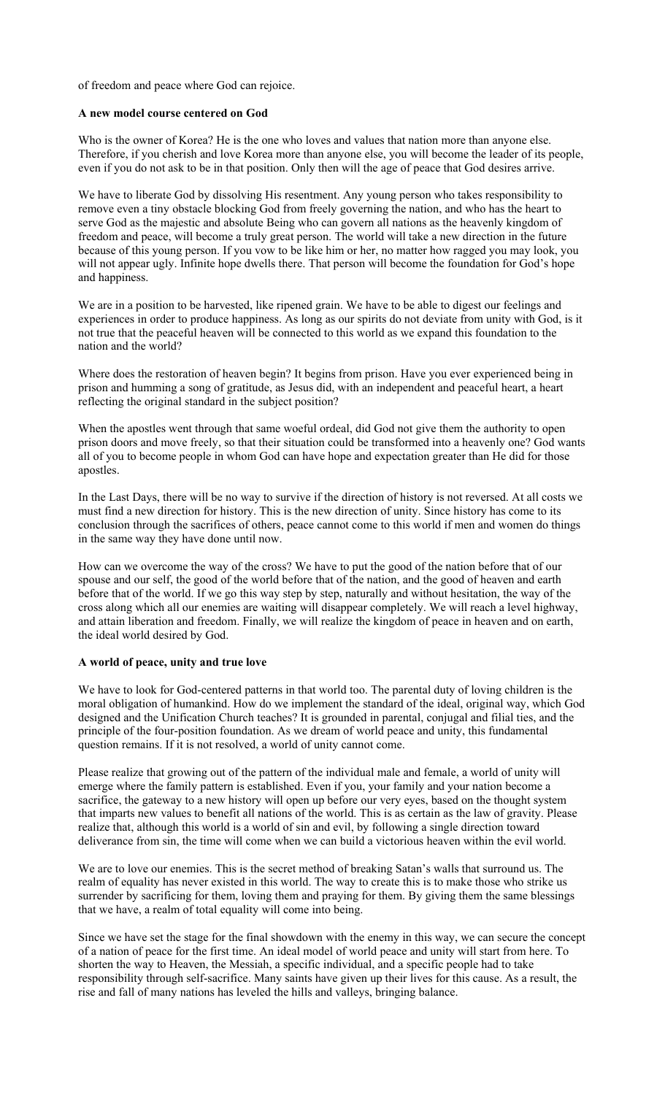of freedom and peace where God can rejoice.

#### **A new model course centered on God**

Who is the owner of Korea? He is the one who loves and values that nation more than anyone else. Therefore, if you cherish and love Korea more than anyone else, you will become the leader of its people, even if you do not ask to be in that position. Only then will the age of peace that God desires arrive.

We have to liberate God by dissolving His resentment. Any young person who takes responsibility to remove even a tiny obstacle blocking God from freely governing the nation, and who has the heart to serve God as the majestic and absolute Being who can govern all nations as the heavenly kingdom of freedom and peace, will become a truly great person. The world will take a new direction in the future because of this young person. If you vow to be like him or her, no matter how ragged you may look, you will not appear ugly. Infinite hope dwells there. That person will become the foundation for God's hope and happiness.

We are in a position to be harvested, like ripened grain. We have to be able to digest our feelings and experiences in order to produce happiness. As long as our spirits do not deviate from unity with God, is it not true that the peaceful heaven will be connected to this world as we expand this foundation to the nation and the world?

Where does the restoration of heaven begin? It begins from prison. Have you ever experienced being in prison and humming a song of gratitude, as Jesus did, with an independent and peaceful heart, a heart reflecting the original standard in the subject position?

When the apostles went through that same woeful ordeal, did God not give them the authority to open prison doors and move freely, so that their situation could be transformed into a heavenly one? God wants all of you to become people in whom God can have hope and expectation greater than He did for those apostles.

In the Last Days, there will be no way to survive if the direction of history is not reversed. At all costs we must find a new direction for history. This is the new direction of unity. Since history has come to its conclusion through the sacrifices of others, peace cannot come to this world if men and women do things in the same way they have done until now.

How can we overcome the way of the cross? We have to put the good of the nation before that of our spouse and our self, the good of the world before that of the nation, and the good of heaven and earth before that of the world. If we go this way step by step, naturally and without hesitation, the way of the cross along which all our enemies are waiting will disappear completely. We will reach a level highway, and attain liberation and freedom. Finally, we will realize the kingdom of peace in heaven and on earth, the ideal world desired by God.

# **A world of peace, unity and true love**

We have to look for God-centered patterns in that world too. The parental duty of loving children is the moral obligation of humankind. How do we implement the standard of the ideal, original way, which God designed and the Unification Church teaches? It is grounded in parental, conjugal and filial ties, and the principle of the four-position foundation. As we dream of world peace and unity, this fundamental question remains. If it is not resolved, a world of unity cannot come.

Please realize that growing out of the pattern of the individual male and female, a world of unity will emerge where the family pattern is established. Even if you, your family and your nation become a sacrifice, the gateway to a new history will open up before our very eyes, based on the thought system that imparts new values to benefit all nations of the world. This is as certain as the law of gravity. Please realize that, although this world is a world of sin and evil, by following a single direction toward deliverance from sin, the time will come when we can build a victorious heaven within the evil world.

We are to love our enemies. This is the secret method of breaking Satan's walls that surround us. The realm of equality has never existed in this world. The way to create this is to make those who strike us surrender by sacrificing for them, loving them and praying for them. By giving them the same blessings that we have, a realm of total equality will come into being.

Since we have set the stage for the final showdown with the enemy in this way, we can secure the concept of a nation of peace for the first time. An ideal model of world peace and unity will start from here. To shorten the way to Heaven, the Messiah, a specific individual, and a specific people had to take responsibility through self-sacrifice. Many saints have given up their lives for this cause. As a result, the rise and fall of many nations has leveled the hills and valleys, bringing balance.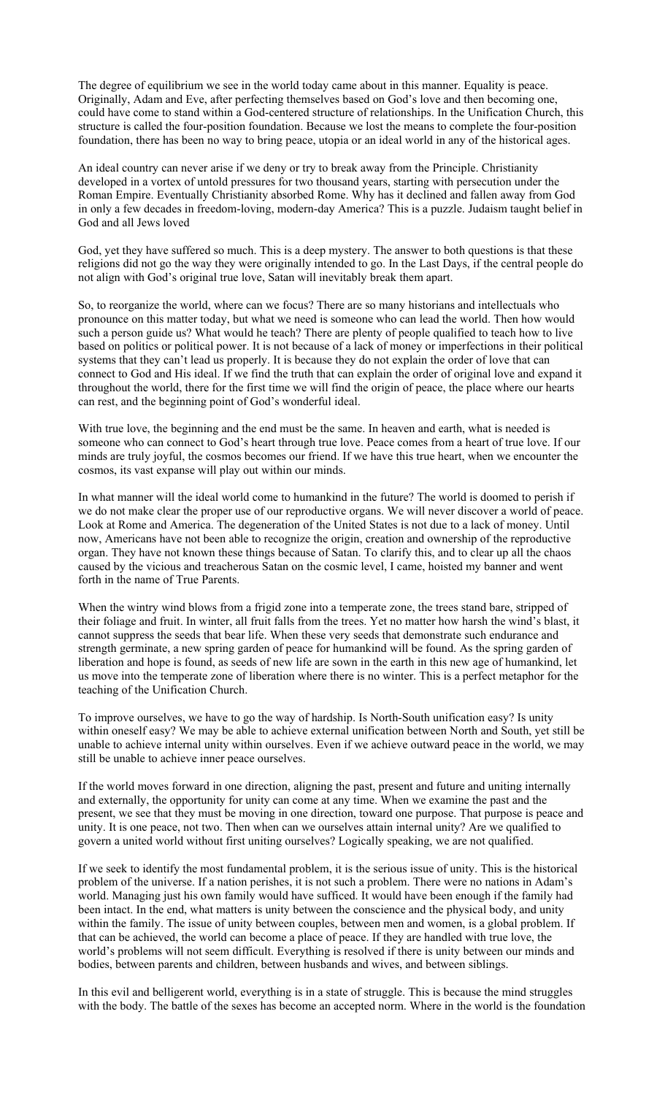The degree of equilibrium we see in the world today came about in this manner. Equality is peace. Originally, Adam and Eve, after perfecting themselves based on God's love and then becoming one, could have come to stand within a God-centered structure of relationships. In the Unification Church, this structure is called the four-position foundation. Because we lost the means to complete the four-position foundation, there has been no way to bring peace, utopia or an ideal world in any of the historical ages.

An ideal country can never arise if we deny or try to break away from the Principle. Christianity developed in a vortex of untold pressures for two thousand years, starting with persecution under the Roman Empire. Eventually Christianity absorbed Rome. Why has it declined and fallen away from God in only a few decades in freedom-loving, modern-day America? This is a puzzle. Judaism taught belief in God and all Jews loved

God, yet they have suffered so much. This is a deep mystery. The answer to both questions is that these religions did not go the way they were originally intended to go. In the Last Days, if the central people do not align with God's original true love, Satan will inevitably break them apart.

So, to reorganize the world, where can we focus? There are so many historians and intellectuals who pronounce on this matter today, but what we need is someone who can lead the world. Then how would such a person guide us? What would he teach? There are plenty of people qualified to teach how to live based on politics or political power. It is not because of a lack of money or imperfections in their political systems that they can't lead us properly. It is because they do not explain the order of love that can connect to God and His ideal. If we find the truth that can explain the order of original love and expand it throughout the world, there for the first time we will find the origin of peace, the place where our hearts can rest, and the beginning point of God's wonderful ideal.

With true love, the beginning and the end must be the same. In heaven and earth, what is needed is someone who can connect to God's heart through true love. Peace comes from a heart of true love. If our minds are truly joyful, the cosmos becomes our friend. If we have this true heart, when we encounter the cosmos, its vast expanse will play out within our minds.

In what manner will the ideal world come to humankind in the future? The world is doomed to perish if we do not make clear the proper use of our reproductive organs. We will never discover a world of peace. Look at Rome and America. The degeneration of the United States is not due to a lack of money. Until now, Americans have not been able to recognize the origin, creation and ownership of the reproductive organ. They have not known these things because of Satan. To clarify this, and to clear up all the chaos caused by the vicious and treacherous Satan on the cosmic level, I came, hoisted my banner and went forth in the name of True Parents.

When the wintry wind blows from a frigid zone into a temperate zone, the trees stand bare, stripped of their foliage and fruit. In winter, all fruit falls from the trees. Yet no matter how harsh the wind's blast, it cannot suppress the seeds that bear life. When these very seeds that demonstrate such endurance and strength germinate, a new spring garden of peace for humankind will be found. As the spring garden of liberation and hope is found, as seeds of new life are sown in the earth in this new age of humankind, let us move into the temperate zone of liberation where there is no winter. This is a perfect metaphor for the teaching of the Unification Church.

To improve ourselves, we have to go the way of hardship. Is North-South unification easy? Is unity within oneself easy? We may be able to achieve external unification between North and South, yet still be unable to achieve internal unity within ourselves. Even if we achieve outward peace in the world, we may still be unable to achieve inner peace ourselves.

If the world moves forward in one direction, aligning the past, present and future and uniting internally and externally, the opportunity for unity can come at any time. When we examine the past and the present, we see that they must be moving in one direction, toward one purpose. That purpose is peace and unity. It is one peace, not two. Then when can we ourselves attain internal unity? Are we qualified to govern a united world without first uniting ourselves? Logically speaking, we are not qualified.

If we seek to identify the most fundamental problem, it is the serious issue of unity. This is the historical problem of the universe. If a nation perishes, it is not such a problem. There were no nations in Adam's world. Managing just his own family would have sufficed. It would have been enough if the family had been intact. In the end, what matters is unity between the conscience and the physical body, and unity within the family. The issue of unity between couples, between men and women, is a global problem. If that can be achieved, the world can become a place of peace. If they are handled with true love, the world's problems will not seem difficult. Everything is resolved if there is unity between our minds and bodies, between parents and children, between husbands and wives, and between siblings.

In this evil and belligerent world, everything is in a state of struggle. This is because the mind struggles with the body. The battle of the sexes has become an accepted norm. Where in the world is the foundation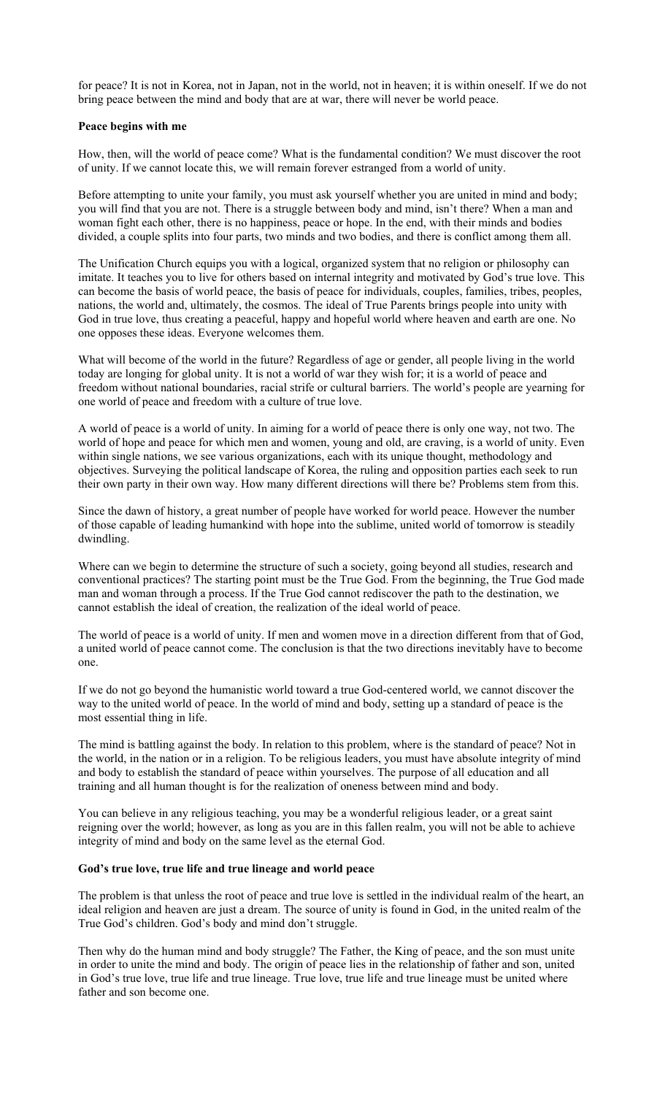for peace? It is not in Korea, not in Japan, not in the world, not in heaven; it is within oneself. If we do not bring peace between the mind and body that are at war, there will never be world peace.

### **Peace begins with me**

How, then, will the world of peace come? What is the fundamental condition? We must discover the root of unity. If we cannot locate this, we will remain forever estranged from a world of unity.

Before attempting to unite your family, you must ask yourself whether you are united in mind and body; you will find that you are not. There is a struggle between body and mind, isn't there? When a man and woman fight each other, there is no happiness, peace or hope. In the end, with their minds and bodies divided, a couple splits into four parts, two minds and two bodies, and there is conflict among them all.

The Unification Church equips you with a logical, organized system that no religion or philosophy can imitate. It teaches you to live for others based on internal integrity and motivated by God's true love. This can become the basis of world peace, the basis of peace for individuals, couples, families, tribes, peoples, nations, the world and, ultimately, the cosmos. The ideal of True Parents brings people into unity with God in true love, thus creating a peaceful, happy and hopeful world where heaven and earth are one. No one opposes these ideas. Everyone welcomes them.

What will become of the world in the future? Regardless of age or gender, all people living in the world today are longing for global unity. It is not a world of war they wish for; it is a world of peace and freedom without national boundaries, racial strife or cultural barriers. The world's people are yearning for one world of peace and freedom with a culture of true love.

A world of peace is a world of unity. In aiming for a world of peace there is only one way, not two. The world of hope and peace for which men and women, young and old, are craving, is a world of unity. Even within single nations, we see various organizations, each with its unique thought, methodology and objectives. Surveying the political landscape of Korea, the ruling and opposition parties each seek to run their own party in their own way. How many different directions will there be? Problems stem from this.

Since the dawn of history, a great number of people have worked for world peace. However the number of those capable of leading humankind with hope into the sublime, united world of tomorrow is steadily dwindling.

Where can we begin to determine the structure of such a society, going beyond all studies, research and conventional practices? The starting point must be the True God. From the beginning, the True God made man and woman through a process. If the True God cannot rediscover the path to the destination, we cannot establish the ideal of creation, the realization of the ideal world of peace.

The world of peace is a world of unity. If men and women move in a direction different from that of God, a united world of peace cannot come. The conclusion is that the two directions inevitably have to become one.

If we do not go beyond the humanistic world toward a true God-centered world, we cannot discover the way to the united world of peace. In the world of mind and body, setting up a standard of peace is the most essential thing in life.

The mind is battling against the body. In relation to this problem, where is the standard of peace? Not in the world, in the nation or in a religion. To be religious leaders, you must have absolute integrity of mind and body to establish the standard of peace within yourselves. The purpose of all education and all training and all human thought is for the realization of oneness between mind and body.

You can believe in any religious teaching, you may be a wonderful religious leader, or a great saint reigning over the world; however, as long as you are in this fallen realm, you will not be able to achieve integrity of mind and body on the same level as the eternal God.

# **God's true love, true life and true lineage and world peace**

The problem is that unless the root of peace and true love is settled in the individual realm of the heart, an ideal religion and heaven are just a dream. The source of unity is found in God, in the united realm of the True God's children. God's body and mind don't struggle.

Then why do the human mind and body struggle? The Father, the King of peace, and the son must unite in order to unite the mind and body. The origin of peace lies in the relationship of father and son, united in God's true love, true life and true lineage. True love, true life and true lineage must be united where father and son become one.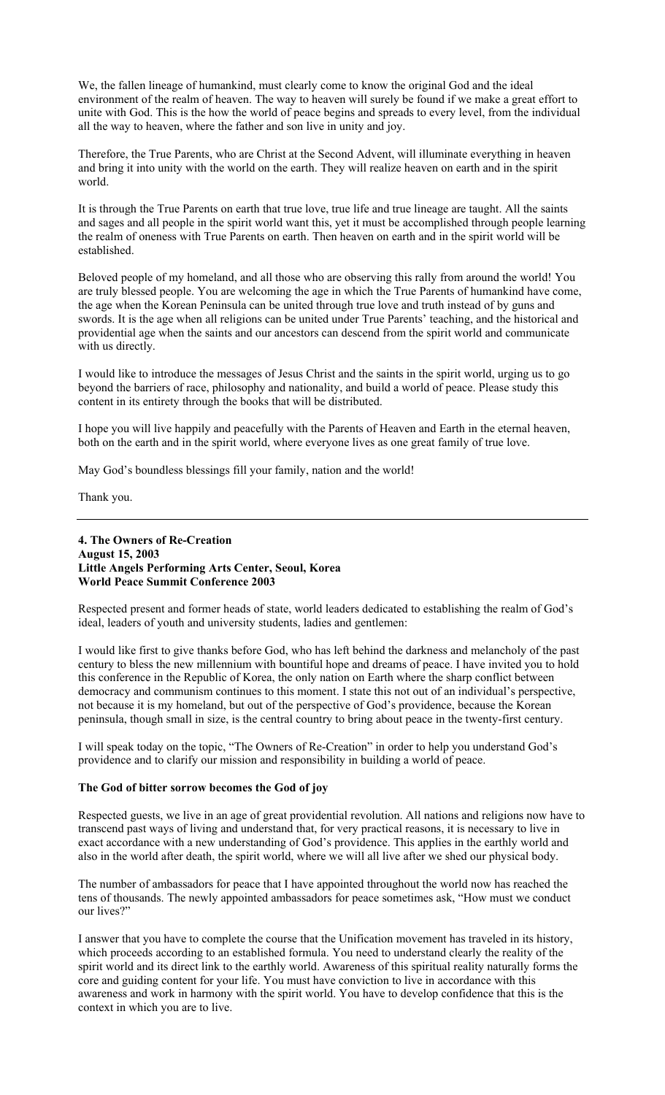We, the fallen lineage of humankind, must clearly come to know the original God and the ideal environment of the realm of heaven. The way to heaven will surely be found if we make a great effort to unite with God. This is the how the world of peace begins and spreads to every level, from the individual all the way to heaven, where the father and son live in unity and joy.

Therefore, the True Parents, who are Christ at the Second Advent, will illuminate everything in heaven and bring it into unity with the world on the earth. They will realize heaven on earth and in the spirit world.

It is through the True Parents on earth that true love, true life and true lineage are taught. All the saints and sages and all people in the spirit world want this, yet it must be accomplished through people learning the realm of oneness with True Parents on earth. Then heaven on earth and in the spirit world will be established.

Beloved people of my homeland, and all those who are observing this rally from around the world! You are truly blessed people. You are welcoming the age in which the True Parents of humankind have come, the age when the Korean Peninsula can be united through true love and truth instead of by guns and swords. It is the age when all religions can be united under True Parents' teaching, and the historical and providential age when the saints and our ancestors can descend from the spirit world and communicate with us directly.

I would like to introduce the messages of Jesus Christ and the saints in the spirit world, urging us to go beyond the barriers of race, philosophy and nationality, and build a world of peace. Please study this content in its entirety through the books that will be distributed.

I hope you will live happily and peacefully with the Parents of Heaven and Earth in the eternal heaven, both on the earth and in the spirit world, where everyone lives as one great family of true love.

May God's boundless blessings fill your family, nation and the world!

Thank you.

# **4. The Owners of Re-Creation August 15, 2003 Little Angels Performing Arts Center, Seoul, Korea World Peace Summit Conference 2003**

Respected present and former heads of state, world leaders dedicated to establishing the realm of God's ideal, leaders of youth and university students, ladies and gentlemen:

I would like first to give thanks before God, who has left behind the darkness and melancholy of the past century to bless the new millennium with bountiful hope and dreams of peace. I have invited you to hold this conference in the Republic of Korea, the only nation on Earth where the sharp conflict between democracy and communism continues to this moment. I state this not out of an individual's perspective, not because it is my homeland, but out of the perspective of God's providence, because the Korean peninsula, though small in size, is the central country to bring about peace in the twenty-first century.

I will speak today on the topic, "The Owners of Re-Creation" in order to help you understand God's providence and to clarify our mission and responsibility in building a world of peace.

# **The God of bitter sorrow becomes the God of joy**

Respected guests, we live in an age of great providential revolution. All nations and religions now have to transcend past ways of living and understand that, for very practical reasons, it is necessary to live in exact accordance with a new understanding of God's providence. This applies in the earthly world and also in the world after death, the spirit world, where we will all live after we shed our physical body.

The number of ambassadors for peace that I have appointed throughout the world now has reached the tens of thousands. The newly appointed ambassadors for peace sometimes ask, "How must we conduct our lives?"

I answer that you have to complete the course that the Unification movement has traveled in its history, which proceeds according to an established formula. You need to understand clearly the reality of the spirit world and its direct link to the earthly world. Awareness of this spiritual reality naturally forms the core and guiding content for your life. You must have conviction to live in accordance with this awareness and work in harmony with the spirit world. You have to develop confidence that this is the context in which you are to live.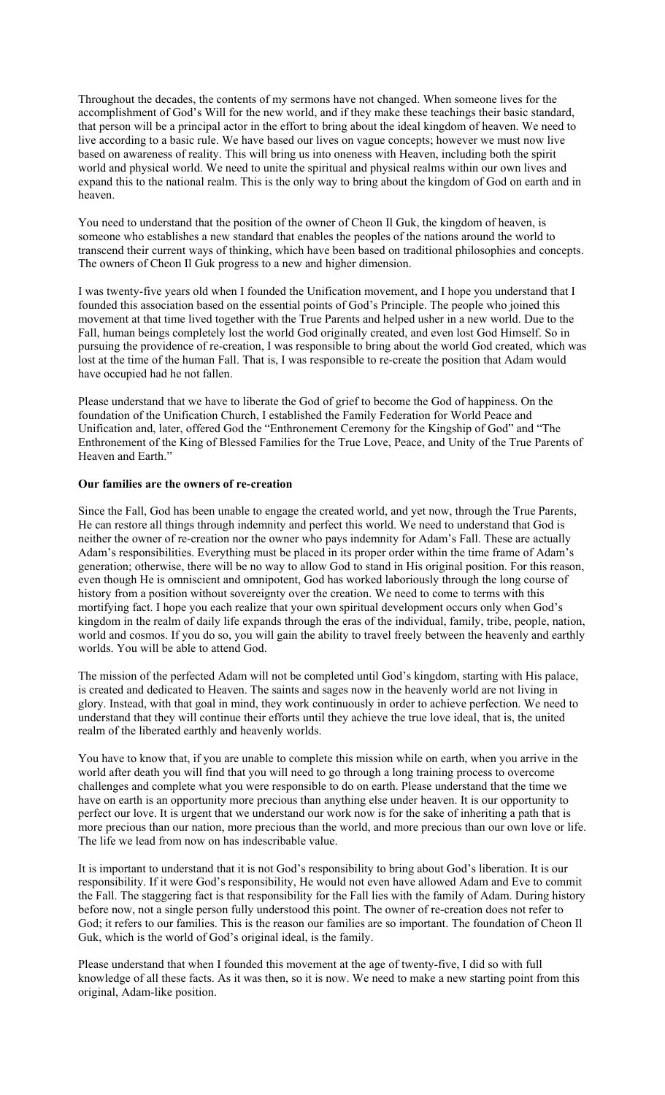Throughout the decades, the contents of my sermons have not changed. When someone lives for the accomplishment of God's Will for the new world, and if they make these teachings their basic standard, that person will be a principal actor in the effort to bring about the ideal kingdom of heaven. We need to live according to a basic rule. We have based our lives on vague concepts; however we must now live based on awareness of reality. This will bring us into oneness with Heaven, including both the spirit world and physical world. We need to unite the spiritual and physical realms within our own lives and expand this to the national realm. This is the only way to bring about the kingdom of God on earth and in heaven.

You need to understand that the position of the owner of Cheon Il Guk, the kingdom of heaven, is someone who establishes a new standard that enables the peoples of the nations around the world to transcend their current ways of thinking, which have been based on traditional philosophies and concepts. The owners of Cheon Il Guk progress to a new and higher dimension.

I was twenty-five years old when I founded the Unification movement, and I hope you understand that I founded this association based on the essential points of God's Principle. The people who joined this movement at that time lived together with the True Parents and helped usher in a new world. Due to the Fall, human beings completely lost the world God originally created, and even lost God Himself. So in pursuing the providence of re-creation, I was responsible to bring about the world God created, which was lost at the time of the human Fall. That is, I was responsible to re-create the position that Adam would have occupied had he not fallen.

Please understand that we have to liberate the God of grief to become the God of happiness. On the foundation of the Unification Church, I established the Family Federation for World Peace and Unification and, later, offered God the "Enthronement Ceremony for the Kingship of God" and "The Enthronement of the King of Blessed Families for the True Love, Peace, and Unity of the True Parents of Heaven and Earth."

### **Our families are the owners of re-creation**

Since the Fall, God has been unable to engage the created world, and yet now, through the True Parents, He can restore all things through indemnity and perfect this world. We need to understand that God is neither the owner of re-creation nor the owner who pays indemnity for Adam's Fall. These are actually Adam's responsibilities. Everything must be placed in its proper order within the time frame of Adam's generation; otherwise, there will be no way to allow God to stand in His original position. For this reason, even though He is omniscient and omnipotent, God has worked laboriously through the long course of history from a position without sovereignty over the creation. We need to come to terms with this mortifying fact. I hope you each realize that your own spiritual development occurs only when God's kingdom in the realm of daily life expands through the eras of the individual, family, tribe, people, nation, world and cosmos. If you do so, you will gain the ability to travel freely between the heavenly and earthly worlds. You will be able to attend God.

The mission of the perfected Adam will not be completed until God's kingdom, starting with His palace, is created and dedicated to Heaven. The saints and sages now in the heavenly world are not living in glory. Instead, with that goal in mind, they work continuously in order to achieve perfection. We need to understand that they will continue their efforts until they achieve the true love ideal, that is, the united realm of the liberated earthly and heavenly worlds.

You have to know that, if you are unable to complete this mission while on earth, when you arrive in the world after death you will find that you will need to go through a long training process to overcome challenges and complete what you were responsible to do on earth. Please understand that the time we have on earth is an opportunity more precious than anything else under heaven. It is our opportunity to perfect our love. It is urgent that we understand our work now is for the sake of inheriting a path that is more precious than our nation, more precious than the world, and more precious than our own love or life. The life we lead from now on has indescribable value.

It is important to understand that it is not God's responsibility to bring about God's liberation. It is our responsibility. If it were God's responsibility, He would not even have allowed Adam and Eve to commit the Fall. The staggering fact is that responsibility for the Fall lies with the family of Adam. During history before now, not a single person fully understood this point. The owner of re-creation does not refer to God; it refers to our families. This is the reason our families are so important. The foundation of Cheon Il Guk, which is the world of God's original ideal, is the family.

Please understand that when I founded this movement at the age of twenty-five, I did so with full knowledge of all these facts. As it was then, so it is now. We need to make a new starting point from this original, Adam-like position.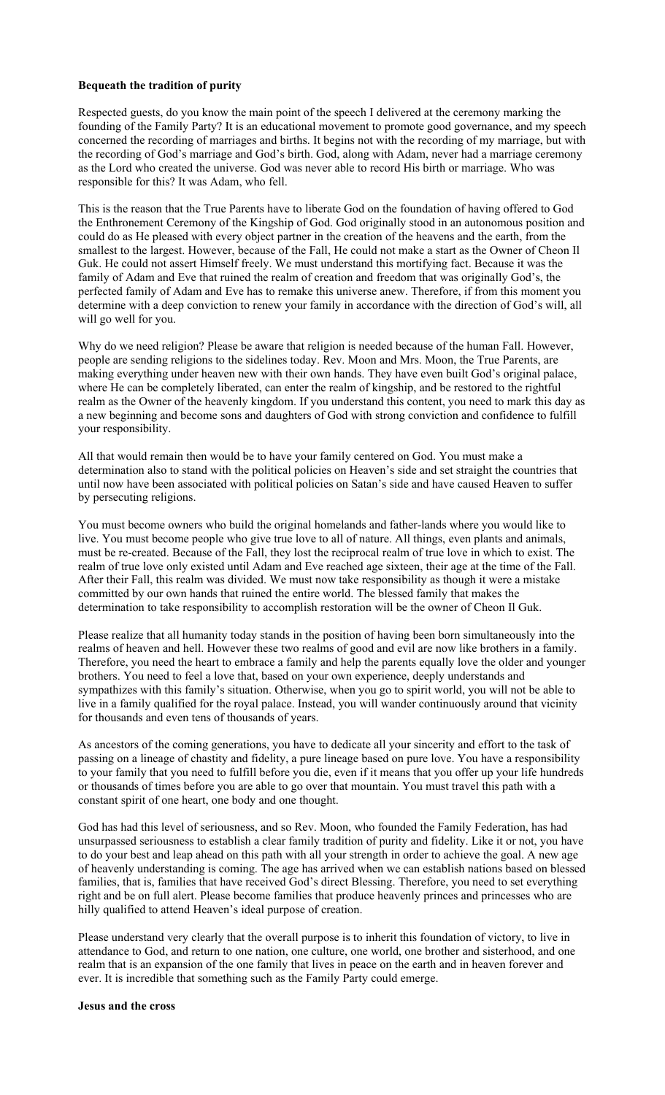### **Bequeath the tradition of purity**

Respected guests, do you know the main point of the speech I delivered at the ceremony marking the founding of the Family Party? It is an educational movement to promote good governance, and my speech concerned the recording of marriages and births. It begins not with the recording of my marriage, but with the recording of God's marriage and God's birth. God, along with Adam, never had a marriage ceremony as the Lord who created the universe. God was never able to record His birth or marriage. Who was responsible for this? It was Adam, who fell.

This is the reason that the True Parents have to liberate God on the foundation of having offered to God the Enthronement Ceremony of the Kingship of God. God originally stood in an autonomous position and could do as He pleased with every object partner in the creation of the heavens and the earth, from the smallest to the largest. However, because of the Fall, He could not make a start as the Owner of Cheon Il Guk. He could not assert Himself freely. We must understand this mortifying fact. Because it was the family of Adam and Eve that ruined the realm of creation and freedom that was originally God's, the perfected family of Adam and Eve has to remake this universe anew. Therefore, if from this moment you determine with a deep conviction to renew your family in accordance with the direction of God's will, all will go well for you.

Why do we need religion? Please be aware that religion is needed because of the human Fall. However, people are sending religions to the sidelines today. Rev. Moon and Mrs. Moon, the True Parents, are making everything under heaven new with their own hands. They have even built God's original palace, where He can be completely liberated, can enter the realm of kingship, and be restored to the rightful realm as the Owner of the heavenly kingdom. If you understand this content, you need to mark this day as a new beginning and become sons and daughters of God with strong conviction and confidence to fulfill your responsibility.

All that would remain then would be to have your family centered on God. You must make a determination also to stand with the political policies on Heaven's side and set straight the countries that until now have been associated with political policies on Satan's side and have caused Heaven to suffer by persecuting religions.

You must become owners who build the original homelands and father-lands where you would like to live. You must become people who give true love to all of nature. All things, even plants and animals, must be re-created. Because of the Fall, they lost the reciprocal realm of true love in which to exist. The realm of true love only existed until Adam and Eve reached age sixteen, their age at the time of the Fall. After their Fall, this realm was divided. We must now take responsibility as though it were a mistake committed by our own hands that ruined the entire world. The blessed family that makes the determination to take responsibility to accomplish restoration will be the owner of Cheon Il Guk.

Please realize that all humanity today stands in the position of having been born simultaneously into the realms of heaven and hell. However these two realms of good and evil are now like brothers in a family. Therefore, you need the heart to embrace a family and help the parents equally love the older and younger brothers. You need to feel a love that, based on your own experience, deeply understands and sympathizes with this family's situation. Otherwise, when you go to spirit world, you will not be able to live in a family qualified for the royal palace. Instead, you will wander continuously around that vicinity for thousands and even tens of thousands of years.

As ancestors of the coming generations, you have to dedicate all your sincerity and effort to the task of passing on a lineage of chastity and fidelity, a pure lineage based on pure love. You have a responsibility to your family that you need to fulfill before you die, even if it means that you offer up your life hundreds or thousands of times before you are able to go over that mountain. You must travel this path with a constant spirit of one heart, one body and one thought.

God has had this level of seriousness, and so Rev. Moon, who founded the Family Federation, has had unsurpassed seriousness to establish a clear family tradition of purity and fidelity. Like it or not, you have to do your best and leap ahead on this path with all your strength in order to achieve the goal. A new age of heavenly understanding is coming. The age has arrived when we can establish nations based on blessed families, that is, families that have received God's direct Blessing. Therefore, you need to set everything right and be on full alert. Please become families that produce heavenly princes and princesses who are hilly qualified to attend Heaven's ideal purpose of creation.

Please understand very clearly that the overall purpose is to inherit this foundation of victory, to live in attendance to God, and return to one nation, one culture, one world, one brother and sisterhood, and one realm that is an expansion of the one family that lives in peace on the earth and in heaven forever and ever. It is incredible that something such as the Family Party could emerge.

#### **Jesus and the cross**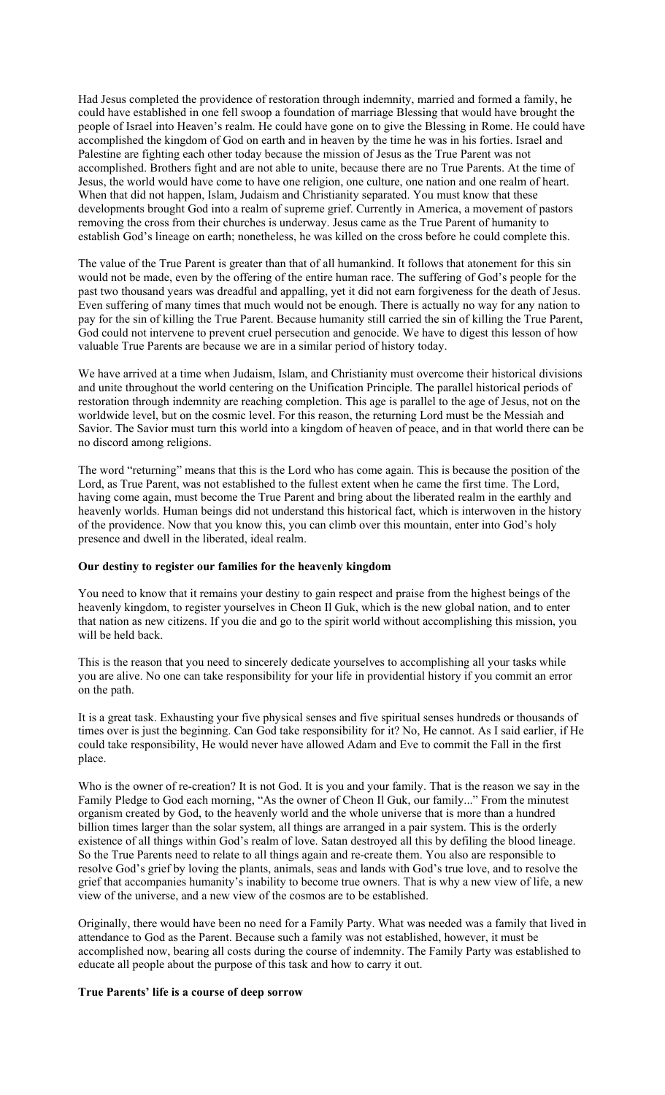Had Jesus completed the providence of restoration through indemnity, married and formed a family, he could have established in one fell swoop a foundation of marriage Blessing that would have brought the people of Israel into Heaven's realm. He could have gone on to give the Blessing in Rome. He could have accomplished the kingdom of God on earth and in heaven by the time he was in his forties. Israel and Palestine are fighting each other today because the mission of Jesus as the True Parent was not accomplished. Brothers fight and are not able to unite, because there are no True Parents. At the time of Jesus, the world would have come to have one religion, one culture, one nation and one realm of heart. When that did not happen, Islam, Judaism and Christianity separated. You must know that these developments brought God into a realm of supreme grief. Currently in America, a movement of pastors removing the cross from their churches is underway. Jesus came as the True Parent of humanity to establish God's lineage on earth; nonetheless, he was killed on the cross before he could complete this.

The value of the True Parent is greater than that of all humankind. It follows that atonement for this sin would not be made, even by the offering of the entire human race. The suffering of God's people for the past two thousand years was dreadful and appalling, yet it did not earn forgiveness for the death of Jesus. Even suffering of many times that much would not be enough. There is actually no way for any nation to pay for the sin of killing the True Parent. Because humanity still carried the sin of killing the True Parent, God could not intervene to prevent cruel persecution and genocide. We have to digest this lesson of how valuable True Parents are because we are in a similar period of history today.

We have arrived at a time when Judaism, Islam, and Christianity must overcome their historical divisions and unite throughout the world centering on the Unification Principle. The parallel historical periods of restoration through indemnity are reaching completion. This age is parallel to the age of Jesus, not on the worldwide level, but on the cosmic level. For this reason, the returning Lord must be the Messiah and Savior. The Savior must turn this world into a kingdom of heaven of peace, and in that world there can be no discord among religions.

The word "returning" means that this is the Lord who has come again. This is because the position of the Lord, as True Parent, was not established to the fullest extent when he came the first time. The Lord, having come again, must become the True Parent and bring about the liberated realm in the earthly and heavenly worlds. Human beings did not understand this historical fact, which is interwoven in the history of the providence. Now that you know this, you can climb over this mountain, enter into God's holy presence and dwell in the liberated, ideal realm.

#### **Our destiny to register our families for the heavenly kingdom**

You need to know that it remains your destiny to gain respect and praise from the highest beings of the heavenly kingdom, to register yourselves in Cheon Il Guk, which is the new global nation, and to enter that nation as new citizens. If you die and go to the spirit world without accomplishing this mission, you will be held back.

This is the reason that you need to sincerely dedicate yourselves to accomplishing all your tasks while you are alive. No one can take responsibility for your life in providential history if you commit an error on the path.

It is a great task. Exhausting your five physical senses and five spiritual senses hundreds or thousands of times over is just the beginning. Can God take responsibility for it? No, He cannot. As I said earlier, if He could take responsibility, He would never have allowed Adam and Eve to commit the Fall in the first place.

Who is the owner of re-creation? It is not God. It is you and your family. That is the reason we say in the Family Pledge to God each morning, "As the owner of Cheon Il Guk, our family..." From the minutest organism created by God, to the heavenly world and the whole universe that is more than a hundred billion times larger than the solar system, all things are arranged in a pair system. This is the orderly existence of all things within God's realm of love. Satan destroyed all this by defiling the blood lineage. So the True Parents need to relate to all things again and re-create them. You also are responsible to resolve God's grief by loving the plants, animals, seas and lands with God's true love, and to resolve the grief that accompanies humanity's inability to become true owners. That is why a new view of life, a new view of the universe, and a new view of the cosmos are to be established.

Originally, there would have been no need for a Family Party. What was needed was a family that lived in attendance to God as the Parent. Because such a family was not established, however, it must be accomplished now, bearing all costs during the course of indemnity. The Family Party was established to educate all people about the purpose of this task and how to carry it out.

# **True Parents' life is a course of deep sorrow**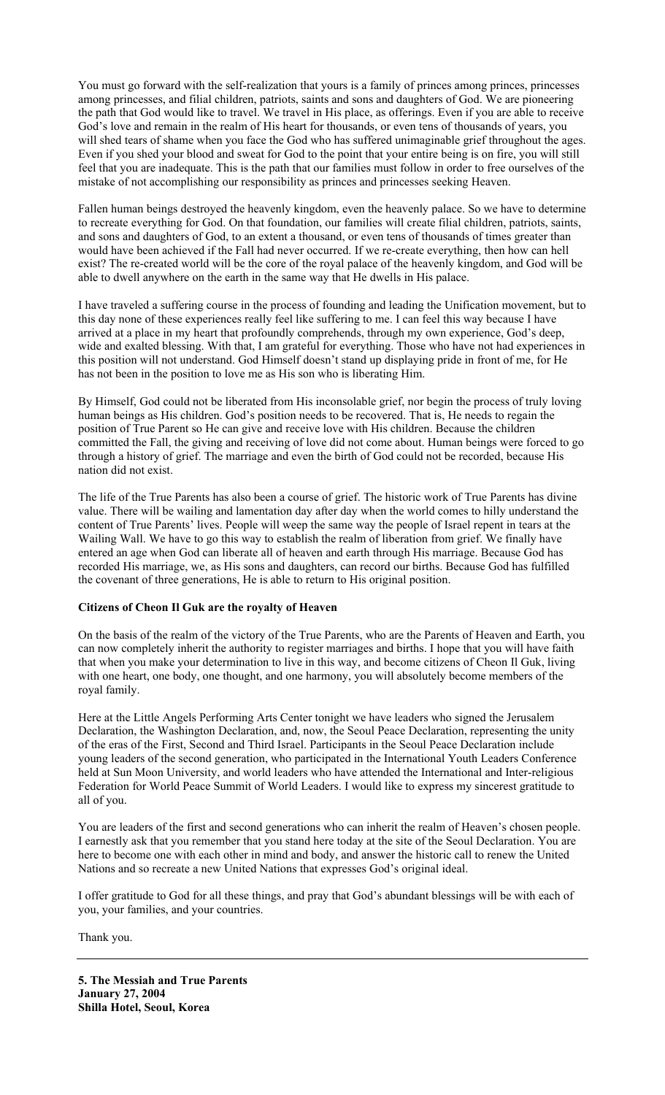You must go forward with the self-realization that yours is a family of princes among princes, princesses among princesses, and filial children, patriots, saints and sons and daughters of God. We are pioneering the path that God would like to travel. We travel in His place, as offerings. Even if you are able to receive God's love and remain in the realm of His heart for thousands, or even tens of thousands of years, you will shed tears of shame when you face the God who has suffered unimaginable grief throughout the ages. Even if you shed your blood and sweat for God to the point that your entire being is on fire, you will still feel that you are inadequate. This is the path that our families must follow in order to free ourselves of the mistake of not accomplishing our responsibility as princes and princesses seeking Heaven.

Fallen human beings destroyed the heavenly kingdom, even the heavenly palace. So we have to determine to recreate everything for God. On that foundation, our families will create filial children, patriots, saints, and sons and daughters of God, to an extent a thousand, or even tens of thousands of times greater than would have been achieved if the Fall had never occurred. If we re-create everything, then how can hell exist? The re-created world will be the core of the royal palace of the heavenly kingdom, and God will be able to dwell anywhere on the earth in the same way that He dwells in His palace.

I have traveled a suffering course in the process of founding and leading the Unification movement, but to this day none of these experiences really feel like suffering to me. I can feel this way because I have arrived at a place in my heart that profoundly comprehends, through my own experience, God's deep, wide and exalted blessing. With that, I am grateful for everything. Those who have not had experiences in this position will not understand. God Himself doesn't stand up displaying pride in front of me, for He has not been in the position to love me as His son who is liberating Him.

By Himself, God could not be liberated from His inconsolable grief, nor begin the process of truly loving human beings as His children. God's position needs to be recovered. That is, He needs to regain the position of True Parent so He can give and receive love with His children. Because the children committed the Fall, the giving and receiving of love did not come about. Human beings were forced to go through a history of grief. The marriage and even the birth of God could not be recorded, because His nation did not exist.

The life of the True Parents has also been a course of grief. The historic work of True Parents has divine value. There will be wailing and lamentation day after day when the world comes to hilly understand the content of True Parents' lives. People will weep the same way the people of Israel repent in tears at the Wailing Wall. We have to go this way to establish the realm of liberation from grief. We finally have entered an age when God can liberate all of heaven and earth through His marriage. Because God has recorded His marriage, we, as His sons and daughters, can record our births. Because God has fulfilled the covenant of three generations, He is able to return to His original position.

# **Citizens of Cheon Il Guk are the royalty of Heaven**

On the basis of the realm of the victory of the True Parents, who are the Parents of Heaven and Earth, you can now completely inherit the authority to register marriages and births. I hope that you will have faith that when you make your determination to live in this way, and become citizens of Cheon Il Guk, living with one heart, one body, one thought, and one harmony, you will absolutely become members of the royal family.

Here at the Little Angels Performing Arts Center tonight we have leaders who signed the Jerusalem Declaration, the Washington Declaration, and, now, the Seoul Peace Declaration, representing the unity of the eras of the First, Second and Third Israel. Participants in the Seoul Peace Declaration include young leaders of the second generation, who participated in the International Youth Leaders Conference held at Sun Moon University, and world leaders who have attended the International and Inter-religious Federation for World Peace Summit of World Leaders. I would like to express my sincerest gratitude to all of you.

You are leaders of the first and second generations who can inherit the realm of Heaven's chosen people. I earnestly ask that you remember that you stand here today at the site of the Seoul Declaration. You are here to become one with each other in mind and body, and answer the historic call to renew the United Nations and so recreate a new United Nations that expresses God's original ideal.

I offer gratitude to God for all these things, and pray that God's abundant blessings will be with each of you, your families, and your countries.

Thank you.

**5. The Messiah and True Parents January 27, 2004 Shilla Hotel, Seoul, Korea**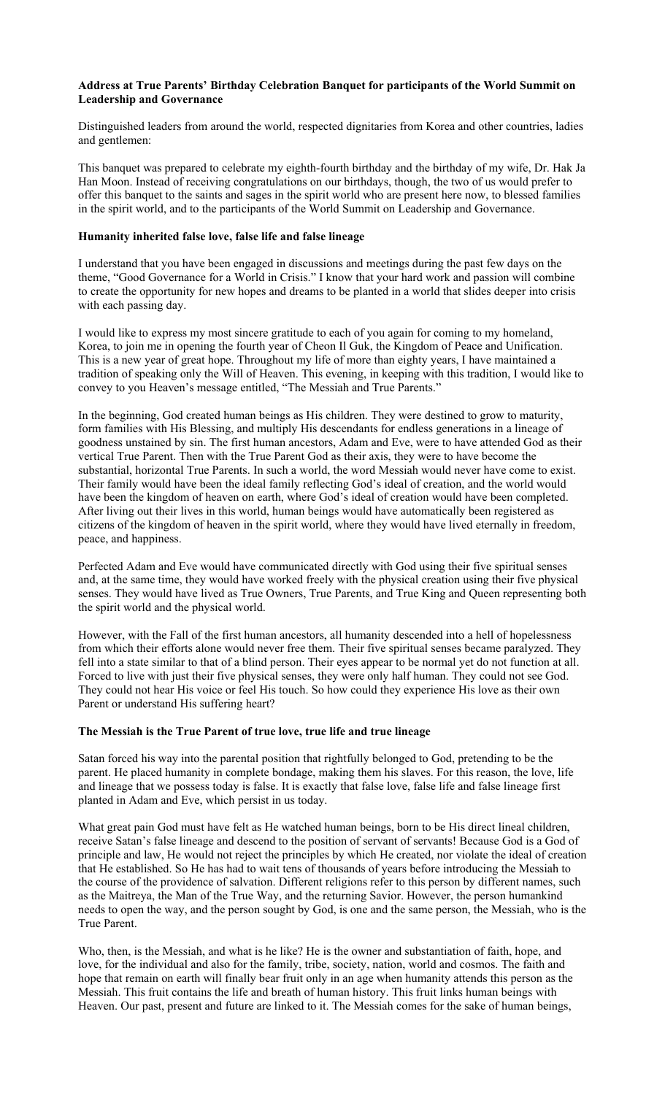### **Address at True Parents' Birthday Celebration Banquet for participants of the World Summit on Leadership and Governance**

Distinguished leaders from around the world, respected dignitaries from Korea and other countries, ladies and gentlemen:

This banquet was prepared to celebrate my eighth-fourth birthday and the birthday of my wife, Dr. Hak Ja Han Moon. Instead of receiving congratulations on our birthdays, though, the two of us would prefer to offer this banquet to the saints and sages in the spirit world who are present here now, to blessed families in the spirit world, and to the participants of the World Summit on Leadership and Governance.

### **Humanity inherited false love, false life and false lineage**

I understand that you have been engaged in discussions and meetings during the past few days on the theme, "Good Governance for a World in Crisis." I know that your hard work and passion will combine to create the opportunity for new hopes and dreams to be planted in a world that slides deeper into crisis with each passing day.

I would like to express my most sincere gratitude to each of you again for coming to my homeland, Korea, to join me in opening the fourth year of Cheon Il Guk, the Kingdom of Peace and Unification. This is a new year of great hope. Throughout my life of more than eighty years, I have maintained a tradition of speaking only the Will of Heaven. This evening, in keeping with this tradition, I would like to convey to you Heaven's message entitled, "The Messiah and True Parents."

In the beginning, God created human beings as His children. They were destined to grow to maturity, form families with His Blessing, and multiply His descendants for endless generations in a lineage of goodness unstained by sin. The first human ancestors, Adam and Eve, were to have attended God as their vertical True Parent. Then with the True Parent God as their axis, they were to have become the substantial, horizontal True Parents. In such a world, the word Messiah would never have come to exist. Their family would have been the ideal family reflecting God's ideal of creation, and the world would have been the kingdom of heaven on earth, where God's ideal of creation would have been completed. After living out their lives in this world, human beings would have automatically been registered as citizens of the kingdom of heaven in the spirit world, where they would have lived eternally in freedom, peace, and happiness.

Perfected Adam and Eve would have communicated directly with God using their five spiritual senses and, at the same time, they would have worked freely with the physical creation using their five physical senses. They would have lived as True Owners, True Parents, and True King and Queen representing both the spirit world and the physical world.

However, with the Fall of the first human ancestors, all humanity descended into a hell of hopelessness from which their efforts alone would never free them. Their five spiritual senses became paralyzed. They fell into a state similar to that of a blind person. Their eyes appear to be normal yet do not function at all. Forced to live with just their five physical senses, they were only half human. They could not see God. They could not hear His voice or feel His touch. So how could they experience His love as their own Parent or understand His suffering heart?

#### **The Messiah is the True Parent of true love, true life and true lineage**

Satan forced his way into the parental position that rightfully belonged to God, pretending to be the parent. He placed humanity in complete bondage, making them his slaves. For this reason, the love, life and lineage that we possess today is false. It is exactly that false love, false life and false lineage first planted in Adam and Eve, which persist in us today.

What great pain God must have felt as He watched human beings, born to be His direct lineal children, receive Satan's false lineage and descend to the position of servant of servants! Because God is a God of principle and law, He would not reject the principles by which He created, nor violate the ideal of creation that He established. So He has had to wait tens of thousands of years before introducing the Messiah to the course of the providence of salvation. Different religions refer to this person by different names, such as the Maitreya, the Man of the True Way, and the returning Savior. However, the person humankind needs to open the way, and the person sought by God, is one and the same person, the Messiah, who is the True Parent.

Who, then, is the Messiah, and what is he like? He is the owner and substantiation of faith, hope, and love, for the individual and also for the family, tribe, society, nation, world and cosmos. The faith and hope that remain on earth will finally bear fruit only in an age when humanity attends this person as the Messiah. This fruit contains the life and breath of human history. This fruit links human beings with Heaven. Our past, present and future are linked to it. The Messiah comes for the sake of human beings,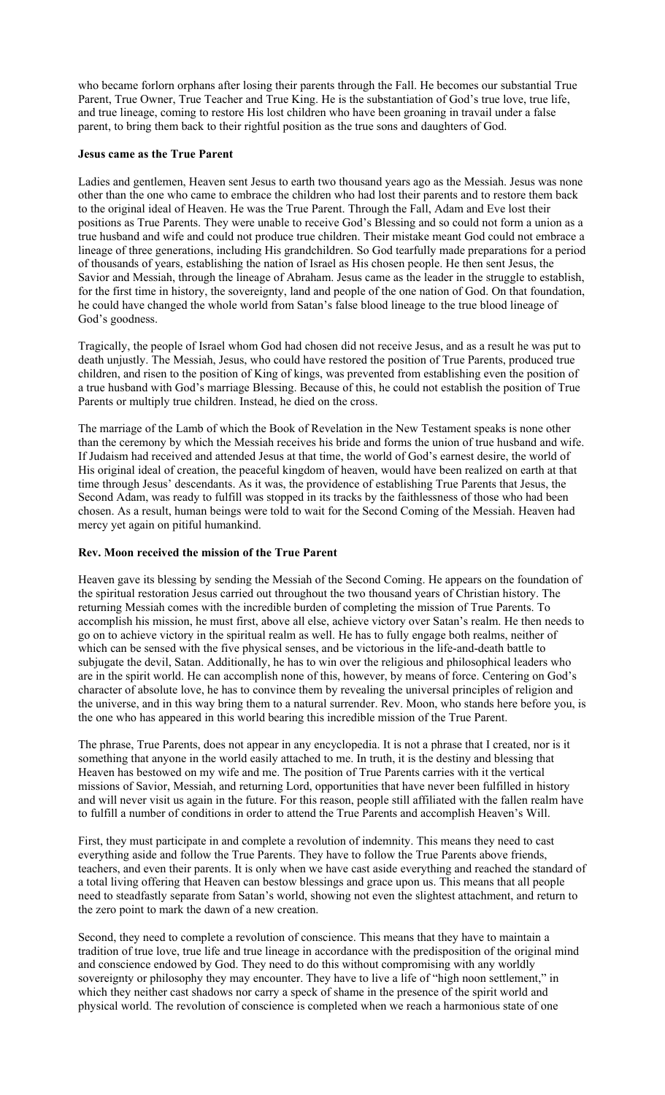who became forlorn orphans after losing their parents through the Fall. He becomes our substantial True Parent, True Owner, True Teacher and True King. He is the substantiation of God's true love, true life, and true lineage, coming to restore His lost children who have been groaning in travail under a false parent, to bring them back to their rightful position as the true sons and daughters of God.

### **Jesus came as the True Parent**

Ladies and gentlemen, Heaven sent Jesus to earth two thousand years ago as the Messiah. Jesus was none other than the one who came to embrace the children who had lost their parents and to restore them back to the original ideal of Heaven. He was the True Parent. Through the Fall, Adam and Eve lost their positions as True Parents. They were unable to receive God's Blessing and so could not form a union as a true husband and wife and could not produce true children. Their mistake meant God could not embrace a lineage of three generations, including His grandchildren. So God tearfully made preparations for a period of thousands of years, establishing the nation of Israel as His chosen people. He then sent Jesus, the Savior and Messiah, through the lineage of Abraham. Jesus came as the leader in the struggle to establish, for the first time in history, the sovereignty, land and people of the one nation of God. On that foundation, he could have changed the whole world from Satan's false blood lineage to the true blood lineage of God's goodness.

Tragically, the people of Israel whom God had chosen did not receive Jesus, and as a result he was put to death unjustly. The Messiah, Jesus, who could have restored the position of True Parents, produced true children, and risen to the position of King of kings, was prevented from establishing even the position of a true husband with God's marriage Blessing. Because of this, he could not establish the position of True Parents or multiply true children. Instead, he died on the cross.

The marriage of the Lamb of which the Book of Revelation in the New Testament speaks is none other than the ceremony by which the Messiah receives his bride and forms the union of true husband and wife. If Judaism had received and attended Jesus at that time, the world of God's earnest desire, the world of His original ideal of creation, the peaceful kingdom of heaven, would have been realized on earth at that time through Jesus' descendants. As it was, the providence of establishing True Parents that Jesus, the Second Adam, was ready to fulfill was stopped in its tracks by the faithlessness of those who had been chosen. As a result, human beings were told to wait for the Second Coming of the Messiah. Heaven had mercy yet again on pitiful humankind.

# **Rev. Moon received the mission of the True Parent**

Heaven gave its blessing by sending the Messiah of the Second Coming. He appears on the foundation of the spiritual restoration Jesus carried out throughout the two thousand years of Christian history. The returning Messiah comes with the incredible burden of completing the mission of True Parents. To accomplish his mission, he must first, above all else, achieve victory over Satan's realm. He then needs to go on to achieve victory in the spiritual realm as well. He has to fully engage both realms, neither of which can be sensed with the five physical senses, and be victorious in the life-and-death battle to subjugate the devil, Satan. Additionally, he has to win over the religious and philosophical leaders who are in the spirit world. He can accomplish none of this, however, by means of force. Centering on God's character of absolute love, he has to convince them by revealing the universal principles of religion and the universe, and in this way bring them to a natural surrender. Rev. Moon, who stands here before you, is the one who has appeared in this world bearing this incredible mission of the True Parent.

The phrase, True Parents, does not appear in any encyclopedia. It is not a phrase that I created, nor is it something that anyone in the world easily attached to me. In truth, it is the destiny and blessing that Heaven has bestowed on my wife and me. The position of True Parents carries with it the vertical missions of Savior, Messiah, and returning Lord, opportunities that have never been fulfilled in history and will never visit us again in the future. For this reason, people still affiliated with the fallen realm have to fulfill a number of conditions in order to attend the True Parents and accomplish Heaven's Will.

First, they must participate in and complete a revolution of indemnity. This means they need to cast everything aside and follow the True Parents. They have to follow the True Parents above friends, teachers, and even their parents. It is only when we have cast aside everything and reached the standard of a total living offering that Heaven can bestow blessings and grace upon us. This means that all people need to steadfastly separate from Satan's world, showing not even the slightest attachment, and return to the zero point to mark the dawn of a new creation.

Second, they need to complete a revolution of conscience. This means that they have to maintain a tradition of true love, true life and true lineage in accordance with the predisposition of the original mind and conscience endowed by God. They need to do this without compromising with any worldly sovereignty or philosophy they may encounter. They have to live a life of "high noon settlement," in which they neither cast shadows nor carry a speck of shame in the presence of the spirit world and physical world. The revolution of conscience is completed when we reach a harmonious state of one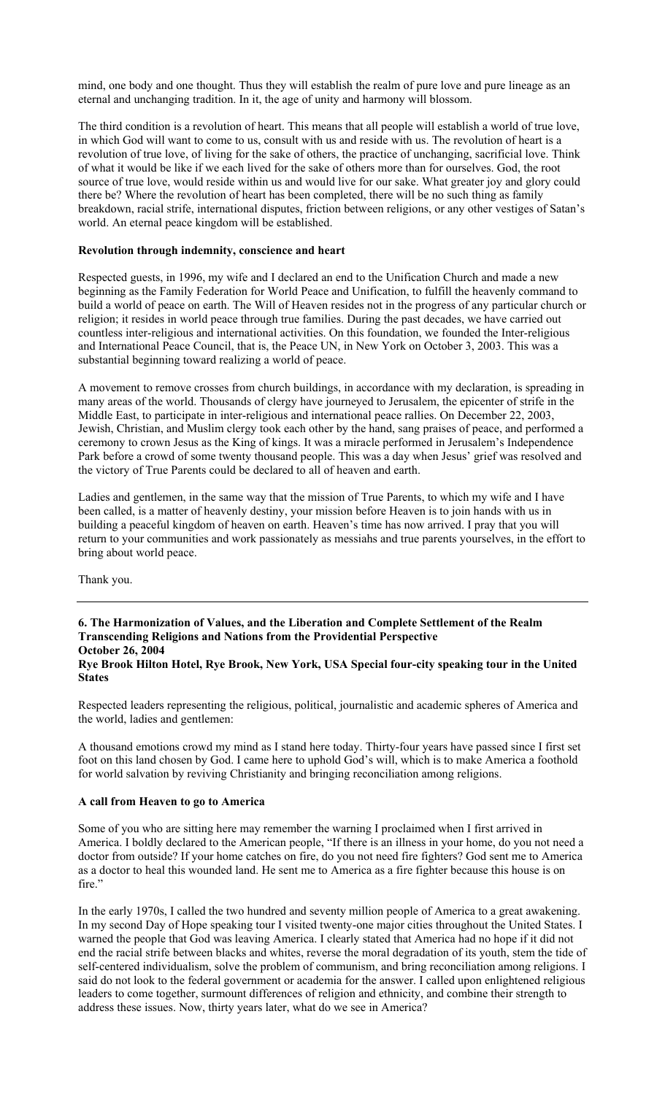mind, one body and one thought. Thus they will establish the realm of pure love and pure lineage as an eternal and unchanging tradition. In it, the age of unity and harmony will blossom.

The third condition is a revolution of heart. This means that all people will establish a world of true love, in which God will want to come to us, consult with us and reside with us. The revolution of heart is a revolution of true love, of living for the sake of others, the practice of unchanging, sacrificial love. Think of what it would be like if we each lived for the sake of others more than for ourselves. God, the root source of true love, would reside within us and would live for our sake. What greater joy and glory could there be? Where the revolution of heart has been completed, there will be no such thing as family breakdown, racial strife, international disputes, friction between religions, or any other vestiges of Satan's world. An eternal peace kingdom will be established.

#### **Revolution through indemnity, conscience and heart**

Respected guests, in 1996, my wife and I declared an end to the Unification Church and made a new beginning as the Family Federation for World Peace and Unification, to fulfill the heavenly command to build a world of peace on earth. The Will of Heaven resides not in the progress of any particular church or religion; it resides in world peace through true families. During the past decades, we have carried out countless inter-religious and international activities. On this foundation, we founded the Inter-religious and International Peace Council, that is, the Peace UN, in New York on October 3, 2003. This was a substantial beginning toward realizing a world of peace.

A movement to remove crosses from church buildings, in accordance with my declaration, is spreading in many areas of the world. Thousands of clergy have journeyed to Jerusalem, the epicenter of strife in the Middle East, to participate in inter-religious and international peace rallies. On December 22, 2003, Jewish, Christian, and Muslim clergy took each other by the hand, sang praises of peace, and performed a ceremony to crown Jesus as the King of kings. It was a miracle performed in Jerusalem's Independence Park before a crowd of some twenty thousand people. This was a day when Jesus' grief was resolved and the victory of True Parents could be declared to all of heaven and earth.

Ladies and gentlemen, in the same way that the mission of True Parents, to which my wife and I have been called, is a matter of heavenly destiny, your mission before Heaven is to join hands with us in building a peaceful kingdom of heaven on earth. Heaven's time has now arrived. I pray that you will return to your communities and work passionately as messiahs and true parents yourselves, in the effort to bring about world peace.

Thank you.

**6. The Harmonization of Values, and the Liberation and Complete Settlement of the Realm Transcending Religions and Nations from the Providential Perspective October 26, 2004 Rye Brook Hilton Hotel, Rye Brook, New York, USA Special four-city speaking tour in the United States** 

Respected leaders representing the religious, political, journalistic and academic spheres of America and the world, ladies and gentlemen:

A thousand emotions crowd my mind as I stand here today. Thirty-four years have passed since I first set foot on this land chosen by God. I came here to uphold God's will, which is to make America a foothold for world salvation by reviving Christianity and bringing reconciliation among religions.

#### **A call from Heaven to go to America**

Some of you who are sitting here may remember the warning I proclaimed when I first arrived in America. I boldly declared to the American people, "If there is an illness in your home, do you not need a doctor from outside? If your home catches on fire, do you not need fire fighters? God sent me to America as a doctor to heal this wounded land. He sent me to America as a fire fighter because this house is on fire."

In the early 1970s, I called the two hundred and seventy million people of America to a great awakening. In my second Day of Hope speaking tour I visited twenty-one major cities throughout the United States. I warned the people that God was leaving America. I clearly stated that America had no hope if it did not end the racial strife between blacks and whites, reverse the moral degradation of its youth, stem the tide of self-centered individualism, solve the problem of communism, and bring reconciliation among religions. I said do not look to the federal government or academia for the answer. I called upon enlightened religious leaders to come together, surmount differences of religion and ethnicity, and combine their strength to address these issues. Now, thirty years later, what do we see in America?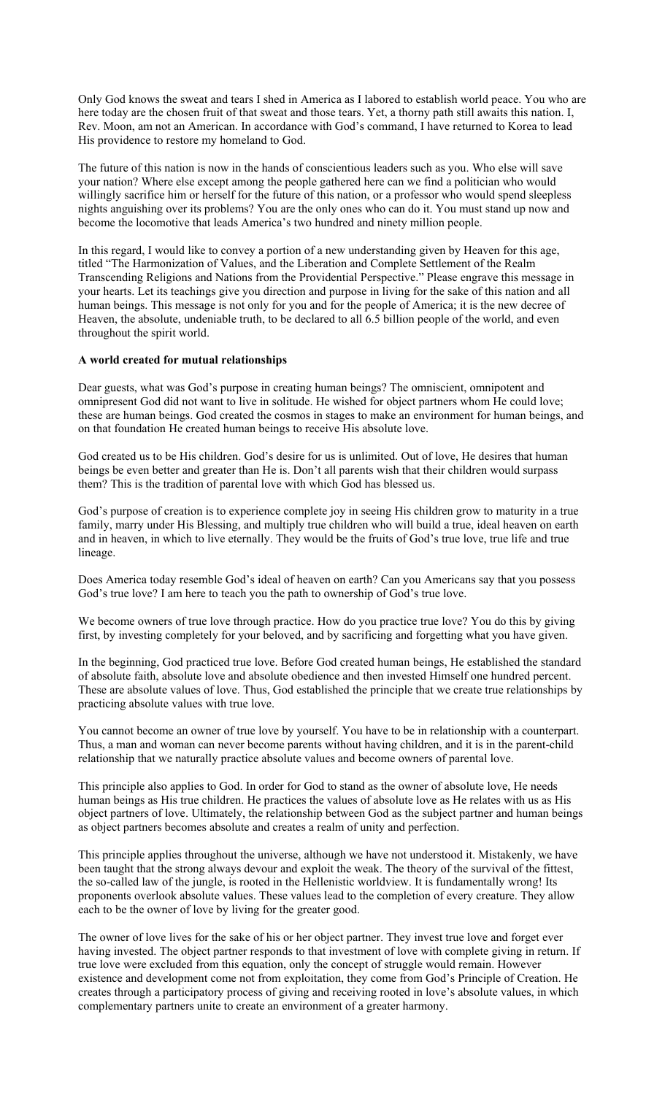Only God knows the sweat and tears I shed in America as I labored to establish world peace. You who are here today are the chosen fruit of that sweat and those tears. Yet, a thorny path still awaits this nation. I, Rev. Moon, am not an American. In accordance with God's command, I have returned to Korea to lead His providence to restore my homeland to God.

The future of this nation is now in the hands of conscientious leaders such as you. Who else will save your nation? Where else except among the people gathered here can we find a politician who would willingly sacrifice him or herself for the future of this nation, or a professor who would spend sleepless nights anguishing over its problems? You are the only ones who can do it. You must stand up now and become the locomotive that leads America's two hundred and ninety million people.

In this regard, I would like to convey a portion of a new understanding given by Heaven for this age, titled "The Harmonization of Values, and the Liberation and Complete Settlement of the Realm Transcending Religions and Nations from the Providential Perspective." Please engrave this message in your hearts. Let its teachings give you direction and purpose in living for the sake of this nation and all human beings. This message is not only for you and for the people of America; it is the new decree of Heaven, the absolute, undeniable truth, to be declared to all 6.5 billion people of the world, and even throughout the spirit world.

### **A world created for mutual relationships**

Dear guests, what was God's purpose in creating human beings? The omniscient, omnipotent and omnipresent God did not want to live in solitude. He wished for object partners whom He could love; these are human beings. God created the cosmos in stages to make an environment for human beings, and on that foundation He created human beings to receive His absolute love.

God created us to be His children. God's desire for us is unlimited. Out of love, He desires that human beings be even better and greater than He is. Don't all parents wish that their children would surpass them? This is the tradition of parental love with which God has blessed us.

God's purpose of creation is to experience complete joy in seeing His children grow to maturity in a true family, marry under His Blessing, and multiply true children who will build a true, ideal heaven on earth and in heaven, in which to live eternally. They would be the fruits of God's true love, true life and true lineage.

Does America today resemble God's ideal of heaven on earth? Can you Americans say that you possess God's true love? I am here to teach you the path to ownership of God's true love.

We become owners of true love through practice. How do you practice true love? You do this by giving first, by investing completely for your beloved, and by sacrificing and forgetting what you have given.

In the beginning, God practiced true love. Before God created human beings, He established the standard of absolute faith, absolute love and absolute obedience and then invested Himself one hundred percent. These are absolute values of love. Thus, God established the principle that we create true relationships by practicing absolute values with true love.

You cannot become an owner of true love by yourself. You have to be in relationship with a counterpart. Thus, a man and woman can never become parents without having children, and it is in the parent-child relationship that we naturally practice absolute values and become owners of parental love.

This principle also applies to God. In order for God to stand as the owner of absolute love, He needs human beings as His true children. He practices the values of absolute love as He relates with us as His object partners of love. Ultimately, the relationship between God as the subject partner and human beings as object partners becomes absolute and creates a realm of unity and perfection.

This principle applies throughout the universe, although we have not understood it. Mistakenly, we have been taught that the strong always devour and exploit the weak. The theory of the survival of the fittest, the so-called law of the jungle, is rooted in the Hellenistic worldview. It is fundamentally wrong! Its proponents overlook absolute values. These values lead to the completion of every creature. They allow each to be the owner of love by living for the greater good.

The owner of love lives for the sake of his or her object partner. They invest true love and forget ever having invested. The object partner responds to that investment of love with complete giving in return. If true love were excluded from this equation, only the concept of struggle would remain. However existence and development come not from exploitation, they come from God's Principle of Creation. He creates through a participatory process of giving and receiving rooted in love's absolute values, in which complementary partners unite to create an environment of a greater harmony.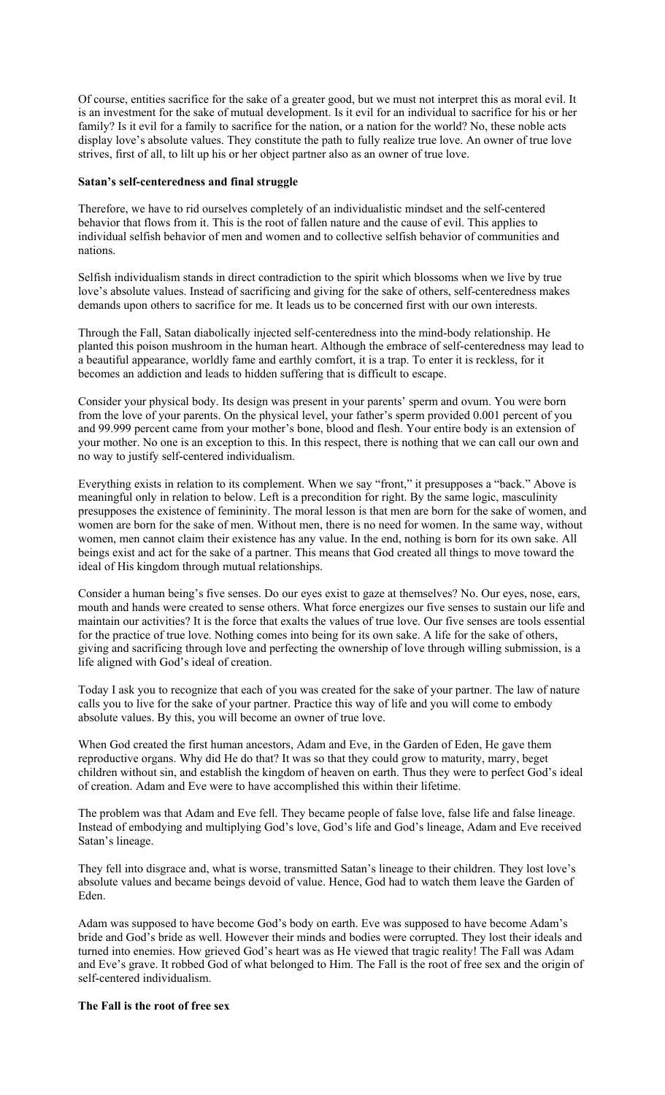Of course, entities sacrifice for the sake of a greater good, but we must not interpret this as moral evil. It is an investment for the sake of mutual development. Is it evil for an individual to sacrifice for his or her family? Is it evil for a family to sacrifice for the nation, or a nation for the world? No, these noble acts display love's absolute values. They constitute the path to fully realize true love. An owner of true love strives, first of all, to lilt up his or her object partner also as an owner of true love.

#### **Satan's self-centeredness and final struggle**

Therefore, we have to rid ourselves completely of an individualistic mindset and the self-centered behavior that flows from it. This is the root of fallen nature and the cause of evil. This applies to individual selfish behavior of men and women and to collective selfish behavior of communities and nations.

Selfish individualism stands in direct contradiction to the spirit which blossoms when we live by true love's absolute values. Instead of sacrificing and giving for the sake of others, self-centeredness makes demands upon others to sacrifice for me. It leads us to be concerned first with our own interests.

Through the Fall, Satan diabolically injected self-centeredness into the mind-body relationship. He planted this poison mushroom in the human heart. Although the embrace of self-centeredness may lead to a beautiful appearance, worldly fame and earthly comfort, it is a trap. To enter it is reckless, for it becomes an addiction and leads to hidden suffering that is difficult to escape.

Consider your physical body. Its design was present in your parents' sperm and ovum. You were born from the love of your parents. On the physical level, your father's sperm provided 0.001 percent of you and 99.999 percent came from your mother's bone, blood and flesh. Your entire body is an extension of your mother. No one is an exception to this. In this respect, there is nothing that we can call our own and no way to justify self-centered individualism.

Everything exists in relation to its complement. When we say "front," it presupposes a "back." Above is meaningful only in relation to below. Left is a precondition for right. By the same logic, masculinity presupposes the existence of femininity. The moral lesson is that men are born for the sake of women, and women are born for the sake of men. Without men, there is no need for women. In the same way, without women, men cannot claim their existence has any value. In the end, nothing is born for its own sake. All beings exist and act for the sake of a partner. This means that God created all things to move toward the ideal of His kingdom through mutual relationships.

Consider a human being's five senses. Do our eyes exist to gaze at themselves? No. Our eyes, nose, ears, mouth and hands were created to sense others. What force energizes our five senses to sustain our life and maintain our activities? It is the force that exalts the values of true love. Our five senses are tools essential for the practice of true love. Nothing comes into being for its own sake. A life for the sake of others, giving and sacrificing through love and perfecting the ownership of love through willing submission, is a life aligned with God's ideal of creation.

Today I ask you to recognize that each of you was created for the sake of your partner. The law of nature calls you to live for the sake of your partner. Practice this way of life and you will come to embody absolute values. By this, you will become an owner of true love.

When God created the first human ancestors, Adam and Eve, in the Garden of Eden, He gave them reproductive organs. Why did He do that? It was so that they could grow to maturity, marry, beget children without sin, and establish the kingdom of heaven on earth. Thus they were to perfect God's ideal of creation. Adam and Eve were to have accomplished this within their lifetime.

The problem was that Adam and Eve fell. They became people of false love, false life and false lineage. Instead of embodying and multiplying God's love, God's life and God's lineage, Adam and Eve received Satan's lineage.

They fell into disgrace and, what is worse, transmitted Satan's lineage to their children. They lost love's absolute values and became beings devoid of value. Hence, God had to watch them leave the Garden of Eden.

Adam was supposed to have become God's body on earth. Eve was supposed to have become Adam's bride and God's bride as well. However their minds and bodies were corrupted. They lost their ideals and turned into enemies. How grieved God's heart was as He viewed that tragic reality! The Fall was Adam and Eve's grave. It robbed God of what belonged to Him. The Fall is the root of free sex and the origin of self-centered individualism.

### **The Fall is the root of free sex**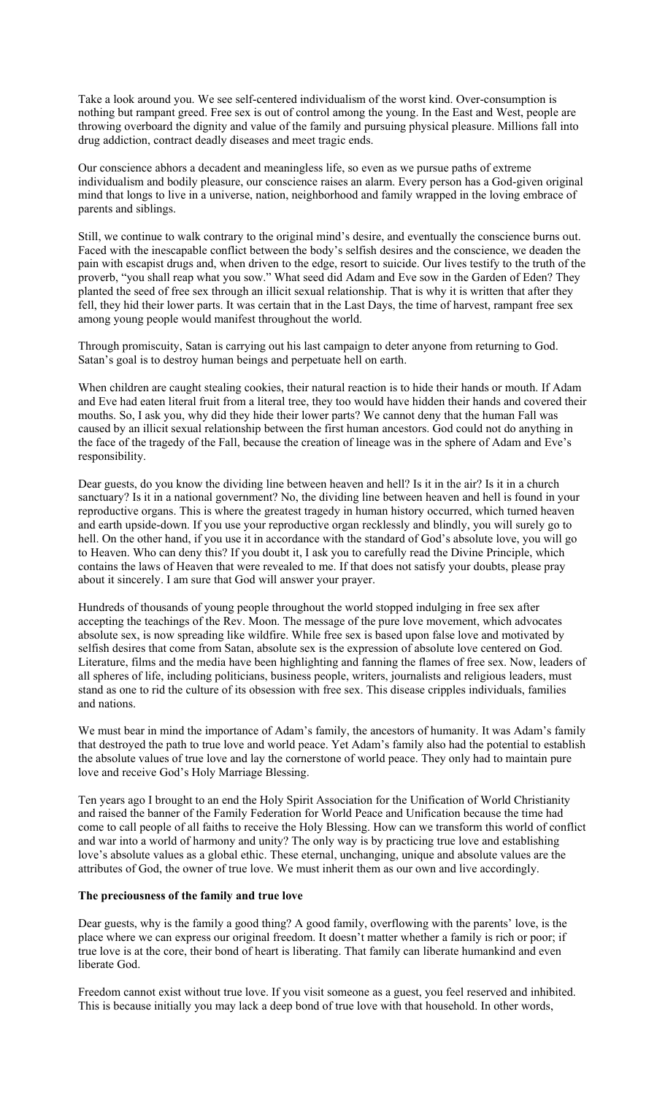Take a look around you. We see self-centered individualism of the worst kind. Over-consumption is nothing but rampant greed. Free sex is out of control among the young. In the East and West, people are throwing overboard the dignity and value of the family and pursuing physical pleasure. Millions fall into drug addiction, contract deadly diseases and meet tragic ends.

Our conscience abhors a decadent and meaningless life, so even as we pursue paths of extreme individualism and bodily pleasure, our conscience raises an alarm. Every person has a God-given original mind that longs to live in a universe, nation, neighborhood and family wrapped in the loving embrace of parents and siblings.

Still, we continue to walk contrary to the original mind's desire, and eventually the conscience burns out. Faced with the inescapable conflict between the body's selfish desires and the conscience, we deaden the pain with escapist drugs and, when driven to the edge, resort to suicide. Our lives testify to the truth of the proverb, "you shall reap what you sow." What seed did Adam and Eve sow in the Garden of Eden? They planted the seed of free sex through an illicit sexual relationship. That is why it is written that after they fell, they hid their lower parts. It was certain that in the Last Days, the time of harvest, rampant free sex among young people would manifest throughout the world.

Through promiscuity, Satan is carrying out his last campaign to deter anyone from returning to God. Satan's goal is to destroy human beings and perpetuate hell on earth.

When children are caught stealing cookies, their natural reaction is to hide their hands or mouth. If Adam and Eve had eaten literal fruit from a literal tree, they too would have hidden their hands and covered their mouths. So, I ask you, why did they hide their lower parts? We cannot deny that the human Fall was caused by an illicit sexual relationship between the first human ancestors. God could not do anything in the face of the tragedy of the Fall, because the creation of lineage was in the sphere of Adam and Eve's responsibility.

Dear guests, do you know the dividing line between heaven and hell? Is it in the air? Is it in a church sanctuary? Is it in a national government? No, the dividing line between heaven and hell is found in your reproductive organs. This is where the greatest tragedy in human history occurred, which turned heaven and earth upside-down. If you use your reproductive organ recklessly and blindly, you will surely go to hell. On the other hand, if you use it in accordance with the standard of God's absolute love, you will go to Heaven. Who can deny this? If you doubt it, I ask you to carefully read the Divine Principle, which contains the laws of Heaven that were revealed to me. If that does not satisfy your doubts, please pray about it sincerely. I am sure that God will answer your prayer.

Hundreds of thousands of young people throughout the world stopped indulging in free sex after accepting the teachings of the Rev. Moon. The message of the pure love movement, which advocates absolute sex, is now spreading like wildfire. While free sex is based upon false love and motivated by selfish desires that come from Satan, absolute sex is the expression of absolute love centered on God. Literature, films and the media have been highlighting and fanning the flames of free sex. Now, leaders of all spheres of life, including politicians, business people, writers, journalists and religious leaders, must stand as one to rid the culture of its obsession with free sex. This disease cripples individuals, families and nations.

We must bear in mind the importance of Adam's family, the ancestors of humanity. It was Adam's family that destroyed the path to true love and world peace. Yet Adam's family also had the potential to establish the absolute values of true love and lay the cornerstone of world peace. They only had to maintain pure love and receive God's Holy Marriage Blessing.

Ten years ago I brought to an end the Holy Spirit Association for the Unification of World Christianity and raised the banner of the Family Federation for World Peace and Unification because the time had come to call people of all faiths to receive the Holy Blessing. How can we transform this world of conflict and war into a world of harmony and unity? The only way is by practicing true love and establishing love's absolute values as a global ethic. These eternal, unchanging, unique and absolute values are the attributes of God, the owner of true love. We must inherit them as our own and live accordingly.

# **The preciousness of the family and true love**

Dear guests, why is the family a good thing? A good family, overflowing with the parents' love, is the place where we can express our original freedom. It doesn't matter whether a family is rich or poor; if true love is at the core, their bond of heart is liberating. That family can liberate humankind and even liberate God.

Freedom cannot exist without true love. If you visit someone as a guest, you feel reserved and inhibited. This is because initially you may lack a deep bond of true love with that household. In other words,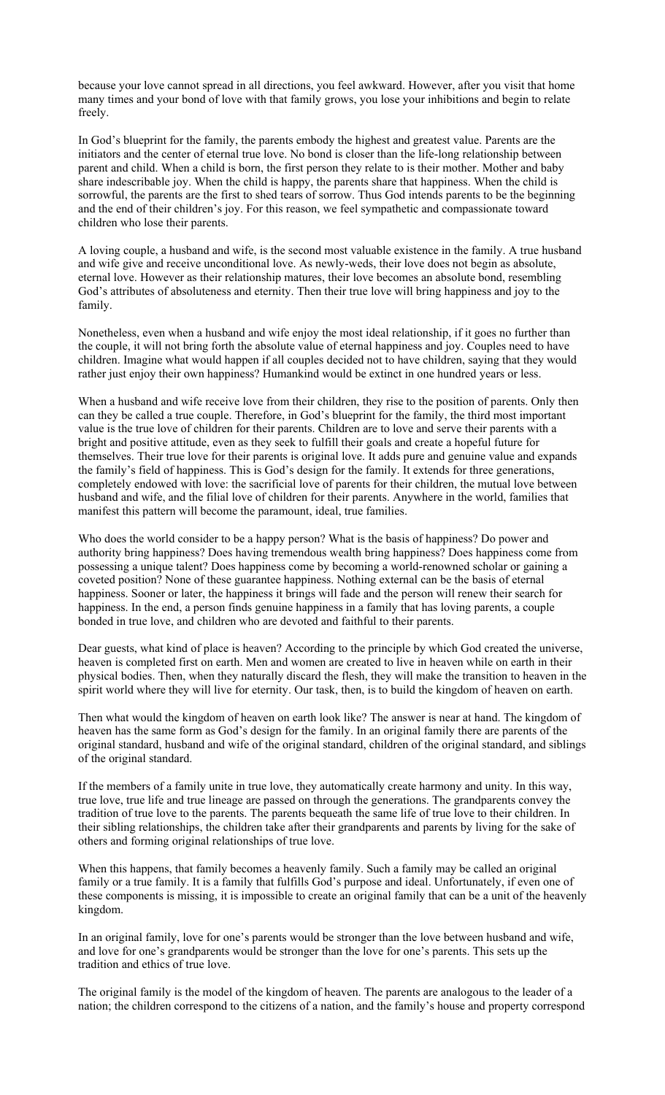because your love cannot spread in all directions, you feel awkward. However, after you visit that home many times and your bond of love with that family grows, you lose your inhibitions and begin to relate freely.

In God's blueprint for the family, the parents embody the highest and greatest value. Parents are the initiators and the center of eternal true love. No bond is closer than the life-long relationship between parent and child. When a child is born, the first person they relate to is their mother. Mother and baby share indescribable joy. When the child is happy, the parents share that happiness. When the child is sorrowful, the parents are the first to shed tears of sorrow. Thus God intends parents to be the beginning and the end of their children's joy. For this reason, we feel sympathetic and compassionate toward children who lose their parents.

A loving couple, a husband and wife, is the second most valuable existence in the family. A true husband and wife give and receive unconditional love. As newly-weds, their love does not begin as absolute, eternal love. However as their relationship matures, their love becomes an absolute bond, resembling God's attributes of absoluteness and eternity. Then their true love will bring happiness and joy to the family.

Nonetheless, even when a husband and wife enjoy the most ideal relationship, if it goes no further than the couple, it will not bring forth the absolute value of eternal happiness and joy. Couples need to have children. Imagine what would happen if all couples decided not to have children, saying that they would rather just enjoy their own happiness? Humankind would be extinct in one hundred years or less.

When a husband and wife receive love from their children, they rise to the position of parents. Only then can they be called a true couple. Therefore, in God's blueprint for the family, the third most important value is the true love of children for their parents. Children are to love and serve their parents with a bright and positive attitude, even as they seek to fulfill their goals and create a hopeful future for themselves. Their true love for their parents is original love. It adds pure and genuine value and expands the family's field of happiness. This is God's design for the family. It extends for three generations, completely endowed with love: the sacrificial love of parents for their children, the mutual love between husband and wife, and the filial love of children for their parents. Anywhere in the world, families that manifest this pattern will become the paramount, ideal, true families.

Who does the world consider to be a happy person? What is the basis of happiness? Do power and authority bring happiness? Does having tremendous wealth bring happiness? Does happiness come from possessing a unique talent? Does happiness come by becoming a world-renowned scholar or gaining a coveted position? None of these guarantee happiness. Nothing external can be the basis of eternal happiness. Sooner or later, the happiness it brings will fade and the person will renew their search for happiness. In the end, a person finds genuine happiness in a family that has loving parents, a couple bonded in true love, and children who are devoted and faithful to their parents.

Dear guests, what kind of place is heaven? According to the principle by which God created the universe, heaven is completed first on earth. Men and women are created to live in heaven while on earth in their physical bodies. Then, when they naturally discard the flesh, they will make the transition to heaven in the spirit world where they will live for eternity. Our task, then, is to build the kingdom of heaven on earth.

Then what would the kingdom of heaven on earth look like? The answer is near at hand. The kingdom of heaven has the same form as God's design for the family. In an original family there are parents of the original standard, husband and wife of the original standard, children of the original standard, and siblings of the original standard.

If the members of a family unite in true love, they automatically create harmony and unity. In this way, true love, true life and true lineage are passed on through the generations. The grandparents convey the tradition of true love to the parents. The parents bequeath the same life of true love to their children. In their sibling relationships, the children take after their grandparents and parents by living for the sake of others and forming original relationships of true love.

When this happens, that family becomes a heavenly family. Such a family may be called an original family or a true family. It is a family that fulfills God's purpose and ideal. Unfortunately, if even one of these components is missing, it is impossible to create an original family that can be a unit of the heavenly kingdom.

In an original family, love for one's parents would be stronger than the love between husband and wife, and love for one's grandparents would be stronger than the love for one's parents. This sets up the tradition and ethics of true love.

The original family is the model of the kingdom of heaven. The parents are analogous to the leader of a nation; the children correspond to the citizens of a nation, and the family's house and property correspond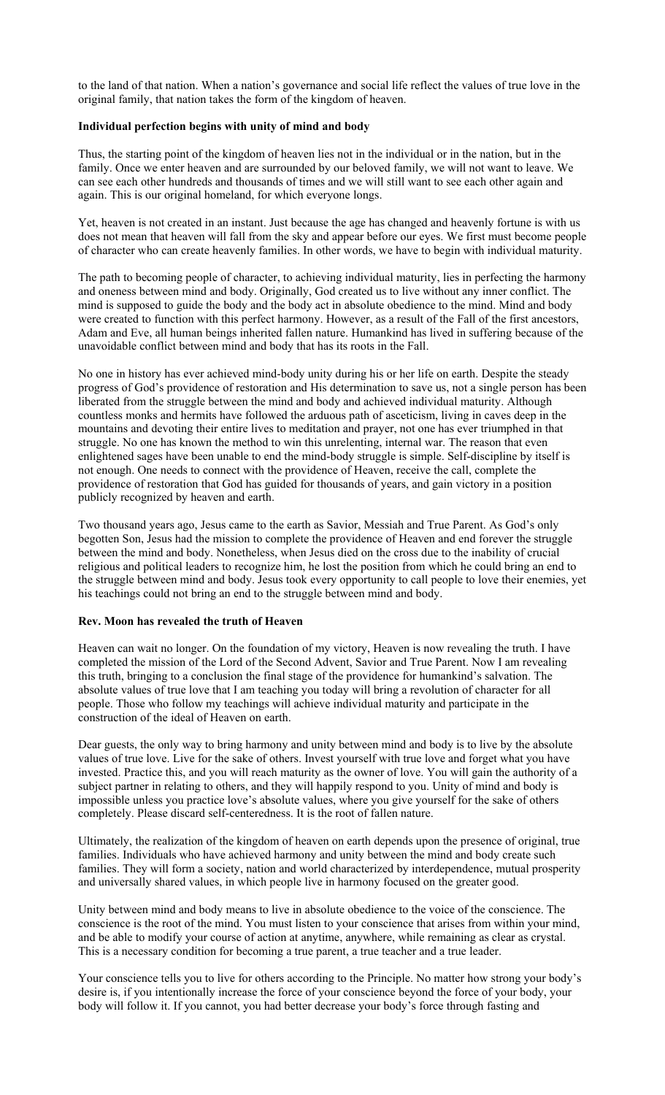to the land of that nation. When a nation's governance and social life reflect the values of true love in the original family, that nation takes the form of the kingdom of heaven.

### **Individual perfection begins with unity of mind and body**

Thus, the starting point of the kingdom of heaven lies not in the individual or in the nation, but in the family. Once we enter heaven and are surrounded by our beloved family, we will not want to leave. We can see each other hundreds and thousands of times and we will still want to see each other again and again. This is our original homeland, for which everyone longs.

Yet, heaven is not created in an instant. Just because the age has changed and heavenly fortune is with us does not mean that heaven will fall from the sky and appear before our eyes. We first must become people of character who can create heavenly families. In other words, we have to begin with individual maturity.

The path to becoming people of character, to achieving individual maturity, lies in perfecting the harmony and oneness between mind and body. Originally, God created us to live without any inner conflict. The mind is supposed to guide the body and the body act in absolute obedience to the mind. Mind and body were created to function with this perfect harmony. However, as a result of the Fall of the first ancestors, Adam and Eve, all human beings inherited fallen nature. Humankind has lived in suffering because of the unavoidable conflict between mind and body that has its roots in the Fall.

No one in history has ever achieved mind-body unity during his or her life on earth. Despite the steady progress of God's providence of restoration and His determination to save us, not a single person has been liberated from the struggle between the mind and body and achieved individual maturity. Although countless monks and hermits have followed the arduous path of asceticism, living in caves deep in the mountains and devoting their entire lives to meditation and prayer, not one has ever triumphed in that struggle. No one has known the method to win this unrelenting, internal war. The reason that even enlightened sages have been unable to end the mind-body struggle is simple. Self-discipline by itself is not enough. One needs to connect with the providence of Heaven, receive the call, complete the providence of restoration that God has guided for thousands of years, and gain victory in a position publicly recognized by heaven and earth.

Two thousand years ago, Jesus came to the earth as Savior, Messiah and True Parent. As God's only begotten Son, Jesus had the mission to complete the providence of Heaven and end forever the struggle between the mind and body. Nonetheless, when Jesus died on the cross due to the inability of crucial religious and political leaders to recognize him, he lost the position from which he could bring an end to the struggle between mind and body. Jesus took every opportunity to call people to love their enemies, yet his teachings could not bring an end to the struggle between mind and body.

#### **Rev. Moon has revealed the truth of Heaven**

Heaven can wait no longer. On the foundation of my victory, Heaven is now revealing the truth. I have completed the mission of the Lord of the Second Advent, Savior and True Parent. Now I am revealing this truth, bringing to a conclusion the final stage of the providence for humankind's salvation. The absolute values of true love that I am teaching you today will bring a revolution of character for all people. Those who follow my teachings will achieve individual maturity and participate in the construction of the ideal of Heaven on earth.

Dear guests, the only way to bring harmony and unity between mind and body is to live by the absolute values of true love. Live for the sake of others. Invest yourself with true love and forget what you have invested. Practice this, and you will reach maturity as the owner of love. You will gain the authority of a subject partner in relating to others, and they will happily respond to you. Unity of mind and body is impossible unless you practice love's absolute values, where you give yourself for the sake of others completely. Please discard self-centeredness. It is the root of fallen nature.

Ultimately, the realization of the kingdom of heaven on earth depends upon the presence of original, true families. Individuals who have achieved harmony and unity between the mind and body create such families. They will form a society, nation and world characterized by interdependence, mutual prosperity and universally shared values, in which people live in harmony focused on the greater good.

Unity between mind and body means to live in absolute obedience to the voice of the conscience. The conscience is the root of the mind. You must listen to your conscience that arises from within your mind, and be able to modify your course of action at anytime, anywhere, while remaining as clear as crystal. This is a necessary condition for becoming a true parent, a true teacher and a true leader.

Your conscience tells you to live for others according to the Principle. No matter how strong your body's desire is, if you intentionally increase the force of your conscience beyond the force of your body, your body will follow it. If you cannot, you had better decrease your body's force through fasting and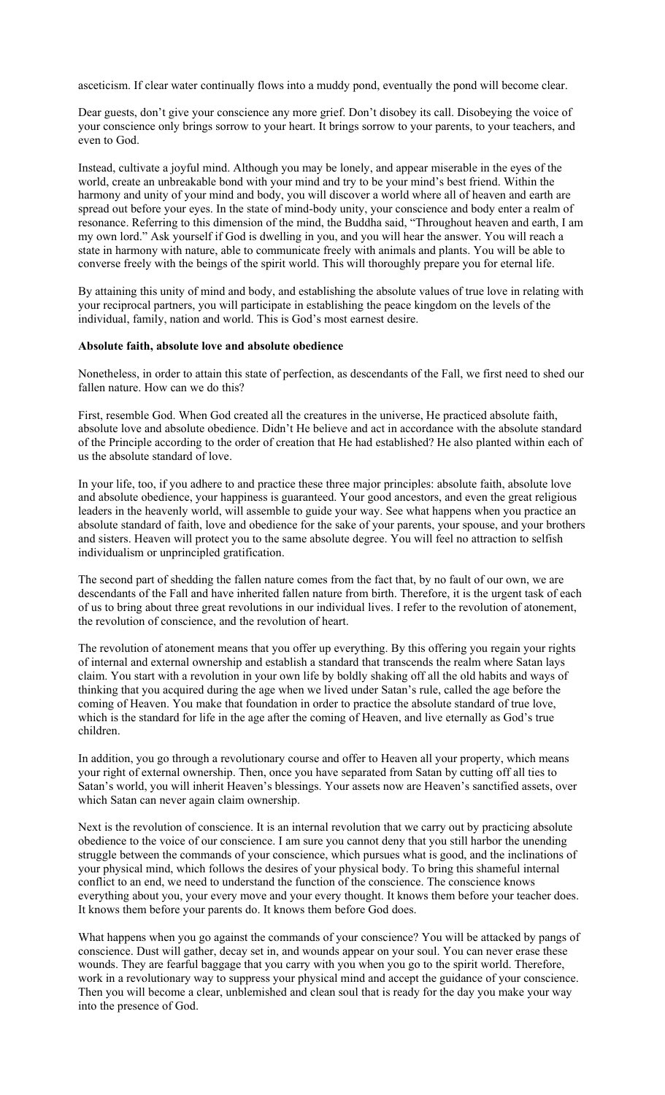asceticism. If clear water continually flows into a muddy pond, eventually the pond will become clear.

Dear guests, don't give your conscience any more grief. Don't disobey its call. Disobeying the voice of your conscience only brings sorrow to your heart. It brings sorrow to your parents, to your teachers, and even to God.

Instead, cultivate a joyful mind. Although you may be lonely, and appear miserable in the eyes of the world, create an unbreakable bond with your mind and try to be your mind's best friend. Within the harmony and unity of your mind and body, you will discover a world where all of heaven and earth are spread out before your eyes. In the state of mind-body unity, your conscience and body enter a realm of resonance. Referring to this dimension of the mind, the Buddha said, "Throughout heaven and earth, I am my own lord." Ask yourself if God is dwelling in you, and you will hear the answer. You will reach a state in harmony with nature, able to communicate freely with animals and plants. You will be able to converse freely with the beings of the spirit world. This will thoroughly prepare you for eternal life.

By attaining this unity of mind and body, and establishing the absolute values of true love in relating with your reciprocal partners, you will participate in establishing the peace kingdom on the levels of the individual, family, nation and world. This is God's most earnest desire.

### **Absolute faith, absolute love and absolute obedience**

Nonetheless, in order to attain this state of perfection, as descendants of the Fall, we first need to shed our fallen nature. How can we do this?

First, resemble God. When God created all the creatures in the universe, He practiced absolute faith, absolute love and absolute obedience. Didn't He believe and act in accordance with the absolute standard of the Principle according to the order of creation that He had established? He also planted within each of us the absolute standard of love.

In your life, too, if you adhere to and practice these three major principles: absolute faith, absolute love and absolute obedience, your happiness is guaranteed. Your good ancestors, and even the great religious leaders in the heavenly world, will assemble to guide your way. See what happens when you practice an absolute standard of faith, love and obedience for the sake of your parents, your spouse, and your brothers and sisters. Heaven will protect you to the same absolute degree. You will feel no attraction to selfish individualism or unprincipled gratification.

The second part of shedding the fallen nature comes from the fact that, by no fault of our own, we are descendants of the Fall and have inherited fallen nature from birth. Therefore, it is the urgent task of each of us to bring about three great revolutions in our individual lives. I refer to the revolution of atonement, the revolution of conscience, and the revolution of heart.

The revolution of atonement means that you offer up everything. By this offering you regain your rights of internal and external ownership and establish a standard that transcends the realm where Satan lays claim. You start with a revolution in your own life by boldly shaking off all the old habits and ways of thinking that you acquired during the age when we lived under Satan's rule, called the age before the coming of Heaven. You make that foundation in order to practice the absolute standard of true love, which is the standard for life in the age after the coming of Heaven, and live eternally as God's true children.

In addition, you go through a revolutionary course and offer to Heaven all your property, which means your right of external ownership. Then, once you have separated from Satan by cutting off all ties to Satan's world, you will inherit Heaven's blessings. Your assets now are Heaven's sanctified assets, over which Satan can never again claim ownership.

Next is the revolution of conscience. It is an internal revolution that we carry out by practicing absolute obedience to the voice of our conscience. I am sure you cannot deny that you still harbor the unending struggle between the commands of your conscience, which pursues what is good, and the inclinations of your physical mind, which follows the desires of your physical body. To bring this shameful internal conflict to an end, we need to understand the function of the conscience. The conscience knows everything about you, your every move and your every thought. It knows them before your teacher does. It knows them before your parents do. It knows them before God does.

What happens when you go against the commands of your conscience? You will be attacked by pangs of conscience. Dust will gather, decay set in, and wounds appear on your soul. You can never erase these wounds. They are fearful baggage that you carry with you when you go to the spirit world. Therefore, work in a revolutionary way to suppress your physical mind and accept the guidance of your conscience. Then you will become a clear, unblemished and clean soul that is ready for the day you make your way into the presence of God.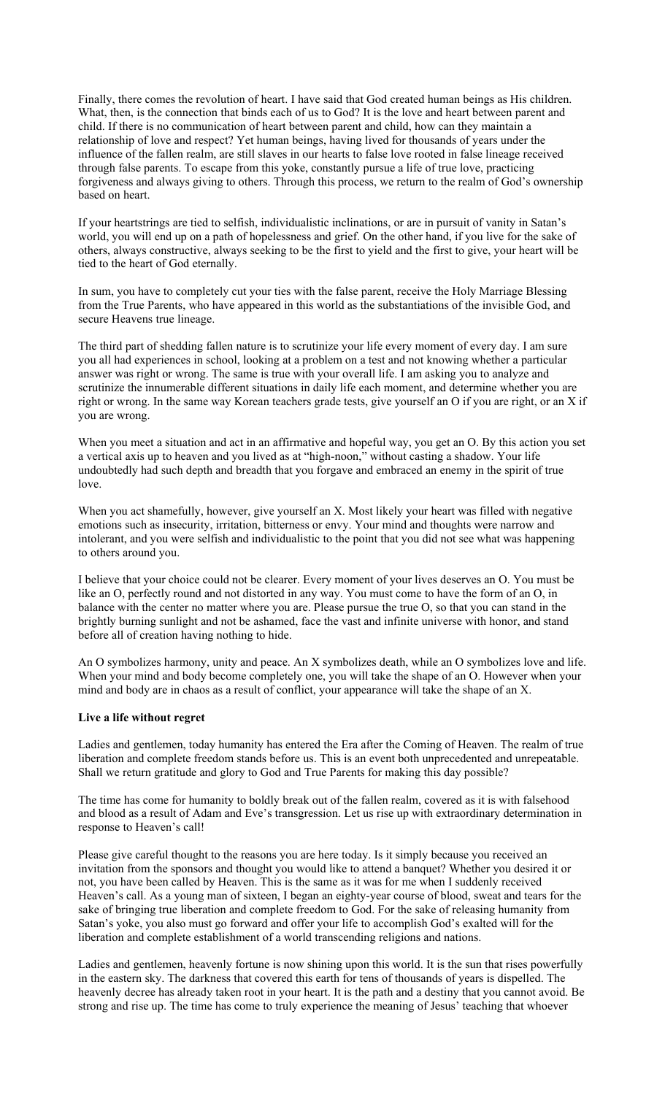Finally, there comes the revolution of heart. I have said that God created human beings as His children. What, then, is the connection that binds each of us to God? It is the love and heart between parent and child. If there is no communication of heart between parent and child, how can they maintain a relationship of love and respect? Yet human beings, having lived for thousands of years under the influence of the fallen realm, are still slaves in our hearts to false love rooted in false lineage received through false parents. To escape from this yoke, constantly pursue a life of true love, practicing forgiveness and always giving to others. Through this process, we return to the realm of God's ownership based on heart.

If your heartstrings are tied to selfish, individualistic inclinations, or are in pursuit of vanity in Satan's world, you will end up on a path of hopelessness and grief. On the other hand, if you live for the sake of others, always constructive, always seeking to be the first to yield and the first to give, your heart will be tied to the heart of God eternally.

In sum, you have to completely cut your ties with the false parent, receive the Holy Marriage Blessing from the True Parents, who have appeared in this world as the substantiations of the invisible God, and secure Heavens true lineage.

The third part of shedding fallen nature is to scrutinize your life every moment of every day. I am sure you all had experiences in school, looking at a problem on a test and not knowing whether a particular answer was right or wrong. The same is true with your overall life. I am asking you to analyze and scrutinize the innumerable different situations in daily life each moment, and determine whether you are right or wrong. In the same way Korean teachers grade tests, give yourself an O if you are right, or an X if you are wrong.

When you meet a situation and act in an affirmative and hopeful way, you get an O. By this action you set a vertical axis up to heaven and you lived as at "high-noon," without casting a shadow. Your life undoubtedly had such depth and breadth that you forgave and embraced an enemy in the spirit of true love.

When you act shamefully, however, give yourself an X. Most likely your heart was filled with negative emotions such as insecurity, irritation, bitterness or envy. Your mind and thoughts were narrow and intolerant, and you were selfish and individualistic to the point that you did not see what was happening to others around you.

I believe that your choice could not be clearer. Every moment of your lives deserves an O. You must be like an O, perfectly round and not distorted in any way. You must come to have the form of an O, in balance with the center no matter where you are. Please pursue the true O, so that you can stand in the brightly burning sunlight and not be ashamed, face the vast and infinite universe with honor, and stand before all of creation having nothing to hide.

An O symbolizes harmony, unity and peace. An X symbolizes death, while an O symbolizes love and life. When your mind and body become completely one, you will take the shape of an O. However when your mind and body are in chaos as a result of conflict, your appearance will take the shape of an X.

# **Live a life without regret**

Ladies and gentlemen, today humanity has entered the Era after the Coming of Heaven. The realm of true liberation and complete freedom stands before us. This is an event both unprecedented and unrepeatable. Shall we return gratitude and glory to God and True Parents for making this day possible?

The time has come for humanity to boldly break out of the fallen realm, covered as it is with falsehood and blood as a result of Adam and Eve's transgression. Let us rise up with extraordinary determination in response to Heaven's call!

Please give careful thought to the reasons you are here today. Is it simply because you received an invitation from the sponsors and thought you would like to attend a banquet? Whether you desired it or not, you have been called by Heaven. This is the same as it was for me when I suddenly received Heaven's call. As a young man of sixteen, I began an eighty-year course of blood, sweat and tears for the sake of bringing true liberation and complete freedom to God. For the sake of releasing humanity from Satan's yoke, you also must go forward and offer your life to accomplish God's exalted will for the liberation and complete establishment of a world transcending religions and nations.

Ladies and gentlemen, heavenly fortune is now shining upon this world. It is the sun that rises powerfully in the eastern sky. The darkness that covered this earth for tens of thousands of years is dispelled. The heavenly decree has already taken root in your heart. It is the path and a destiny that you cannot avoid. Be strong and rise up. The time has come to truly experience the meaning of Jesus' teaching that whoever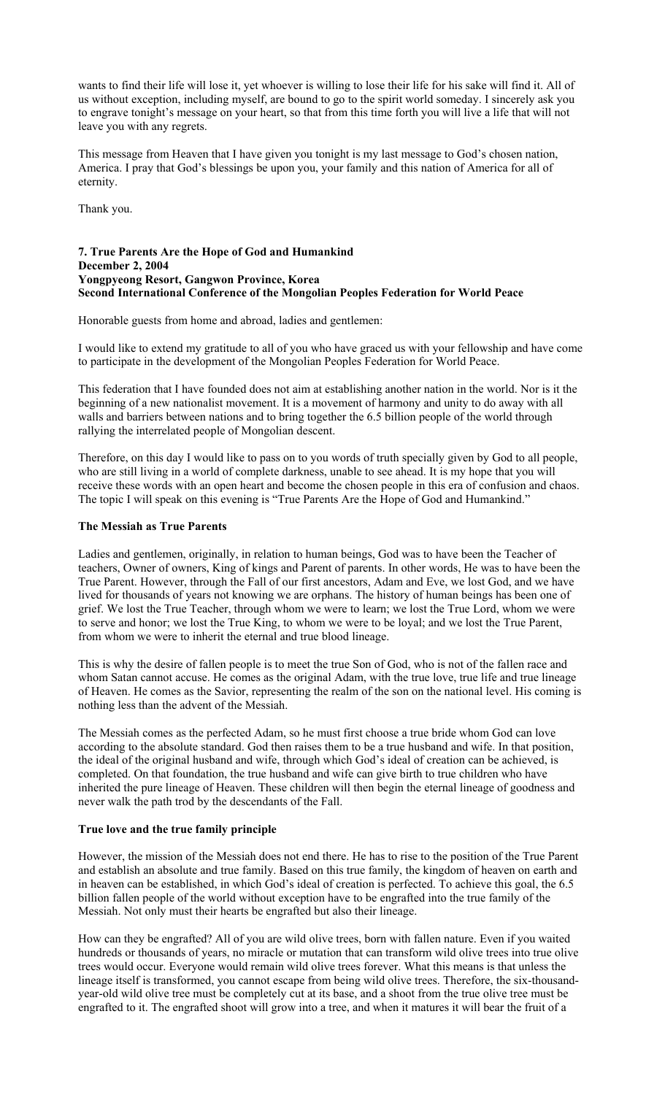wants to find their life will lose it, yet whoever is willing to lose their life for his sake will find it. All of us without exception, including myself, are bound to go to the spirit world someday. I sincerely ask you to engrave tonight's message on your heart, so that from this time forth you will live a life that will not leave you with any regrets.

This message from Heaven that I have given you tonight is my last message to God's chosen nation, America. I pray that God's blessings be upon you, your family and this nation of America for all of eternity.

Thank you.

# **7. True Parents Are the Hope of God and Humankind December 2, 2004 Yongpyeong Resort, Gangwon Province, Korea Second International Conference of the Mongolian Peoples Federation for World Peace**

Honorable guests from home and abroad, ladies and gentlemen:

I would like to extend my gratitude to all of you who have graced us with your fellowship and have come to participate in the development of the Mongolian Peoples Federation for World Peace.

This federation that I have founded does not aim at establishing another nation in the world. Nor is it the beginning of a new nationalist movement. It is a movement of harmony and unity to do away with all walls and barriers between nations and to bring together the 6.5 billion people of the world through rallying the interrelated people of Mongolian descent.

Therefore, on this day I would like to pass on to you words of truth specially given by God to all people, who are still living in a world of complete darkness, unable to see ahead. It is my hope that you will receive these words with an open heart and become the chosen people in this era of confusion and chaos. The topic I will speak on this evening is "True Parents Are the Hope of God and Humankind."

# **The Messiah as True Parents**

Ladies and gentlemen, originally, in relation to human beings, God was to have been the Teacher of teachers, Owner of owners, King of kings and Parent of parents. In other words, He was to have been the True Parent. However, through the Fall of our first ancestors, Adam and Eve, we lost God, and we have lived for thousands of years not knowing we are orphans. The history of human beings has been one of grief. We lost the True Teacher, through whom we were to learn; we lost the True Lord, whom we were to serve and honor; we lost the True King, to whom we were to be loyal; and we lost the True Parent, from whom we were to inherit the eternal and true blood lineage.

This is why the desire of fallen people is to meet the true Son of God, who is not of the fallen race and whom Satan cannot accuse. He comes as the original Adam, with the true love, true life and true lineage of Heaven. He comes as the Savior, representing the realm of the son on the national level. His coming is nothing less than the advent of the Messiah.

The Messiah comes as the perfected Adam, so he must first choose a true bride whom God can love according to the absolute standard. God then raises them to be a true husband and wife. In that position, the ideal of the original husband and wife, through which God's ideal of creation can be achieved, is completed. On that foundation, the true husband and wife can give birth to true children who have inherited the pure lineage of Heaven. These children will then begin the eternal lineage of goodness and never walk the path trod by the descendants of the Fall.

#### **True love and the true family principle**

However, the mission of the Messiah does not end there. He has to rise to the position of the True Parent and establish an absolute and true family. Based on this true family, the kingdom of heaven on earth and in heaven can be established, in which God's ideal of creation is perfected. To achieve this goal, the 6.5 billion fallen people of the world without exception have to be engrafted into the true family of the Messiah. Not only must their hearts be engrafted but also their lineage.

How can they be engrafted? All of you are wild olive trees, born with fallen nature. Even if you waited hundreds or thousands of years, no miracle or mutation that can transform wild olive trees into true olive trees would occur. Everyone would remain wild olive trees forever. What this means is that unless the lineage itself is transformed, you cannot escape from being wild olive trees. Therefore, the six-thousandyear-old wild olive tree must be completely cut at its base, and a shoot from the true olive tree must be engrafted to it. The engrafted shoot will grow into a tree, and when it matures it will bear the fruit of a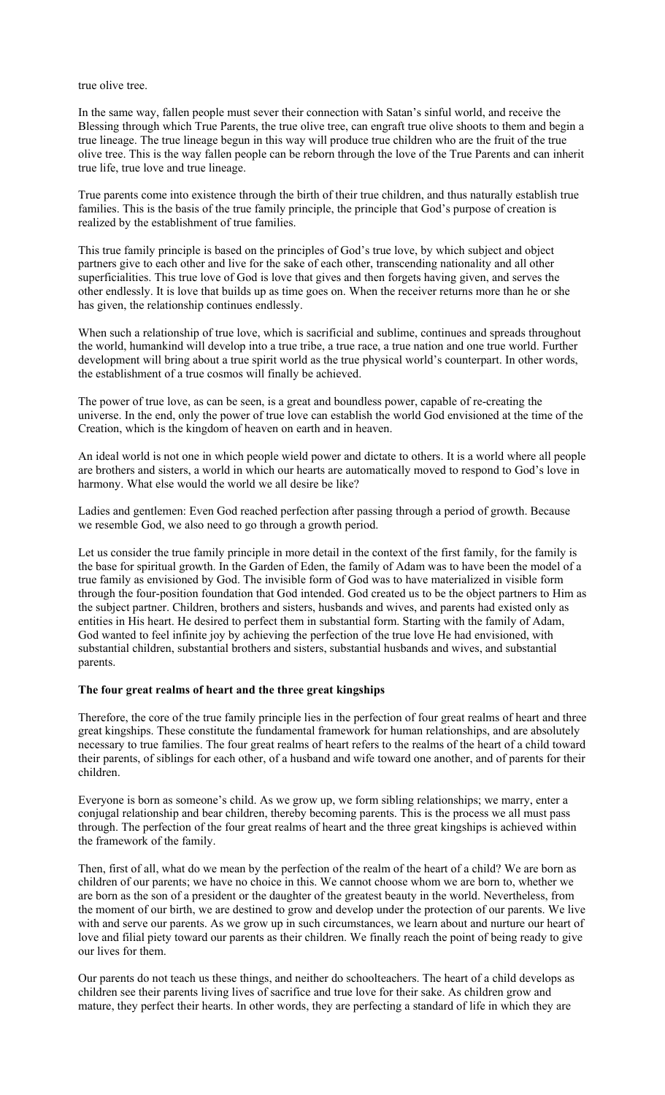true olive tree.

In the same way, fallen people must sever their connection with Satan's sinful world, and receive the Blessing through which True Parents, the true olive tree, can engraft true olive shoots to them and begin a true lineage. The true lineage begun in this way will produce true children who are the fruit of the true olive tree. This is the way fallen people can be reborn through the love of the True Parents and can inherit true life, true love and true lineage.

True parents come into existence through the birth of their true children, and thus naturally establish true families. This is the basis of the true family principle, the principle that God's purpose of creation is realized by the establishment of true families.

This true family principle is based on the principles of God's true love, by which subject and object partners give to each other and live for the sake of each other, transcending nationality and all other superficialities. This true love of God is love that gives and then forgets having given, and serves the other endlessly. It is love that builds up as time goes on. When the receiver returns more than he or she has given, the relationship continues endlessly.

When such a relationship of true love, which is sacrificial and sublime, continues and spreads throughout the world, humankind will develop into a true tribe, a true race, a true nation and one true world. Further development will bring about a true spirit world as the true physical world's counterpart. In other words, the establishment of a true cosmos will finally be achieved.

The power of true love, as can be seen, is a great and boundless power, capable of re-creating the universe. In the end, only the power of true love can establish the world God envisioned at the time of the Creation, which is the kingdom of heaven on earth and in heaven.

An ideal world is not one in which people wield power and dictate to others. It is a world where all people are brothers and sisters, a world in which our hearts are automatically moved to respond to God's love in harmony. What else would the world we all desire be like?

Ladies and gentlemen: Even God reached perfection after passing through a period of growth. Because we resemble God, we also need to go through a growth period.

Let us consider the true family principle in more detail in the context of the first family, for the family is the base for spiritual growth. In the Garden of Eden, the family of Adam was to have been the model of a true family as envisioned by God. The invisible form of God was to have materialized in visible form through the four-position foundation that God intended. God created us to be the object partners to Him as the subject partner. Children, brothers and sisters, husbands and wives, and parents had existed only as entities in His heart. He desired to perfect them in substantial form. Starting with the family of Adam, God wanted to feel infinite joy by achieving the perfection of the true love He had envisioned, with substantial children, substantial brothers and sisters, substantial husbands and wives, and substantial parents.

# **The four great realms of heart and the three great kingships**

Therefore, the core of the true family principle lies in the perfection of four great realms of heart and three great kingships. These constitute the fundamental framework for human relationships, and are absolutely necessary to true families. The four great realms of heart refers to the realms of the heart of a child toward their parents, of siblings for each other, of a husband and wife toward one another, and of parents for their children.

Everyone is born as someone's child. As we grow up, we form sibling relationships; we marry, enter a conjugal relationship and bear children, thereby becoming parents. This is the process we all must pass through. The perfection of the four great realms of heart and the three great kingships is achieved within the framework of the family.

Then, first of all, what do we mean by the perfection of the realm of the heart of a child? We are born as children of our parents; we have no choice in this. We cannot choose whom we are born to, whether we are born as the son of a president or the daughter of the greatest beauty in the world. Nevertheless, from the moment of our birth, we are destined to grow and develop under the protection of our parents. We live with and serve our parents. As we grow up in such circumstances, we learn about and nurture our heart of love and filial piety toward our parents as their children. We finally reach the point of being ready to give our lives for them.

Our parents do not teach us these things, and neither do schoolteachers. The heart of a child develops as children see their parents living lives of sacrifice and true love for their sake. As children grow and mature, they perfect their hearts. In other words, they are perfecting a standard of life in which they are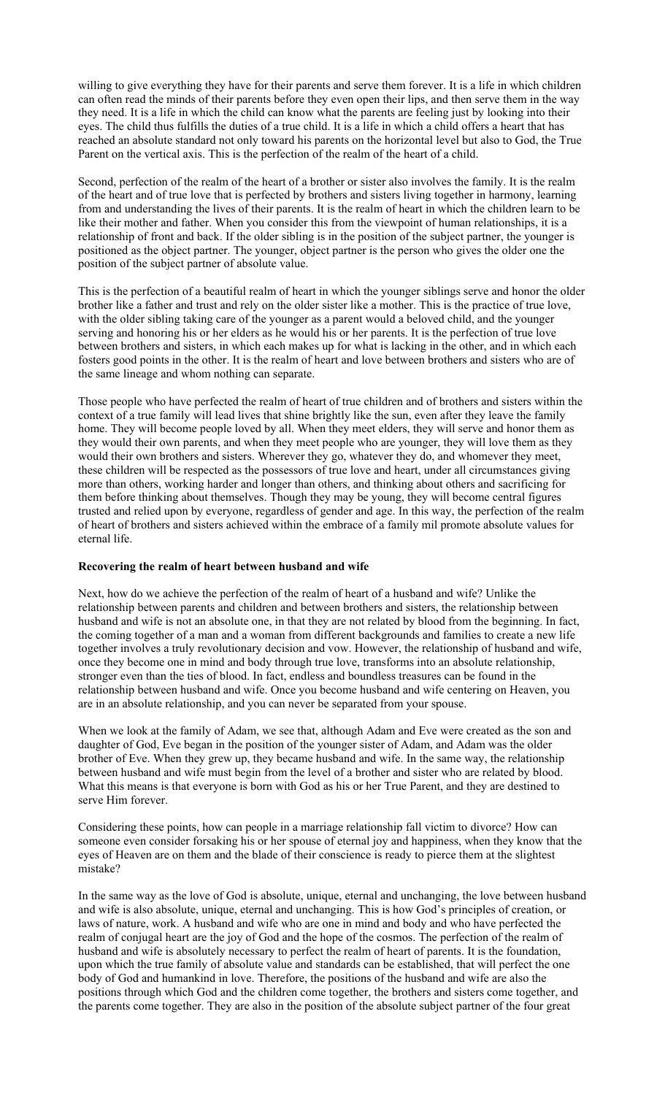willing to give everything they have for their parents and serve them forever. It is a life in which children can often read the minds of their parents before they even open their lips, and then serve them in the way they need. It is a life in which the child can know what the parents are feeling just by looking into their eyes. The child thus fulfills the duties of a true child. It is a life in which a child offers a heart that has reached an absolute standard not only toward his parents on the horizontal level but also to God, the True Parent on the vertical axis. This is the perfection of the realm of the heart of a child.

Second, perfection of the realm of the heart of a brother or sister also involves the family. It is the realm of the heart and of true love that is perfected by brothers and sisters living together in harmony, learning from and understanding the lives of their parents. It is the realm of heart in which the children learn to be like their mother and father. When you consider this from the viewpoint of human relationships, it is a relationship of front and back. If the older sibling is in the position of the subject partner, the younger is positioned as the object partner. The younger, object partner is the person who gives the older one the position of the subject partner of absolute value.

This is the perfection of a beautiful realm of heart in which the younger siblings serve and honor the older brother like a father and trust and rely on the older sister like a mother. This is the practice of true love, with the older sibling taking care of the younger as a parent would a beloved child, and the younger serving and honoring his or her elders as he would his or her parents. It is the perfection of true love between brothers and sisters, in which each makes up for what is lacking in the other, and in which each fosters good points in the other. It is the realm of heart and love between brothers and sisters who are of the same lineage and whom nothing can separate.

Those people who have perfected the realm of heart of true children and of brothers and sisters within the context of a true family will lead lives that shine brightly like the sun, even after they leave the family home. They will become people loved by all. When they meet elders, they will serve and honor them as they would their own parents, and when they meet people who are younger, they will love them as they would their own brothers and sisters. Wherever they go, whatever they do, and whomever they meet, these children will be respected as the possessors of true love and heart, under all circumstances giving more than others, working harder and longer than others, and thinking about others and sacrificing for them before thinking about themselves. Though they may be young, they will become central figures trusted and relied upon by everyone, regardless of gender and age. In this way, the perfection of the realm of heart of brothers and sisters achieved within the embrace of a family mil promote absolute values for eternal life.

#### **Recovering the realm of heart between husband and wife**

Next, how do we achieve the perfection of the realm of heart of a husband and wife? Unlike the relationship between parents and children and between brothers and sisters, the relationship between husband and wife is not an absolute one, in that they are not related by blood from the beginning. In fact, the coming together of a man and a woman from different backgrounds and families to create a new life together involves a truly revolutionary decision and vow. However, the relationship of husband and wife, once they become one in mind and body through true love, transforms into an absolute relationship, stronger even than the ties of blood. In fact, endless and boundless treasures can be found in the relationship between husband and wife. Once you become husband and wife centering on Heaven, you are in an absolute relationship, and you can never be separated from your spouse.

When we look at the family of Adam, we see that, although Adam and Eve were created as the son and daughter of God, Eve began in the position of the younger sister of Adam, and Adam was the older brother of Eve. When they grew up, they became husband and wife. In the same way, the relationship between husband and wife must begin from the level of a brother and sister who are related by blood. What this means is that everyone is born with God as his or her True Parent, and they are destined to serve Him forever.

Considering these points, how can people in a marriage relationship fall victim to divorce? How can someone even consider forsaking his or her spouse of eternal joy and happiness, when they know that the eyes of Heaven are on them and the blade of their conscience is ready to pierce them at the slightest mistake?

In the same way as the love of God is absolute, unique, eternal and unchanging, the love between husband and wife is also absolute, unique, eternal and unchanging. This is how God's principles of creation, or laws of nature, work. A husband and wife who are one in mind and body and who have perfected the realm of conjugal heart are the joy of God and the hope of the cosmos. The perfection of the realm of husband and wife is absolutely necessary to perfect the realm of heart of parents. It is the foundation, upon which the true family of absolute value and standards can be established, that will perfect the one body of God and humankind in love. Therefore, the positions of the husband and wife are also the positions through which God and the children come together, the brothers and sisters come together, and the parents come together. They are also in the position of the absolute subject partner of the four great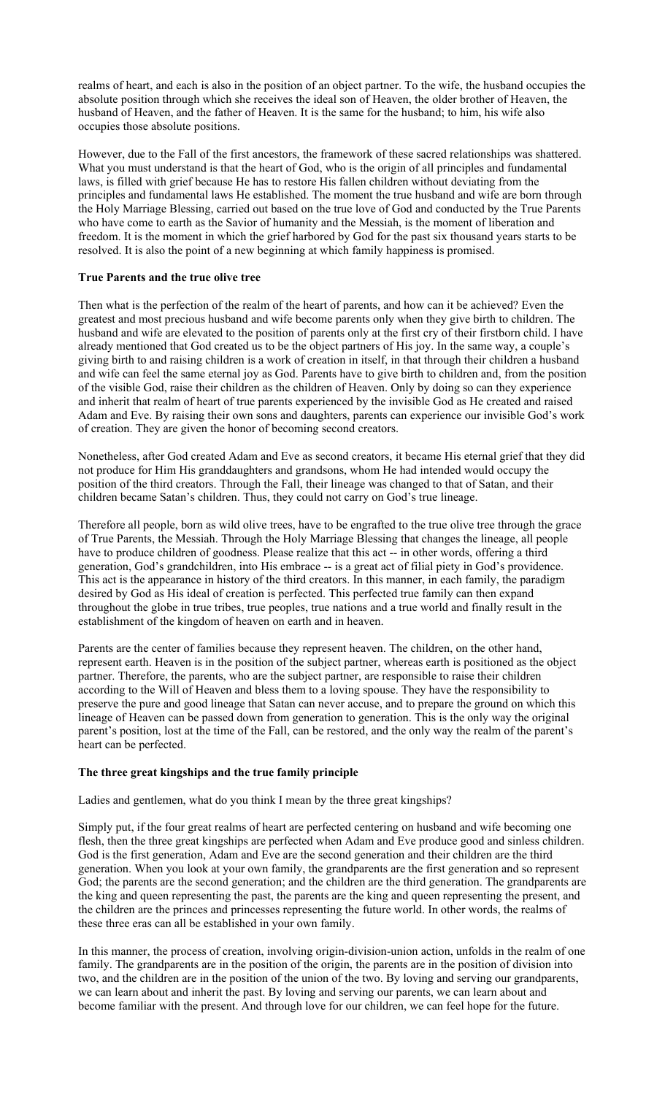realms of heart, and each is also in the position of an object partner. To the wife, the husband occupies the absolute position through which she receives the ideal son of Heaven, the older brother of Heaven, the husband of Heaven, and the father of Heaven. It is the same for the husband; to him, his wife also occupies those absolute positions.

However, due to the Fall of the first ancestors, the framework of these sacred relationships was shattered. What you must understand is that the heart of God, who is the origin of all principles and fundamental laws, is filled with grief because He has to restore His fallen children without deviating from the principles and fundamental laws He established. The moment the true husband and wife are born through the Holy Marriage Blessing, carried out based on the true love of God and conducted by the True Parents who have come to earth as the Savior of humanity and the Messiah, is the moment of liberation and freedom. It is the moment in which the grief harbored by God for the past six thousand years starts to be resolved. It is also the point of a new beginning at which family happiness is promised.

# **True Parents and the true olive tree**

Then what is the perfection of the realm of the heart of parents, and how can it be achieved? Even the greatest and most precious husband and wife become parents only when they give birth to children. The husband and wife are elevated to the position of parents only at the first cry of their firstborn child. I have already mentioned that God created us to be the object partners of His joy. In the same way, a couple's giving birth to and raising children is a work of creation in itself, in that through their children a husband and wife can feel the same eternal joy as God. Parents have to give birth to children and, from the position of the visible God, raise their children as the children of Heaven. Only by doing so can they experience and inherit that realm of heart of true parents experienced by the invisible God as He created and raised Adam and Eve. By raising their own sons and daughters, parents can experience our invisible God's work of creation. They are given the honor of becoming second creators.

Nonetheless, after God created Adam and Eve as second creators, it became His eternal grief that they did not produce for Him His granddaughters and grandsons, whom He had intended would occupy the position of the third creators. Through the Fall, their lineage was changed to that of Satan, and their children became Satan's children. Thus, they could not carry on God's true lineage.

Therefore all people, born as wild olive trees, have to be engrafted to the true olive tree through the grace of True Parents, the Messiah. Through the Holy Marriage Blessing that changes the lineage, all people have to produce children of goodness. Please realize that this act -- in other words, offering a third generation, God's grandchildren, into His embrace -- is a great act of filial piety in God's providence. This act is the appearance in history of the third creators. In this manner, in each family, the paradigm desired by God as His ideal of creation is perfected. This perfected true family can then expand throughout the globe in true tribes, true peoples, true nations and a true world and finally result in the establishment of the kingdom of heaven on earth and in heaven.

Parents are the center of families because they represent heaven. The children, on the other hand, represent earth. Heaven is in the position of the subject partner, whereas earth is positioned as the object partner. Therefore, the parents, who are the subject partner, are responsible to raise their children according to the Will of Heaven and bless them to a loving spouse. They have the responsibility to preserve the pure and good lineage that Satan can never accuse, and to prepare the ground on which this lineage of Heaven can be passed down from generation to generation. This is the only way the original parent's position, lost at the time of the Fall, can be restored, and the only way the realm of the parent's heart can be perfected.

#### **The three great kingships and the true family principle**

Ladies and gentlemen, what do you think I mean by the three great kingships?

Simply put, if the four great realms of heart are perfected centering on husband and wife becoming one flesh, then the three great kingships are perfected when Adam and Eve produce good and sinless children. God is the first generation, Adam and Eve are the second generation and their children are the third generation. When you look at your own family, the grandparents are the first generation and so represent God; the parents are the second generation; and the children are the third generation. The grandparents are the king and queen representing the past, the parents are the king and queen representing the present, and the children are the princes and princesses representing the future world. In other words, the realms of these three eras can all be established in your own family.

In this manner, the process of creation, involving origin-division-union action, unfolds in the realm of one family. The grandparents are in the position of the origin, the parents are in the position of division into two, and the children are in the position of the union of the two. By loving and serving our grandparents, we can learn about and inherit the past. By loving and serving our parents, we can learn about and become familiar with the present. And through love for our children, we can feel hope for the future.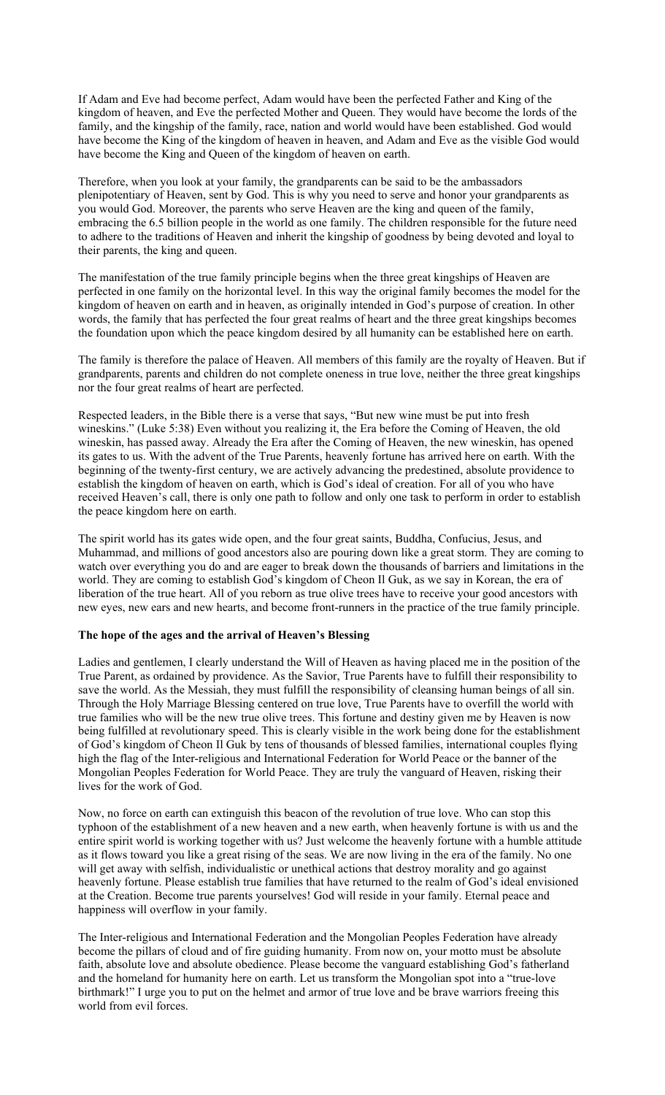If Adam and Eve had become perfect, Adam would have been the perfected Father and King of the kingdom of heaven, and Eve the perfected Mother and Queen. They would have become the lords of the family, and the kingship of the family, race, nation and world would have been established. God would have become the King of the kingdom of heaven in heaven, and Adam and Eve as the visible God would have become the King and Queen of the kingdom of heaven on earth.

Therefore, when you look at your family, the grandparents can be said to be the ambassadors plenipotentiary of Heaven, sent by God. This is why you need to serve and honor your grandparents as you would God. Moreover, the parents who serve Heaven are the king and queen of the family, embracing the 6.5 billion people in the world as one family. The children responsible for the future need to adhere to the traditions of Heaven and inherit the kingship of goodness by being devoted and loyal to their parents, the king and queen.

The manifestation of the true family principle begins when the three great kingships of Heaven are perfected in one family on the horizontal level. In this way the original family becomes the model for the kingdom of heaven on earth and in heaven, as originally intended in God's purpose of creation. In other words, the family that has perfected the four great realms of heart and the three great kingships becomes the foundation upon which the peace kingdom desired by all humanity can be established here on earth.

The family is therefore the palace of Heaven. All members of this family are the royalty of Heaven. But if grandparents, parents and children do not complete oneness in true love, neither the three great kingships nor the four great realms of heart are perfected.

Respected leaders, in the Bible there is a verse that says, "But new wine must be put into fresh wineskins." (Luke 5:38) Even without you realizing it, the Era before the Coming of Heaven, the old wineskin, has passed away. Already the Era after the Coming of Heaven, the new wineskin, has opened its gates to us. With the advent of the True Parents, heavenly fortune has arrived here on earth. With the beginning of the twenty-first century, we are actively advancing the predestined, absolute providence to establish the kingdom of heaven on earth, which is God's ideal of creation. For all of you who have received Heaven's call, there is only one path to follow and only one task to perform in order to establish the peace kingdom here on earth.

The spirit world has its gates wide open, and the four great saints, Buddha, Confucius, Jesus, and Muhammad, and millions of good ancestors also are pouring down like a great storm. They are coming to watch over everything you do and are eager to break down the thousands of barriers and limitations in the world. They are coming to establish God's kingdom of Cheon Il Guk, as we say in Korean, the era of liberation of the true heart. All of you reborn as true olive trees have to receive your good ancestors with new eyes, new ears and new hearts, and become front-runners in the practice of the true family principle.

# **The hope of the ages and the arrival of Heaven's Blessing**

Ladies and gentlemen, I clearly understand the Will of Heaven as having placed me in the position of the True Parent, as ordained by providence. As the Savior, True Parents have to fulfill their responsibility to save the world. As the Messiah, they must fulfill the responsibility of cleansing human beings of all sin. Through the Holy Marriage Blessing centered on true love, True Parents have to overfill the world with true families who will be the new true olive trees. This fortune and destiny given me by Heaven is now being fulfilled at revolutionary speed. This is clearly visible in the work being done for the establishment of God's kingdom of Cheon Il Guk by tens of thousands of blessed families, international couples flying high the flag of the Inter-religious and International Federation for World Peace or the banner of the Mongolian Peoples Federation for World Peace. They are truly the vanguard of Heaven, risking their lives for the work of God.

Now, no force on earth can extinguish this beacon of the revolution of true love. Who can stop this typhoon of the establishment of a new heaven and a new earth, when heavenly fortune is with us and the entire spirit world is working together with us? Just welcome the heavenly fortune with a humble attitude as it flows toward you like a great rising of the seas. We are now living in the era of the family. No one will get away with selfish, individualistic or unethical actions that destroy morality and go against heavenly fortune. Please establish true families that have returned to the realm of God's ideal envisioned at the Creation. Become true parents yourselves! God will reside in your family. Eternal peace and happiness will overflow in your family.

The Inter-religious and International Federation and the Mongolian Peoples Federation have already become the pillars of cloud and of fire guiding humanity. From now on, your motto must be absolute faith, absolute love and absolute obedience. Please become the vanguard establishing God's fatherland and the homeland for humanity here on earth. Let us transform the Mongolian spot into a "true-love birthmark!" I urge you to put on the helmet and armor of true love and be brave warriors freeing this world from evil forces.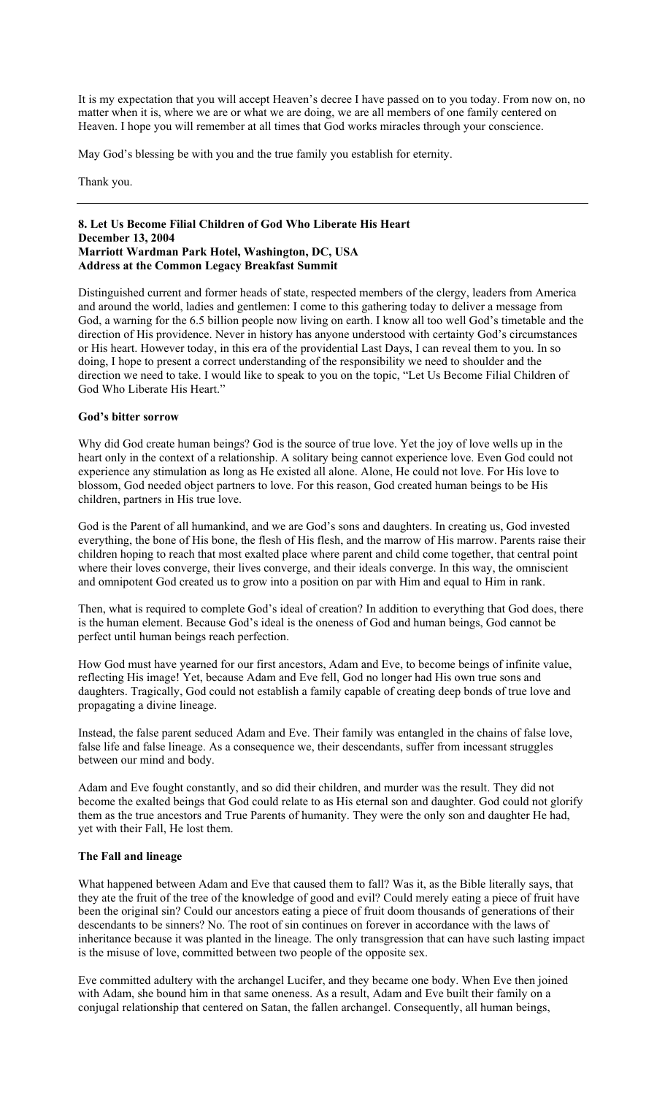It is my expectation that you will accept Heaven's decree I have passed on to you today. From now on, no matter when it is, where we are or what we are doing, we are all members of one family centered on Heaven. I hope you will remember at all times that God works miracles through your conscience.

May God's blessing be with you and the true family you establish for eternity.

Thank you.

### **8. Let Us Become Filial Children of God Who Liberate His Heart December 13, 2004 Marriott Wardman Park Hotel, Washington, DC, USA Address at the Common Legacy Breakfast Summit**

Distinguished current and former heads of state, respected members of the clergy, leaders from America and around the world, ladies and gentlemen: I come to this gathering today to deliver a message from God, a warning for the 6.5 billion people now living on earth. I know all too well God's timetable and the direction of His providence. Never in history has anyone understood with certainty God's circumstances or His heart. However today, in this era of the providential Last Days, I can reveal them to you. In so doing, I hope to present a correct understanding of the responsibility we need to shoulder and the direction we need to take. I would like to speak to you on the topic, "Let Us Become Filial Children of God Who Liberate His Heart."

### **God's bitter sorrow**

Why did God create human beings? God is the source of true love. Yet the joy of love wells up in the heart only in the context of a relationship. A solitary being cannot experience love. Even God could not experience any stimulation as long as He existed all alone. Alone, He could not love. For His love to blossom, God needed object partners to love. For this reason, God created human beings to be His children, partners in His true love.

God is the Parent of all humankind, and we are God's sons and daughters. In creating us, God invested everything, the bone of His bone, the flesh of His flesh, and the marrow of His marrow. Parents raise their children hoping to reach that most exalted place where parent and child come together, that central point where their loves converge, their lives converge, and their ideals converge. In this way, the omniscient and omnipotent God created us to grow into a position on par with Him and equal to Him in rank.

Then, what is required to complete God's ideal of creation? In addition to everything that God does, there is the human element. Because God's ideal is the oneness of God and human beings, God cannot be perfect until human beings reach perfection.

How God must have yearned for our first ancestors, Adam and Eve, to become beings of infinite value, reflecting His image! Yet, because Adam and Eve fell, God no longer had His own true sons and daughters. Tragically, God could not establish a family capable of creating deep bonds of true love and propagating a divine lineage.

Instead, the false parent seduced Adam and Eve. Their family was entangled in the chains of false love, false life and false lineage. As a consequence we, their descendants, suffer from incessant struggles between our mind and body.

Adam and Eve fought constantly, and so did their children, and murder was the result. They did not become the exalted beings that God could relate to as His eternal son and daughter. God could not glorify them as the true ancestors and True Parents of humanity. They were the only son and daughter He had, yet with their Fall, He lost them.

#### **The Fall and lineage**

What happened between Adam and Eve that caused them to fall? Was it, as the Bible literally says, that they ate the fruit of the tree of the knowledge of good and evil? Could merely eating a piece of fruit have been the original sin? Could our ancestors eating a piece of fruit doom thousands of generations of their descendants to be sinners? No. The root of sin continues on forever in accordance with the laws of inheritance because it was planted in the lineage. The only transgression that can have such lasting impact is the misuse of love, committed between two people of the opposite sex.

Eve committed adultery with the archangel Lucifer, and they became one body. When Eve then joined with Adam, she bound him in that same oneness. As a result, Adam and Eve built their family on a conjugal relationship that centered on Satan, the fallen archangel. Consequently, all human beings,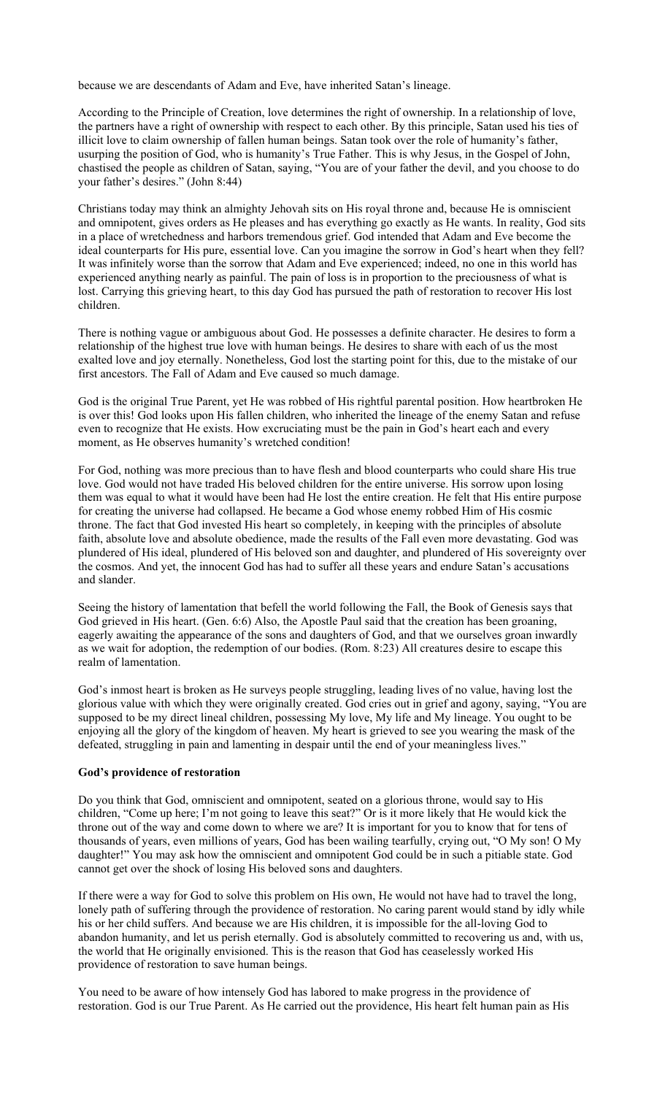because we are descendants of Adam and Eve, have inherited Satan's lineage.

According to the Principle of Creation, love determines the right of ownership. In a relationship of love, the partners have a right of ownership with respect to each other. By this principle, Satan used his ties of illicit love to claim ownership of fallen human beings. Satan took over the role of humanity's father, usurping the position of God, who is humanity's True Father. This is why Jesus, in the Gospel of John, chastised the people as children of Satan, saying, "You are of your father the devil, and you choose to do your father's desires." (John 8:44)

Christians today may think an almighty Jehovah sits on His royal throne and, because He is omniscient and omnipotent, gives orders as He pleases and has everything go exactly as He wants. In reality, God sits in a place of wretchedness and harbors tremendous grief. God intended that Adam and Eve become the ideal counterparts for His pure, essential love. Can you imagine the sorrow in God's heart when they fell? It was infinitely worse than the sorrow that Adam and Eve experienced; indeed, no one in this world has experienced anything nearly as painful. The pain of loss is in proportion to the preciousness of what is lost. Carrying this grieving heart, to this day God has pursued the path of restoration to recover His lost children.

There is nothing vague or ambiguous about God. He possesses a definite character. He desires to form a relationship of the highest true love with human beings. He desires to share with each of us the most exalted love and joy eternally. Nonetheless, God lost the starting point for this, due to the mistake of our first ancestors. The Fall of Adam and Eve caused so much damage.

God is the original True Parent, yet He was robbed of His rightful parental position. How heartbroken He is over this! God looks upon His fallen children, who inherited the lineage of the enemy Satan and refuse even to recognize that He exists. How excruciating must be the pain in God's heart each and every moment, as He observes humanity's wretched condition!

For God, nothing was more precious than to have flesh and blood counterparts who could share His true love. God would not have traded His beloved children for the entire universe. His sorrow upon losing them was equal to what it would have been had He lost the entire creation. He felt that His entire purpose for creating the universe had collapsed. He became a God whose enemy robbed Him of His cosmic throne. The fact that God invested His heart so completely, in keeping with the principles of absolute faith, absolute love and absolute obedience, made the results of the Fall even more devastating. God was plundered of His ideal, plundered of His beloved son and daughter, and plundered of His sovereignty over the cosmos. And yet, the innocent God has had to suffer all these years and endure Satan's accusations and slander.

Seeing the history of lamentation that befell the world following the Fall, the Book of Genesis says that God grieved in His heart. (Gen. 6:6) Also, the Apostle Paul said that the creation has been groaning, eagerly awaiting the appearance of the sons and daughters of God, and that we ourselves groan inwardly as we wait for adoption, the redemption of our bodies. (Rom. 8:23) All creatures desire to escape this realm of lamentation.

God's inmost heart is broken as He surveys people struggling, leading lives of no value, having lost the glorious value with which they were originally created. God cries out in grief and agony, saying, "You are supposed to be my direct lineal children, possessing My love, My life and My lineage. You ought to be enjoying all the glory of the kingdom of heaven. My heart is grieved to see you wearing the mask of the defeated, struggling in pain and lamenting in despair until the end of your meaningless lives."

# **God's providence of restoration**

Do you think that God, omniscient and omnipotent, seated on a glorious throne, would say to His children, "Come up here; I'm not going to leave this seat?" Or is it more likely that He would kick the throne out of the way and come down to where we are? It is important for you to know that for tens of thousands of years, even millions of years, God has been wailing tearfully, crying out, "O My son! O My daughter!" You may ask how the omniscient and omnipotent God could be in such a pitiable state. God cannot get over the shock of losing His beloved sons and daughters.

If there were a way for God to solve this problem on His own, He would not have had to travel the long, lonely path of suffering through the providence of restoration. No caring parent would stand by idly while his or her child suffers. And because we are His children, it is impossible for the all-loving God to abandon humanity, and let us perish eternally. God is absolutely committed to recovering us and, with us, the world that He originally envisioned. This is the reason that God has ceaselessly worked His providence of restoration to save human beings.

You need to be aware of how intensely God has labored to make progress in the providence of restoration. God is our True Parent. As He carried out the providence, His heart felt human pain as His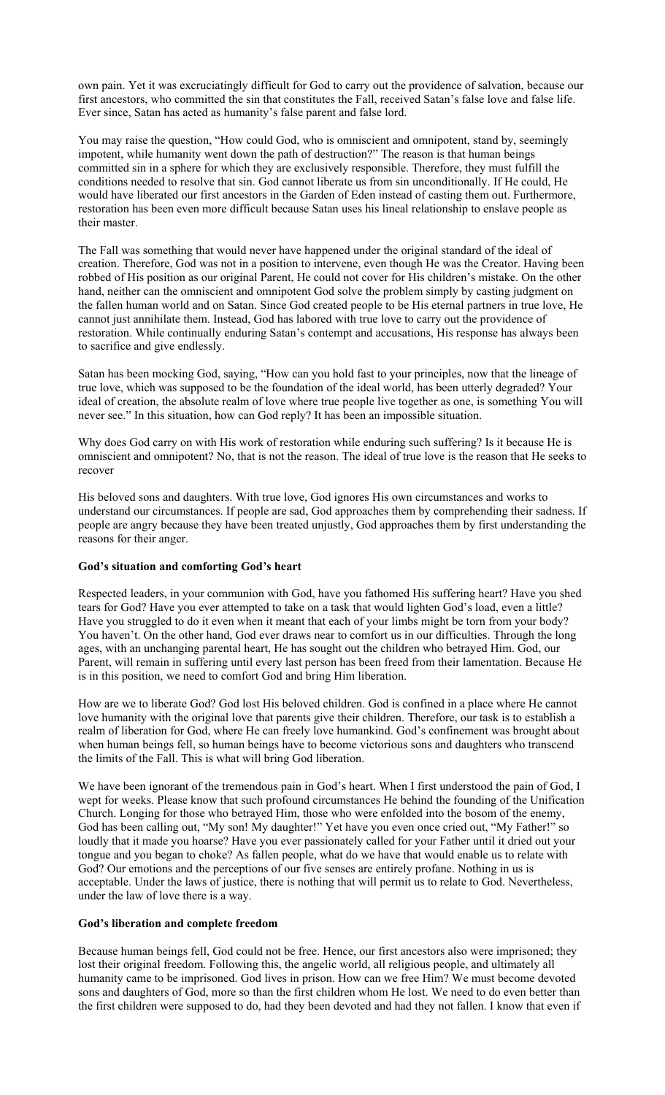own pain. Yet it was excruciatingly difficult for God to carry out the providence of salvation, because our first ancestors, who committed the sin that constitutes the Fall, received Satan's false love and false life. Ever since, Satan has acted as humanity's false parent and false lord.

You may raise the question, "How could God, who is omniscient and omnipotent, stand by, seemingly impotent, while humanity went down the path of destruction?" The reason is that human beings committed sin in a sphere for which they are exclusively responsible. Therefore, they must fulfill the conditions needed to resolve that sin. God cannot liberate us from sin unconditionally. If He could, He would have liberated our first ancestors in the Garden of Eden instead of casting them out. Furthermore, restoration has been even more difficult because Satan uses his lineal relationship to enslave people as their master.

The Fall was something that would never have happened under the original standard of the ideal of creation. Therefore, God was not in a position to intervene, even though He was the Creator. Having been robbed of His position as our original Parent, He could not cover for His children's mistake. On the other hand, neither can the omniscient and omnipotent God solve the problem simply by casting judgment on the fallen human world and on Satan. Since God created people to be His eternal partners in true love, He cannot just annihilate them. Instead, God has labored with true love to carry out the providence of restoration. While continually enduring Satan's contempt and accusations, His response has always been to sacrifice and give endlessly.

Satan has been mocking God, saying, "How can you hold fast to your principles, now that the lineage of true love, which was supposed to be the foundation of the ideal world, has been utterly degraded? Your ideal of creation, the absolute realm of love where true people live together as one, is something You will never see." In this situation, how can God reply? It has been an impossible situation.

Why does God carry on with His work of restoration while enduring such suffering? Is it because He is omniscient and omnipotent? No, that is not the reason. The ideal of true love is the reason that He seeks to recover

His beloved sons and daughters. With true love, God ignores His own circumstances and works to understand our circumstances. If people are sad, God approaches them by comprehending their sadness. If people are angry because they have been treated unjustly, God approaches them by first understanding the reasons for their anger.

# **God's situation and comforting God's heart**

Respected leaders, in your communion with God, have you fathomed His suffering heart? Have you shed tears for God? Have you ever attempted to take on a task that would lighten God's load, even a little? Have you struggled to do it even when it meant that each of your limbs might be torn from your body? You haven't. On the other hand, God ever draws near to comfort us in our difficulties. Through the long ages, with an unchanging parental heart, He has sought out the children who betrayed Him. God, our Parent, will remain in suffering until every last person has been freed from their lamentation. Because He is in this position, we need to comfort God and bring Him liberation.

How are we to liberate God? God lost His beloved children. God is confined in a place where He cannot love humanity with the original love that parents give their children. Therefore, our task is to establish a realm of liberation for God, where He can freely love humankind. God's confinement was brought about when human beings fell, so human beings have to become victorious sons and daughters who transcend the limits of the Fall. This is what will bring God liberation.

We have been ignorant of the tremendous pain in God's heart. When I first understood the pain of God, I wept for weeks. Please know that such profound circumstances He behind the founding of the Unification Church. Longing for those who betrayed Him, those who were enfolded into the bosom of the enemy, God has been calling out, "My son! My daughter!" Yet have you even once cried out, "My Father!" so loudly that it made you hoarse? Have you ever passionately called for your Father until it dried out your tongue and you began to choke? As fallen people, what do we have that would enable us to relate with God? Our emotions and the perceptions of our five senses are entirely profane. Nothing in us is acceptable. Under the laws of justice, there is nothing that will permit us to relate to God. Nevertheless, under the law of love there is a way.

# **God's liberation and complete freedom**

Because human beings fell, God could not be free. Hence, our first ancestors also were imprisoned; they lost their original freedom. Following this, the angelic world, all religious people, and ultimately all humanity came to be imprisoned. God lives in prison. How can we free Him? We must become devoted sons and daughters of God, more so than the first children whom He lost. We need to do even better than the first children were supposed to do, had they been devoted and had they not fallen. I know that even if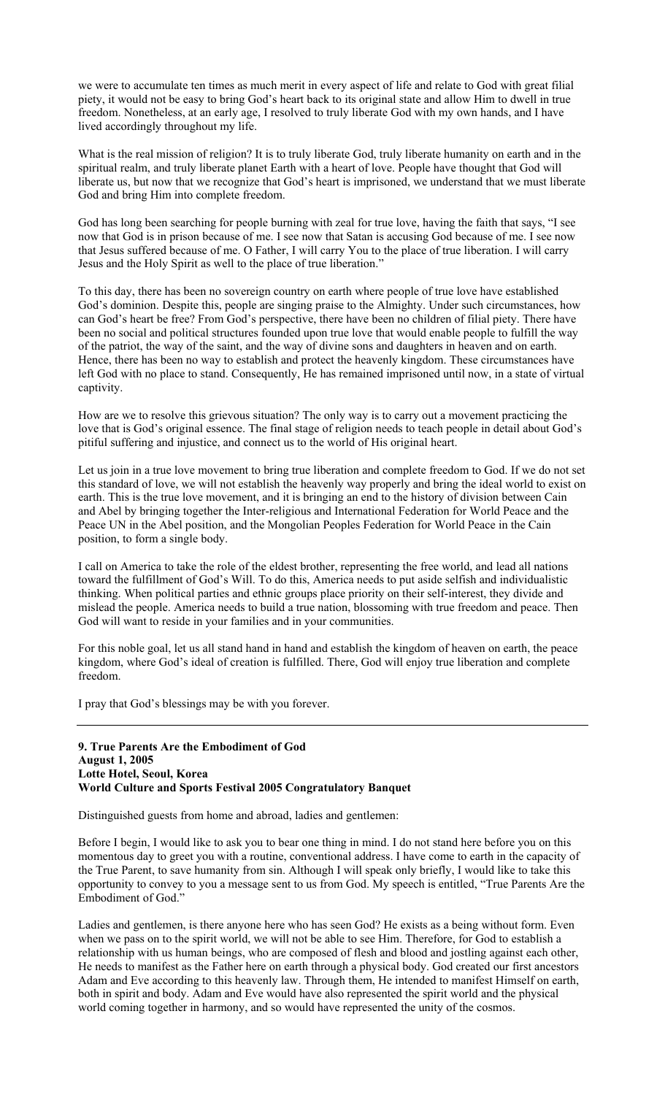we were to accumulate ten times as much merit in every aspect of life and relate to God with great filial piety, it would not be easy to bring God's heart back to its original state and allow Him to dwell in true freedom. Nonetheless, at an early age, I resolved to truly liberate God with my own hands, and I have lived accordingly throughout my life.

What is the real mission of religion? It is to truly liberate God, truly liberate humanity on earth and in the spiritual realm, and truly liberate planet Earth with a heart of love. People have thought that God will liberate us, but now that we recognize that God's heart is imprisoned, we understand that we must liberate God and bring Him into complete freedom.

God has long been searching for people burning with zeal for true love, having the faith that says, "I see now that God is in prison because of me. I see now that Satan is accusing God because of me. I see now that Jesus suffered because of me. O Father, I will carry You to the place of true liberation. I will carry Jesus and the Holy Spirit as well to the place of true liberation."

To this day, there has been no sovereign country on earth where people of true love have established God's dominion. Despite this, people are singing praise to the Almighty. Under such circumstances, how can God's heart be free? From God's perspective, there have been no children of filial piety. There have been no social and political structures founded upon true love that would enable people to fulfill the way of the patriot, the way of the saint, and the way of divine sons and daughters in heaven and on earth. Hence, there has been no way to establish and protect the heavenly kingdom. These circumstances have left God with no place to stand. Consequently, He has remained imprisoned until now, in a state of virtual captivity.

How are we to resolve this grievous situation? The only way is to carry out a movement practicing the love that is God's original essence. The final stage of religion needs to teach people in detail about God's pitiful suffering and injustice, and connect us to the world of His original heart.

Let us join in a true love movement to bring true liberation and complete freedom to God. If we do not set this standard of love, we will not establish the heavenly way properly and bring the ideal world to exist on earth. This is the true love movement, and it is bringing an end to the history of division between Cain and Abel by bringing together the Inter-religious and International Federation for World Peace and the Peace UN in the Abel position, and the Mongolian Peoples Federation for World Peace in the Cain position, to form a single body.

I call on America to take the role of the eldest brother, representing the free world, and lead all nations toward the fulfillment of God's Will. To do this, America needs to put aside selfish and individualistic thinking. When political parties and ethnic groups place priority on their self-interest, they divide and mislead the people. America needs to build a true nation, blossoming with true freedom and peace. Then God will want to reside in your families and in your communities.

For this noble goal, let us all stand hand in hand and establish the kingdom of heaven on earth, the peace kingdom, where God's ideal of creation is fulfilled. There, God will enjoy true liberation and complete freedom.

I pray that God's blessings may be with you forever.

### **9. True Parents Are the Embodiment of God August 1, 2005 Lotte Hotel, Seoul, Korea World Culture and Sports Festival 2005 Congratulatory Banquet**

Distinguished guests from home and abroad, ladies and gentlemen:

Before I begin, I would like to ask you to bear one thing in mind. I do not stand here before you on this momentous day to greet you with a routine, conventional address. I have come to earth in the capacity of the True Parent, to save humanity from sin. Although I will speak only briefly, I would like to take this opportunity to convey to you a message sent to us from God. My speech is entitled, "True Parents Are the Embodiment of God."

Ladies and gentlemen, is there anyone here who has seen God? He exists as a being without form. Even when we pass on to the spirit world, we will not be able to see Him. Therefore, for God to establish a relationship with us human beings, who are composed of flesh and blood and jostling against each other, He needs to manifest as the Father here on earth through a physical body. God created our first ancestors Adam and Eve according to this heavenly law. Through them, He intended to manifest Himself on earth, both in spirit and body. Adam and Eve would have also represented the spirit world and the physical world coming together in harmony, and so would have represented the unity of the cosmos.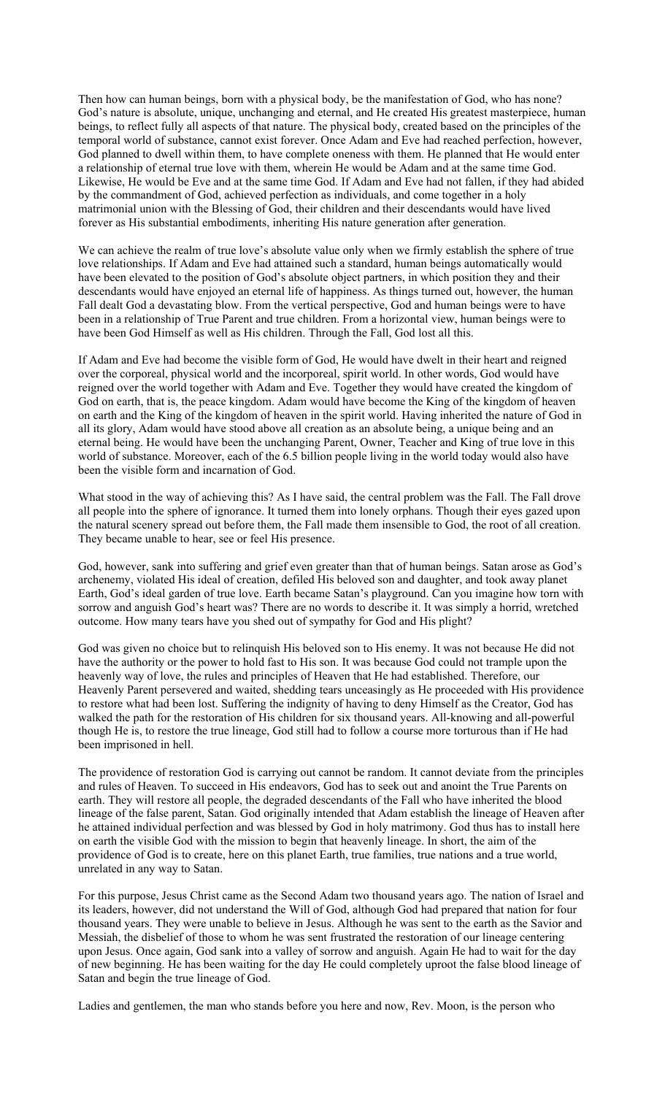Then how can human beings, born with a physical body, be the manifestation of God, who has none? God's nature is absolute, unique, unchanging and eternal, and He created His greatest masterpiece, human beings, to reflect fully all aspects of that nature. The physical body, created based on the principles of the temporal world of substance, cannot exist forever. Once Adam and Eve had reached perfection, however, God planned to dwell within them, to have complete oneness with them. He planned that He would enter a relationship of eternal true love with them, wherein He would be Adam and at the same time God. Likewise, He would be Eve and at the same time God. If Adam and Eve had not fallen, if they had abided by the commandment of God, achieved perfection as individuals, and come together in a holy matrimonial union with the Blessing of God, their children and their descendants would have lived forever as His substantial embodiments, inheriting His nature generation after generation.

We can achieve the realm of true love's absolute value only when we firmly establish the sphere of true love relationships. If Adam and Eve had attained such a standard, human beings automatically would have been elevated to the position of God's absolute object partners, in which position they and their descendants would have enjoyed an eternal life of happiness. As things turned out, however, the human Fall dealt God a devastating blow. From the vertical perspective, God and human beings were to have been in a relationship of True Parent and true children. From a horizontal view, human beings were to have been God Himself as well as His children. Through the Fall, God lost all this.

If Adam and Eve had become the visible form of God, He would have dwelt in their heart and reigned over the corporeal, physical world and the incorporeal, spirit world. In other words, God would have reigned over the world together with Adam and Eve. Together they would have created the kingdom of God on earth, that is, the peace kingdom. Adam would have become the King of the kingdom of heaven on earth and the King of the kingdom of heaven in the spirit world. Having inherited the nature of God in all its glory, Adam would have stood above all creation as an absolute being, a unique being and an eternal being. He would have been the unchanging Parent, Owner, Teacher and King of true love in this world of substance. Moreover, each of the 6.5 billion people living in the world today would also have been the visible form and incarnation of God.

What stood in the way of achieving this? As I have said, the central problem was the Fall. The Fall drove all people into the sphere of ignorance. It turned them into lonely orphans. Though their eyes gazed upon the natural scenery spread out before them, the Fall made them insensible to God, the root of all creation. They became unable to hear, see or feel His presence.

God, however, sank into suffering and grief even greater than that of human beings. Satan arose as God's archenemy, violated His ideal of creation, defiled His beloved son and daughter, and took away planet Earth, God's ideal garden of true love. Earth became Satan's playground. Can you imagine how torn with sorrow and anguish God's heart was? There are no words to describe it. It was simply a horrid, wretched outcome. How many tears have you shed out of sympathy for God and His plight?

God was given no choice but to relinquish His beloved son to His enemy. It was not because He did not have the authority or the power to hold fast to His son. It was because God could not trample upon the heavenly way of love, the rules and principles of Heaven that He had established. Therefore, our Heavenly Parent persevered and waited, shedding tears unceasingly as He proceeded with His providence to restore what had been lost. Suffering the indignity of having to deny Himself as the Creator, God has walked the path for the restoration of His children for six thousand years. All-knowing and all-powerful though He is, to restore the true lineage, God still had to follow a course more torturous than if He had been imprisoned in hell.

The providence of restoration God is carrying out cannot be random. It cannot deviate from the principles and rules of Heaven. To succeed in His endeavors, God has to seek out and anoint the True Parents on earth. They will restore all people, the degraded descendants of the Fall who have inherited the blood lineage of the false parent, Satan. God originally intended that Adam establish the lineage of Heaven after he attained individual perfection and was blessed by God in holy matrimony. God thus has to install here on earth the visible God with the mission to begin that heavenly lineage. In short, the aim of the providence of God is to create, here on this planet Earth, true families, true nations and a true world, unrelated in any way to Satan.

For this purpose, Jesus Christ came as the Second Adam two thousand years ago. The nation of Israel and its leaders, however, did not understand the Will of God, although God had prepared that nation for four thousand years. They were unable to believe in Jesus. Although he was sent to the earth as the Savior and Messiah, the disbelief of those to whom he was sent frustrated the restoration of our lineage centering upon Jesus. Once again, God sank into a valley of sorrow and anguish. Again He had to wait for the day of new beginning. He has been waiting for the day He could completely uproot the false blood lineage of Satan and begin the true lineage of God.

Ladies and gentlemen, the man who stands before you here and now, Rev. Moon, is the person who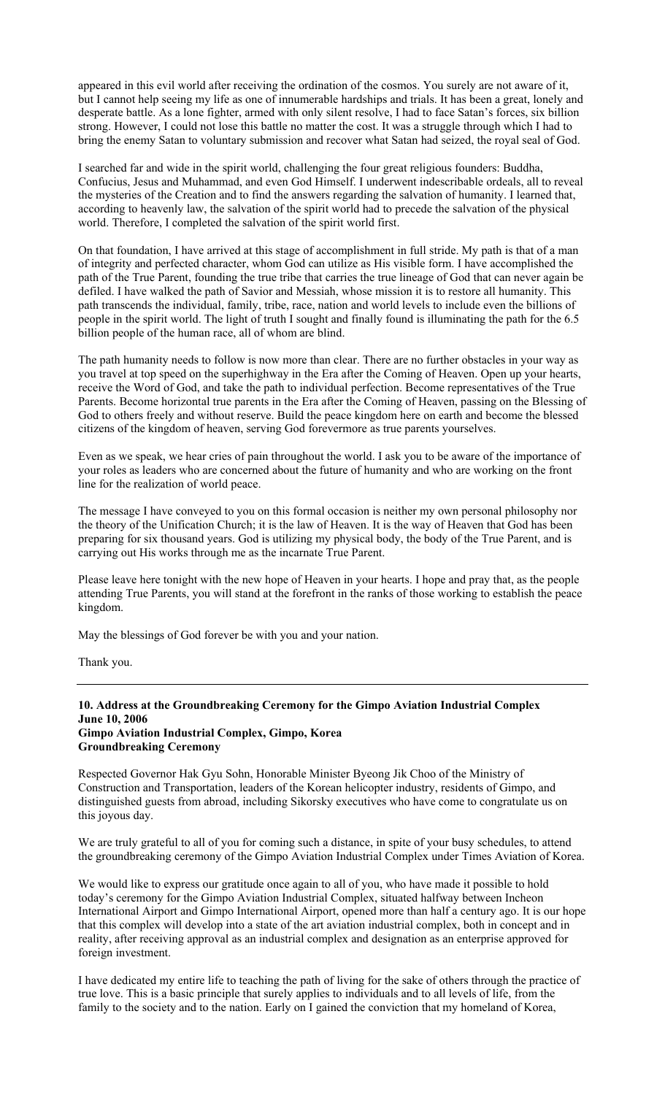appeared in this evil world after receiving the ordination of the cosmos. You surely are not aware of it, but I cannot help seeing my life as one of innumerable hardships and trials. It has been a great, lonely and desperate battle. As a lone fighter, armed with only silent resolve, I had to face Satan's forces, six billion strong. However, I could not lose this battle no matter the cost. It was a struggle through which I had to bring the enemy Satan to voluntary submission and recover what Satan had seized, the royal seal of God.

I searched far and wide in the spirit world, challenging the four great religious founders: Buddha, Confucius, Jesus and Muhammad, and even God Himself. I underwent indescribable ordeals, all to reveal the mysteries of the Creation and to find the answers regarding the salvation of humanity. I learned that, according to heavenly law, the salvation of the spirit world had to precede the salvation of the physical world. Therefore, I completed the salvation of the spirit world first.

On that foundation, I have arrived at this stage of accomplishment in full stride. My path is that of a man of integrity and perfected character, whom God can utilize as His visible form. I have accomplished the path of the True Parent, founding the true tribe that carries the true lineage of God that can never again be defiled. I have walked the path of Savior and Messiah, whose mission it is to restore all humanity. This path transcends the individual, family, tribe, race, nation and world levels to include even the billions of people in the spirit world. The light of truth I sought and finally found is illuminating the path for the 6.5 billion people of the human race, all of whom are blind.

The path humanity needs to follow is now more than clear. There are no further obstacles in your way as you travel at top speed on the superhighway in the Era after the Coming of Heaven. Open up your hearts, receive the Word of God, and take the path to individual perfection. Become representatives of the True Parents. Become horizontal true parents in the Era after the Coming of Heaven, passing on the Blessing of God to others freely and without reserve. Build the peace kingdom here on earth and become the blessed citizens of the kingdom of heaven, serving God forevermore as true parents yourselves.

Even as we speak, we hear cries of pain throughout the world. I ask you to be aware of the importance of your roles as leaders who are concerned about the future of humanity and who are working on the front line for the realization of world peace.

The message I have conveyed to you on this formal occasion is neither my own personal philosophy nor the theory of the Unification Church; it is the law of Heaven. It is the way of Heaven that God has been preparing for six thousand years. God is utilizing my physical body, the body of the True Parent, and is carrying out His works through me as the incarnate True Parent.

Please leave here tonight with the new hope of Heaven in your hearts. I hope and pray that, as the people attending True Parents, you will stand at the forefront in the ranks of those working to establish the peace kingdom.

May the blessings of God forever be with you and your nation.

Thank you.

### **10. Address at the Groundbreaking Ceremony for the Gimpo Aviation Industrial Complex June 10, 2006 Gimpo Aviation Industrial Complex, Gimpo, Korea Groundbreaking Ceremony**

Respected Governor Hak Gyu Sohn, Honorable Minister Byeong Jik Choo of the Ministry of Construction and Transportation, leaders of the Korean helicopter industry, residents of Gimpo, and distinguished guests from abroad, including Sikorsky executives who have come to congratulate us on this joyous day.

We are truly grateful to all of you for coming such a distance, in spite of your busy schedules, to attend the groundbreaking ceremony of the Gimpo Aviation Industrial Complex under Times Aviation of Korea.

We would like to express our gratitude once again to all of you, who have made it possible to hold today's ceremony for the Gimpo Aviation Industrial Complex, situated halfway between Incheon International Airport and Gimpo International Airport, opened more than half a century ago. It is our hope that this complex will develop into a state of the art aviation industrial complex, both in concept and in reality, after receiving approval as an industrial complex and designation as an enterprise approved for foreign investment.

I have dedicated my entire life to teaching the path of living for the sake of others through the practice of true love. This is a basic principle that surely applies to individuals and to all levels of life, from the family to the society and to the nation. Early on I gained the conviction that my homeland of Korea,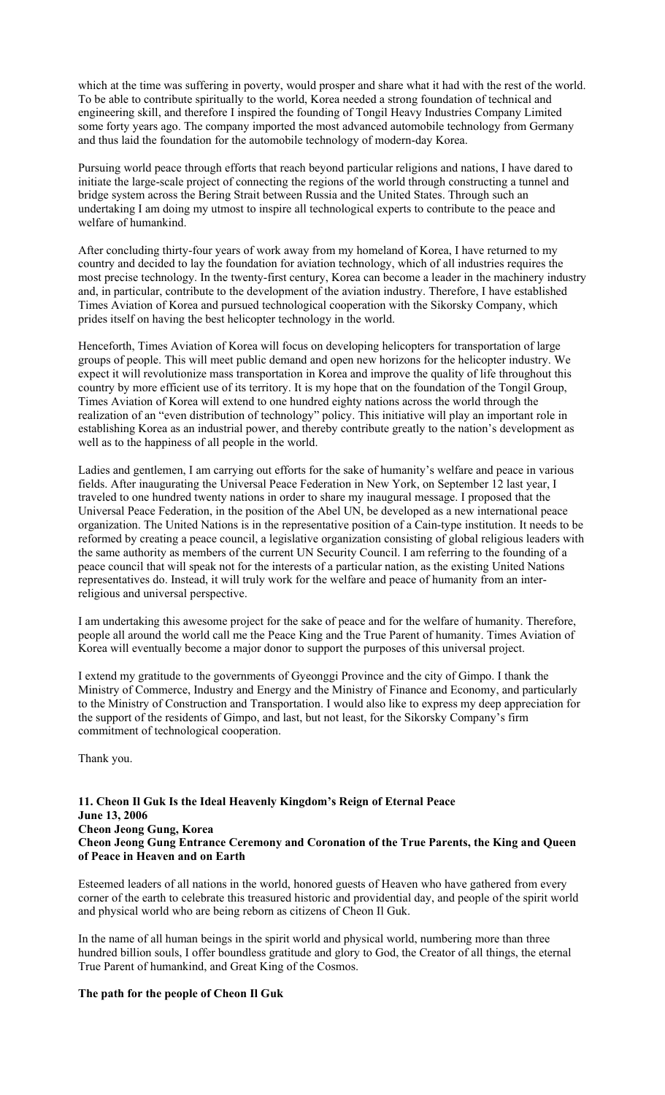which at the time was suffering in poverty, would prosper and share what it had with the rest of the world. To be able to contribute spiritually to the world, Korea needed a strong foundation of technical and engineering skill, and therefore I inspired the founding of Tongil Heavy Industries Company Limited some forty years ago. The company imported the most advanced automobile technology from Germany and thus laid the foundation for the automobile technology of modern-day Korea.

Pursuing world peace through efforts that reach beyond particular religions and nations, I have dared to initiate the large-scale project of connecting the regions of the world through constructing a tunnel and bridge system across the Bering Strait between Russia and the United States. Through such an undertaking I am doing my utmost to inspire all technological experts to contribute to the peace and welfare of humankind.

After concluding thirty-four years of work away from my homeland of Korea, I have returned to my country and decided to lay the foundation for aviation technology, which of all industries requires the most precise technology. In the twenty-first century, Korea can become a leader in the machinery industry and, in particular, contribute to the development of the aviation industry. Therefore, I have established Times Aviation of Korea and pursued technological cooperation with the Sikorsky Company, which prides itself on having the best helicopter technology in the world.

Henceforth, Times Aviation of Korea will focus on developing helicopters for transportation of large groups of people. This will meet public demand and open new horizons for the helicopter industry. We expect it will revolutionize mass transportation in Korea and improve the quality of life throughout this country by more efficient use of its territory. It is my hope that on the foundation of the Tongil Group, Times Aviation of Korea will extend to one hundred eighty nations across the world through the realization of an "even distribution of technology" policy. This initiative will play an important role in establishing Korea as an industrial power, and thereby contribute greatly to the nation's development as well as to the happiness of all people in the world.

Ladies and gentlemen, I am carrying out efforts for the sake of humanity's welfare and peace in various fields. After inaugurating the Universal Peace Federation in New York, on September 12 last year, I traveled to one hundred twenty nations in order to share my inaugural message. I proposed that the Universal Peace Federation, in the position of the Abel UN, be developed as a new international peace organization. The United Nations is in the representative position of a Cain-type institution. It needs to be reformed by creating a peace council, a legislative organization consisting of global religious leaders with the same authority as members of the current UN Security Council. I am referring to the founding of a peace council that will speak not for the interests of a particular nation, as the existing United Nations representatives do. Instead, it will truly work for the welfare and peace of humanity from an interreligious and universal perspective.

I am undertaking this awesome project for the sake of peace and for the welfare of humanity. Therefore, people all around the world call me the Peace King and the True Parent of humanity. Times Aviation of Korea will eventually become a major donor to support the purposes of this universal project.

I extend my gratitude to the governments of Gyeonggi Province and the city of Gimpo. I thank the Ministry of Commerce, Industry and Energy and the Ministry of Finance and Economy, and particularly to the Ministry of Construction and Transportation. I would also like to express my deep appreciation for the support of the residents of Gimpo, and last, but not least, for the Sikorsky Company's firm commitment of technological cooperation.

Thank you.

# **11. Cheon Il Guk Is the Ideal Heavenly Kingdom's Reign of Eternal Peace June 13, 2006 Cheon Jeong Gung, Korea Cheon Jeong Gung Entrance Ceremony and Coronation of the True Parents, the King and Queen of Peace in Heaven and on Earth**

Esteemed leaders of all nations in the world, honored guests of Heaven who have gathered from every corner of the earth to celebrate this treasured historic and providential day, and people of the spirit world and physical world who are being reborn as citizens of Cheon Il Guk.

In the name of all human beings in the spirit world and physical world, numbering more than three hundred billion souls, I offer boundless gratitude and glory to God, the Creator of all things, the eternal True Parent of humankind, and Great King of the Cosmos.

# **The path for the people of Cheon Il Guk**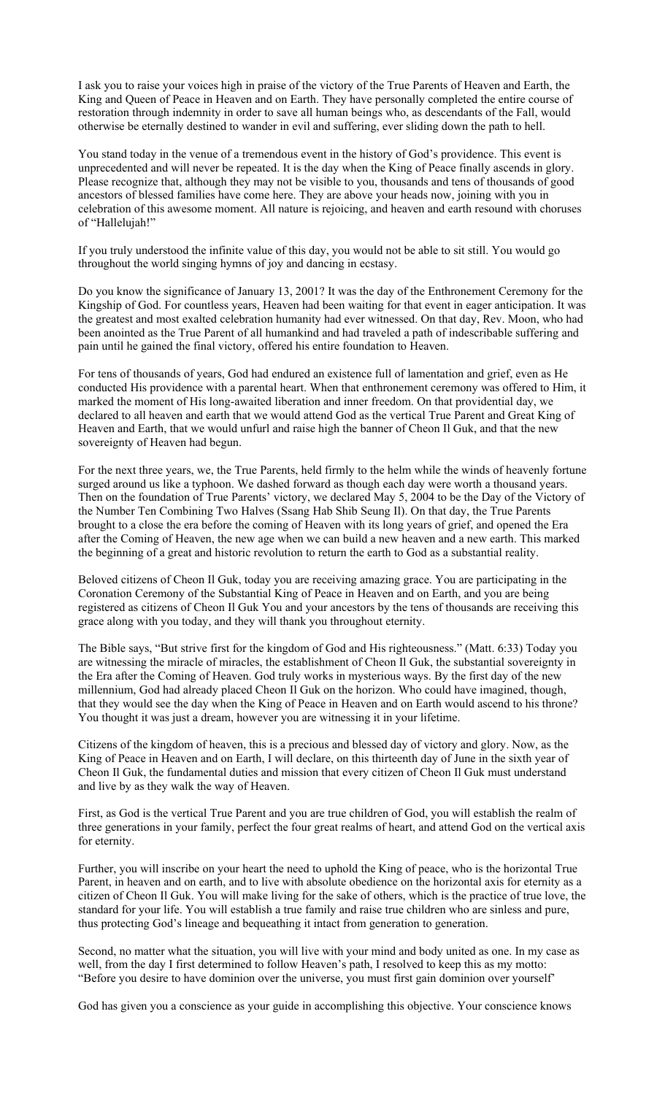I ask you to raise your voices high in praise of the victory of the True Parents of Heaven and Earth, the King and Queen of Peace in Heaven and on Earth. They have personally completed the entire course of restoration through indemnity in order to save all human beings who, as descendants of the Fall, would otherwise be eternally destined to wander in evil and suffering, ever sliding down the path to hell.

You stand today in the venue of a tremendous event in the history of God's providence. This event is unprecedented and will never be repeated. It is the day when the King of Peace finally ascends in glory. Please recognize that, although they may not be visible to you, thousands and tens of thousands of good ancestors of blessed families have come here. They are above your heads now, joining with you in celebration of this awesome moment. All nature is rejoicing, and heaven and earth resound with choruses of "Hallelujah!"

If you truly understood the infinite value of this day, you would not be able to sit still. You would go throughout the world singing hymns of joy and dancing in ecstasy.

Do you know the significance of January 13, 2001? It was the day of the Enthronement Ceremony for the Kingship of God. For countless years, Heaven had been waiting for that event in eager anticipation. It was the greatest and most exalted celebration humanity had ever witnessed. On that day, Rev. Moon, who had been anointed as the True Parent of all humankind and had traveled a path of indescribable suffering and pain until he gained the final victory, offered his entire foundation to Heaven.

For tens of thousands of years, God had endured an existence full of lamentation and grief, even as He conducted His providence with a parental heart. When that enthronement ceremony was offered to Him, it marked the moment of His long-awaited liberation and inner freedom. On that providential day, we declared to all heaven and earth that we would attend God as the vertical True Parent and Great King of Heaven and Earth, that we would unfurl and raise high the banner of Cheon Il Guk, and that the new sovereignty of Heaven had begun.

For the next three years, we, the True Parents, held firmly to the helm while the winds of heavenly fortune surged around us like a typhoon. We dashed forward as though each day were worth a thousand years. Then on the foundation of True Parents' victory, we declared May 5, 2004 to be the Day of the Victory of the Number Ten Combining Two Halves (Ssang Hab Shib Seung Il). On that day, the True Parents brought to a close the era before the coming of Heaven with its long years of grief, and opened the Era after the Coming of Heaven, the new age when we can build a new heaven and a new earth. This marked the beginning of a great and historic revolution to return the earth to God as a substantial reality.

Beloved citizens of Cheon Il Guk, today you are receiving amazing grace. You are participating in the Coronation Ceremony of the Substantial King of Peace in Heaven and on Earth, and you are being registered as citizens of Cheon Il Guk You and your ancestors by the tens of thousands are receiving this grace along with you today, and they will thank you throughout eternity.

The Bible says, "But strive first for the kingdom of God and His righteousness." (Matt. 6:33) Today you are witnessing the miracle of miracles, the establishment of Cheon Il Guk, the substantial sovereignty in the Era after the Coming of Heaven. God truly works in mysterious ways. By the first day of the new millennium, God had already placed Cheon Il Guk on the horizon. Who could have imagined, though, that they would see the day when the King of Peace in Heaven and on Earth would ascend to his throne? You thought it was just a dream, however you are witnessing it in your lifetime.

Citizens of the kingdom of heaven, this is a precious and blessed day of victory and glory. Now, as the King of Peace in Heaven and on Earth, I will declare, on this thirteenth day of June in the sixth year of Cheon Il Guk, the fundamental duties and mission that every citizen of Cheon Il Guk must understand and live by as they walk the way of Heaven.

First, as God is the vertical True Parent and you are true children of God, you will establish the realm of three generations in your family, perfect the four great realms of heart, and attend God on the vertical axis for eternity.

Further, you will inscribe on your heart the need to uphold the King of peace, who is the horizontal True Parent, in heaven and on earth, and to live with absolute obedience on the horizontal axis for eternity as a citizen of Cheon Il Guk. You will make living for the sake of others, which is the practice of true love, the standard for your life. You will establish a true family and raise true children who are sinless and pure, thus protecting God's lineage and bequeathing it intact from generation to generation.

Second, no matter what the situation, you will live with your mind and body united as one. In my case as well, from the day I first determined to follow Heaven's path, I resolved to keep this as my motto: "Before you desire to have dominion over the universe, you must first gain dominion over yourself'

God has given you a conscience as your guide in accomplishing this objective. Your conscience knows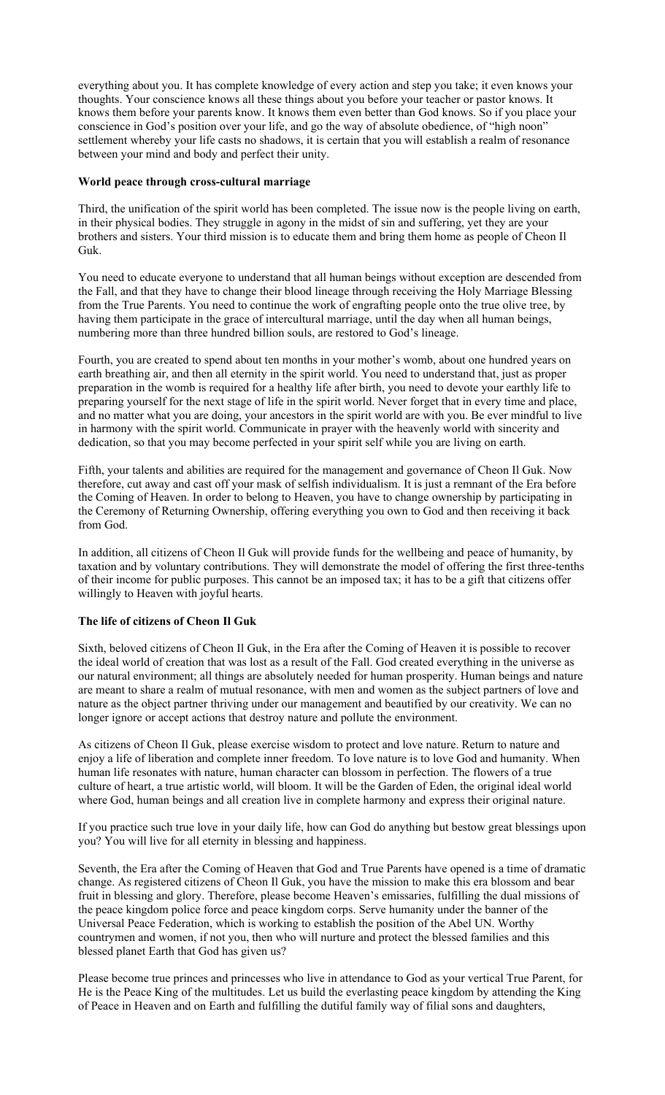everything about you. It has complete knowledge of every action and step you take; it even knows your thoughts. Your conscience knows all these things about you before your teacher or pastor knows. It knows them before your parents know. It knows them even better than God knows. So if you place your conscience in God's position over your life, and go the way of absolute obedience, of "high noon" settlement whereby your life casts no shadows, it is certain that you will establish a realm of resonance between your mind and body and perfect their unity.

# **World peace through cross-cultural marriage**

Third, the unification of the spirit world has been completed. The issue now is the people living on earth, in their physical bodies. They struggle in agony in the midst of sin and suffering, yet they are your brothers and sisters. Your third mission is to educate them and bring them home as people of Cheon Il Guk.

You need to educate everyone to understand that all human beings without exception are descended from the Fall, and that they have to change their blood lineage through receiving the Holy Marriage Blessing from the True Parents. You need to continue the work of engrafting people onto the true olive tree, by having them participate in the grace of intercultural marriage, until the day when all human beings, numbering more than three hundred billion souls, are restored to God's lineage.

Fourth, you are created to spend about ten months in your mother's womb, about one hundred years on earth breathing air, and then all eternity in the spirit world. You need to understand that, just as proper preparation in the womb is required for a healthy life after birth, you need to devote your earthly life to preparing yourself for the next stage of life in the spirit world. Never forget that in every time and place, and no matter what you are doing, your ancestors in the spirit world are with you. Be ever mindful to live in harmony with the spirit world. Communicate in prayer with the heavenly world with sincerity and dedication, so that you may become perfected in your spirit self while you are living on earth.

Fifth, your talents and abilities are required for the management and governance of Cheon Il Guk. Now therefore, cut away and cast off your mask of selfish individualism. It is just a remnant of the Era before the Coming of Heaven. In order to belong to Heaven, you have to change ownership by participating in the Ceremony of Returning Ownership, offering everything you own to God and then receiving it back from God.

In addition, all citizens of Cheon Il Guk will provide funds for the wellbeing and peace of humanity, by taxation and by voluntary contributions. They will demonstrate the model of offering the first three-tenths of their income for public purposes. This cannot be an imposed tax; it has to be a gift that citizens offer willingly to Heaven with joyful hearts.

# **The life of citizens of Cheon Il Guk**

Sixth, beloved citizens of Cheon Il Guk, in the Era after the Coming of Heaven it is possible to recover the ideal world of creation that was lost as a result of the Fall. God created everything in the universe as our natural environment; all things are absolutely needed for human prosperity. Human beings and nature are meant to share a realm of mutual resonance, with men and women as the subject partners of love and nature as the object partner thriving under our management and beautified by our creativity. We can no longer ignore or accept actions that destroy nature and pollute the environment.

As citizens of Cheon Il Guk, please exercise wisdom to protect and love nature. Return to nature and enjoy a life of liberation and complete inner freedom. To love nature is to love God and humanity. When human life resonates with nature, human character can blossom in perfection. The flowers of a true culture of heart, a true artistic world, will bloom. It will be the Garden of Eden, the original ideal world where God, human beings and all creation live in complete harmony and express their original nature.

If you practice such true love in your daily life, how can God do anything but bestow great blessings upon you? You will live for all eternity in blessing and happiness.

Seventh, the Era after the Coming of Heaven that God and True Parents have opened is a time of dramatic change. As registered citizens of Cheon Il Guk, you have the mission to make this era blossom and bear fruit in blessing and glory. Therefore, please become Heaven's emissaries, fulfilling the dual missions of the peace kingdom police force and peace kingdom corps. Serve humanity under the banner of the Universal Peace Federation, which is working to establish the position of the Abel UN. Worthy countrymen and women, if not you, then who will nurture and protect the blessed families and this blessed planet Earth that God has given us?

Please become true princes and princesses who live in attendance to God as your vertical True Parent, for He is the Peace King of the multitudes. Let us build the everlasting peace kingdom by attending the King of Peace in Heaven and on Earth and fulfilling the dutiful family way of filial sons and daughters,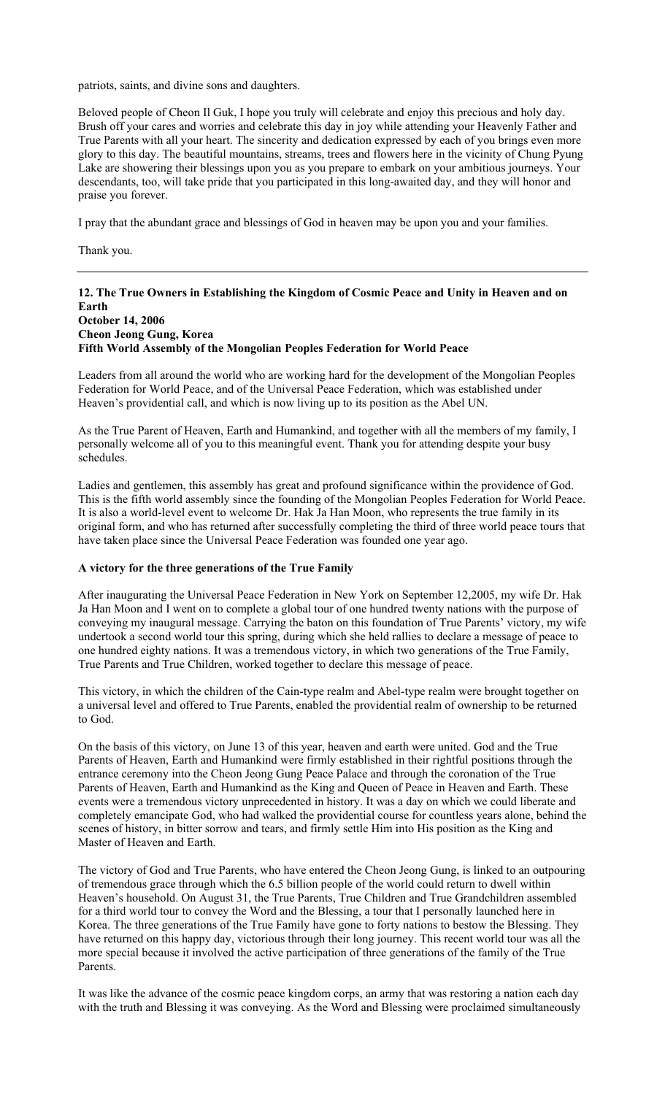patriots, saints, and divine sons and daughters.

Beloved people of Cheon Il Guk, I hope you truly will celebrate and enjoy this precious and holy day. Brush off your cares and worries and celebrate this day in joy while attending your Heavenly Father and True Parents with all your heart. The sincerity and dedication expressed by each of you brings even more glory to this day. The beautiful mountains, streams, trees and flowers here in the vicinity of Chung Pyung Lake are showering their blessings upon you as you prepare to embark on your ambitious journeys. Your descendants, too, will take pride that you participated in this long-awaited day, and they will honor and praise you forever.

I pray that the abundant grace and blessings of God in heaven may be upon you and your families.

Thank you.

# **12. The True Owners in Establishing the Kingdom of Cosmic Peace and Unity in Heaven and on Earth October 14, 2006**

## **Cheon Jeong Gung, Korea Fifth World Assembly of the Mongolian Peoples Federation for World Peace**

Leaders from all around the world who are working hard for the development of the Mongolian Peoples Federation for World Peace, and of the Universal Peace Federation, which was established under Heaven's providential call, and which is now living up to its position as the Abel UN.

As the True Parent of Heaven, Earth and Humankind, and together with all the members of my family, I personally welcome all of you to this meaningful event. Thank you for attending despite your busy schedules.

Ladies and gentlemen, this assembly has great and profound significance within the providence of God. This is the fifth world assembly since the founding of the Mongolian Peoples Federation for World Peace. It is also a world-level event to welcome Dr. Hak Ja Han Moon, who represents the true family in its original form, and who has returned after successfully completing the third of three world peace tours that have taken place since the Universal Peace Federation was founded one year ago.

# **A victory for the three generations of the True Family**

After inaugurating the Universal Peace Federation in New York on September 12,2005, my wife Dr. Hak Ja Han Moon and I went on to complete a global tour of one hundred twenty nations with the purpose of conveying my inaugural message. Carrying the baton on this foundation of True Parents' victory, my wife undertook a second world tour this spring, during which she held rallies to declare a message of peace to one hundred eighty nations. It was a tremendous victory, in which two generations of the True Family, True Parents and True Children, worked together to declare this message of peace.

This victory, in which the children of the Cain-type realm and Abel-type realm were brought together on a universal level and offered to True Parents, enabled the providential realm of ownership to be returned to God.

On the basis of this victory, on June 13 of this year, heaven and earth were united. God and the True Parents of Heaven, Earth and Humankind were firmly established in their rightful positions through the entrance ceremony into the Cheon Jeong Gung Peace Palace and through the coronation of the True Parents of Heaven, Earth and Humankind as the King and Queen of Peace in Heaven and Earth. These events were a tremendous victory unprecedented in history. It was a day on which we could liberate and completely emancipate God, who had walked the providential course for countless years alone, behind the scenes of history, in bitter sorrow and tears, and firmly settle Him into His position as the King and Master of Heaven and Earth.

The victory of God and True Parents, who have entered the Cheon Jeong Gung, is linked to an outpouring of tremendous grace through which the 6.5 billion people of the world could return to dwell within Heaven's household. On August 31, the True Parents, True Children and True Grandchildren assembled for a third world tour to convey the Word and the Blessing, a tour that I personally launched here in Korea. The three generations of the True Family have gone to forty nations to bestow the Blessing. They have returned on this happy day, victorious through their long journey. This recent world tour was all the more special because it involved the active participation of three generations of the family of the True **Parents** 

It was like the advance of the cosmic peace kingdom corps, an army that was restoring a nation each day with the truth and Blessing it was conveying. As the Word and Blessing were proclaimed simultaneously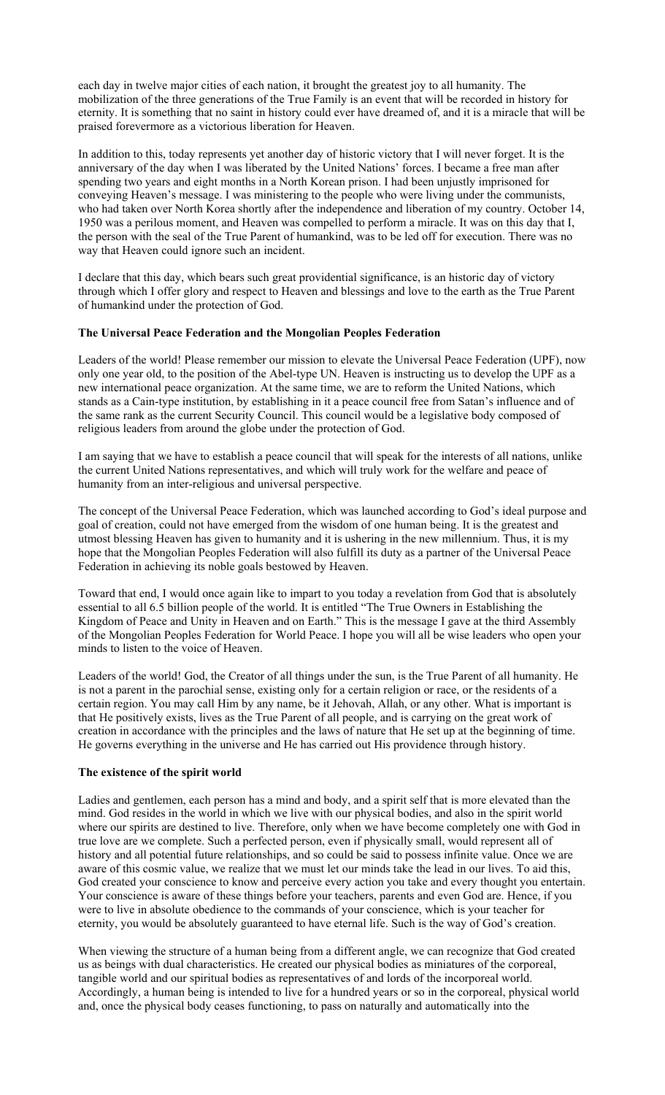each day in twelve major cities of each nation, it brought the greatest joy to all humanity. The mobilization of the three generations of the True Family is an event that will be recorded in history for eternity. It is something that no saint in history could ever have dreamed of, and it is a miracle that will be praised forevermore as a victorious liberation for Heaven.

In addition to this, today represents yet another day of historic victory that I will never forget. It is the anniversary of the day when I was liberated by the United Nations' forces. I became a free man after spending two years and eight months in a North Korean prison. I had been unjustly imprisoned for conveying Heaven's message. I was ministering to the people who were living under the communists, who had taken over North Korea shortly after the independence and liberation of my country. October 14, 1950 was a perilous moment, and Heaven was compelled to perform a miracle. It was on this day that I, the person with the seal of the True Parent of humankind, was to be led off for execution. There was no way that Heaven could ignore such an incident.

I declare that this day, which bears such great providential significance, is an historic day of victory through which I offer glory and respect to Heaven and blessings and love to the earth as the True Parent of humankind under the protection of God.

### **The Universal Peace Federation and the Mongolian Peoples Federation**

Leaders of the world! Please remember our mission to elevate the Universal Peace Federation (UPF), now only one year old, to the position of the Abel-type UN. Heaven is instructing us to develop the UPF as a new international peace organization. At the same time, we are to reform the United Nations, which stands as a Cain-type institution, by establishing in it a peace council free from Satan's influence and of the same rank as the current Security Council. This council would be a legislative body composed of religious leaders from around the globe under the protection of God.

I am saying that we have to establish a peace council that will speak for the interests of all nations, unlike the current United Nations representatives, and which will truly work for the welfare and peace of humanity from an inter-religious and universal perspective.

The concept of the Universal Peace Federation, which was launched according to God's ideal purpose and goal of creation, could not have emerged from the wisdom of one human being. It is the greatest and utmost blessing Heaven has given to humanity and it is ushering in the new millennium. Thus, it is my hope that the Mongolian Peoples Federation will also fulfill its duty as a partner of the Universal Peace Federation in achieving its noble goals bestowed by Heaven.

Toward that end, I would once again like to impart to you today a revelation from God that is absolutely essential to all 6.5 billion people of the world. It is entitled "The True Owners in Establishing the Kingdom of Peace and Unity in Heaven and on Earth." This is the message I gave at the third Assembly of the Mongolian Peoples Federation for World Peace. I hope you will all be wise leaders who open your minds to listen to the voice of Heaven.

Leaders of the world! God, the Creator of all things under the sun, is the True Parent of all humanity. He is not a parent in the parochial sense, existing only for a certain religion or race, or the residents of a certain region. You may call Him by any name, be it Jehovah, Allah, or any other. What is important is that He positively exists, lives as the True Parent of all people, and is carrying on the great work of creation in accordance with the principles and the laws of nature that He set up at the beginning of time. He governs everything in the universe and He has carried out His providence through history.

#### **The existence of the spirit world**

Ladies and gentlemen, each person has a mind and body, and a spirit self that is more elevated than the mind. God resides in the world in which we live with our physical bodies, and also in the spirit world where our spirits are destined to live. Therefore, only when we have become completely one with God in true love are we complete. Such a perfected person, even if physically small, would represent all of history and all potential future relationships, and so could be said to possess infinite value. Once we are aware of this cosmic value, we realize that we must let our minds take the lead in our lives. To aid this, God created your conscience to know and perceive every action you take and every thought you entertain. Your conscience is aware of these things before your teachers, parents and even God are. Hence, if you were to live in absolute obedience to the commands of your conscience, which is your teacher for eternity, you would be absolutely guaranteed to have eternal life. Such is the way of God's creation.

When viewing the structure of a human being from a different angle, we can recognize that God created us as beings with dual characteristics. He created our physical bodies as miniatures of the corporeal, tangible world and our spiritual bodies as representatives of and lords of the incorporeal world. Accordingly, a human being is intended to live for a hundred years or so in the corporeal, physical world and, once the physical body ceases functioning, to pass on naturally and automatically into the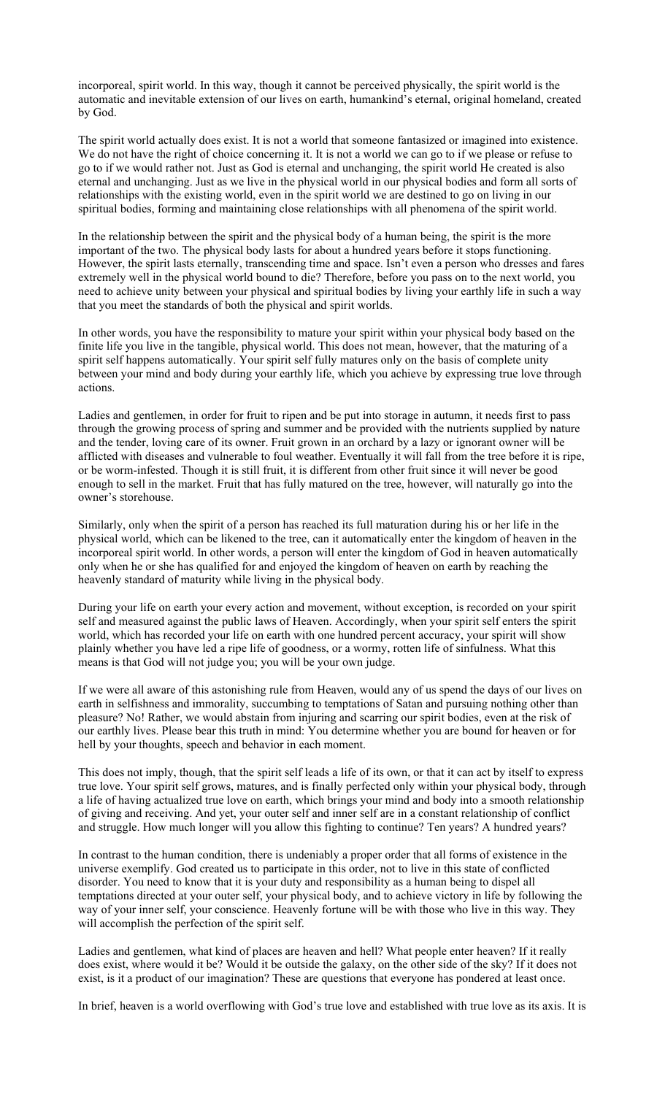incorporeal, spirit world. In this way, though it cannot be perceived physically, the spirit world is the automatic and inevitable extension of our lives on earth, humankind's eternal, original homeland, created by God.

The spirit world actually does exist. It is not a world that someone fantasized or imagined into existence. We do not have the right of choice concerning it. It is not a world we can go to if we please or refuse to go to if we would rather not. Just as God is eternal and unchanging, the spirit world He created is also eternal and unchanging. Just as we live in the physical world in our physical bodies and form all sorts of relationships with the existing world, even in the spirit world we are destined to go on living in our spiritual bodies, forming and maintaining close relationships with all phenomena of the spirit world.

In the relationship between the spirit and the physical body of a human being, the spirit is the more important of the two. The physical body lasts for about a hundred years before it stops functioning. However, the spirit lasts eternally, transcending time and space. Isn't even a person who dresses and fares extremely well in the physical world bound to die? Therefore, before you pass on to the next world, you need to achieve unity between your physical and spiritual bodies by living your earthly life in such a way that you meet the standards of both the physical and spirit worlds.

In other words, you have the responsibility to mature your spirit within your physical body based on the finite life you live in the tangible, physical world. This does not mean, however, that the maturing of a spirit self happens automatically. Your spirit self fully matures only on the basis of complete unity between your mind and body during your earthly life, which you achieve by expressing true love through actions.

Ladies and gentlemen, in order for fruit to ripen and be put into storage in autumn, it needs first to pass through the growing process of spring and summer and be provided with the nutrients supplied by nature and the tender, loving care of its owner. Fruit grown in an orchard by a lazy or ignorant owner will be afflicted with diseases and vulnerable to foul weather. Eventually it will fall from the tree before it is ripe, or be worm-infested. Though it is still fruit, it is different from other fruit since it will never be good enough to sell in the market. Fruit that has fully matured on the tree, however, will naturally go into the owner's storehouse.

Similarly, only when the spirit of a person has reached its full maturation during his or her life in the physical world, which can be likened to the tree, can it automatically enter the kingdom of heaven in the incorporeal spirit world. In other words, a person will enter the kingdom of God in heaven automatically only when he or she has qualified for and enjoyed the kingdom of heaven on earth by reaching the heavenly standard of maturity while living in the physical body.

During your life on earth your every action and movement, without exception, is recorded on your spirit self and measured against the public laws of Heaven. Accordingly, when your spirit self enters the spirit world, which has recorded your life on earth with one hundred percent accuracy, your spirit will show plainly whether you have led a ripe life of goodness, or a wormy, rotten life of sinfulness. What this means is that God will not judge you; you will be your own judge.

If we were all aware of this astonishing rule from Heaven, would any of us spend the days of our lives on earth in selfishness and immorality, succumbing to temptations of Satan and pursuing nothing other than pleasure? No! Rather, we would abstain from injuring and scarring our spirit bodies, even at the risk of our earthly lives. Please bear this truth in mind: You determine whether you are bound for heaven or for hell by your thoughts, speech and behavior in each moment.

This does not imply, though, that the spirit self leads a life of its own, or that it can act by itself to express true love. Your spirit self grows, matures, and is finally perfected only within your physical body, through a life of having actualized true love on earth, which brings your mind and body into a smooth relationship of giving and receiving. And yet, your outer self and inner self are in a constant relationship of conflict and struggle. How much longer will you allow this fighting to continue? Ten years? A hundred years?

In contrast to the human condition, there is undeniably a proper order that all forms of existence in the universe exemplify. God created us to participate in this order, not to live in this state of conflicted disorder. You need to know that it is your duty and responsibility as a human being to dispel all temptations directed at your outer self, your physical body, and to achieve victory in life by following the way of your inner self, your conscience. Heavenly fortune will be with those who live in this way. They will accomplish the perfection of the spirit self.

Ladies and gentlemen, what kind of places are heaven and hell? What people enter heaven? If it really does exist, where would it be? Would it be outside the galaxy, on the other side of the sky? If it does not exist, is it a product of our imagination? These are questions that everyone has pondered at least once.

In brief, heaven is a world overflowing with God's true love and established with true love as its axis. It is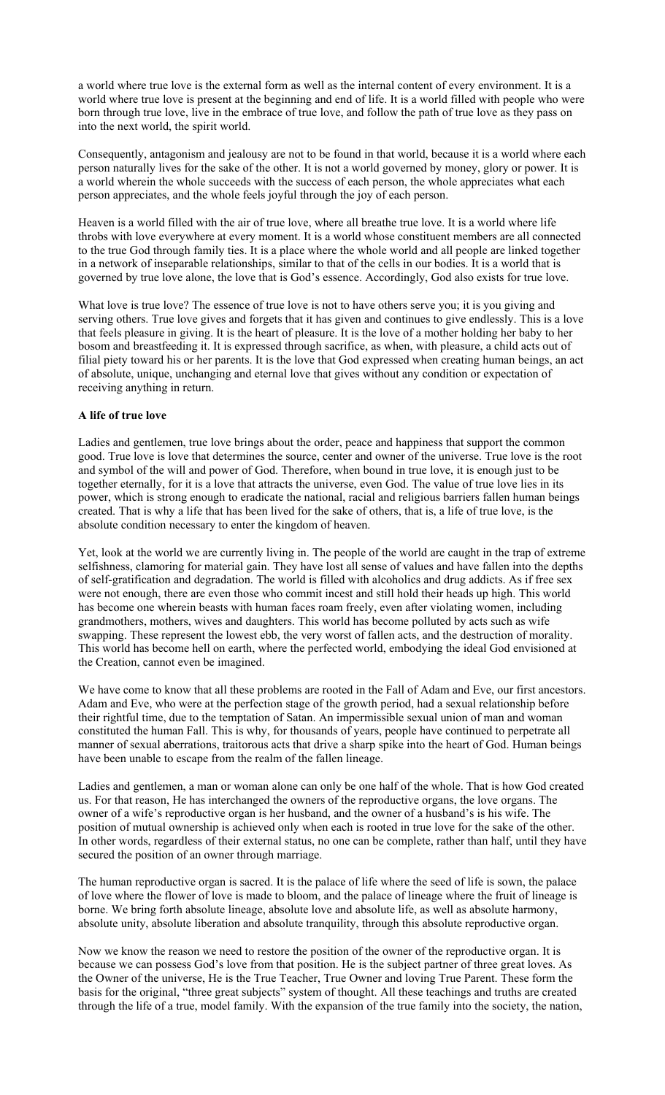a world where true love is the external form as well as the internal content of every environment. It is a world where true love is present at the beginning and end of life. It is a world filled with people who were born through true love, live in the embrace of true love, and follow the path of true love as they pass on into the next world, the spirit world.

Consequently, antagonism and jealousy are not to be found in that world, because it is a world where each person naturally lives for the sake of the other. It is not a world governed by money, glory or power. It is a world wherein the whole succeeds with the success of each person, the whole appreciates what each person appreciates, and the whole feels joyful through the joy of each person.

Heaven is a world filled with the air of true love, where all breathe true love. It is a world where life throbs with love everywhere at every moment. It is a world whose constituent members are all connected to the true God through family ties. It is a place where the whole world and all people are linked together in a network of inseparable relationships, similar to that of the cells in our bodies. It is a world that is governed by true love alone, the love that is God's essence. Accordingly, God also exists for true love.

What love is true love? The essence of true love is not to have others serve you; it is you giving and serving others. True love gives and forgets that it has given and continues to give endlessly. This is a love that feels pleasure in giving. It is the heart of pleasure. It is the love of a mother holding her baby to her bosom and breastfeeding it. It is expressed through sacrifice, as when, with pleasure, a child acts out of filial piety toward his or her parents. It is the love that God expressed when creating human beings, an act of absolute, unique, unchanging and eternal love that gives without any condition or expectation of receiving anything in return.

### **A life of true love**

Ladies and gentlemen, true love brings about the order, peace and happiness that support the common good. True love is love that determines the source, center and owner of the universe. True love is the root and symbol of the will and power of God. Therefore, when bound in true love, it is enough just to be together eternally, for it is a love that attracts the universe, even God. The value of true love lies in its power, which is strong enough to eradicate the national, racial and religious barriers fallen human beings created. That is why a life that has been lived for the sake of others, that is, a life of true love, is the absolute condition necessary to enter the kingdom of heaven.

Yet, look at the world we are currently living in. The people of the world are caught in the trap of extreme selfishness, clamoring for material gain. They have lost all sense of values and have fallen into the depths of self-gratification and degradation. The world is filled with alcoholics and drug addicts. As if free sex were not enough, there are even those who commit incest and still hold their heads up high. This world has become one wherein beasts with human faces roam freely, even after violating women, including grandmothers, mothers, wives and daughters. This world has become polluted by acts such as wife swapping. These represent the lowest ebb, the very worst of fallen acts, and the destruction of morality. This world has become hell on earth, where the perfected world, embodying the ideal God envisioned at the Creation, cannot even be imagined.

We have come to know that all these problems are rooted in the Fall of Adam and Eve, our first ancestors. Adam and Eve, who were at the perfection stage of the growth period, had a sexual relationship before their rightful time, due to the temptation of Satan. An impermissible sexual union of man and woman constituted the human Fall. This is why, for thousands of years, people have continued to perpetrate all manner of sexual aberrations, traitorous acts that drive a sharp spike into the heart of God. Human beings have been unable to escape from the realm of the fallen lineage.

Ladies and gentlemen, a man or woman alone can only be one half of the whole. That is how God created us. For that reason, He has interchanged the owners of the reproductive organs, the love organs. The owner of a wife's reproductive organ is her husband, and the owner of a husband's is his wife. The position of mutual ownership is achieved only when each is rooted in true love for the sake of the other. In other words, regardless of their external status, no one can be complete, rather than half, until they have secured the position of an owner through marriage.

The human reproductive organ is sacred. It is the palace of life where the seed of life is sown, the palace of love where the flower of love is made to bloom, and the palace of lineage where the fruit of lineage is borne. We bring forth absolute lineage, absolute love and absolute life, as well as absolute harmony, absolute unity, absolute liberation and absolute tranquility, through this absolute reproductive organ.

Now we know the reason we need to restore the position of the owner of the reproductive organ. It is because we can possess God's love from that position. He is the subject partner of three great loves. As the Owner of the universe, He is the True Teacher, True Owner and loving True Parent. These form the basis for the original, "three great subjects" system of thought. All these teachings and truths are created through the life of a true, model family. With the expansion of the true family into the society, the nation,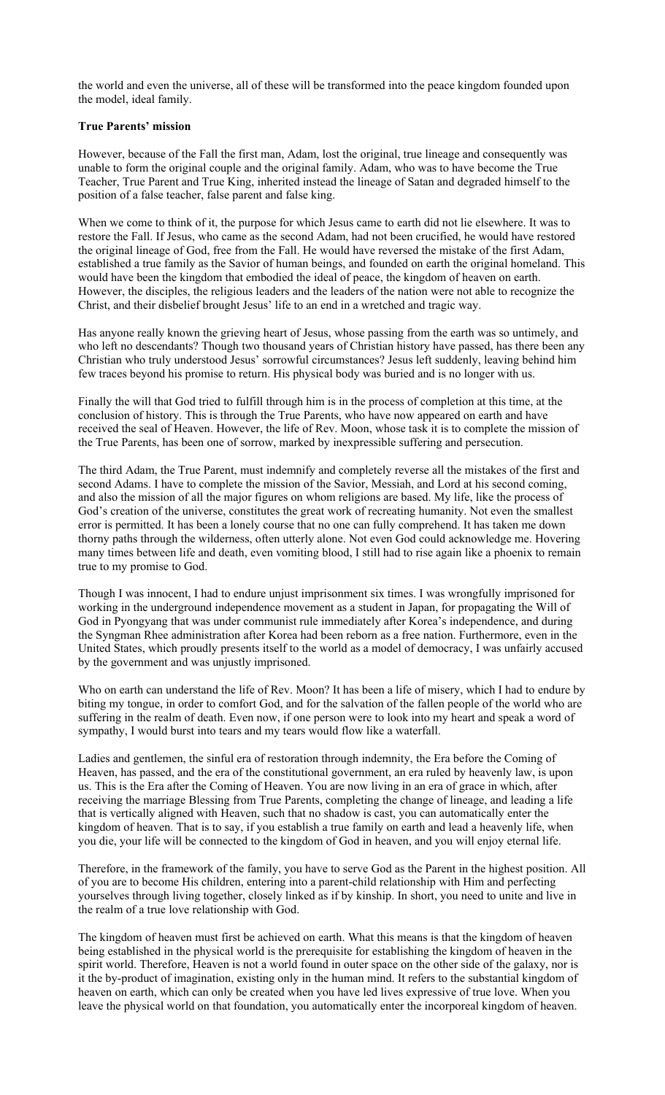the world and even the universe, all of these will be transformed into the peace kingdom founded upon the model, ideal family.

# **True Parents' mission**

However, because of the Fall the first man, Adam, lost the original, true lineage and consequently was unable to form the original couple and the original family. Adam, who was to have become the True Teacher, True Parent and True King, inherited instead the lineage of Satan and degraded himself to the position of a false teacher, false parent and false king.

When we come to think of it, the purpose for which Jesus came to earth did not lie elsewhere. It was to restore the Fall. If Jesus, who came as the second Adam, had not been crucified, he would have restored the original lineage of God, free from the Fall. He would have reversed the mistake of the first Adam, established a true family as the Savior of human beings, and founded on earth the original homeland. This would have been the kingdom that embodied the ideal of peace, the kingdom of heaven on earth. However, the disciples, the religious leaders and the leaders of the nation were not able to recognize the Christ, and their disbelief brought Jesus' life to an end in a wretched and tragic way.

Has anyone really known the grieving heart of Jesus, whose passing from the earth was so untimely, and who left no descendants? Though two thousand years of Christian history have passed, has there been any Christian who truly understood Jesus' sorrowful circumstances? Jesus left suddenly, leaving behind him few traces beyond his promise to return. His physical body was buried and is no longer with us.

Finally the will that God tried to fulfill through him is in the process of completion at this time, at the conclusion of history. This is through the True Parents, who have now appeared on earth and have received the seal of Heaven. However, the life of Rev. Moon, whose task it is to complete the mission of the True Parents, has been one of sorrow, marked by inexpressible suffering and persecution.

The third Adam, the True Parent, must indemnify and completely reverse all the mistakes of the first and second Adams. I have to complete the mission of the Savior, Messiah, and Lord at his second coming, and also the mission of all the major figures on whom religions are based. My life, like the process of God's creation of the universe, constitutes the great work of recreating humanity. Not even the smallest error is permitted. It has been a lonely course that no one can fully comprehend. It has taken me down thorny paths through the wilderness, often utterly alone. Not even God could acknowledge me. Hovering many times between life and death, even vomiting blood, I still had to rise again like a phoenix to remain true to my promise to God.

Though I was innocent, I had to endure unjust imprisonment six times. I was wrongfully imprisoned for working in the underground independence movement as a student in Japan, for propagating the Will of God in Pyongyang that was under communist rule immediately after Korea's independence, and during the Syngman Rhee administration after Korea had been reborn as a free nation. Furthermore, even in the United States, which proudly presents itself to the world as a model of democracy, I was unfairly accused by the government and was unjustly imprisoned.

Who on earth can understand the life of Rev. Moon? It has been a life of misery, which I had to endure by biting my tongue, in order to comfort God, and for the salvation of the fallen people of the world who are suffering in the realm of death. Even now, if one person were to look into my heart and speak a word of sympathy, I would burst into tears and my tears would flow like a waterfall.

Ladies and gentlemen, the sinful era of restoration through indemnity, the Era before the Coming of Heaven, has passed, and the era of the constitutional government, an era ruled by heavenly law, is upon us. This is the Era after the Coming of Heaven. You are now living in an era of grace in which, after receiving the marriage Blessing from True Parents, completing the change of lineage, and leading a life that is vertically aligned with Heaven, such that no shadow is cast, you can automatically enter the kingdom of heaven. That is to say, if you establish a true family on earth and lead a heavenly life, when you die, your life will be connected to the kingdom of God in heaven, and you will enjoy eternal life.

Therefore, in the framework of the family, you have to serve God as the Parent in the highest position. All of you are to become His children, entering into a parent-child relationship with Him and perfecting yourselves through living together, closely linked as if by kinship. In short, you need to unite and live in the realm of a true love relationship with God.

The kingdom of heaven must first be achieved on earth. What this means is that the kingdom of heaven being established in the physical world is the prerequisite for establishing the kingdom of heaven in the spirit world. Therefore, Heaven is not a world found in outer space on the other side of the galaxy, nor is it the by-product of imagination, existing only in the human mind. It refers to the substantial kingdom of heaven on earth, which can only be created when you have led lives expressive of true love. When you leave the physical world on that foundation, you automatically enter the incorporeal kingdom of heaven.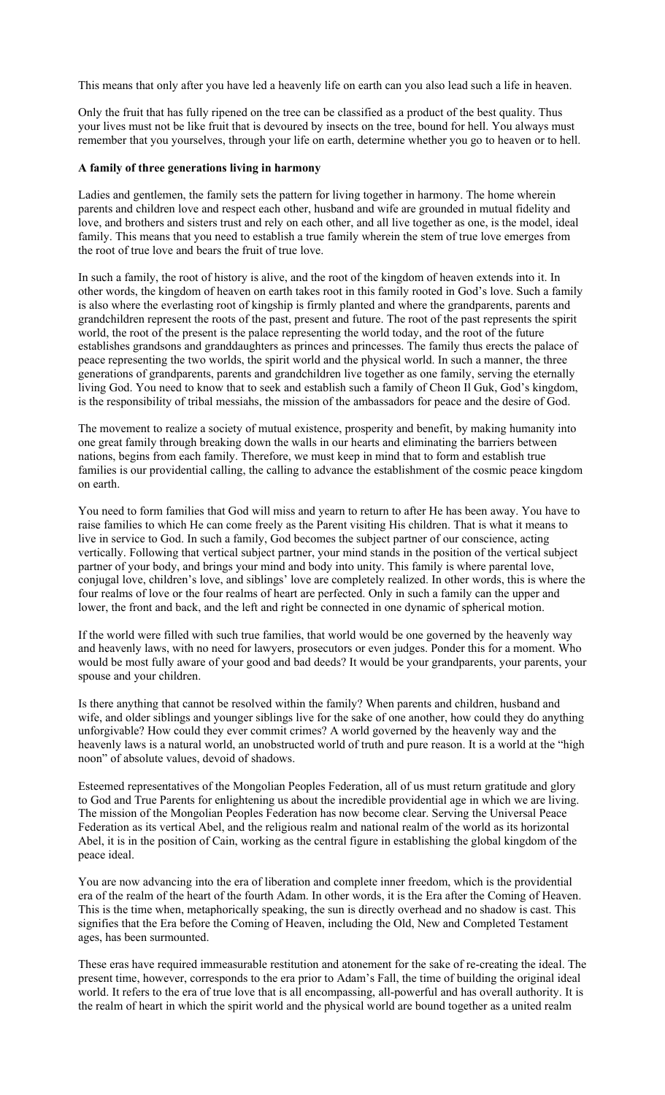This means that only after you have led a heavenly life on earth can you also lead such a life in heaven.

Only the fruit that has fully ripened on the tree can be classified as a product of the best quality. Thus your lives must not be like fruit that is devoured by insects on the tree, bound for hell. You always must remember that you yourselves, through your life on earth, determine whether you go to heaven or to hell.

### **A family of three generations living in harmony**

Ladies and gentlemen, the family sets the pattern for living together in harmony. The home wherein parents and children love and respect each other, husband and wife are grounded in mutual fidelity and love, and brothers and sisters trust and rely on each other, and all live together as one, is the model, ideal family. This means that you need to establish a true family wherein the stem of true love emerges from the root of true love and bears the fruit of true love.

In such a family, the root of history is alive, and the root of the kingdom of heaven extends into it. In other words, the kingdom of heaven on earth takes root in this family rooted in God's love. Such a family is also where the everlasting root of kingship is firmly planted and where the grandparents, parents and grandchildren represent the roots of the past, present and future. The root of the past represents the spirit world, the root of the present is the palace representing the world today, and the root of the future establishes grandsons and granddaughters as princes and princesses. The family thus erects the palace of peace representing the two worlds, the spirit world and the physical world. In such a manner, the three generations of grandparents, parents and grandchildren live together as one family, serving the eternally living God. You need to know that to seek and establish such a family of Cheon Il Guk, God's kingdom, is the responsibility of tribal messiahs, the mission of the ambassadors for peace and the desire of God.

The movement to realize a society of mutual existence, prosperity and benefit, by making humanity into one great family through breaking down the walls in our hearts and eliminating the barriers between nations, begins from each family. Therefore, we must keep in mind that to form and establish true families is our providential calling, the calling to advance the establishment of the cosmic peace kingdom on earth.

You need to form families that God will miss and yearn to return to after He has been away. You have to raise families to which He can come freely as the Parent visiting His children. That is what it means to live in service to God. In such a family, God becomes the subject partner of our conscience, acting vertically. Following that vertical subject partner, your mind stands in the position of the vertical subject partner of your body, and brings your mind and body into unity. This family is where parental love, conjugal love, children's love, and siblings' love are completely realized. In other words, this is where the four realms of love or the four realms of heart are perfected. Only in such a family can the upper and lower, the front and back, and the left and right be connected in one dynamic of spherical motion.

If the world were filled with such true families, that world would be one governed by the heavenly way and heavenly laws, with no need for lawyers, prosecutors or even judges. Ponder this for a moment. Who would be most fully aware of your good and bad deeds? It would be your grandparents, your parents, your spouse and your children.

Is there anything that cannot be resolved within the family? When parents and children, husband and wife, and older siblings and younger siblings live for the sake of one another, how could they do anything unforgivable? How could they ever commit crimes? A world governed by the heavenly way and the heavenly laws is a natural world, an unobstructed world of truth and pure reason. It is a world at the "high noon" of absolute values, devoid of shadows.

Esteemed representatives of the Mongolian Peoples Federation, all of us must return gratitude and glory to God and True Parents for enlightening us about the incredible providential age in which we are living. The mission of the Mongolian Peoples Federation has now become clear. Serving the Universal Peace Federation as its vertical Abel, and the religious realm and national realm of the world as its horizontal Abel, it is in the position of Cain, working as the central figure in establishing the global kingdom of the peace ideal.

You are now advancing into the era of liberation and complete inner freedom, which is the providential era of the realm of the heart of the fourth Adam. In other words, it is the Era after the Coming of Heaven. This is the time when, metaphorically speaking, the sun is directly overhead and no shadow is cast. This signifies that the Era before the Coming of Heaven, including the Old, New and Completed Testament ages, has been surmounted.

These eras have required immeasurable restitution and atonement for the sake of re-creating the ideal. The present time, however, corresponds to the era prior to Adam's Fall, the time of building the original ideal world. It refers to the era of true love that is all encompassing, all-powerful and has overall authority. It is the realm of heart in which the spirit world and the physical world are bound together as a united realm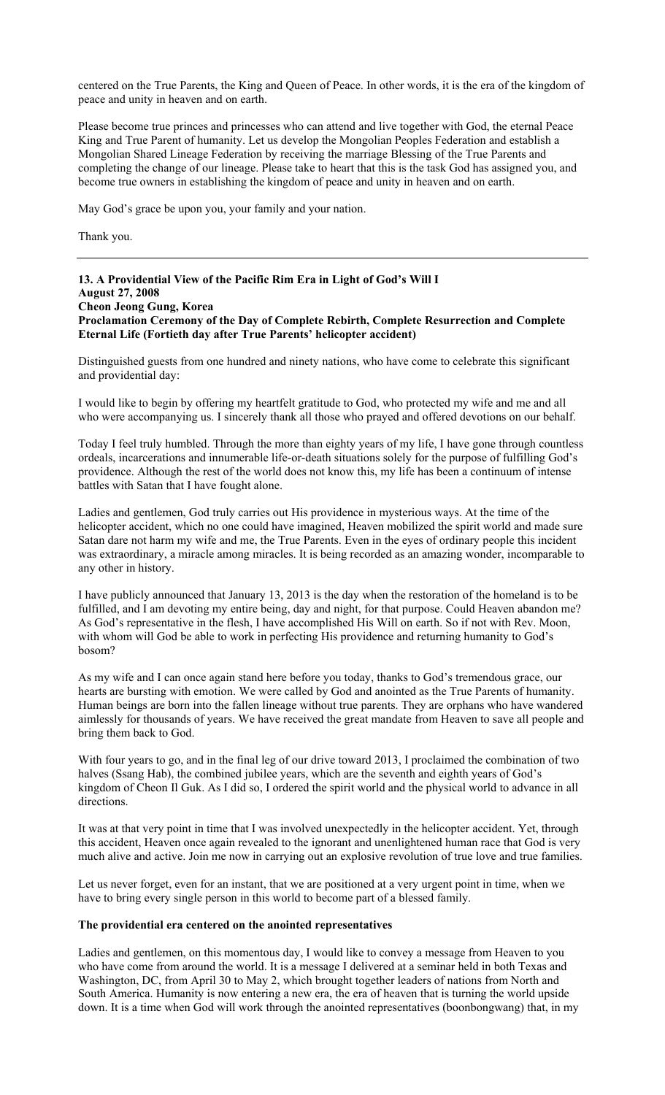centered on the True Parents, the King and Queen of Peace. In other words, it is the era of the kingdom of peace and unity in heaven and on earth.

Please become true princes and princesses who can attend and live together with God, the eternal Peace King and True Parent of humanity. Let us develop the Mongolian Peoples Federation and establish a Mongolian Shared Lineage Federation by receiving the marriage Blessing of the True Parents and completing the change of our lineage. Please take to heart that this is the task God has assigned you, and become true owners in establishing the kingdom of peace and unity in heaven and on earth.

May God's grace be upon you, your family and your nation.

Thank you.

# **13. A Providential View of the Pacific Rim Era in Light of God's Will I August 27, 2008 Cheon Jeong Gung, Korea Proclamation Ceremony of the Day of Complete Rebirth, Complete Resurrection and Complete Eternal Life (Fortieth day after True Parents' helicopter accident)**

Distinguished guests from one hundred and ninety nations, who have come to celebrate this significant and providential day:

I would like to begin by offering my heartfelt gratitude to God, who protected my wife and me and all who were accompanying us. I sincerely thank all those who prayed and offered devotions on our behalf.

Today I feel truly humbled. Through the more than eighty years of my life, I have gone through countless ordeals, incarcerations and innumerable life-or-death situations solely for the purpose of fulfilling God's providence. Although the rest of the world does not know this, my life has been a continuum of intense battles with Satan that I have fought alone.

Ladies and gentlemen, God truly carries out His providence in mysterious ways. At the time of the helicopter accident, which no one could have imagined, Heaven mobilized the spirit world and made sure Satan dare not harm my wife and me, the True Parents. Even in the eyes of ordinary people this incident was extraordinary, a miracle among miracles. It is being recorded as an amazing wonder, incomparable to any other in history.

I have publicly announced that January 13, 2013 is the day when the restoration of the homeland is to be fulfilled, and I am devoting my entire being, day and night, for that purpose. Could Heaven abandon me? As God's representative in the flesh, I have accomplished His Will on earth. So if not with Rev. Moon, with whom will God be able to work in perfecting His providence and returning humanity to God's bosom?

As my wife and I can once again stand here before you today, thanks to God's tremendous grace, our hearts are bursting with emotion. We were called by God and anointed as the True Parents of humanity. Human beings are born into the fallen lineage without true parents. They are orphans who have wandered aimlessly for thousands of years. We have received the great mandate from Heaven to save all people and bring them back to God.

With four years to go, and in the final leg of our drive toward 2013, I proclaimed the combination of two halves (Ssang Hab), the combined jubilee years, which are the seventh and eighth years of God's kingdom of Cheon Il Guk. As I did so, I ordered the spirit world and the physical world to advance in all directions.

It was at that very point in time that I was involved unexpectedly in the helicopter accident. Yet, through this accident, Heaven once again revealed to the ignorant and unenlightened human race that God is very much alive and active. Join me now in carrying out an explosive revolution of true love and true families.

Let us never forget, even for an instant, that we are positioned at a very urgent point in time, when we have to bring every single person in this world to become part of a blessed family.

### **The providential era centered on the anointed representatives**

Ladies and gentlemen, on this momentous day, I would like to convey a message from Heaven to you who have come from around the world. It is a message I delivered at a seminar held in both Texas and Washington, DC, from April 30 to May 2, which brought together leaders of nations from North and South America. Humanity is now entering a new era, the era of heaven that is turning the world upside down. It is a time when God will work through the anointed representatives (boonbongwang) that, in my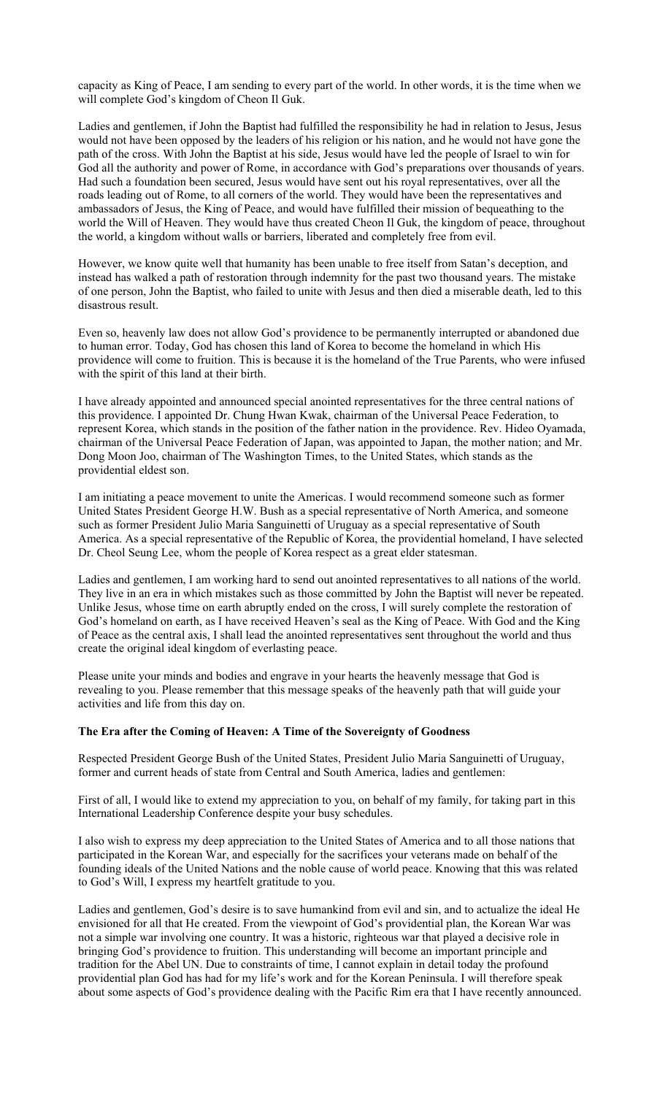capacity as King of Peace, I am sending to every part of the world. In other words, it is the time when we will complete God's kingdom of Cheon Il Guk.

Ladies and gentlemen, if John the Baptist had fulfilled the responsibility he had in relation to Jesus, Jesus would not have been opposed by the leaders of his religion or his nation, and he would not have gone the path of the cross. With John the Baptist at his side, Jesus would have led the people of Israel to win for God all the authority and power of Rome, in accordance with God's preparations over thousands of years. Had such a foundation been secured, Jesus would have sent out his royal representatives, over all the roads leading out of Rome, to all corners of the world. They would have been the representatives and ambassadors of Jesus, the King of Peace, and would have fulfilled their mission of bequeathing to the world the Will of Heaven. They would have thus created Cheon Il Guk, the kingdom of peace, throughout the world, a kingdom without walls or barriers, liberated and completely free from evil.

However, we know quite well that humanity has been unable to free itself from Satan's deception, and instead has walked a path of restoration through indemnity for the past two thousand years. The mistake of one person, John the Baptist, who failed to unite with Jesus and then died a miserable death, led to this disastrous result.

Even so, heavenly law does not allow God's providence to be permanently interrupted or abandoned due to human error. Today, God has chosen this land of Korea to become the homeland in which His providence will come to fruition. This is because it is the homeland of the True Parents, who were infused with the spirit of this land at their birth.

I have already appointed and announced special anointed representatives for the three central nations of this providence. I appointed Dr. Chung Hwan Kwak, chairman of the Universal Peace Federation, to represent Korea, which stands in the position of the father nation in the providence. Rev. Hideo Oyamada, chairman of the Universal Peace Federation of Japan, was appointed to Japan, the mother nation; and Mr. Dong Moon Joo, chairman of The Washington Times, to the United States, which stands as the providential eldest son.

I am initiating a peace movement to unite the Americas. I would recommend someone such as former United States President George H.W. Bush as a special representative of North America, and someone such as former President Julio Maria Sanguinetti of Uruguay as a special representative of South America. As a special representative of the Republic of Korea, the providential homeland, I have selected Dr. Cheol Seung Lee, whom the people of Korea respect as a great elder statesman.

Ladies and gentlemen, I am working hard to send out anointed representatives to all nations of the world. They live in an era in which mistakes such as those committed by John the Baptist will never be repeated. Unlike Jesus, whose time on earth abruptly ended on the cross, I will surely complete the restoration of God's homeland on earth, as I have received Heaven's seal as the King of Peace. With God and the King of Peace as the central axis, I shall lead the anointed representatives sent throughout the world and thus create the original ideal kingdom of everlasting peace.

Please unite your minds and bodies and engrave in your hearts the heavenly message that God is revealing to you. Please remember that this message speaks of the heavenly path that will guide your activities and life from this day on.

#### **The Era after the Coming of Heaven: A Time of the Sovereignty of Goodness**

Respected President George Bush of the United States, President Julio Maria Sanguinetti of Uruguay, former and current heads of state from Central and South America, ladies and gentlemen:

First of all, I would like to extend my appreciation to you, on behalf of my family, for taking part in this International Leadership Conference despite your busy schedules.

I also wish to express my deep appreciation to the United States of America and to all those nations that participated in the Korean War, and especially for the sacrifices your veterans made on behalf of the founding ideals of the United Nations and the noble cause of world peace. Knowing that this was related to God's Will, I express my heartfelt gratitude to you.

Ladies and gentlemen, God's desire is to save humankind from evil and sin, and to actualize the ideal He envisioned for all that He created. From the viewpoint of God's providential plan, the Korean War was not a simple war involving one country. It was a historic, righteous war that played a decisive role in bringing God's providence to fruition. This understanding will become an important principle and tradition for the Abel UN. Due to constraints of time, I cannot explain in detail today the profound providential plan God has had for my life's work and for the Korean Peninsula. I will therefore speak about some aspects of God's providence dealing with the Pacific Rim era that I have recently announced.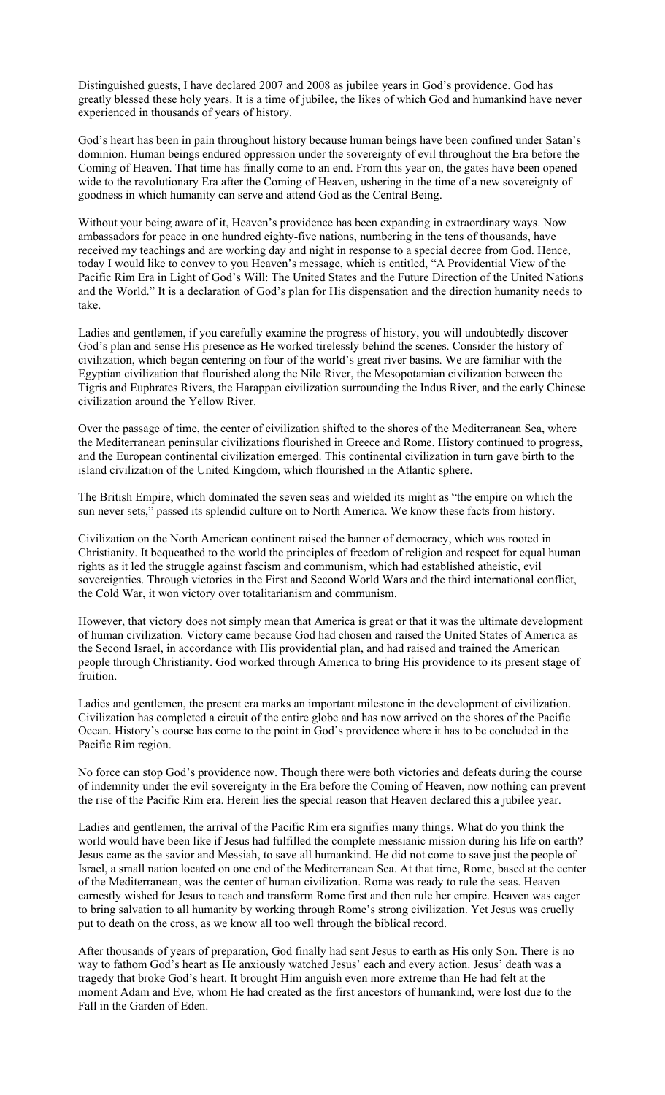Distinguished guests, I have declared 2007 and 2008 as jubilee years in God's providence. God has greatly blessed these holy years. It is a time of jubilee, the likes of which God and humankind have never experienced in thousands of years of history.

God's heart has been in pain throughout history because human beings have been confined under Satan's dominion. Human beings endured oppression under the sovereignty of evil throughout the Era before the Coming of Heaven. That time has finally come to an end. From this year on, the gates have been opened wide to the revolutionary Era after the Coming of Heaven, ushering in the time of a new sovereignty of goodness in which humanity can serve and attend God as the Central Being.

Without your being aware of it, Heaven's providence has been expanding in extraordinary ways. Now ambassadors for peace in one hundred eighty-five nations, numbering in the tens of thousands, have received my teachings and are working day and night in response to a special decree from God. Hence, today I would like to convey to you Heaven's message, which is entitled, "A Providential View of the Pacific Rim Era in Light of God's Will: The United States and the Future Direction of the United Nations and the World." It is a declaration of God's plan for His dispensation and the direction humanity needs to take.

Ladies and gentlemen, if you carefully examine the progress of history, you will undoubtedly discover God's plan and sense His presence as He worked tirelessly behind the scenes. Consider the history of civilization, which began centering on four of the world's great river basins. We are familiar with the Egyptian civilization that flourished along the Nile River, the Mesopotamian civilization between the Tigris and Euphrates Rivers, the Harappan civilization surrounding the Indus River, and the early Chinese civilization around the Yellow River.

Over the passage of time, the center of civilization shifted to the shores of the Mediterranean Sea, where the Mediterranean peninsular civilizations flourished in Greece and Rome. History continued to progress, and the European continental civilization emerged. This continental civilization in turn gave birth to the island civilization of the United Kingdom, which flourished in the Atlantic sphere.

The British Empire, which dominated the seven seas and wielded its might as "the empire on which the sun never sets," passed its splendid culture on to North America. We know these facts from history.

Civilization on the North American continent raised the banner of democracy, which was rooted in Christianity. It bequeathed to the world the principles of freedom of religion and respect for equal human rights as it led the struggle against fascism and communism, which had established atheistic, evil sovereignties. Through victories in the First and Second World Wars and the third international conflict, the Cold War, it won victory over totalitarianism and communism.

However, that victory does not simply mean that America is great or that it was the ultimate development of human civilization. Victory came because God had chosen and raised the United States of America as the Second Israel, in accordance with His providential plan, and had raised and trained the American people through Christianity. God worked through America to bring His providence to its present stage of fruition.

Ladies and gentlemen, the present era marks an important milestone in the development of civilization. Civilization has completed a circuit of the entire globe and has now arrived on the shores of the Pacific Ocean. History's course has come to the point in God's providence where it has to be concluded in the Pacific Rim region.

No force can stop God's providence now. Though there were both victories and defeats during the course of indemnity under the evil sovereignty in the Era before the Coming of Heaven, now nothing can prevent the rise of the Pacific Rim era. Herein lies the special reason that Heaven declared this a jubilee year.

Ladies and gentlemen, the arrival of the Pacific Rim era signifies many things. What do you think the world would have been like if Jesus had fulfilled the complete messianic mission during his life on earth? Jesus came as the savior and Messiah, to save all humankind. He did not come to save just the people of Israel, a small nation located on one end of the Mediterranean Sea. At that time, Rome, based at the center of the Mediterranean, was the center of human civilization. Rome was ready to rule the seas. Heaven earnestly wished for Jesus to teach and transform Rome first and then rule her empire. Heaven was eager to bring salvation to all humanity by working through Rome's strong civilization. Yet Jesus was cruelly put to death on the cross, as we know all too well through the biblical record.

After thousands of years of preparation, God finally had sent Jesus to earth as His only Son. There is no way to fathom God's heart as He anxiously watched Jesus' each and every action. Jesus' death was a tragedy that broke God's heart. It brought Him anguish even more extreme than He had felt at the moment Adam and Eve, whom He had created as the first ancestors of humankind, were lost due to the Fall in the Garden of Eden.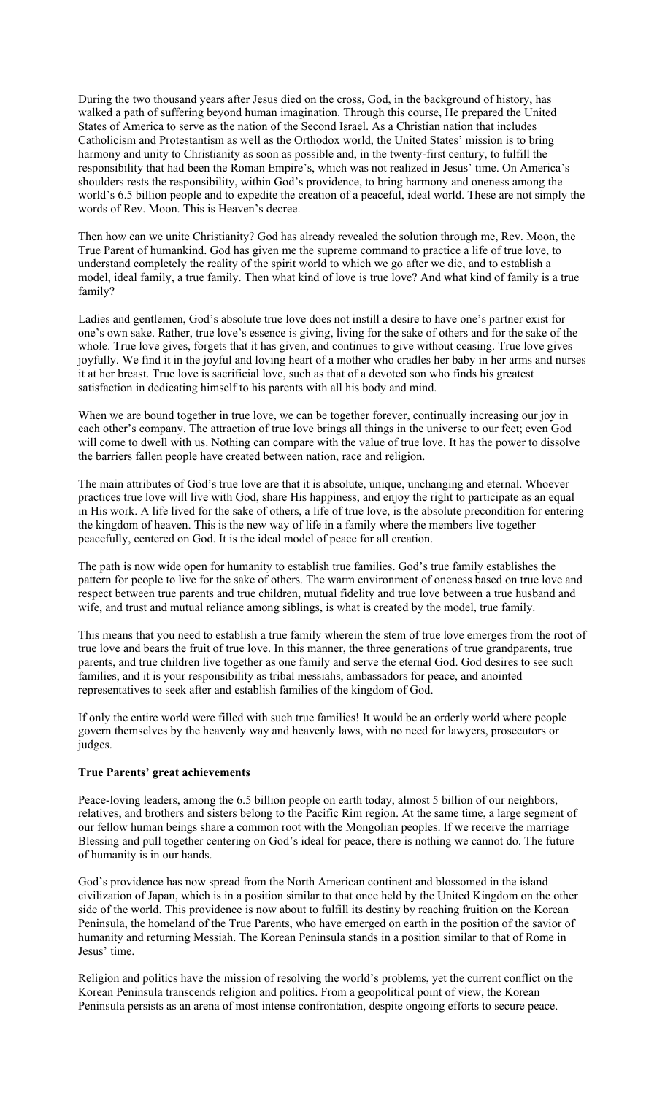During the two thousand years after Jesus died on the cross, God, in the background of history, has walked a path of suffering beyond human imagination. Through this course, He prepared the United States of America to serve as the nation of the Second Israel. As a Christian nation that includes Catholicism and Protestantism as well as the Orthodox world, the United States' mission is to bring harmony and unity to Christianity as soon as possible and, in the twenty-first century, to fulfill the responsibility that had been the Roman Empire's, which was not realized in Jesus' time. On America's shoulders rests the responsibility, within God's providence, to bring harmony and oneness among the world's 6.5 billion people and to expedite the creation of a peaceful, ideal world. These are not simply the words of Rev. Moon. This is Heaven's decree.

Then how can we unite Christianity? God has already revealed the solution through me, Rev. Moon, the True Parent of humankind. God has given me the supreme command to practice a life of true love, to understand completely the reality of the spirit world to which we go after we die, and to establish a model, ideal family, a true family. Then what kind of love is true love? And what kind of family is a true family?

Ladies and gentlemen, God's absolute true love does not instill a desire to have one's partner exist for one's own sake. Rather, true love's essence is giving, living for the sake of others and for the sake of the whole. True love gives, forgets that it has given, and continues to give without ceasing. True love gives joyfully. We find it in the joyful and loving heart of a mother who cradles her baby in her arms and nurses it at her breast. True love is sacrificial love, such as that of a devoted son who finds his greatest satisfaction in dedicating himself to his parents with all his body and mind.

When we are bound together in true love, we can be together forever, continually increasing our joy in each other's company. The attraction of true love brings all things in the universe to our feet; even God will come to dwell with us. Nothing can compare with the value of true love. It has the power to dissolve the barriers fallen people have created between nation, race and religion.

The main attributes of God's true love are that it is absolute, unique, unchanging and eternal. Whoever practices true love will live with God, share His happiness, and enjoy the right to participate as an equal in His work. A life lived for the sake of others, a life of true love, is the absolute precondition for entering the kingdom of heaven. This is the new way of life in a family where the members live together peacefully, centered on God. It is the ideal model of peace for all creation.

The path is now wide open for humanity to establish true families. God's true family establishes the pattern for people to live for the sake of others. The warm environment of oneness based on true love and respect between true parents and true children, mutual fidelity and true love between a true husband and wife, and trust and mutual reliance among siblings, is what is created by the model, true family.

This means that you need to establish a true family wherein the stem of true love emerges from the root of true love and bears the fruit of true love. In this manner, the three generations of true grandparents, true parents, and true children live together as one family and serve the eternal God. God desires to see such families, and it is your responsibility as tribal messiahs, ambassadors for peace, and anointed representatives to seek after and establish families of the kingdom of God.

If only the entire world were filled with such true families! It would be an orderly world where people govern themselves by the heavenly way and heavenly laws, with no need for lawyers, prosecutors or judges.

#### **True Parents' great achievements**

Peace-loving leaders, among the 6.5 billion people on earth today, almost 5 billion of our neighbors, relatives, and brothers and sisters belong to the Pacific Rim region. At the same time, a large segment of our fellow human beings share a common root with the Mongolian peoples. If we receive the marriage Blessing and pull together centering on God's ideal for peace, there is nothing we cannot do. The future of humanity is in our hands.

God's providence has now spread from the North American continent and blossomed in the island civilization of Japan, which is in a position similar to that once held by the United Kingdom on the other side of the world. This providence is now about to fulfill its destiny by reaching fruition on the Korean Peninsula, the homeland of the True Parents, who have emerged on earth in the position of the savior of humanity and returning Messiah. The Korean Peninsula stands in a position similar to that of Rome in Jesus' time.

Religion and politics have the mission of resolving the world's problems, yet the current conflict on the Korean Peninsula transcends religion and politics. From a geopolitical point of view, the Korean Peninsula persists as an arena of most intense confrontation, despite ongoing efforts to secure peace.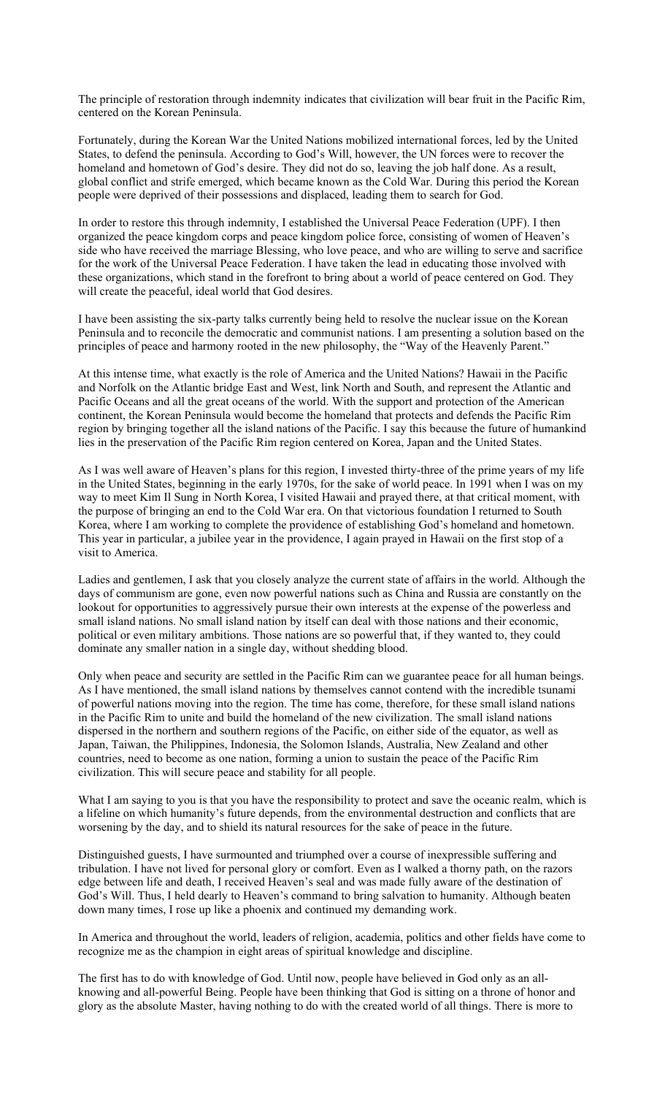The principle of restoration through indemnity indicates that civilization will bear fruit in the Pacific Rim, centered on the Korean Peninsula.

Fortunately, during the Korean War the United Nations mobilized international forces, led by the United States, to defend the peninsula. According to God's Will, however, the UN forces were to recover the homeland and hometown of God's desire. They did not do so, leaving the job half done. As a result, global conflict and strife emerged, which became known as the Cold War. During this period the Korean people were deprived of their possessions and displaced, leading them to search for God.

In order to restore this through indemnity, I established the Universal Peace Federation (UPF). I then organized the peace kingdom corps and peace kingdom police force, consisting of women of Heaven's side who have received the marriage Blessing, who love peace, and who are willing to serve and sacrifice for the work of the Universal Peace Federation. I have taken the lead in educating those involved with these organizations, which stand in the forefront to bring about a world of peace centered on God. They will create the peaceful, ideal world that God desires.

I have been assisting the six-party talks currently being held to resolve the nuclear issue on the Korean Peninsula and to reconcile the democratic and communist nations. I am presenting a solution based on the principles of peace and harmony rooted in the new philosophy, the "Way of the Heavenly Parent."

At this intense time, what exactly is the role of America and the United Nations? Hawaii in the Pacific and Norfolk on the Atlantic bridge East and West, link North and South, and represent the Atlantic and Pacific Oceans and all the great oceans of the world. With the support and protection of the American continent, the Korean Peninsula would become the homeland that protects and defends the Pacific Rim region by bringing together all the island nations of the Pacific. I say this because the future of humankind lies in the preservation of the Pacific Rim region centered on Korea, Japan and the United States.

As I was well aware of Heaven's plans for this region, I invested thirty-three of the prime years of my life in the United States, beginning in the early 1970s, for the sake of world peace. In 1991 when I was on my way to meet Kim Il Sung in North Korea, I visited Hawaii and prayed there, at that critical moment, with the purpose of bringing an end to the Cold War era. On that victorious foundation I returned to South Korea, where I am working to complete the providence of establishing God's homeland and hometown. This year in particular, a jubilee year in the providence, I again prayed in Hawaii on the first stop of a visit to America.

Ladies and gentlemen, I ask that you closely analyze the current state of affairs in the world. Although the days of communism are gone, even now powerful nations such as China and Russia are constantly on the lookout for opportunities to aggressively pursue their own interests at the expense of the powerless and small island nations. No small island nation by itself can deal with those nations and their economic, political or even military ambitions. Those nations are so powerful that, if they wanted to, they could dominate any smaller nation in a single day, without shedding blood.

Only when peace and security are settled in the Pacific Rim can we guarantee peace for all human beings. As I have mentioned, the small island nations by themselves cannot contend with the incredible tsunami of powerful nations moving into the region. The time has come, therefore, for these small island nations in the Pacific Rim to unite and build the homeland of the new civilization. The small island nations dispersed in the northern and southern regions of the Pacific, on either side of the equator, as well as Japan, Taiwan, the Philippines, Indonesia, the Solomon Islands, Australia, New Zealand and other countries, need to become as one nation, forming a union to sustain the peace of the Pacific Rim civilization. This will secure peace and stability for all people.

What I am saying to you is that you have the responsibility to protect and save the oceanic realm, which is a lifeline on which humanity's future depends, from the environmental destruction and conflicts that are worsening by the day, and to shield its natural resources for the sake of peace in the future.

Distinguished guests, I have surmounted and triumphed over a course of inexpressible suffering and tribulation. I have not lived for personal glory or comfort. Even as I walked a thorny path, on the razors edge between life and death, I received Heaven's seal and was made fully aware of the destination of God's Will. Thus, I held dearly to Heaven's command to bring salvation to humanity. Although beaten down many times, I rose up like a phoenix and continued my demanding work.

In America and throughout the world, leaders of religion, academia, politics and other fields have come to recognize me as the champion in eight areas of spiritual knowledge and discipline.

The first has to do with knowledge of God. Until now, people have believed in God only as an allknowing and all-powerful Being. People have been thinking that God is sitting on a throne of honor and glory as the absolute Master, having nothing to do with the created world of all things. There is more to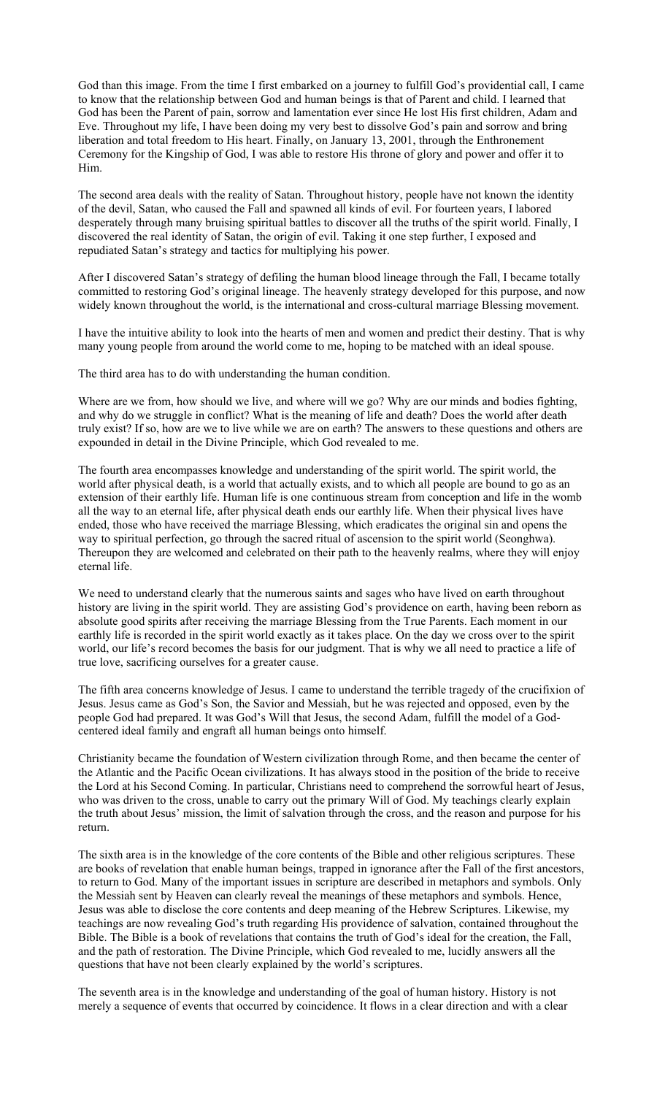God than this image. From the time I first embarked on a journey to fulfill God's providential call, I came to know that the relationship between God and human beings is that of Parent and child. I learned that God has been the Parent of pain, sorrow and lamentation ever since He lost His first children, Adam and Eve. Throughout my life, I have been doing my very best to dissolve God's pain and sorrow and bring liberation and total freedom to His heart. Finally, on January 13, 2001, through the Enthronement Ceremony for the Kingship of God, I was able to restore His throne of glory and power and offer it to Him.

The second area deals with the reality of Satan. Throughout history, people have not known the identity of the devil, Satan, who caused the Fall and spawned all kinds of evil. For fourteen years, I labored desperately through many bruising spiritual battles to discover all the truths of the spirit world. Finally, I discovered the real identity of Satan, the origin of evil. Taking it one step further, I exposed and repudiated Satan's strategy and tactics for multiplying his power.

After I discovered Satan's strategy of defiling the human blood lineage through the Fall, I became totally committed to restoring God's original lineage. The heavenly strategy developed for this purpose, and now widely known throughout the world, is the international and cross-cultural marriage Blessing movement.

I have the intuitive ability to look into the hearts of men and women and predict their destiny. That is why many young people from around the world come to me, hoping to be matched with an ideal spouse.

The third area has to do with understanding the human condition.

Where are we from, how should we live, and where will we go? Why are our minds and bodies fighting, and why do we struggle in conflict? What is the meaning of life and death? Does the world after death truly exist? If so, how are we to live while we are on earth? The answers to these questions and others are expounded in detail in the Divine Principle, which God revealed to me.

The fourth area encompasses knowledge and understanding of the spirit world. The spirit world, the world after physical death, is a world that actually exists, and to which all people are bound to go as an extension of their earthly life. Human life is one continuous stream from conception and life in the womb all the way to an eternal life, after physical death ends our earthly life. When their physical lives have ended, those who have received the marriage Blessing, which eradicates the original sin and opens the way to spiritual perfection, go through the sacred ritual of ascension to the spirit world (Seonghwa). Thereupon they are welcomed and celebrated on their path to the heavenly realms, where they will enjoy eternal life.

We need to understand clearly that the numerous saints and sages who have lived on earth throughout history are living in the spirit world. They are assisting God's providence on earth, having been reborn as absolute good spirits after receiving the marriage Blessing from the True Parents. Each moment in our earthly life is recorded in the spirit world exactly as it takes place. On the day we cross over to the spirit world, our life's record becomes the basis for our judgment. That is why we all need to practice a life of true love, sacrificing ourselves for a greater cause.

The fifth area concerns knowledge of Jesus. I came to understand the terrible tragedy of the crucifixion of Jesus. Jesus came as God's Son, the Savior and Messiah, but he was rejected and opposed, even by the people God had prepared. It was God's Will that Jesus, the second Adam, fulfill the model of a Godcentered ideal family and engraft all human beings onto himself.

Christianity became the foundation of Western civilization through Rome, and then became the center of the Atlantic and the Pacific Ocean civilizations. It has always stood in the position of the bride to receive the Lord at his Second Coming. In particular, Christians need to comprehend the sorrowful heart of Jesus, who was driven to the cross, unable to carry out the primary Will of God. My teachings clearly explain the truth about Jesus' mission, the limit of salvation through the cross, and the reason and purpose for his return.

The sixth area is in the knowledge of the core contents of the Bible and other religious scriptures. These are books of revelation that enable human beings, trapped in ignorance after the Fall of the first ancestors, to return to God. Many of the important issues in scripture are described in metaphors and symbols. Only the Messiah sent by Heaven can clearly reveal the meanings of these metaphors and symbols. Hence, Jesus was able to disclose the core contents and deep meaning of the Hebrew Scriptures. Likewise, my teachings are now revealing God's truth regarding His providence of salvation, contained throughout the Bible. The Bible is a book of revelations that contains the truth of God's ideal for the creation, the Fall, and the path of restoration. The Divine Principle, which God revealed to me, lucidly answers all the questions that have not been clearly explained by the world's scriptures.

The seventh area is in the knowledge and understanding of the goal of human history. History is not merely a sequence of events that occurred by coincidence. It flows in a clear direction and with a clear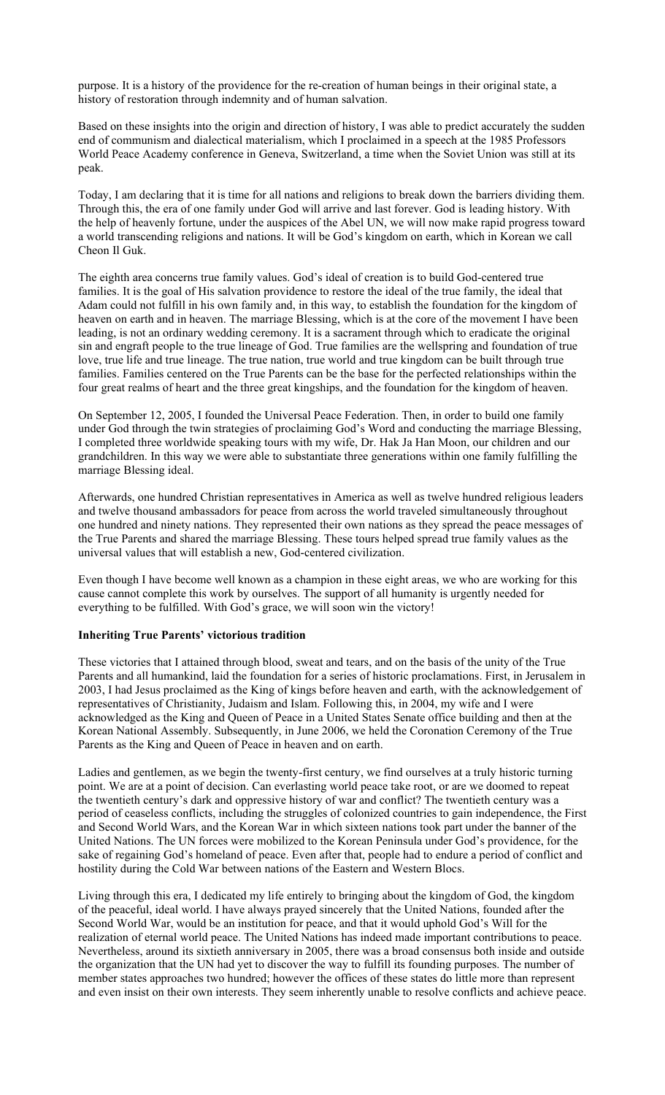purpose. It is a history of the providence for the re-creation of human beings in their original state, a history of restoration through indemnity and of human salvation.

Based on these insights into the origin and direction of history, I was able to predict accurately the sudden end of communism and dialectical materialism, which I proclaimed in a speech at the 1985 Professors World Peace Academy conference in Geneva, Switzerland, a time when the Soviet Union was still at its peak.

Today, I am declaring that it is time for all nations and religions to break down the barriers dividing them. Through this, the era of one family under God will arrive and last forever. God is leading history. With the help of heavenly fortune, under the auspices of the Abel UN, we will now make rapid progress toward a world transcending religions and nations. It will be God's kingdom on earth, which in Korean we call Cheon Il Guk.

The eighth area concerns true family values. God's ideal of creation is to build God-centered true families. It is the goal of His salvation providence to restore the ideal of the true family, the ideal that Adam could not fulfill in his own family and, in this way, to establish the foundation for the kingdom of heaven on earth and in heaven. The marriage Blessing, which is at the core of the movement I have been leading, is not an ordinary wedding ceremony. It is a sacrament through which to eradicate the original sin and engraft people to the true lineage of God. True families are the wellspring and foundation of true love, true life and true lineage. The true nation, true world and true kingdom can be built through true families. Families centered on the True Parents can be the base for the perfected relationships within the four great realms of heart and the three great kingships, and the foundation for the kingdom of heaven.

On September 12, 2005, I founded the Universal Peace Federation. Then, in order to build one family under God through the twin strategies of proclaiming God's Word and conducting the marriage Blessing, I completed three worldwide speaking tours with my wife, Dr. Hak Ja Han Moon, our children and our grandchildren. In this way we were able to substantiate three generations within one family fulfilling the marriage Blessing ideal.

Afterwards, one hundred Christian representatives in America as well as twelve hundred religious leaders and twelve thousand ambassadors for peace from across the world traveled simultaneously throughout one hundred and ninety nations. They represented their own nations as they spread the peace messages of the True Parents and shared the marriage Blessing. These tours helped spread true family values as the universal values that will establish a new, God-centered civilization.

Even though I have become well known as a champion in these eight areas, we who are working for this cause cannot complete this work by ourselves. The support of all humanity is urgently needed for everything to be fulfilled. With God's grace, we will soon win the victory!

#### **Inheriting True Parents' victorious tradition**

These victories that I attained through blood, sweat and tears, and on the basis of the unity of the True Parents and all humankind, laid the foundation for a series of historic proclamations. First, in Jerusalem in 2003, I had Jesus proclaimed as the King of kings before heaven and earth, with the acknowledgement of representatives of Christianity, Judaism and Islam. Following this, in 2004, my wife and I were acknowledged as the King and Queen of Peace in a United States Senate office building and then at the Korean National Assembly. Subsequently, in June 2006, we held the Coronation Ceremony of the True Parents as the King and Queen of Peace in heaven and on earth.

Ladies and gentlemen, as we begin the twenty-first century, we find ourselves at a truly historic turning point. We are at a point of decision. Can everlasting world peace take root, or are we doomed to repeat the twentieth century's dark and oppressive history of war and conflict? The twentieth century was a period of ceaseless conflicts, including the struggles of colonized countries to gain independence, the First and Second World Wars, and the Korean War in which sixteen nations took part under the banner of the United Nations. The UN forces were mobilized to the Korean Peninsula under God's providence, for the sake of regaining God's homeland of peace. Even after that, people had to endure a period of conflict and hostility during the Cold War between nations of the Eastern and Western Blocs.

Living through this era, I dedicated my life entirely to bringing about the kingdom of God, the kingdom of the peaceful, ideal world. I have always prayed sincerely that the United Nations, founded after the Second World War, would be an institution for peace, and that it would uphold God's Will for the realization of eternal world peace. The United Nations has indeed made important contributions to peace. Nevertheless, around its sixtieth anniversary in 2005, there was a broad consensus both inside and outside the organization that the UN had yet to discover the way to fulfill its founding purposes. The number of member states approaches two hundred; however the offices of these states do little more than represent and even insist on their own interests. They seem inherently unable to resolve conflicts and achieve peace.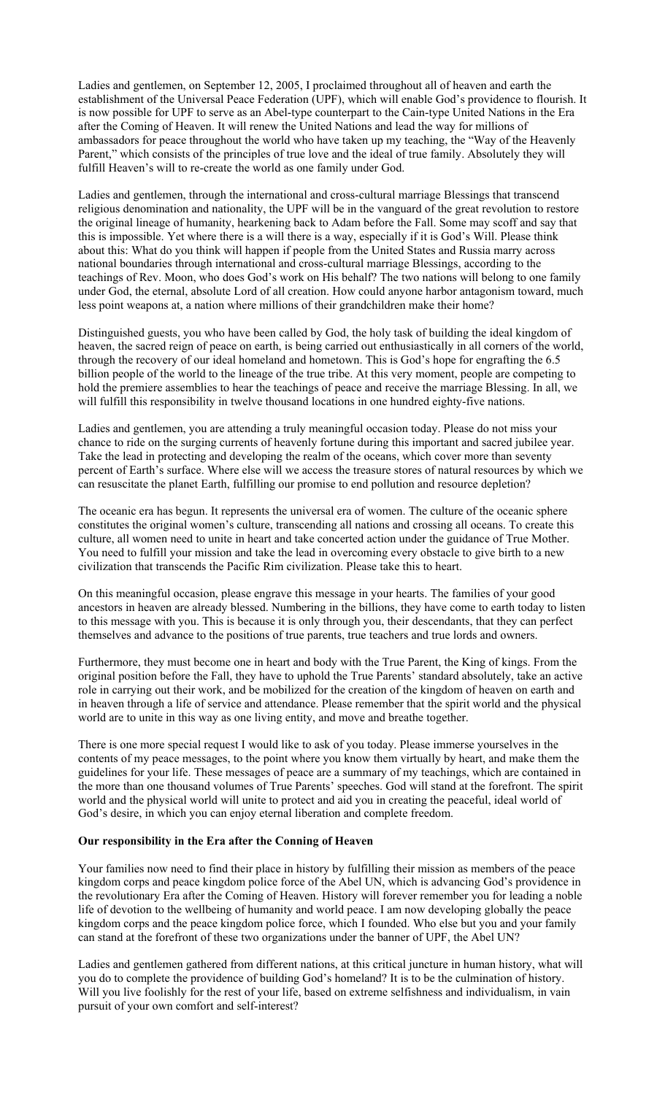Ladies and gentlemen, on September 12, 2005, I proclaimed throughout all of heaven and earth the establishment of the Universal Peace Federation (UPF), which will enable God's providence to flourish. It is now possible for UPF to serve as an Abel-type counterpart to the Cain-type United Nations in the Era after the Coming of Heaven. It will renew the United Nations and lead the way for millions of ambassadors for peace throughout the world who have taken up my teaching, the "Way of the Heavenly Parent," which consists of the principles of true love and the ideal of true family. Absolutely they will fulfill Heaven's will to re-create the world as one family under God.

Ladies and gentlemen, through the international and cross-cultural marriage Blessings that transcend religious denomination and nationality, the UPF will be in the vanguard of the great revolution to restore the original lineage of humanity, hearkening back to Adam before the Fall. Some may scoff and say that this is impossible. Yet where there is a will there is a way, especially if it is God's Will. Please think about this: What do you think will happen if people from the United States and Russia marry across national boundaries through international and cross-cultural marriage Blessings, according to the teachings of Rev. Moon, who does God's work on His behalf? The two nations will belong to one family under God, the eternal, absolute Lord of all creation. How could anyone harbor antagonism toward, much less point weapons at, a nation where millions of their grandchildren make their home?

Distinguished guests, you who have been called by God, the holy task of building the ideal kingdom of heaven, the sacred reign of peace on earth, is being carried out enthusiastically in all corners of the world, through the recovery of our ideal homeland and hometown. This is God's hope for engrafting the 6.5 billion people of the world to the lineage of the true tribe. At this very moment, people are competing to hold the premiere assemblies to hear the teachings of peace and receive the marriage Blessing. In all, we will fulfill this responsibility in twelve thousand locations in one hundred eighty-five nations.

Ladies and gentlemen, you are attending a truly meaningful occasion today. Please do not miss your chance to ride on the surging currents of heavenly fortune during this important and sacred jubilee year. Take the lead in protecting and developing the realm of the oceans, which cover more than seventy percent of Earth's surface. Where else will we access the treasure stores of natural resources by which we can resuscitate the planet Earth, fulfilling our promise to end pollution and resource depletion?

The oceanic era has begun. It represents the universal era of women. The culture of the oceanic sphere constitutes the original women's culture, transcending all nations and crossing all oceans. To create this culture, all women need to unite in heart and take concerted action under the guidance of True Mother. You need to fulfill your mission and take the lead in overcoming every obstacle to give birth to a new civilization that transcends the Pacific Rim civilization. Please take this to heart.

On this meaningful occasion, please engrave this message in your hearts. The families of your good ancestors in heaven are already blessed. Numbering in the billions, they have come to earth today to listen to this message with you. This is because it is only through you, their descendants, that they can perfect themselves and advance to the positions of true parents, true teachers and true lords and owners.

Furthermore, they must become one in heart and body with the True Parent, the King of kings. From the original position before the Fall, they have to uphold the True Parents' standard absolutely, take an active role in carrying out their work, and be mobilized for the creation of the kingdom of heaven on earth and in heaven through a life of service and attendance. Please remember that the spirit world and the physical world are to unite in this way as one living entity, and move and breathe together.

There is one more special request I would like to ask of you today. Please immerse yourselves in the contents of my peace messages, to the point where you know them virtually by heart, and make them the guidelines for your life. These messages of peace are a summary of my teachings, which are contained in the more than one thousand volumes of True Parents' speeches. God will stand at the forefront. The spirit world and the physical world will unite to protect and aid you in creating the peaceful, ideal world of God's desire, in which you can enjoy eternal liberation and complete freedom.

### **Our responsibility in the Era after the Conning of Heaven**

Your families now need to find their place in history by fulfilling their mission as members of the peace kingdom corps and peace kingdom police force of the Abel UN, which is advancing God's providence in the revolutionary Era after the Coming of Heaven. History will forever remember you for leading a noble life of devotion to the wellbeing of humanity and world peace. I am now developing globally the peace kingdom corps and the peace kingdom police force, which I founded. Who else but you and your family can stand at the forefront of these two organizations under the banner of UPF, the Abel UN?

Ladies and gentlemen gathered from different nations, at this critical juncture in human history, what will you do to complete the providence of building God's homeland? It is to be the culmination of history. Will you live foolishly for the rest of your life, based on extreme selfishness and individualism, in vain pursuit of your own comfort and self-interest?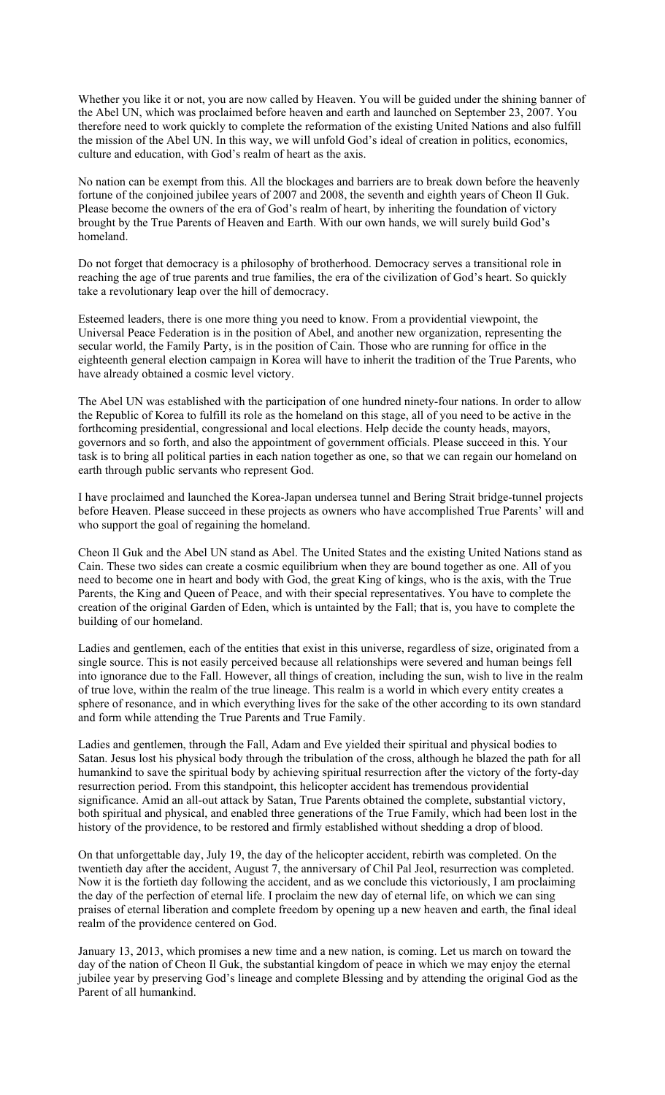Whether you like it or not, you are now called by Heaven. You will be guided under the shining banner of the Abel UN, which was proclaimed before heaven and earth and launched on September 23, 2007. You therefore need to work quickly to complete the reformation of the existing United Nations and also fulfill the mission of the Abel UN. In this way, we will unfold God's ideal of creation in politics, economics, culture and education, with God's realm of heart as the axis.

No nation can be exempt from this. All the blockages and barriers are to break down before the heavenly fortune of the conjoined jubilee years of 2007 and 2008, the seventh and eighth years of Cheon Il Guk. Please become the owners of the era of God's realm of heart, by inheriting the foundation of victory brought by the True Parents of Heaven and Earth. With our own hands, we will surely build God's homeland.

Do not forget that democracy is a philosophy of brotherhood. Democracy serves a transitional role in reaching the age of true parents and true families, the era of the civilization of God's heart. So quickly take a revolutionary leap over the hill of democracy.

Esteemed leaders, there is one more thing you need to know. From a providential viewpoint, the Universal Peace Federation is in the position of Abel, and another new organization, representing the secular world, the Family Party, is in the position of Cain. Those who are running for office in the eighteenth general election campaign in Korea will have to inherit the tradition of the True Parents, who have already obtained a cosmic level victory.

The Abel UN was established with the participation of one hundred ninety-four nations. In order to allow the Republic of Korea to fulfill its role as the homeland on this stage, all of you need to be active in the forthcoming presidential, congressional and local elections. Help decide the county heads, mayors, governors and so forth, and also the appointment of government officials. Please succeed in this. Your task is to bring all political parties in each nation together as one, so that we can regain our homeland on earth through public servants who represent God.

I have proclaimed and launched the Korea-Japan undersea tunnel and Bering Strait bridge-tunnel projects before Heaven. Please succeed in these projects as owners who have accomplished True Parents' will and who support the goal of regaining the homeland.

Cheon Il Guk and the Abel UN stand as Abel. The United States and the existing United Nations stand as Cain. These two sides can create a cosmic equilibrium when they are bound together as one. All of you need to become one in heart and body with God, the great King of kings, who is the axis, with the True Parents, the King and Queen of Peace, and with their special representatives. You have to complete the creation of the original Garden of Eden, which is untainted by the Fall; that is, you have to complete the building of our homeland.

Ladies and gentlemen, each of the entities that exist in this universe, regardless of size, originated from a single source. This is not easily perceived because all relationships were severed and human beings fell into ignorance due to the Fall. However, all things of creation, including the sun, wish to live in the realm of true love, within the realm of the true lineage. This realm is a world in which every entity creates a sphere of resonance, and in which everything lives for the sake of the other according to its own standard and form while attending the True Parents and True Family.

Ladies and gentlemen, through the Fall, Adam and Eve yielded their spiritual and physical bodies to Satan. Jesus lost his physical body through the tribulation of the cross, although he blazed the path for all humankind to save the spiritual body by achieving spiritual resurrection after the victory of the forty-day resurrection period. From this standpoint, this helicopter accident has tremendous providential significance. Amid an all-out attack by Satan, True Parents obtained the complete, substantial victory, both spiritual and physical, and enabled three generations of the True Family, which had been lost in the history of the providence, to be restored and firmly established without shedding a drop of blood.

On that unforgettable day, July 19, the day of the helicopter accident, rebirth was completed. On the twentieth day after the accident, August 7, the anniversary of Chil Pal Jeol, resurrection was completed. Now it is the fortieth day following the accident, and as we conclude this victoriously, I am proclaiming the day of the perfection of eternal life. I proclaim the new day of eternal life, on which we can sing praises of eternal liberation and complete freedom by opening up a new heaven and earth, the final ideal realm of the providence centered on God.

January 13, 2013, which promises a new time and a new nation, is coming. Let us march on toward the day of the nation of Cheon Il Guk, the substantial kingdom of peace in which we may enjoy the eternal jubilee year by preserving God's lineage and complete Blessing and by attending the original God as the Parent of all humankind.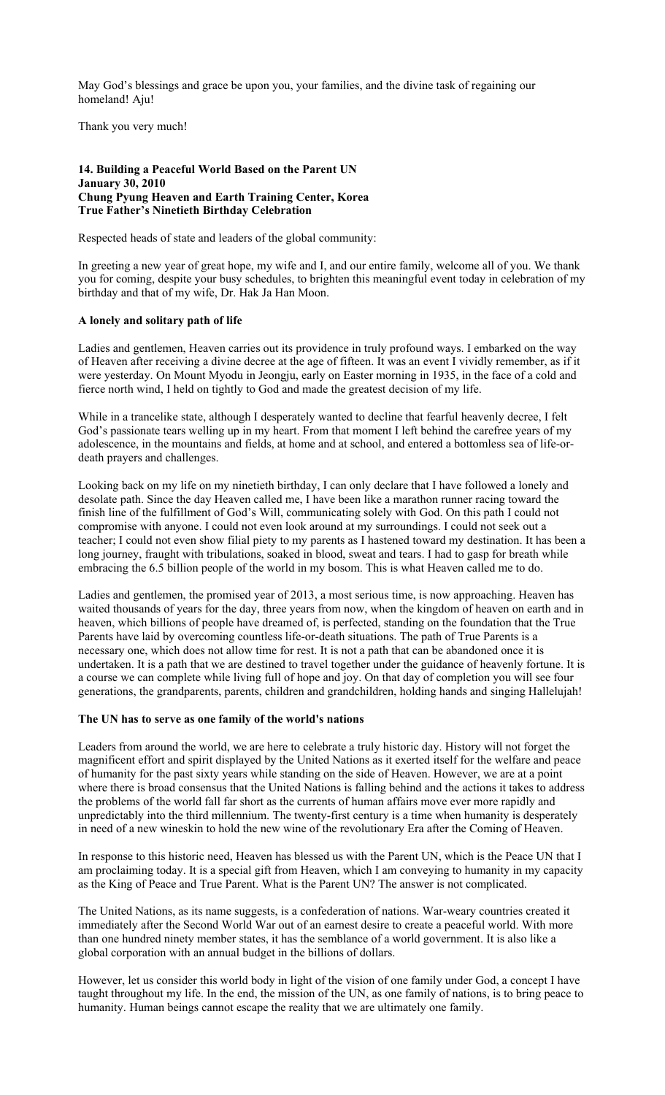May God's blessings and grace be upon you, your families, and the divine task of regaining our homeland! Aju!

Thank you very much!

### **14. Building a Peaceful World Based on the Parent UN January 30, 2010 Chung Pyung Heaven and Earth Training Center, Korea True Father's Ninetieth Birthday Celebration**

Respected heads of state and leaders of the global community:

In greeting a new year of great hope, my wife and I, and our entire family, welcome all of you. We thank you for coming, despite your busy schedules, to brighten this meaningful event today in celebration of my birthday and that of my wife, Dr. Hak Ja Han Moon.

### **A lonely and solitary path of life**

Ladies and gentlemen, Heaven carries out its providence in truly profound ways. I embarked on the way of Heaven after receiving a divine decree at the age of fifteen. It was an event I vividly remember, as if it were yesterday. On Mount Myodu in Jeongju, early on Easter morning in 1935, in the face of a cold and fierce north wind, I held on tightly to God and made the greatest decision of my life.

While in a trancelike state, although I desperately wanted to decline that fearful heavenly decree, I felt God's passionate tears welling up in my heart. From that moment I left behind the carefree years of my adolescence, in the mountains and fields, at home and at school, and entered a bottomless sea of life-ordeath prayers and challenges.

Looking back on my life on my ninetieth birthday, I can only declare that I have followed a lonely and desolate path. Since the day Heaven called me, I have been like a marathon runner racing toward the finish line of the fulfillment of God's Will, communicating solely with God. On this path I could not compromise with anyone. I could not even look around at my surroundings. I could not seek out a teacher; I could not even show filial piety to my parents as I hastened toward my destination. It has been a long journey, fraught with tribulations, soaked in blood, sweat and tears. I had to gasp for breath while embracing the 6.5 billion people of the world in my bosom. This is what Heaven called me to do.

Ladies and gentlemen, the promised year of 2013, a most serious time, is now approaching. Heaven has waited thousands of years for the day, three years from now, when the kingdom of heaven on earth and in heaven, which billions of people have dreamed of, is perfected, standing on the foundation that the True Parents have laid by overcoming countless life-or-death situations. The path of True Parents is a necessary one, which does not allow time for rest. It is not a path that can be abandoned once it is undertaken. It is a path that we are destined to travel together under the guidance of heavenly fortune. It is a course we can complete while living full of hope and joy. On that day of completion you will see four generations, the grandparents, parents, children and grandchildren, holding hands and singing Hallelujah!

#### **The UN has to serve as one family of the world's nations**

Leaders from around the world, we are here to celebrate a truly historic day. History will not forget the magnificent effort and spirit displayed by the United Nations as it exerted itself for the welfare and peace of humanity for the past sixty years while standing on the side of Heaven. However, we are at a point where there is broad consensus that the United Nations is falling behind and the actions it takes to address the problems of the world fall far short as the currents of human affairs move ever more rapidly and unpredictably into the third millennium. The twenty-first century is a time when humanity is desperately in need of a new wineskin to hold the new wine of the revolutionary Era after the Coming of Heaven.

In response to this historic need, Heaven has blessed us with the Parent UN, which is the Peace UN that I am proclaiming today. It is a special gift from Heaven, which I am conveying to humanity in my capacity as the King of Peace and True Parent. What is the Parent UN? The answer is not complicated.

The United Nations, as its name suggests, is a confederation of nations. War-weary countries created it immediately after the Second World War out of an earnest desire to create a peaceful world. With more than one hundred ninety member states, it has the semblance of a world government. It is also like a global corporation with an annual budget in the billions of dollars.

However, let us consider this world body in light of the vision of one family under God, a concept I have taught throughout my life. In the end, the mission of the UN, as one family of nations, is to bring peace to humanity. Human beings cannot escape the reality that we are ultimately one family.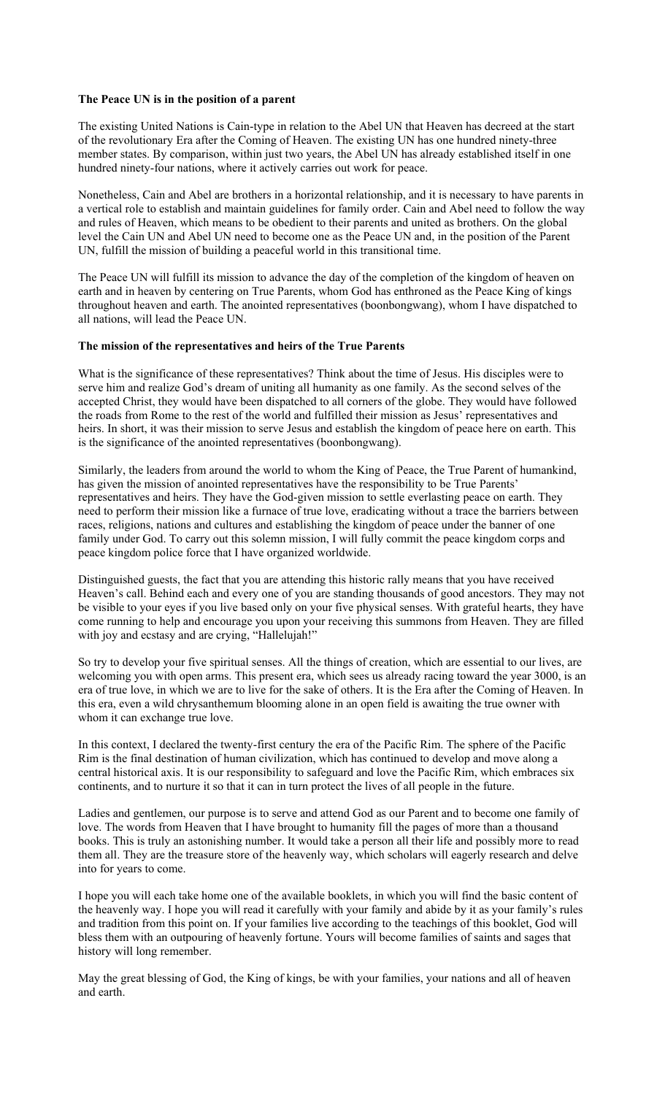# **The Peace UN is in the position of a parent**

The existing United Nations is Cain-type in relation to the Abel UN that Heaven has decreed at the start of the revolutionary Era after the Coming of Heaven. The existing UN has one hundred ninety-three member states. By comparison, within just two years, the Abel UN has already established itself in one hundred ninety-four nations, where it actively carries out work for peace.

Nonetheless, Cain and Abel are brothers in a horizontal relationship, and it is necessary to have parents in a vertical role to establish and maintain guidelines for family order. Cain and Abel need to follow the way and rules of Heaven, which means to be obedient to their parents and united as brothers. On the global level the Cain UN and Abel UN need to become one as the Peace UN and, in the position of the Parent UN, fulfill the mission of building a peaceful world in this transitional time.

The Peace UN will fulfill its mission to advance the day of the completion of the kingdom of heaven on earth and in heaven by centering on True Parents, whom God has enthroned as the Peace King of kings throughout heaven and earth. The anointed representatives (boonbongwang), whom I have dispatched to all nations, will lead the Peace UN.

# **The mission of the representatives and heirs of the True Parents**

What is the significance of these representatives? Think about the time of Jesus. His disciples were to serve him and realize God's dream of uniting all humanity as one family. As the second selves of the accepted Christ, they would have been dispatched to all corners of the globe. They would have followed the roads from Rome to the rest of the world and fulfilled their mission as Jesus' representatives and heirs. In short, it was their mission to serve Jesus and establish the kingdom of peace here on earth. This is the significance of the anointed representatives (boonbongwang).

Similarly, the leaders from around the world to whom the King of Peace, the True Parent of humankind, has given the mission of anointed representatives have the responsibility to be True Parents' representatives and heirs. They have the God-given mission to settle everlasting peace on earth. They need to perform their mission like a furnace of true love, eradicating without a trace the barriers between races, religions, nations and cultures and establishing the kingdom of peace under the banner of one family under God. To carry out this solemn mission, I will fully commit the peace kingdom corps and peace kingdom police force that I have organized worldwide.

Distinguished guests, the fact that you are attending this historic rally means that you have received Heaven's call. Behind each and every one of you are standing thousands of good ancestors. They may not be visible to your eyes if you live based only on your five physical senses. With grateful hearts, they have come running to help and encourage you upon your receiving this summons from Heaven. They are filled with joy and ecstasy and are crying, "Hallelujah!"

So try to develop your five spiritual senses. All the things of creation, which are essential to our lives, are welcoming you with open arms. This present era, which sees us already racing toward the year 3000, is an era of true love, in which we are to live for the sake of others. It is the Era after the Coming of Heaven. In this era, even a wild chrysanthemum blooming alone in an open field is awaiting the true owner with whom it can exchange true love.

In this context, I declared the twenty-first century the era of the Pacific Rim. The sphere of the Pacific Rim is the final destination of human civilization, which has continued to develop and move along a central historical axis. It is our responsibility to safeguard and love the Pacific Rim, which embraces six continents, and to nurture it so that it can in turn protect the lives of all people in the future.

Ladies and gentlemen, our purpose is to serve and attend God as our Parent and to become one family of love. The words from Heaven that I have brought to humanity fill the pages of more than a thousand books. This is truly an astonishing number. It would take a person all their life and possibly more to read them all. They are the treasure store of the heavenly way, which scholars will eagerly research and delve into for years to come.

I hope you will each take home one of the available booklets, in which you will find the basic content of the heavenly way. I hope you will read it carefully with your family and abide by it as your family's rules and tradition from this point on. If your families live according to the teachings of this booklet, God will bless them with an outpouring of heavenly fortune. Yours will become families of saints and sages that history will long remember.

May the great blessing of God, the King of kings, be with your families, your nations and all of heaven and earth.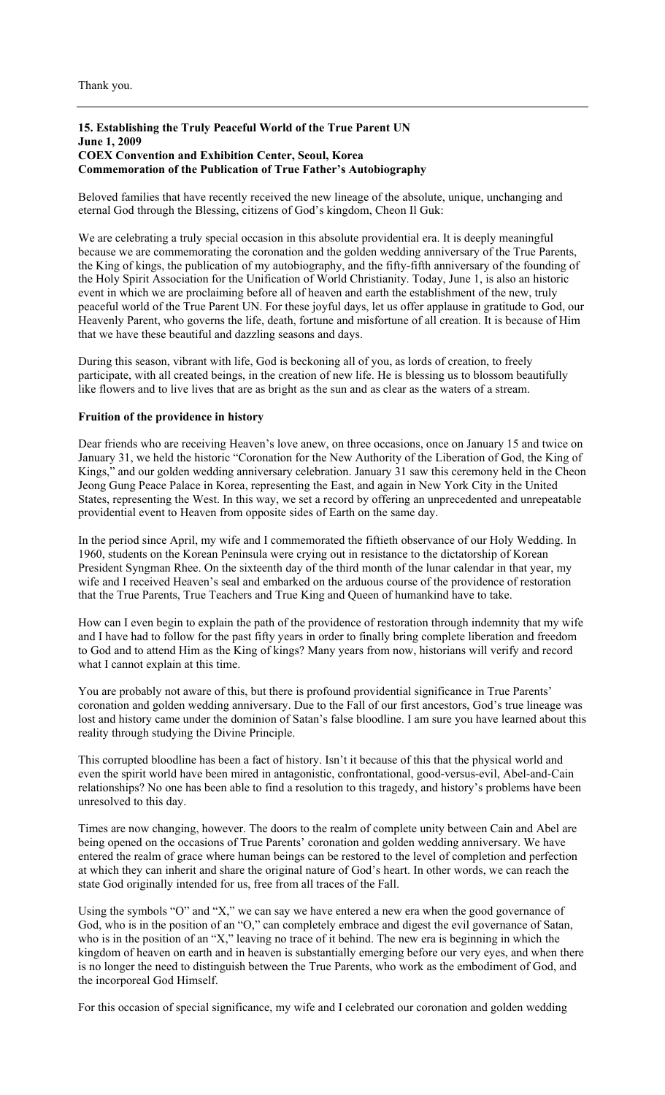### **15. Establishing the Truly Peaceful World of the True Parent UN June 1, 2009 COEX Convention and Exhibition Center, Seoul, Korea Commemoration of the Publication of True Father's Autobiography**

Beloved families that have recently received the new lineage of the absolute, unique, unchanging and eternal God through the Blessing, citizens of God's kingdom, Cheon Il Guk:

We are celebrating a truly special occasion in this absolute providential era. It is deeply meaningful because we are commemorating the coronation and the golden wedding anniversary of the True Parents, the King of kings, the publication of my autobiography, and the fifty-fifth anniversary of the founding of the Holy Spirit Association for the Unification of World Christianity. Today, June 1, is also an historic event in which we are proclaiming before all of heaven and earth the establishment of the new, truly peaceful world of the True Parent UN. For these joyful days, let us offer applause in gratitude to God, our Heavenly Parent, who governs the life, death, fortune and misfortune of all creation. It is because of Him that we have these beautiful and dazzling seasons and days.

During this season, vibrant with life, God is beckoning all of you, as lords of creation, to freely participate, with all created beings, in the creation of new life. He is blessing us to blossom beautifully like flowers and to live lives that are as bright as the sun and as clear as the waters of a stream.

#### **Fruition of the providence in history**

Dear friends who are receiving Heaven's love anew, on three occasions, once on January 15 and twice on January 31, we held the historic "Coronation for the New Authority of the Liberation of God, the King of Kings," and our golden wedding anniversary celebration. January 31 saw this ceremony held in the Cheon Jeong Gung Peace Palace in Korea, representing the East, and again in New York City in the United States, representing the West. In this way, we set a record by offering an unprecedented and unrepeatable providential event to Heaven from opposite sides of Earth on the same day.

In the period since April, my wife and I commemorated the fiftieth observance of our Holy Wedding. In 1960, students on the Korean Peninsula were crying out in resistance to the dictatorship of Korean President Syngman Rhee. On the sixteenth day of the third month of the lunar calendar in that year, my wife and I received Heaven's seal and embarked on the arduous course of the providence of restoration that the True Parents, True Teachers and True King and Queen of humankind have to take.

How can I even begin to explain the path of the providence of restoration through indemnity that my wife and I have had to follow for the past fifty years in order to finally bring complete liberation and freedom to God and to attend Him as the King of kings? Many years from now, historians will verify and record what I cannot explain at this time.

You are probably not aware of this, but there is profound providential significance in True Parents' coronation and golden wedding anniversary. Due to the Fall of our first ancestors, God's true lineage was lost and history came under the dominion of Satan's false bloodline. I am sure you have learned about this reality through studying the Divine Principle.

This corrupted bloodline has been a fact of history. Isn't it because of this that the physical world and even the spirit world have been mired in antagonistic, confrontational, good-versus-evil, Abel-and-Cain relationships? No one has been able to find a resolution to this tragedy, and history's problems have been unresolved to this day.

Times are now changing, however. The doors to the realm of complete unity between Cain and Abel are being opened on the occasions of True Parents' coronation and golden wedding anniversary. We have entered the realm of grace where human beings can be restored to the level of completion and perfection at which they can inherit and share the original nature of God's heart. In other words, we can reach the state God originally intended for us, free from all traces of the Fall.

Using the symbols "O" and "X," we can say we have entered a new era when the good governance of God, who is in the position of an "O," can completely embrace and digest the evil governance of Satan, who is in the position of an "X," leaving no trace of it behind. The new era is beginning in which the kingdom of heaven on earth and in heaven is substantially emerging before our very eyes, and when there is no longer the need to distinguish between the True Parents, who work as the embodiment of God, and the incorporeal God Himself.

For this occasion of special significance, my wife and I celebrated our coronation and golden wedding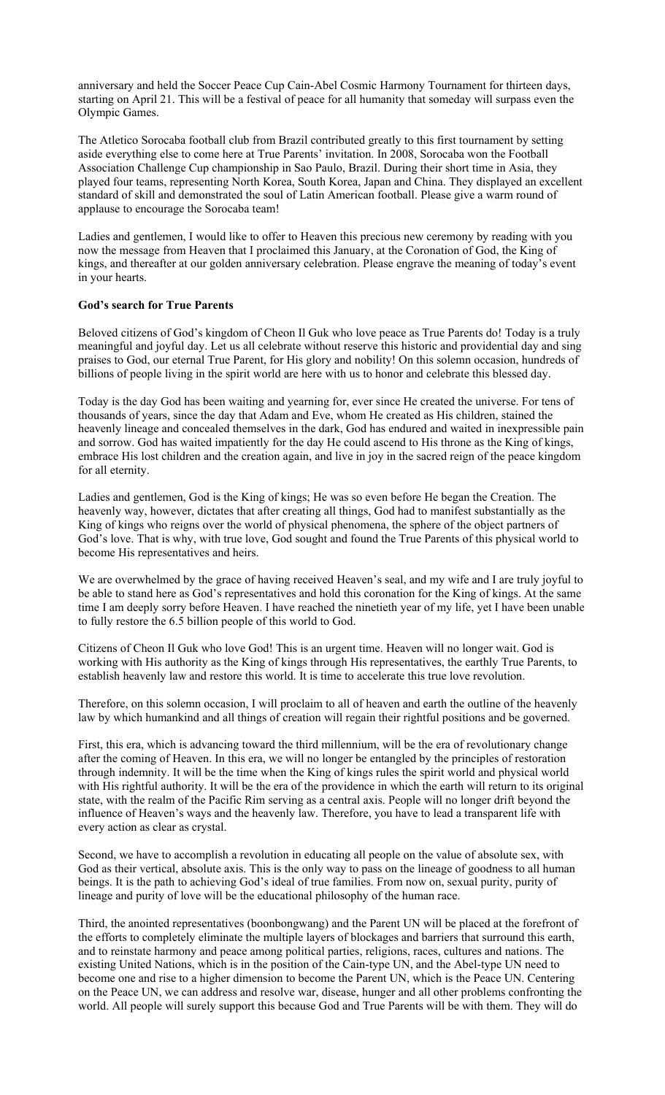anniversary and held the Soccer Peace Cup Cain-Abel Cosmic Harmony Tournament for thirteen days, starting on April 21. This will be a festival of peace for all humanity that someday will surpass even the Olympic Games.

The Atletico Sorocaba football club from Brazil contributed greatly to this first tournament by setting aside everything else to come here at True Parents' invitation. In 2008, Sorocaba won the Football Association Challenge Cup championship in Sao Paulo, Brazil. During their short time in Asia, they played four teams, representing North Korea, South Korea, Japan and China. They displayed an excellent standard of skill and demonstrated the soul of Latin American football. Please give a warm round of applause to encourage the Sorocaba team!

Ladies and gentlemen, I would like to offer to Heaven this precious new ceremony by reading with you now the message from Heaven that I proclaimed this January, at the Coronation of God, the King of kings, and thereafter at our golden anniversary celebration. Please engrave the meaning of today's event in your hearts.

# **God's search for True Parents**

Beloved citizens of God's kingdom of Cheon Il Guk who love peace as True Parents do! Today is a truly meaningful and joyful day. Let us all celebrate without reserve this historic and providential day and sing praises to God, our eternal True Parent, for His glory and nobility! On this solemn occasion, hundreds of billions of people living in the spirit world are here with us to honor and celebrate this blessed day.

Today is the day God has been waiting and yearning for, ever since He created the universe. For tens of thousands of years, since the day that Adam and Eve, whom He created as His children, stained the heavenly lineage and concealed themselves in the dark, God has endured and waited in inexpressible pain and sorrow. God has waited impatiently for the day He could ascend to His throne as the King of kings, embrace His lost children and the creation again, and live in joy in the sacred reign of the peace kingdom for all eternity.

Ladies and gentlemen, God is the King of kings; He was so even before He began the Creation. The heavenly way, however, dictates that after creating all things, God had to manifest substantially as the King of kings who reigns over the world of physical phenomena, the sphere of the object partners of God's love. That is why, with true love, God sought and found the True Parents of this physical world to become His representatives and heirs.

We are overwhelmed by the grace of having received Heaven's seal, and my wife and I are truly joyful to be able to stand here as God's representatives and hold this coronation for the King of kings. At the same time I am deeply sorry before Heaven. I have reached the ninetieth year of my life, yet I have been unable to fully restore the 6.5 billion people of this world to God.

Citizens of Cheon Il Guk who love God! This is an urgent time. Heaven will no longer wait. God is working with His authority as the King of kings through His representatives, the earthly True Parents, to establish heavenly law and restore this world. It is time to accelerate this true love revolution.

Therefore, on this solemn occasion, I will proclaim to all of heaven and earth the outline of the heavenly law by which humankind and all things of creation will regain their rightful positions and be governed.

First, this era, which is advancing toward the third millennium, will be the era of revolutionary change after the coming of Heaven. In this era, we will no longer be entangled by the principles of restoration through indemnity. It will be the time when the King of kings rules the spirit world and physical world with His rightful authority. It will be the era of the providence in which the earth will return to its original state, with the realm of the Pacific Rim serving as a central axis. People will no longer drift beyond the influence of Heaven's ways and the heavenly law. Therefore, you have to lead a transparent life with every action as clear as crystal.

Second, we have to accomplish a revolution in educating all people on the value of absolute sex, with God as their vertical, absolute axis. This is the only way to pass on the lineage of goodness to all human beings. It is the path to achieving God's ideal of true families. From now on, sexual purity, purity of lineage and purity of love will be the educational philosophy of the human race.

Third, the anointed representatives (boonbongwang) and the Parent UN will be placed at the forefront of the efforts to completely eliminate the multiple layers of blockages and barriers that surround this earth, and to reinstate harmony and peace among political parties, religions, races, cultures and nations. The existing United Nations, which is in the position of the Cain-type UN, and the Abel-type UN need to become one and rise to a higher dimension to become the Parent UN, which is the Peace UN. Centering on the Peace UN, we can address and resolve war, disease, hunger and all other problems confronting the world. All people will surely support this because God and True Parents will be with them. They will do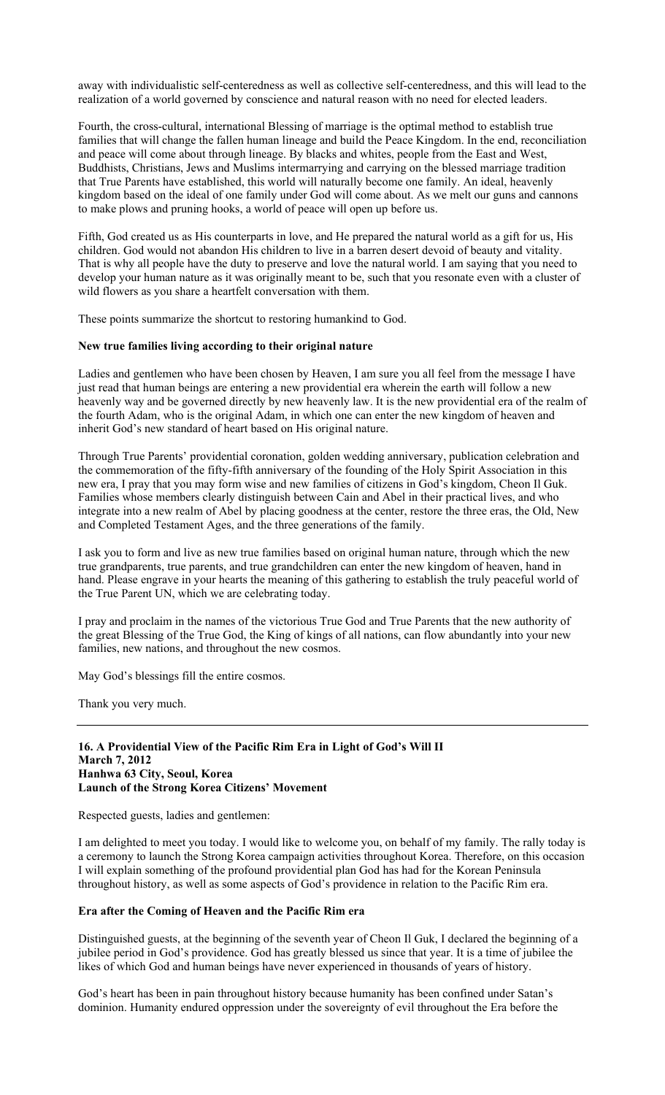away with individualistic self-centeredness as well as collective self-centeredness, and this will lead to the realization of a world governed by conscience and natural reason with no need for elected leaders.

Fourth, the cross-cultural, international Blessing of marriage is the optimal method to establish true families that will change the fallen human lineage and build the Peace Kingdom. In the end, reconciliation and peace will come about through lineage. By blacks and whites, people from the East and West, Buddhists, Christians, Jews and Muslims intermarrying and carrying on the blessed marriage tradition that True Parents have established, this world will naturally become one family. An ideal, heavenly kingdom based on the ideal of one family under God will come about. As we melt our guns and cannons to make plows and pruning hooks, a world of peace will open up before us.

Fifth, God created us as His counterparts in love, and He prepared the natural world as a gift for us, His children. God would not abandon His children to live in a barren desert devoid of beauty and vitality. That is why all people have the duty to preserve and love the natural world. I am saying that you need to develop your human nature as it was originally meant to be, such that you resonate even with a cluster of wild flowers as you share a heartfelt conversation with them.

These points summarize the shortcut to restoring humankind to God.

# **New true families living according to their original nature**

Ladies and gentlemen who have been chosen by Heaven, I am sure you all feel from the message I have just read that human beings are entering a new providential era wherein the earth will follow a new heavenly way and be governed directly by new heavenly law. It is the new providential era of the realm of the fourth Adam, who is the original Adam, in which one can enter the new kingdom of heaven and inherit God's new standard of heart based on His original nature.

Through True Parents' providential coronation, golden wedding anniversary, publication celebration and the commemoration of the fifty-fifth anniversary of the founding of the Holy Spirit Association in this new era, I pray that you may form wise and new families of citizens in God's kingdom, Cheon Il Guk. Families whose members clearly distinguish between Cain and Abel in their practical lives, and who integrate into a new realm of Abel by placing goodness at the center, restore the three eras, the Old, New and Completed Testament Ages, and the three generations of the family.

I ask you to form and live as new true families based on original human nature, through which the new true grandparents, true parents, and true grandchildren can enter the new kingdom of heaven, hand in hand. Please engrave in your hearts the meaning of this gathering to establish the truly peaceful world of the True Parent UN, which we are celebrating today.

I pray and proclaim in the names of the victorious True God and True Parents that the new authority of the great Blessing of the True God, the King of kings of all nations, can flow abundantly into your new families, new nations, and throughout the new cosmos.

May God's blessings fill the entire cosmos.

Thank you very much.

# **16. A Providential View of the Pacific Rim Era in Light of God's Will II March 7, 2012 Hanhwa 63 City, Seoul, Korea Launch of the Strong Korea Citizens' Movement**

Respected guests, ladies and gentlemen:

I am delighted to meet you today. I would like to welcome you, on behalf of my family. The rally today is a ceremony to launch the Strong Korea campaign activities throughout Korea. Therefore, on this occasion I will explain something of the profound providential plan God has had for the Korean Peninsula throughout history, as well as some aspects of God's providence in relation to the Pacific Rim era.

#### **Era after the Coming of Heaven and the Pacific Rim era**

Distinguished guests, at the beginning of the seventh year of Cheon Il Guk, I declared the beginning of a jubilee period in God's providence. God has greatly blessed us since that year. It is a time of jubilee the likes of which God and human beings have never experienced in thousands of years of history.

God's heart has been in pain throughout history because humanity has been confined under Satan's dominion. Humanity endured oppression under the sovereignty of evil throughout the Era before the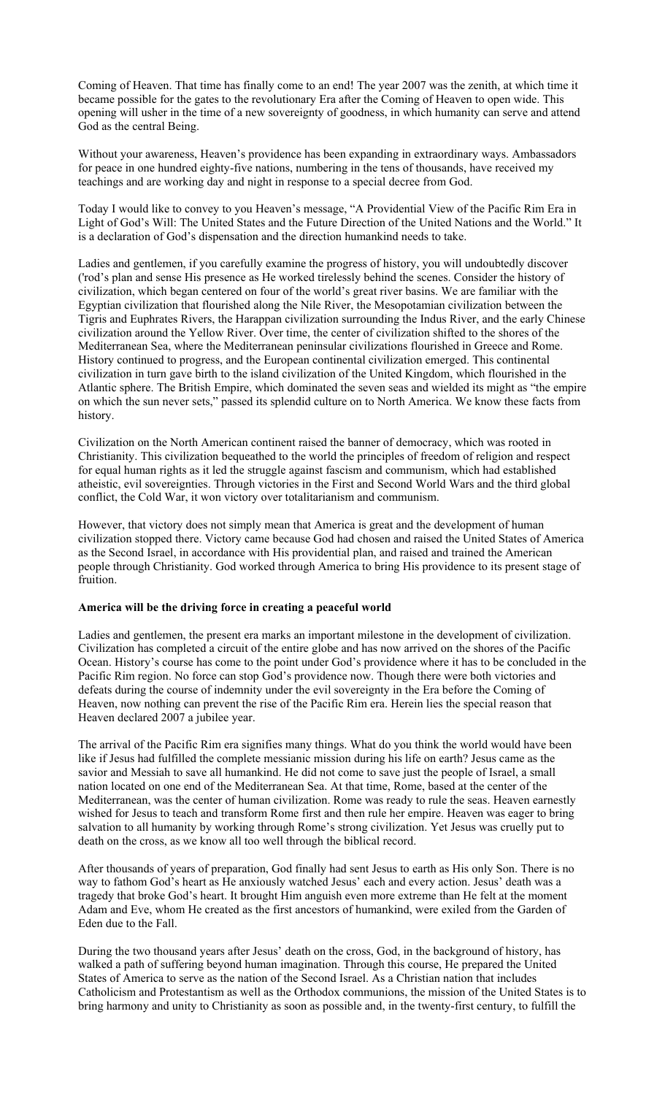Coming of Heaven. That time has finally come to an end! The year 2007 was the zenith, at which time it became possible for the gates to the revolutionary Era after the Coming of Heaven to open wide. This opening will usher in the time of a new sovereignty of goodness, in which humanity can serve and attend God as the central Being.

Without your awareness, Heaven's providence has been expanding in extraordinary ways. Ambassadors for peace in one hundred eighty-five nations, numbering in the tens of thousands, have received my teachings and are working day and night in response to a special decree from God.

Today I would like to convey to you Heaven's message, "A Providential View of the Pacific Rim Era in Light of God's Will: The United States and the Future Direction of the United Nations and the World." It is a declaration of God's dispensation and the direction humankind needs to take.

Ladies and gentlemen, if you carefully examine the progress of history, you will undoubtedly discover ('rod's plan and sense His presence as He worked tirelessly behind the scenes. Consider the history of civilization, which began centered on four of the world's great river basins. We are familiar with the Egyptian civilization that flourished along the Nile River, the Mesopotamian civilization between the Tigris and Euphrates Rivers, the Harappan civilization surrounding the Indus River, and the early Chinese civilization around the Yellow River. Over time, the center of civilization shifted to the shores of the Mediterranean Sea, where the Mediterranean peninsular civilizations flourished in Greece and Rome. History continued to progress, and the European continental civilization emerged. This continental civilization in turn gave birth to the island civilization of the United Kingdom, which flourished in the Atlantic sphere. The British Empire, which dominated the seven seas and wielded its might as "the empire on which the sun never sets," passed its splendid culture on to North America. We know these facts from history.

Civilization on the North American continent raised the banner of democracy, which was rooted in Christianity. This civilization bequeathed to the world the principles of freedom of religion and respect for equal human rights as it led the struggle against fascism and communism, which had established atheistic, evil sovereignties. Through victories in the First and Second World Wars and the third global conflict, the Cold War, it won victory over totalitarianism and communism.

However, that victory does not simply mean that America is great and the development of human civilization stopped there. Victory came because God had chosen and raised the United States of America as the Second Israel, in accordance with His providential plan, and raised and trained the American people through Christianity. God worked through America to bring His providence to its present stage of fruition.

#### **America will be the driving force in creating a peaceful world**

Ladies and gentlemen, the present era marks an important milestone in the development of civilization. Civilization has completed a circuit of the entire globe and has now arrived on the shores of the Pacific Ocean. History's course has come to the point under God's providence where it has to be concluded in the Pacific Rim region. No force can stop God's providence now. Though there were both victories and defeats during the course of indemnity under the evil sovereignty in the Era before the Coming of Heaven, now nothing can prevent the rise of the Pacific Rim era. Herein lies the special reason that Heaven declared 2007 a jubilee year.

The arrival of the Pacific Rim era signifies many things. What do you think the world would have been like if Jesus had fulfilled the complete messianic mission during his life on earth? Jesus came as the savior and Messiah to save all humankind. He did not come to save just the people of Israel, a small nation located on one end of the Mediterranean Sea. At that time, Rome, based at the center of the Mediterranean, was the center of human civilization. Rome was ready to rule the seas. Heaven earnestly wished for Jesus to teach and transform Rome first and then rule her empire. Heaven was eager to bring salvation to all humanity by working through Rome's strong civilization. Yet Jesus was cruelly put to death on the cross, as we know all too well through the biblical record.

After thousands of years of preparation, God finally had sent Jesus to earth as His only Son. There is no way to fathom God's heart as He anxiously watched Jesus' each and every action. Jesus' death was a tragedy that broke God's heart. It brought Him anguish even more extreme than He felt at the moment Adam and Eve, whom He created as the first ancestors of humankind, were exiled from the Garden of Eden due to the Fall.

During the two thousand years after Jesus' death on the cross, God, in the background of history, has walked a path of suffering beyond human imagination. Through this course, He prepared the United States of America to serve as the nation of the Second Israel. As a Christian nation that includes Catholicism and Protestantism as well as the Orthodox communions, the mission of the United States is to bring harmony and unity to Christianity as soon as possible and, in the twenty-first century, to fulfill the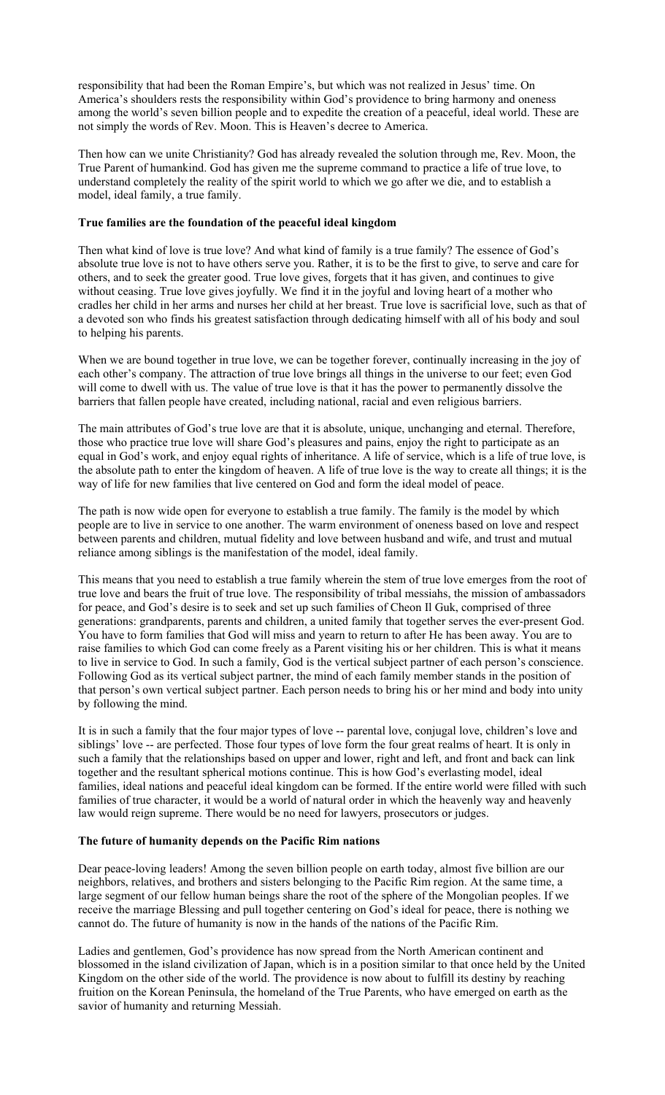responsibility that had been the Roman Empire's, but which was not realized in Jesus' time. On America's shoulders rests the responsibility within God's providence to bring harmony and oneness among the world's seven billion people and to expedite the creation of a peaceful, ideal world. These are not simply the words of Rev. Moon. This is Heaven's decree to America.

Then how can we unite Christianity? God has already revealed the solution through me, Rev. Moon, the True Parent of humankind. God has given me the supreme command to practice a life of true love, to understand completely the reality of the spirit world to which we go after we die, and to establish a model, ideal family, a true family.

### **True families are the foundation of the peaceful ideal kingdom**

Then what kind of love is true love? And what kind of family is a true family? The essence of God's absolute true love is not to have others serve you. Rather, it is to be the first to give, to serve and care for others, and to seek the greater good. True love gives, forgets that it has given, and continues to give without ceasing. True love gives joyfully. We find it in the joyful and loving heart of a mother who cradles her child in her arms and nurses her child at her breast. True love is sacrificial love, such as that of a devoted son who finds his greatest satisfaction through dedicating himself with all of his body and soul to helping his parents.

When we are bound together in true love, we can be together forever, continually increasing in the joy of each other's company. The attraction of true love brings all things in the universe to our feet; even God will come to dwell with us. The value of true love is that it has the power to permanently dissolve the barriers that fallen people have created, including national, racial and even religious barriers.

The main attributes of God's true love are that it is absolute, unique, unchanging and eternal. Therefore, those who practice true love will share God's pleasures and pains, enjoy the right to participate as an equal in God's work, and enjoy equal rights of inheritance. A life of service, which is a life of true love, is the absolute path to enter the kingdom of heaven. A life of true love is the way to create all things; it is the way of life for new families that live centered on God and form the ideal model of peace.

The path is now wide open for everyone to establish a true family. The family is the model by which people are to live in service to one another. The warm environment of oneness based on love and respect between parents and children, mutual fidelity and love between husband and wife, and trust and mutual reliance among siblings is the manifestation of the model, ideal family.

This means that you need to establish a true family wherein the stem of true love emerges from the root of true love and bears the fruit of true love. The responsibility of tribal messiahs, the mission of ambassadors for peace, and God's desire is to seek and set up such families of Cheon Il Guk, comprised of three generations: grandparents, parents and children, a united family that together serves the ever-present God. You have to form families that God will miss and yearn to return to after He has been away. You are to raise families to which God can come freely as a Parent visiting his or her children. This is what it means to live in service to God. In such a family, God is the vertical subject partner of each person's conscience. Following God as its vertical subject partner, the mind of each family member stands in the position of that person's own vertical subject partner. Each person needs to bring his or her mind and body into unity by following the mind.

It is in such a family that the four major types of love -- parental love, conjugal love, children's love and siblings' love -- are perfected. Those four types of love form the four great realms of heart. It is only in such a family that the relationships based on upper and lower, right and left, and front and back can link together and the resultant spherical motions continue. This is how God's everlasting model, ideal families, ideal nations and peaceful ideal kingdom can be formed. If the entire world were filled with such families of true character, it would be a world of natural order in which the heavenly way and heavenly law would reign supreme. There would be no need for lawyers, prosecutors or judges.

### **The future of humanity depends on the Pacific Rim nations**

Dear peace-loving leaders! Among the seven billion people on earth today, almost five billion are our neighbors, relatives, and brothers and sisters belonging to the Pacific Rim region. At the same time, a large segment of our fellow human beings share the root of the sphere of the Mongolian peoples. If we receive the marriage Blessing and pull together centering on God's ideal for peace, there is nothing we cannot do. The future of humanity is now in the hands of the nations of the Pacific Rim.

Ladies and gentlemen, God's providence has now spread from the North American continent and blossomed in the island civilization of Japan, which is in a position similar to that once held by the United Kingdom on the other side of the world. The providence is now about to fulfill its destiny by reaching fruition on the Korean Peninsula, the homeland of the True Parents, who have emerged on earth as the savior of humanity and returning Messiah.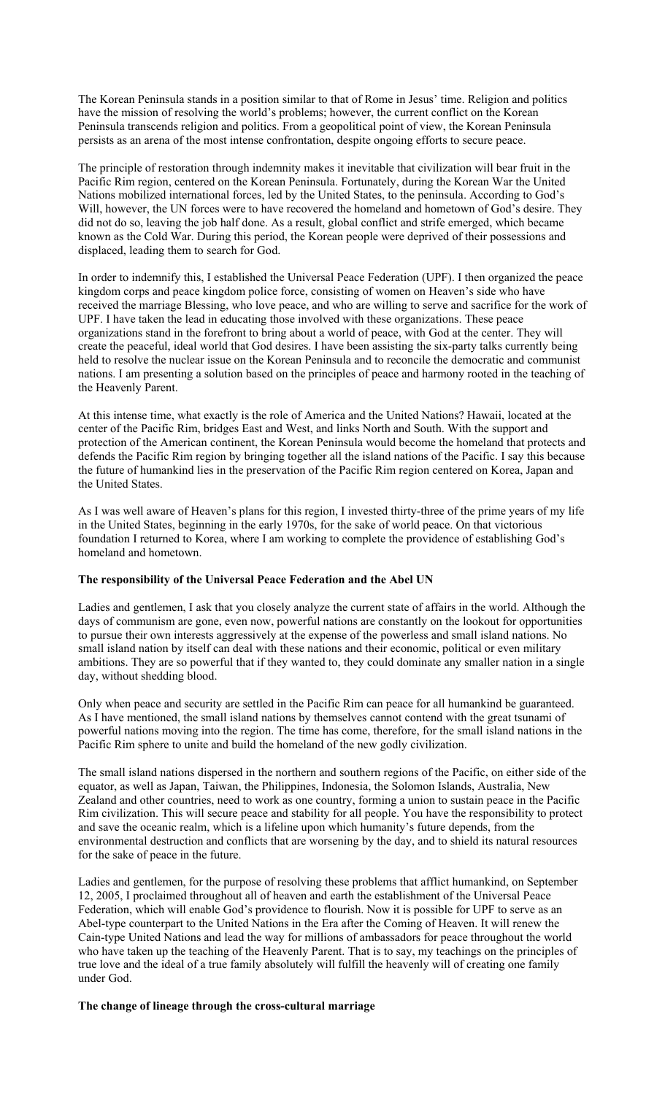The Korean Peninsula stands in a position similar to that of Rome in Jesus' time. Religion and politics have the mission of resolving the world's problems; however, the current conflict on the Korean Peninsula transcends religion and politics. From a geopolitical point of view, the Korean Peninsula persists as an arena of the most intense confrontation, despite ongoing efforts to secure peace.

The principle of restoration through indemnity makes it inevitable that civilization will bear fruit in the Pacific Rim region, centered on the Korean Peninsula. Fortunately, during the Korean War the United Nations mobilized international forces, led by the United States, to the peninsula. According to God's Will, however, the UN forces were to have recovered the homeland and hometown of God's desire. They did not do so, leaving the job half done. As a result, global conflict and strife emerged, which became known as the Cold War. During this period, the Korean people were deprived of their possessions and displaced, leading them to search for God.

In order to indemnify this, I established the Universal Peace Federation (UPF). I then organized the peace kingdom corps and peace kingdom police force, consisting of women on Heaven's side who have received the marriage Blessing, who love peace, and who are willing to serve and sacrifice for the work of UPF. I have taken the lead in educating those involved with these organizations. These peace organizations stand in the forefront to bring about a world of peace, with God at the center. They will create the peaceful, ideal world that God desires. I have been assisting the six-party talks currently being held to resolve the nuclear issue on the Korean Peninsula and to reconcile the democratic and communist nations. I am presenting a solution based on the principles of peace and harmony rooted in the teaching of the Heavenly Parent.

At this intense time, what exactly is the role of America and the United Nations? Hawaii, located at the center of the Pacific Rim, bridges East and West, and links North and South. With the support and protection of the American continent, the Korean Peninsula would become the homeland that protects and defends the Pacific Rim region by bringing together all the island nations of the Pacific. I say this because the future of humankind lies in the preservation of the Pacific Rim region centered on Korea, Japan and the United States.

As I was well aware of Heaven's plans for this region, I invested thirty-three of the prime years of my life in the United States, beginning in the early 1970s, for the sake of world peace. On that victorious foundation I returned to Korea, where I am working to complete the providence of establishing God's homeland and hometown.

# **The responsibility of the Universal Peace Federation and the Abel UN**

Ladies and gentlemen, I ask that you closely analyze the current state of affairs in the world. Although the days of communism are gone, even now, powerful nations are constantly on the lookout for opportunities to pursue their own interests aggressively at the expense of the powerless and small island nations. No small island nation by itself can deal with these nations and their economic, political or even military ambitions. They are so powerful that if they wanted to, they could dominate any smaller nation in a single day, without shedding blood.

Only when peace and security are settled in the Pacific Rim can peace for all humankind be guaranteed. As I have mentioned, the small island nations by themselves cannot contend with the great tsunami of powerful nations moving into the region. The time has come, therefore, for the small island nations in the Pacific Rim sphere to unite and build the homeland of the new godly civilization.

The small island nations dispersed in the northern and southern regions of the Pacific, on either side of the equator, as well as Japan, Taiwan, the Philippines, Indonesia, the Solomon Islands, Australia, New Zealand and other countries, need to work as one country, forming a union to sustain peace in the Pacific Rim civilization. This will secure peace and stability for all people. You have the responsibility to protect and save the oceanic realm, which is a lifeline upon which humanity's future depends, from the environmental destruction and conflicts that are worsening by the day, and to shield its natural resources for the sake of peace in the future.

Ladies and gentlemen, for the purpose of resolving these problems that afflict humankind, on September 12, 2005, I proclaimed throughout all of heaven and earth the establishment of the Universal Peace Federation, which will enable God's providence to flourish. Now it is possible for UPF to serve as an Abel-type counterpart to the United Nations in the Era after the Coming of Heaven. It will renew the Cain-type United Nations and lead the way for millions of ambassadors for peace throughout the world who have taken up the teaching of the Heavenly Parent. That is to say, my teachings on the principles of true love and the ideal of a true family absolutely will fulfill the heavenly will of creating one family under God.

#### **The change of lineage through the cross-cultural marriage**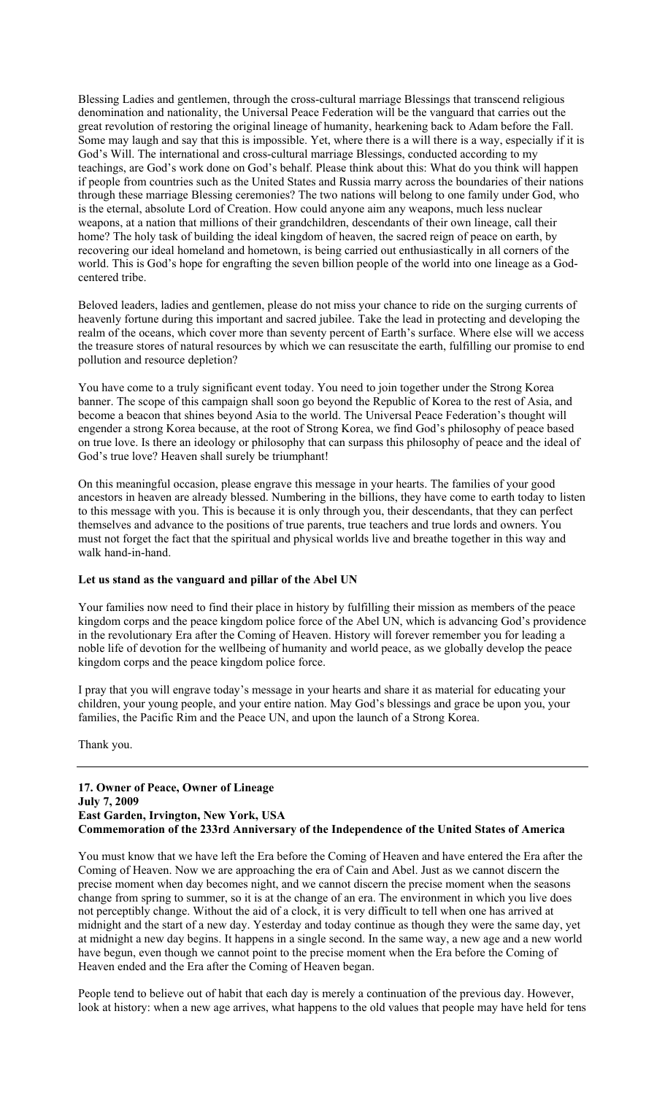Blessing Ladies and gentlemen, through the cross-cultural marriage Blessings that transcend religious denomination and nationality, the Universal Peace Federation will be the vanguard that carries out the great revolution of restoring the original lineage of humanity, hearkening back to Adam before the Fall. Some may laugh and say that this is impossible. Yet, where there is a will there is a way, especially if it is God's Will. The international and cross-cultural marriage Blessings, conducted according to my teachings, are God's work done on God's behalf. Please think about this: What do you think will happen if people from countries such as the United States and Russia marry across the boundaries of their nations through these marriage Blessing ceremonies? The two nations will belong to one family under God, who is the eternal, absolute Lord of Creation. How could anyone aim any weapons, much less nuclear weapons, at a nation that millions of their grandchildren, descendants of their own lineage, call their home? The holy task of building the ideal kingdom of heaven, the sacred reign of peace on earth, by recovering our ideal homeland and hometown, is being carried out enthusiastically in all corners of the world. This is God's hope for engrafting the seven billion people of the world into one lineage as a Godcentered tribe.

Beloved leaders, ladies and gentlemen, please do not miss your chance to ride on the surging currents of heavenly fortune during this important and sacred jubilee. Take the lead in protecting and developing the realm of the oceans, which cover more than seventy percent of Earth's surface. Where else will we access the treasure stores of natural resources by which we can resuscitate the earth, fulfilling our promise to end pollution and resource depletion?

You have come to a truly significant event today. You need to join together under the Strong Korea banner. The scope of this campaign shall soon go beyond the Republic of Korea to the rest of Asia, and become a beacon that shines beyond Asia to the world. The Universal Peace Federation's thought will engender a strong Korea because, at the root of Strong Korea, we find God's philosophy of peace based on true love. Is there an ideology or philosophy that can surpass this philosophy of peace and the ideal of God's true love? Heaven shall surely be triumphant!

On this meaningful occasion, please engrave this message in your hearts. The families of your good ancestors in heaven are already blessed. Numbering in the billions, they have come to earth today to listen to this message with you. This is because it is only through you, their descendants, that they can perfect themselves and advance to the positions of true parents, true teachers and true lords and owners. You must not forget the fact that the spiritual and physical worlds live and breathe together in this way and walk hand-in-hand.

## **Let us stand as the vanguard and pillar of the Abel UN**

Your families now need to find their place in history by fulfilling their mission as members of the peace kingdom corps and the peace kingdom police force of the Abel UN, which is advancing God's providence in the revolutionary Era after the Coming of Heaven. History will forever remember you for leading a noble life of devotion for the wellbeing of humanity and world peace, as we globally develop the peace kingdom corps and the peace kingdom police force.

I pray that you will engrave today's message in your hearts and share it as material for educating your children, your young people, and your entire nation. May God's blessings and grace be upon you, your families, the Pacific Rim and the Peace UN, and upon the launch of a Strong Korea.

Thank you.

# **17. Owner of Peace, Owner of Lineage July 7, 2009 East Garden, Irvington, New York, USA Commemoration of the 233rd Anniversary of the Independence of the United States of America**

You must know that we have left the Era before the Coming of Heaven and have entered the Era after the Coming of Heaven. Now we are approaching the era of Cain and Abel. Just as we cannot discern the precise moment when day becomes night, and we cannot discern the precise moment when the seasons change from spring to summer, so it is at the change of an era. The environment in which you live does not perceptibly change. Without the aid of a clock, it is very difficult to tell when one has arrived at midnight and the start of a new day. Yesterday and today continue as though they were the same day, yet at midnight a new day begins. It happens in a single second. In the same way, a new age and a new world have begun, even though we cannot point to the precise moment when the Era before the Coming of Heaven ended and the Era after the Coming of Heaven began.

People tend to believe out of habit that each day is merely a continuation of the previous day. However, look at history: when a new age arrives, what happens to the old values that people may have held for tens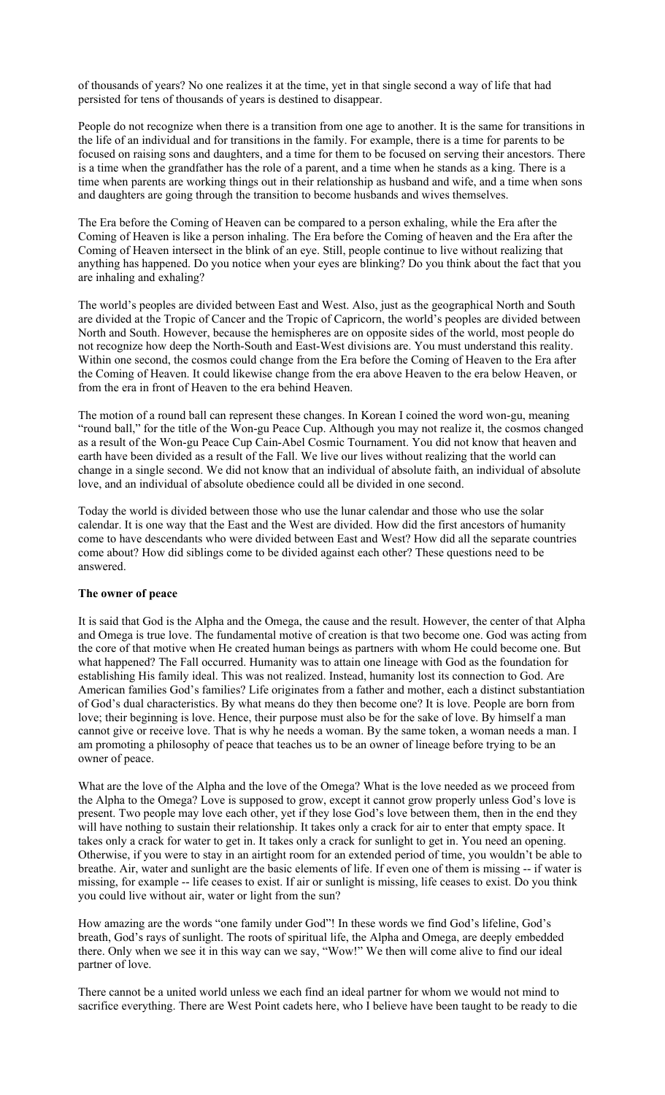of thousands of years? No one realizes it at the time, yet in that single second a way of life that had persisted for tens of thousands of years is destined to disappear.

People do not recognize when there is a transition from one age to another. It is the same for transitions in the life of an individual and for transitions in the family. For example, there is a time for parents to be focused on raising sons and daughters, and a time for them to be focused on serving their ancestors. There is a time when the grandfather has the role of a parent, and a time when he stands as a king. There is a time when parents are working things out in their relationship as husband and wife, and a time when sons and daughters are going through the transition to become husbands and wives themselves.

The Era before the Coming of Heaven can be compared to a person exhaling, while the Era after the Coming of Heaven is like a person inhaling. The Era before the Coming of heaven and the Era after the Coming of Heaven intersect in the blink of an eye. Still, people continue to live without realizing that anything has happened. Do you notice when your eyes are blinking? Do you think about the fact that you are inhaling and exhaling?

The world's peoples are divided between East and West. Also, just as the geographical North and South are divided at the Tropic of Cancer and the Tropic of Capricorn, the world's peoples are divided between North and South. However, because the hemispheres are on opposite sides of the world, most people do not recognize how deep the North-South and East-West divisions are. You must understand this reality. Within one second, the cosmos could change from the Era before the Coming of Heaven to the Era after the Coming of Heaven. It could likewise change from the era above Heaven to the era below Heaven, or from the era in front of Heaven to the era behind Heaven.

The motion of a round ball can represent these changes. In Korean I coined the word won-gu, meaning "round ball," for the title of the Won-gu Peace Cup. Although you may not realize it, the cosmos changed as a result of the Won-gu Peace Cup Cain-Abel Cosmic Tournament. You did not know that heaven and earth have been divided as a result of the Fall. We live our lives without realizing that the world can change in a single second. We did not know that an individual of absolute faith, an individual of absolute love, and an individual of absolute obedience could all be divided in one second.

Today the world is divided between those who use the lunar calendar and those who use the solar calendar. It is one way that the East and the West are divided. How did the first ancestors of humanity come to have descendants who were divided between East and West? How did all the separate countries come about? How did siblings come to be divided against each other? These questions need to be answered.

#### **The owner of peace**

It is said that God is the Alpha and the Omega, the cause and the result. However, the center of that Alpha and Omega is true love. The fundamental motive of creation is that two become one. God was acting from the core of that motive when He created human beings as partners with whom He could become one. But what happened? The Fall occurred. Humanity was to attain one lineage with God as the foundation for establishing His family ideal. This was not realized. Instead, humanity lost its connection to God. Are American families God's families? Life originates from a father and mother, each a distinct substantiation of God's dual characteristics. By what means do they then become one? It is love. People are born from love; their beginning is love. Hence, their purpose must also be for the sake of love. By himself a man cannot give or receive love. That is why he needs a woman. By the same token, a woman needs a man. I am promoting a philosophy of peace that teaches us to be an owner of lineage before trying to be an owner of peace.

What are the love of the Alpha and the love of the Omega? What is the love needed as we proceed from the Alpha to the Omega? Love is supposed to grow, except it cannot grow properly unless God's love is present. Two people may love each other, yet if they lose God's love between them, then in the end they will have nothing to sustain their relationship. It takes only a crack for air to enter that empty space. It takes only a crack for water to get in. It takes only a crack for sunlight to get in. You need an opening. Otherwise, if you were to stay in an airtight room for an extended period of time, you wouldn't be able to breathe. Air, water and sunlight are the basic elements of life. If even one of them is missing -- if water is missing, for example -- life ceases to exist. If air or sunlight is missing, life ceases to exist. Do you think you could live without air, water or light from the sun?

How amazing are the words "one family under God"! In these words we find God's lifeline, God's breath, God's rays of sunlight. The roots of spiritual life, the Alpha and Omega, are deeply embedded there. Only when we see it in this way can we say, "Wow!" We then will come alive to find our ideal partner of love.

There cannot be a united world unless we each find an ideal partner for whom we would not mind to sacrifice everything. There are West Point cadets here, who I believe have been taught to be ready to die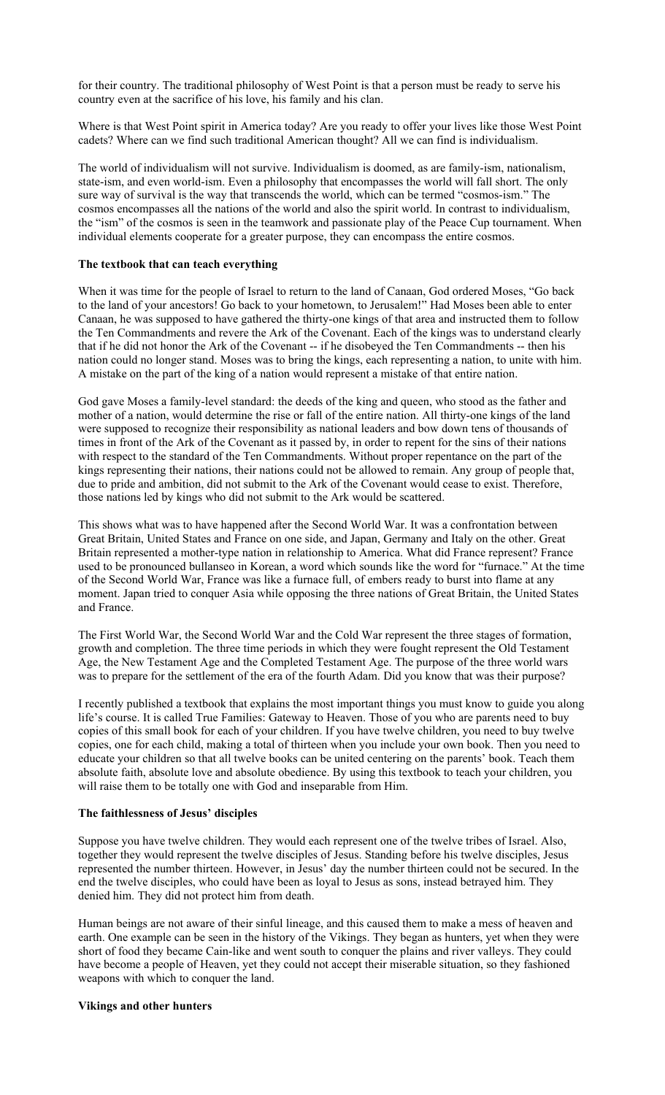for their country. The traditional philosophy of West Point is that a person must be ready to serve his country even at the sacrifice of his love, his family and his clan.

Where is that West Point spirit in America today? Are you ready to offer your lives like those West Point cadets? Where can we find such traditional American thought? All we can find is individualism.

The world of individualism will not survive. Individualism is doomed, as are family-ism, nationalism, state-ism, and even world-ism. Even a philosophy that encompasses the world will fall short. The only sure way of survival is the way that transcends the world, which can be termed "cosmos-ism." The cosmos encompasses all the nations of the world and also the spirit world. In contrast to individualism, the "ism" of the cosmos is seen in the teamwork and passionate play of the Peace Cup tournament. When individual elements cooperate for a greater purpose, they can encompass the entire cosmos.

# **The textbook that can teach everything**

When it was time for the people of Israel to return to the land of Canaan, God ordered Moses, "Go back to the land of your ancestors! Go back to your hometown, to Jerusalem!" Had Moses been able to enter Canaan, he was supposed to have gathered the thirty-one kings of that area and instructed them to follow the Ten Commandments and revere the Ark of the Covenant. Each of the kings was to understand clearly that if he did not honor the Ark of the Covenant -- if he disobeyed the Ten Commandments -- then his nation could no longer stand. Moses was to bring the kings, each representing a nation, to unite with him. A mistake on the part of the king of a nation would represent a mistake of that entire nation.

God gave Moses a family-level standard: the deeds of the king and queen, who stood as the father and mother of a nation, would determine the rise or fall of the entire nation. All thirty-one kings of the land were supposed to recognize their responsibility as national leaders and bow down tens of thousands of times in front of the Ark of the Covenant as it passed by, in order to repent for the sins of their nations with respect to the standard of the Ten Commandments. Without proper repentance on the part of the kings representing their nations, their nations could not be allowed to remain. Any group of people that, due to pride and ambition, did not submit to the Ark of the Covenant would cease to exist. Therefore, those nations led by kings who did not submit to the Ark would be scattered.

This shows what was to have happened after the Second World War. It was a confrontation between Great Britain, United States and France on one side, and Japan, Germany and Italy on the other. Great Britain represented a mother-type nation in relationship to America. What did France represent? France used to be pronounced bullanseo in Korean, a word which sounds like the word for "furnace." At the time of the Second World War, France was like a furnace full, of embers ready to burst into flame at any moment. Japan tried to conquer Asia while opposing the three nations of Great Britain, the United States and France.

The First World War, the Second World War and the Cold War represent the three stages of formation, growth and completion. The three time periods in which they were fought represent the Old Testament Age, the New Testament Age and the Completed Testament Age. The purpose of the three world wars was to prepare for the settlement of the era of the fourth Adam. Did you know that was their purpose?

I recently published a textbook that explains the most important things you must know to guide you along life's course. It is called True Families: Gateway to Heaven. Those of you who are parents need to buy copies of this small book for each of your children. If you have twelve children, you need to buy twelve copies, one for each child, making a total of thirteen when you include your own book. Then you need to educate your children so that all twelve books can be united centering on the parents' book. Teach them absolute faith, absolute love and absolute obedience. By using this textbook to teach your children, you will raise them to be totally one with God and inseparable from Him.

#### **The faithlessness of Jesus' disciples**

Suppose you have twelve children. They would each represent one of the twelve tribes of Israel. Also, together they would represent the twelve disciples of Jesus. Standing before his twelve disciples, Jesus represented the number thirteen. However, in Jesus' day the number thirteen could not be secured. In the end the twelve disciples, who could have been as loyal to Jesus as sons, instead betrayed him. They denied him. They did not protect him from death.

Human beings are not aware of their sinful lineage, and this caused them to make a mess of heaven and earth. One example can be seen in the history of the Vikings. They began as hunters, yet when they were short of food they became Cain-like and went south to conquer the plains and river valleys. They could have become a people of Heaven, yet they could not accept their miserable situation, so they fashioned weapons with which to conquer the land.

#### **Vikings and other hunters**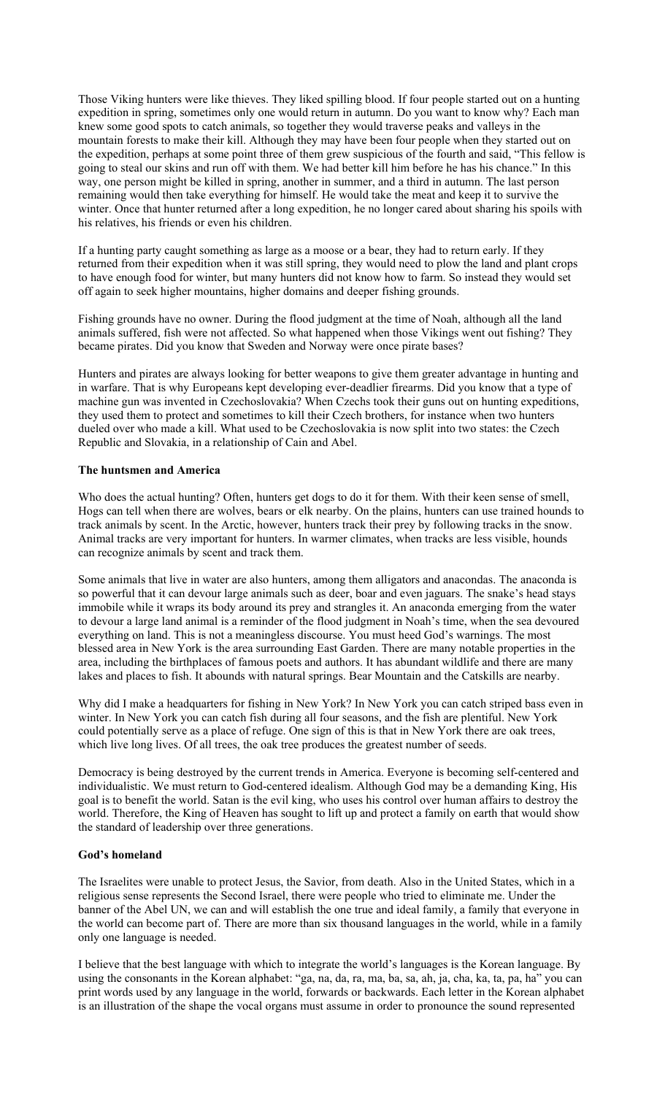Those Viking hunters were like thieves. They liked spilling blood. If four people started out on a hunting expedition in spring, sometimes only one would return in autumn. Do you want to know why? Each man knew some good spots to catch animals, so together they would traverse peaks and valleys in the mountain forests to make their kill. Although they may have been four people when they started out on the expedition, perhaps at some point three of them grew suspicious of the fourth and said, "This fellow is going to steal our skins and run off with them. We had better kill him before he has his chance." In this way, one person might be killed in spring, another in summer, and a third in autumn. The last person remaining would then take everything for himself. He would take the meat and keep it to survive the winter. Once that hunter returned after a long expedition, he no longer cared about sharing his spoils with his relatives, his friends or even his children.

If a hunting party caught something as large as a moose or a bear, they had to return early. If they returned from their expedition when it was still spring, they would need to plow the land and plant crops to have enough food for winter, but many hunters did not know how to farm. So instead they would set off again to seek higher mountains, higher domains and deeper fishing grounds.

Fishing grounds have no owner. During the flood judgment at the time of Noah, although all the land animals suffered, fish were not affected. So what happened when those Vikings went out fishing? They became pirates. Did you know that Sweden and Norway were once pirate bases?

Hunters and pirates are always looking for better weapons to give them greater advantage in hunting and in warfare. That is why Europeans kept developing ever-deadlier firearms. Did you know that a type of machine gun was invented in Czechoslovakia? When Czechs took their guns out on hunting expeditions, they used them to protect and sometimes to kill their Czech brothers, for instance when two hunters dueled over who made a kill. What used to be Czechoslovakia is now split into two states: the Czech Republic and Slovakia, in a relationship of Cain and Abel.

### **The huntsmen and America**

Who does the actual hunting? Often, hunters get dogs to do it for them. With their keen sense of smell, Hogs can tell when there are wolves, bears or elk nearby. On the plains, hunters can use trained hounds to track animals by scent. In the Arctic, however, hunters track their prey by following tracks in the snow. Animal tracks are very important for hunters. In warmer climates, when tracks are less visible, hounds can recognize animals by scent and track them.

Some animals that live in water are also hunters, among them alligators and anacondas. The anaconda is so powerful that it can devour large animals such as deer, boar and even jaguars. The snake's head stays immobile while it wraps its body around its prey and strangles it. An anaconda emerging from the water to devour a large land animal is a reminder of the flood judgment in Noah's time, when the sea devoured everything on land. This is not a meaningless discourse. You must heed God's warnings. The most blessed area in New York is the area surrounding East Garden. There are many notable properties in the area, including the birthplaces of famous poets and authors. It has abundant wildlife and there are many lakes and places to fish. It abounds with natural springs. Bear Mountain and the Catskills are nearby.

Why did I make a headquarters for fishing in New York? In New York you can catch striped bass even in winter. In New York you can catch fish during all four seasons, and the fish are plentiful. New York could potentially serve as a place of refuge. One sign of this is that in New York there are oak trees, which live long lives. Of all trees, the oak tree produces the greatest number of seeds.

Democracy is being destroyed by the current trends in America. Everyone is becoming self-centered and individualistic. We must return to God-centered idealism. Although God may be a demanding King, His goal is to benefit the world. Satan is the evil king, who uses his control over human affairs to destroy the world. Therefore, the King of Heaven has sought to lift up and protect a family on earth that would show the standard of leadership over three generations.

#### **God's homeland**

The Israelites were unable to protect Jesus, the Savior, from death. Also in the United States, which in a religious sense represents the Second Israel, there were people who tried to eliminate me. Under the banner of the Abel UN, we can and will establish the one true and ideal family, a family that everyone in the world can become part of. There are more than six thousand languages in the world, while in a family only one language is needed.

I believe that the best language with which to integrate the world's languages is the Korean language. By using the consonants in the Korean alphabet: "ga, na, da, ra, ma, ba, sa, ah, ja, cha, ka, ta, pa, ha" you can print words used by any language in the world, forwards or backwards. Each letter in the Korean alphabet is an illustration of the shape the vocal organs must assume in order to pronounce the sound represented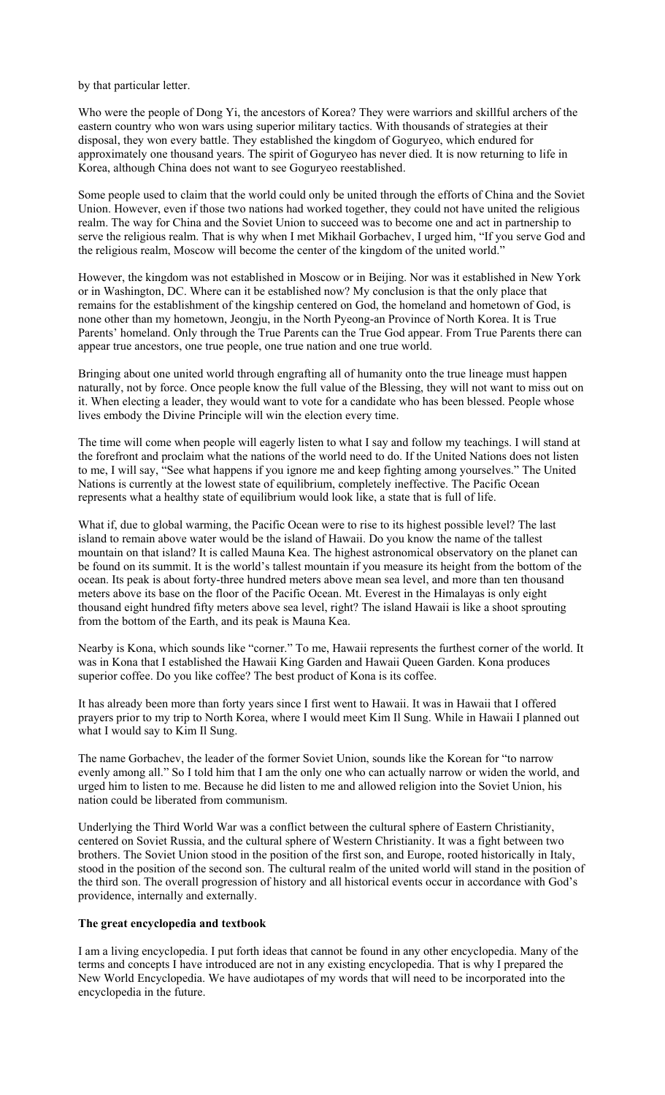by that particular letter.

Who were the people of Dong Yi, the ancestors of Korea? They were warriors and skillful archers of the eastern country who won wars using superior military tactics. With thousands of strategies at their disposal, they won every battle. They established the kingdom of Goguryeo, which endured for approximately one thousand years. The spirit of Goguryeo has never died. It is now returning to life in Korea, although China does not want to see Goguryeo reestablished.

Some people used to claim that the world could only be united through the efforts of China and the Soviet Union. However, even if those two nations had worked together, they could not have united the religious realm. The way for China and the Soviet Union to succeed was to become one and act in partnership to serve the religious realm. That is why when I met Mikhail Gorbachev, I urged him, "If you serve God and the religious realm, Moscow will become the center of the kingdom of the united world."

However, the kingdom was not established in Moscow or in Beijing. Nor was it established in New York or in Washington, DC. Where can it be established now? My conclusion is that the only place that remains for the establishment of the kingship centered on God, the homeland and hometown of God, is none other than my hometown, Jeongju, in the North Pyeong-an Province of North Korea. It is True Parents' homeland. Only through the True Parents can the True God appear. From True Parents there can appear true ancestors, one true people, one true nation and one true world.

Bringing about one united world through engrafting all of humanity onto the true lineage must happen naturally, not by force. Once people know the full value of the Blessing, they will not want to miss out on it. When electing a leader, they would want to vote for a candidate who has been blessed. People whose lives embody the Divine Principle will win the election every time.

The time will come when people will eagerly listen to what I say and follow my teachings. I will stand at the forefront and proclaim what the nations of the world need to do. If the United Nations does not listen to me, I will say, "See what happens if you ignore me and keep fighting among yourselves." The United Nations is currently at the lowest state of equilibrium, completely ineffective. The Pacific Ocean represents what a healthy state of equilibrium would look like, a state that is full of life.

What if, due to global warming, the Pacific Ocean were to rise to its highest possible level? The last island to remain above water would be the island of Hawaii. Do you know the name of the tallest mountain on that island? It is called Mauna Kea. The highest astronomical observatory on the planet can be found on its summit. It is the world's tallest mountain if you measure its height from the bottom of the ocean. Its peak is about forty-three hundred meters above mean sea level, and more than ten thousand meters above its base on the floor of the Pacific Ocean. Mt. Everest in the Himalayas is only eight thousand eight hundred fifty meters above sea level, right? The island Hawaii is like a shoot sprouting from the bottom of the Earth, and its peak is Mauna Kea.

Nearby is Kona, which sounds like "corner." To me, Hawaii represents the furthest corner of the world. It was in Kona that I established the Hawaii King Garden and Hawaii Queen Garden. Kona produces superior coffee. Do you like coffee? The best product of Kona is its coffee.

It has already been more than forty years since I first went to Hawaii. It was in Hawaii that I offered prayers prior to my trip to North Korea, where I would meet Kim Il Sung. While in Hawaii I planned out what I would say to Kim Il Sung.

The name Gorbachev, the leader of the former Soviet Union, sounds like the Korean for "to narrow evenly among all." So I told him that I am the only one who can actually narrow or widen the world, and urged him to listen to me. Because he did listen to me and allowed religion into the Soviet Union, his nation could be liberated from communism.

Underlying the Third World War was a conflict between the cultural sphere of Eastern Christianity, centered on Soviet Russia, and the cultural sphere of Western Christianity. It was a fight between two brothers. The Soviet Union stood in the position of the first son, and Europe, rooted historically in Italy, stood in the position of the second son. The cultural realm of the united world will stand in the position of the third son. The overall progression of history and all historical events occur in accordance with God's providence, internally and externally.

### **The great encyclopedia and textbook**

I am a living encyclopedia. I put forth ideas that cannot be found in any other encyclopedia. Many of the terms and concepts I have introduced are not in any existing encyclopedia. That is why I prepared the New World Encyclopedia. We have audiotapes of my words that will need to be incorporated into the encyclopedia in the future.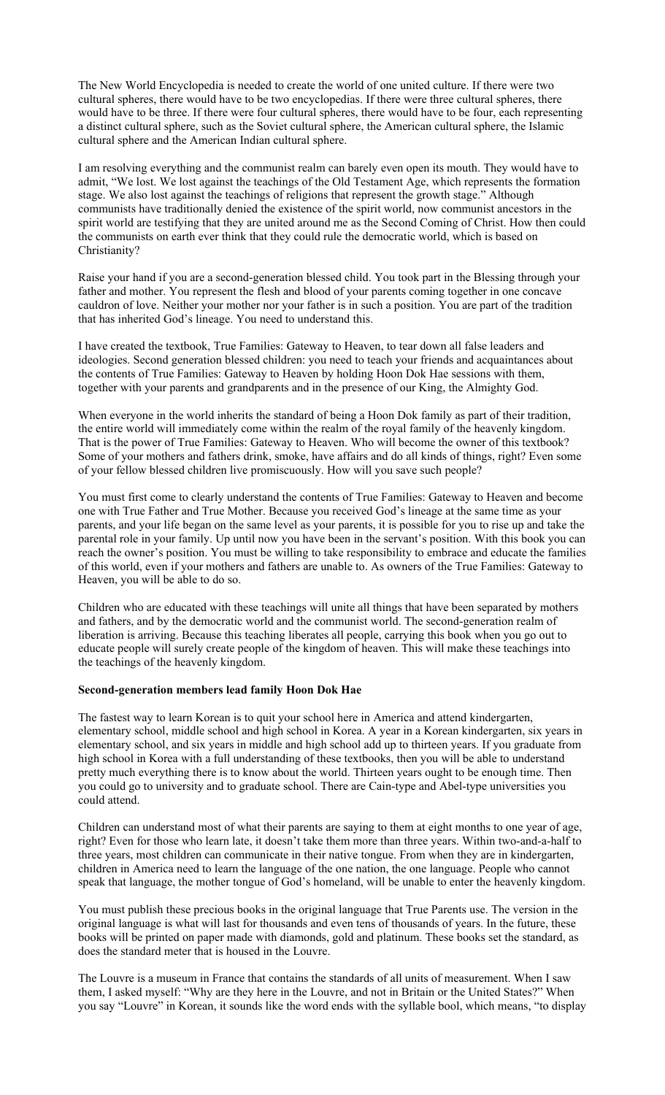The New World Encyclopedia is needed to create the world of one united culture. If there were two cultural spheres, there would have to be two encyclopedias. If there were three cultural spheres, there would have to be three. If there were four cultural spheres, there would have to be four, each representing a distinct cultural sphere, such as the Soviet cultural sphere, the American cultural sphere, the Islamic cultural sphere and the American Indian cultural sphere.

I am resolving everything and the communist realm can barely even open its mouth. They would have to admit, "We lost. We lost against the teachings of the Old Testament Age, which represents the formation stage. We also lost against the teachings of religions that represent the growth stage." Although communists have traditionally denied the existence of the spirit world, now communist ancestors in the spirit world are testifying that they are united around me as the Second Coming of Christ. How then could the communists on earth ever think that they could rule the democratic world, which is based on Christianity?

Raise your hand if you are a second-generation blessed child. You took part in the Blessing through your father and mother. You represent the flesh and blood of your parents coming together in one concave cauldron of love. Neither your mother nor your father is in such a position. You are part of the tradition that has inherited God's lineage. You need to understand this.

I have created the textbook, True Families: Gateway to Heaven, to tear down all false leaders and ideologies. Second generation blessed children: you need to teach your friends and acquaintances about the contents of True Families: Gateway to Heaven by holding Hoon Dok Hae sessions with them, together with your parents and grandparents and in the presence of our King, the Almighty God.

When everyone in the world inherits the standard of being a Hoon Dok family as part of their tradition, the entire world will immediately come within the realm of the royal family of the heavenly kingdom. That is the power of True Families: Gateway to Heaven. Who will become the owner of this textbook? Some of your mothers and fathers drink, smoke, have affairs and do all kinds of things, right? Even some of your fellow blessed children live promiscuously. How will you save such people?

You must first come to clearly understand the contents of True Families: Gateway to Heaven and become one with True Father and True Mother. Because you received God's lineage at the same time as your parents, and your life began on the same level as your parents, it is possible for you to rise up and take the parental role in your family. Up until now you have been in the servant's position. With this book you can reach the owner's position. You must be willing to take responsibility to embrace and educate the families of this world, even if your mothers and fathers are unable to. As owners of the True Families: Gateway to Heaven, you will be able to do so.

Children who are educated with these teachings will unite all things that have been separated by mothers and fathers, and by the democratic world and the communist world. The second-generation realm of liberation is arriving. Because this teaching liberates all people, carrying this book when you go out to educate people will surely create people of the kingdom of heaven. This will make these teachings into the teachings of the heavenly kingdom.

# **Second-generation members lead family Hoon Dok Hae**

The fastest way to learn Korean is to quit your school here in America and attend kindergarten, elementary school, middle school and high school in Korea. A year in a Korean kindergarten, six years in elementary school, and six years in middle and high school add up to thirteen years. If you graduate from high school in Korea with a full understanding of these textbooks, then you will be able to understand pretty much everything there is to know about the world. Thirteen years ought to be enough time. Then you could go to university and to graduate school. There are Cain-type and Abel-type universities you could attend.

Children can understand most of what their parents are saying to them at eight months to one year of age, right? Even for those who learn late, it doesn't take them more than three years. Within two-and-a-half to three years, most children can communicate in their native tongue. From when they are in kindergarten, children in America need to learn the language of the one nation, the one language. People who cannot speak that language, the mother tongue of God's homeland, will be unable to enter the heavenly kingdom.

You must publish these precious books in the original language that True Parents use. The version in the original language is what will last for thousands and even tens of thousands of years. In the future, these books will be printed on paper made with diamonds, gold and platinum. These books set the standard, as does the standard meter that is housed in the Louvre.

The Louvre is a museum in France that contains the standards of all units of measurement. When I saw them, I asked myself: "Why are they here in the Louvre, and not in Britain or the United States?" When you say "Louvre" in Korean, it sounds like the word ends with the syllable bool, which means, "to display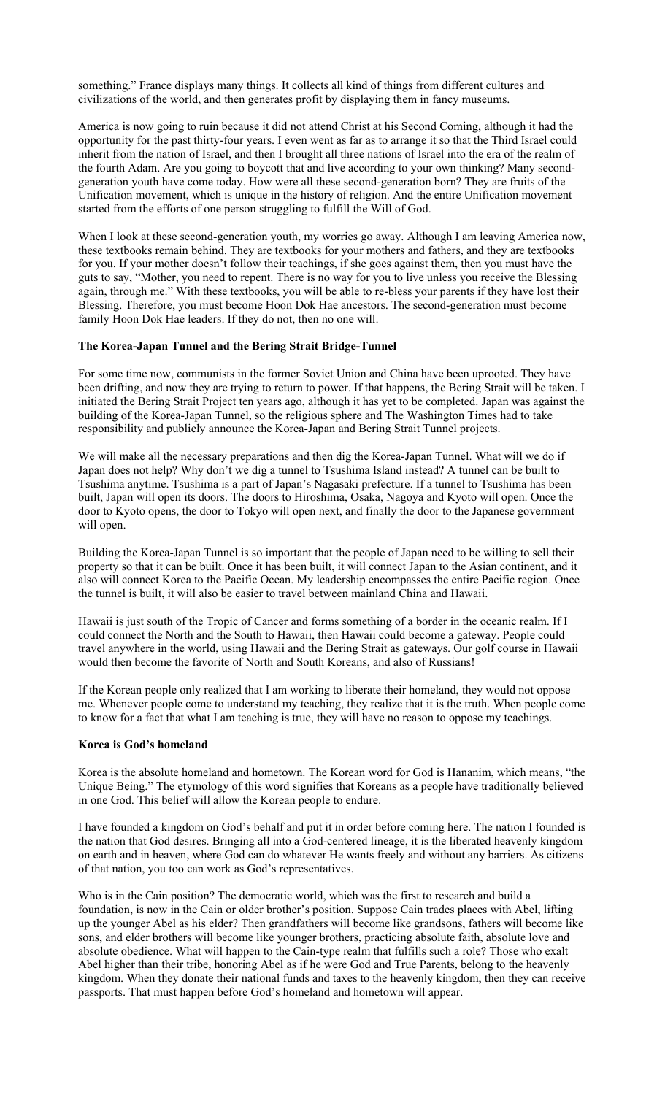something." France displays many things. It collects all kind of things from different cultures and civilizations of the world, and then generates profit by displaying them in fancy museums.

America is now going to ruin because it did not attend Christ at his Second Coming, although it had the opportunity for the past thirty-four years. I even went as far as to arrange it so that the Third Israel could inherit from the nation of Israel, and then I brought all three nations of Israel into the era of the realm of the fourth Adam. Are you going to boycott that and live according to your own thinking? Many secondgeneration youth have come today. How were all these second-generation born? They are fruits of the Unification movement, which is unique in the history of religion. And the entire Unification movement started from the efforts of one person struggling to fulfill the Will of God.

When I look at these second-generation youth, my worries go away. Although I am leaving America now, these textbooks remain behind. They are textbooks for your mothers and fathers, and they are textbooks for you. If your mother doesn't follow their teachings, if she goes against them, then you must have the guts to say, "Mother, you need to repent. There is no way for you to live unless you receive the Blessing again, through me." With these textbooks, you will be able to re-bless your parents if they have lost their Blessing. Therefore, you must become Hoon Dok Hae ancestors. The second-generation must become family Hoon Dok Hae leaders. If they do not, then no one will.

## **The Korea-Japan Tunnel and the Bering Strait Bridge-Tunnel**

For some time now, communists in the former Soviet Union and China have been uprooted. They have been drifting, and now they are trying to return to power. If that happens, the Bering Strait will be taken. I initiated the Bering Strait Project ten years ago, although it has yet to be completed. Japan was against the building of the Korea-Japan Tunnel, so the religious sphere and The Washington Times had to take responsibility and publicly announce the Korea-Japan and Bering Strait Tunnel projects.

We will make all the necessary preparations and then dig the Korea-Japan Tunnel. What will we do if Japan does not help? Why don't we dig a tunnel to Tsushima Island instead? A tunnel can be built to Tsushima anytime. Tsushima is a part of Japan's Nagasaki prefecture. If a tunnel to Tsushima has been built, Japan will open its doors. The doors to Hiroshima, Osaka, Nagoya and Kyoto will open. Once the door to Kyoto opens, the door to Tokyo will open next, and finally the door to the Japanese government will open.

Building the Korea-Japan Tunnel is so important that the people of Japan need to be willing to sell their property so that it can be built. Once it has been built, it will connect Japan to the Asian continent, and it also will connect Korea to the Pacific Ocean. My leadership encompasses the entire Pacific region. Once the tunnel is built, it will also be easier to travel between mainland China and Hawaii.

Hawaii is just south of the Tropic of Cancer and forms something of a border in the oceanic realm. If I could connect the North and the South to Hawaii, then Hawaii could become a gateway. People could travel anywhere in the world, using Hawaii and the Bering Strait as gateways. Our golf course in Hawaii would then become the favorite of North and South Koreans, and also of Russians!

If the Korean people only realized that I am working to liberate their homeland, they would not oppose me. Whenever people come to understand my teaching, they realize that it is the truth. When people come to know for a fact that what I am teaching is true, they will have no reason to oppose my teachings.

## **Korea is God's homeland**

Korea is the absolute homeland and hometown. The Korean word for God is Hananim, which means, "the Unique Being." The etymology of this word signifies that Koreans as a people have traditionally believed in one God. This belief will allow the Korean people to endure.

I have founded a kingdom on God's behalf and put it in order before coming here. The nation I founded is the nation that God desires. Bringing all into a God-centered lineage, it is the liberated heavenly kingdom on earth and in heaven, where God can do whatever He wants freely and without any barriers. As citizens of that nation, you too can work as God's representatives.

Who is in the Cain position? The democratic world, which was the first to research and build a foundation, is now in the Cain or older brother's position. Suppose Cain trades places with Abel, lifting up the younger Abel as his elder? Then grandfathers will become like grandsons, fathers will become like sons, and elder brothers will become like younger brothers, practicing absolute faith, absolute love and absolute obedience. What will happen to the Cain-type realm that fulfills such a role? Those who exalt Abel higher than their tribe, honoring Abel as if he were God and True Parents, belong to the heavenly kingdom. When they donate their national funds and taxes to the heavenly kingdom, then they can receive passports. That must happen before God's homeland and hometown will appear.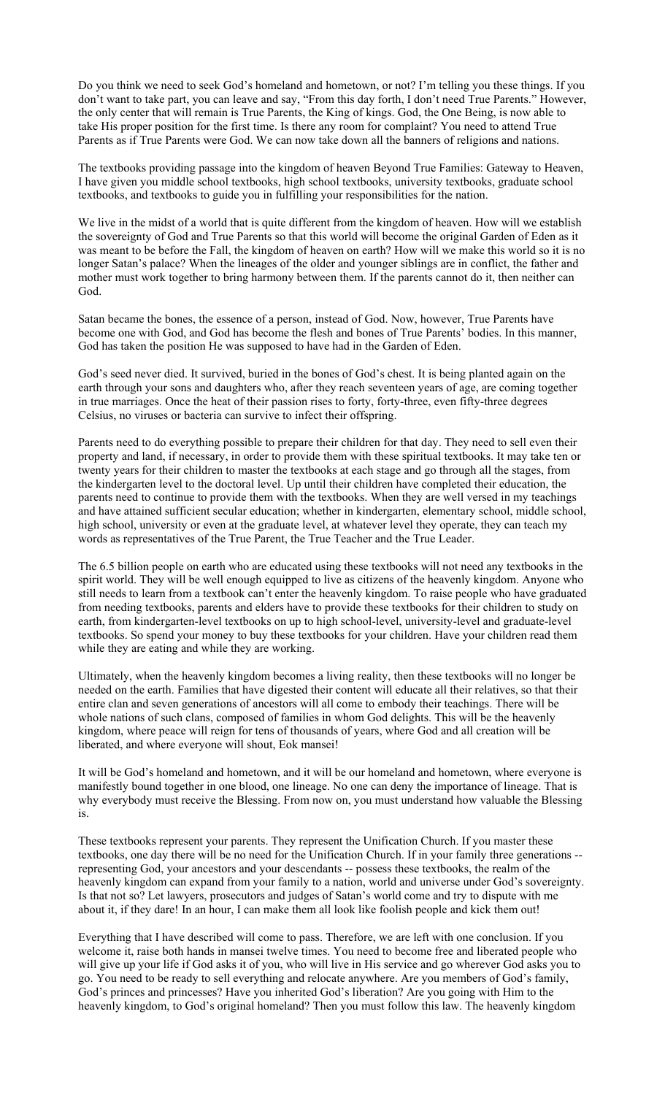Do you think we need to seek God's homeland and hometown, or not? I'm telling you these things. If you don't want to take part, you can leave and say, "From this day forth, I don't need True Parents." However, the only center that will remain is True Parents, the King of kings. God, the One Being, is now able to take His proper position for the first time. Is there any room for complaint? You need to attend True Parents as if True Parents were God. We can now take down all the banners of religions and nations.

The textbooks providing passage into the kingdom of heaven Beyond True Families: Gateway to Heaven, I have given you middle school textbooks, high school textbooks, university textbooks, graduate school textbooks, and textbooks to guide you in fulfilling your responsibilities for the nation.

We live in the midst of a world that is quite different from the kingdom of heaven. How will we establish the sovereignty of God and True Parents so that this world will become the original Garden of Eden as it was meant to be before the Fall, the kingdom of heaven on earth? How will we make this world so it is no longer Satan's palace? When the lineages of the older and younger siblings are in conflict, the father and mother must work together to bring harmony between them. If the parents cannot do it, then neither can God.

Satan became the bones, the essence of a person, instead of God. Now, however, True Parents have become one with God, and God has become the flesh and bones of True Parents' bodies. In this manner, God has taken the position He was supposed to have had in the Garden of Eden.

God's seed never died. It survived, buried in the bones of God's chest. It is being planted again on the earth through your sons and daughters who, after they reach seventeen years of age, are coming together in true marriages. Once the heat of their passion rises to forty, forty-three, even fifty-three degrees Celsius, no viruses or bacteria can survive to infect their offspring.

Parents need to do everything possible to prepare their children for that day. They need to sell even their property and land, if necessary, in order to provide them with these spiritual textbooks. It may take ten or twenty years for their children to master the textbooks at each stage and go through all the stages, from the kindergarten level to the doctoral level. Up until their children have completed their education, the parents need to continue to provide them with the textbooks. When they are well versed in my teachings and have attained sufficient secular education; whether in kindergarten, elementary school, middle school, high school, university or even at the graduate level, at whatever level they operate, they can teach my words as representatives of the True Parent, the True Teacher and the True Leader.

The 6.5 billion people on earth who are educated using these textbooks will not need any textbooks in the spirit world. They will be well enough equipped to live as citizens of the heavenly kingdom. Anyone who still needs to learn from a textbook can't enter the heavenly kingdom. To raise people who have graduated from needing textbooks, parents and elders have to provide these textbooks for their children to study on earth, from kindergarten-level textbooks on up to high school-level, university-level and graduate-level textbooks. So spend your money to buy these textbooks for your children. Have your children read them while they are eating and while they are working.

Ultimately, when the heavenly kingdom becomes a living reality, then these textbooks will no longer be needed on the earth. Families that have digested their content will educate all their relatives, so that their entire clan and seven generations of ancestors will all come to embody their teachings. There will be whole nations of such clans, composed of families in whom God delights. This will be the heavenly kingdom, where peace will reign for tens of thousands of years, where God and all creation will be liberated, and where everyone will shout, Eok mansei!

It will be God's homeland and hometown, and it will be our homeland and hometown, where everyone is manifestly bound together in one blood, one lineage. No one can deny the importance of lineage. That is why everybody must receive the Blessing. From now on, you must understand how valuable the Blessing is.

These textbooks represent your parents. They represent the Unification Church. If you master these textbooks, one day there will be no need for the Unification Church. If in your family three generations - representing God, your ancestors and your descendants -- possess these textbooks, the realm of the heavenly kingdom can expand from your family to a nation, world and universe under God's sovereignty. Is that not so? Let lawyers, prosecutors and judges of Satan's world come and try to dispute with me about it, if they dare! In an hour, I can make them all look like foolish people and kick them out!

Everything that I have described will come to pass. Therefore, we are left with one conclusion. If you welcome it, raise both hands in mansei twelve times. You need to become free and liberated people who will give up your life if God asks it of you, who will live in His service and go wherever God asks you to go. You need to be ready to sell everything and relocate anywhere. Are you members of God's family, God's princes and princesses? Have you inherited God's liberation? Are you going with Him to the heavenly kingdom, to God's original homeland? Then you must follow this law. The heavenly kingdom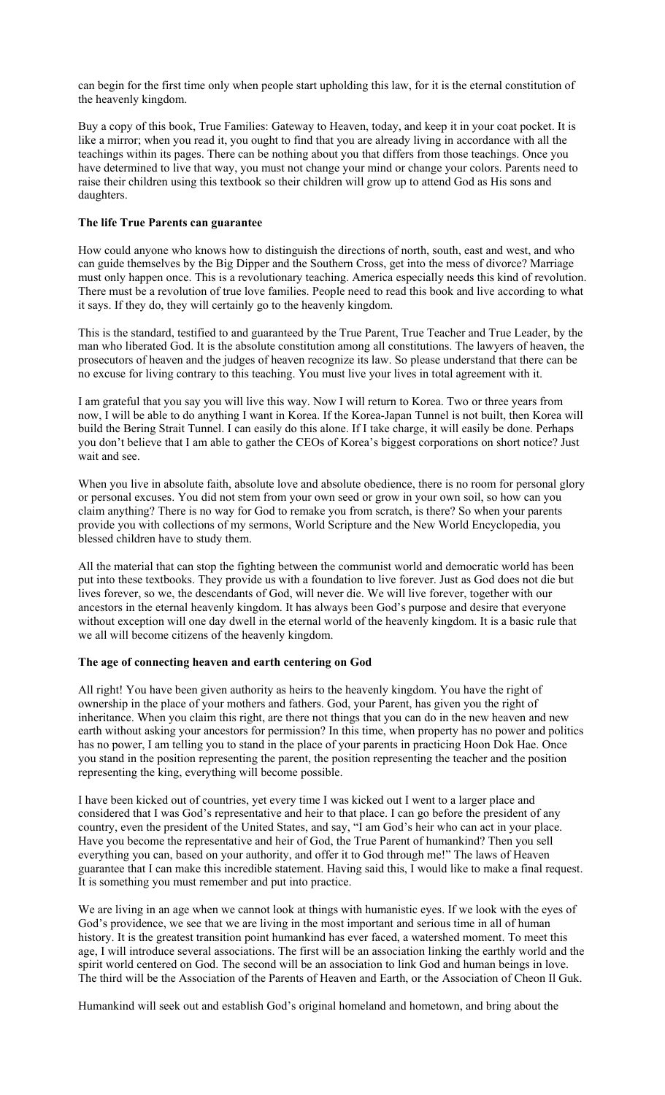can begin for the first time only when people start upholding this law, for it is the eternal constitution of the heavenly kingdom.

Buy a copy of this book, True Families: Gateway to Heaven, today, and keep it in your coat pocket. It is like a mirror; when you read it, you ought to find that you are already living in accordance with all the teachings within its pages. There can be nothing about you that differs from those teachings. Once you have determined to live that way, you must not change your mind or change your colors. Parents need to raise their children using this textbook so their children will grow up to attend God as His sons and daughters.

## **The life True Parents can guarantee**

How could anyone who knows how to distinguish the directions of north, south, east and west, and who can guide themselves by the Big Dipper and the Southern Cross, get into the mess of divorce? Marriage must only happen once. This is a revolutionary teaching. America especially needs this kind of revolution. There must be a revolution of true love families. People need to read this book and live according to what it says. If they do, they will certainly go to the heavenly kingdom.

This is the standard, testified to and guaranteed by the True Parent, True Teacher and True Leader, by the man who liberated God. It is the absolute constitution among all constitutions. The lawyers of heaven, the prosecutors of heaven and the judges of heaven recognize its law. So please understand that there can be no excuse for living contrary to this teaching. You must live your lives in total agreement with it.

I am grateful that you say you will live this way. Now I will return to Korea. Two or three years from now, I will be able to do anything I want in Korea. If the Korea-Japan Tunnel is not built, then Korea will build the Bering Strait Tunnel. I can easily do this alone. If I take charge, it will easily be done. Perhaps you don't believe that I am able to gather the CEOs of Korea's biggest corporations on short notice? Just wait and see.

When you live in absolute faith, absolute love and absolute obedience, there is no room for personal glory or personal excuses. You did not stem from your own seed or grow in your own soil, so how can you claim anything? There is no way for God to remake you from scratch, is there? So when your parents provide you with collections of my sermons, World Scripture and the New World Encyclopedia, you blessed children have to study them.

All the material that can stop the fighting between the communist world and democratic world has been put into these textbooks. They provide us with a foundation to live forever. Just as God does not die but lives forever, so we, the descendants of God, will never die. We will live forever, together with our ancestors in the eternal heavenly kingdom. It has always been God's purpose and desire that everyone without exception will one day dwell in the eternal world of the heavenly kingdom. It is a basic rule that we all will become citizens of the heavenly kingdom.

## **The age of connecting heaven and earth centering on God**

All right! You have been given authority as heirs to the heavenly kingdom. You have the right of ownership in the place of your mothers and fathers. God, your Parent, has given you the right of inheritance. When you claim this right, are there not things that you can do in the new heaven and new earth without asking your ancestors for permission? In this time, when property has no power and politics has no power, I am telling you to stand in the place of your parents in practicing Hoon Dok Hae. Once you stand in the position representing the parent, the position representing the teacher and the position representing the king, everything will become possible.

I have been kicked out of countries, yet every time I was kicked out I went to a larger place and considered that I was God's representative and heir to that place. I can go before the president of any country, even the president of the United States, and say, "I am God's heir who can act in your place. Have you become the representative and heir of God, the True Parent of humankind? Then you sell everything you can, based on your authority, and offer it to God through me!" The laws of Heaven guarantee that I can make this incredible statement. Having said this, I would like to make a final request. It is something you must remember and put into practice.

We are living in an age when we cannot look at things with humanistic eyes. If we look with the eyes of God's providence, we see that we are living in the most important and serious time in all of human history. It is the greatest transition point humankind has ever faced, a watershed moment. To meet this age, I will introduce several associations. The first will be an association linking the earthly world and the spirit world centered on God. The second will be an association to link God and human beings in love. The third will be the Association of the Parents of Heaven and Earth, or the Association of Cheon Il Guk.

Humankind will seek out and establish God's original homeland and hometown, and bring about the